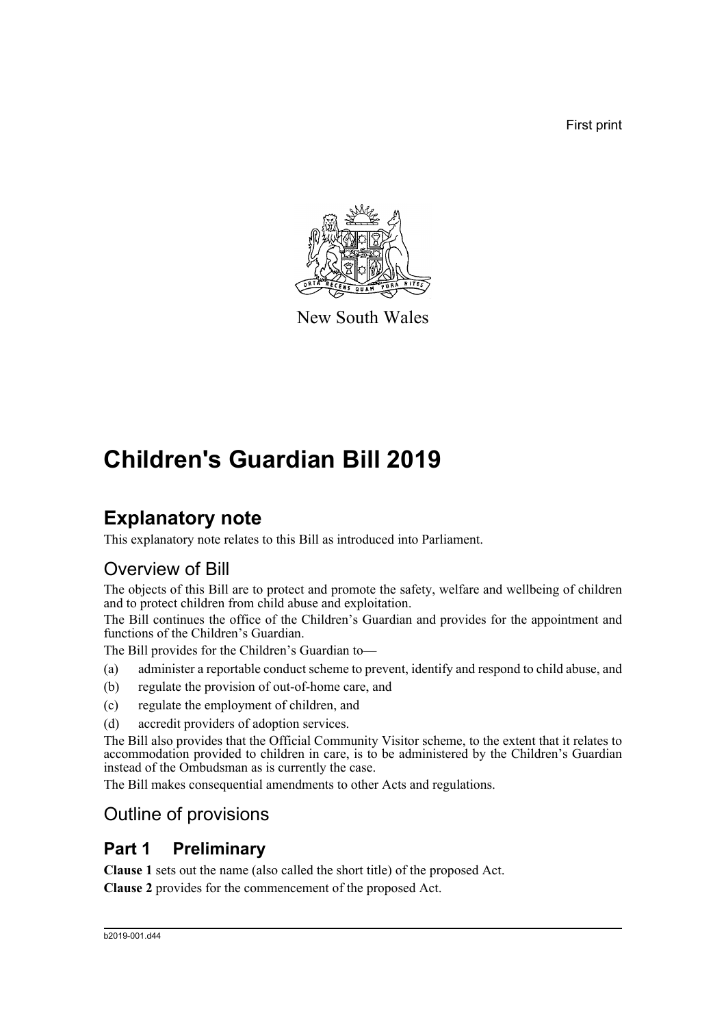First print



New South Wales

# **Children's Guardian Bill 2019**

# **Explanatory note**

This explanatory note relates to this Bill as introduced into Parliament.

# Overview of Bill

The objects of this Bill are to protect and promote the safety, welfare and wellbeing of children and to protect children from child abuse and exploitation.

The Bill continues the office of the Children's Guardian and provides for the appointment and functions of the Children's Guardian.

The Bill provides for the Children's Guardian to—

- (a) administer a reportable conduct scheme to prevent, identify and respond to child abuse, and
- (b) regulate the provision of out-of-home care, and
- (c) regulate the employment of children, and
- (d) accredit providers of adoption services.

The Bill also provides that the Official Community Visitor scheme, to the extent that it relates to accommodation provided to children in care, is to be administered by the Children's Guardian instead of the Ombudsman as is currently the case.

The Bill makes consequential amendments to other Acts and regulations.

## Outline of provisions

# **Part 1 Preliminary**

**Clause 1** sets out the name (also called the short title) of the proposed Act.

**Clause 2** provides for the commencement of the proposed Act.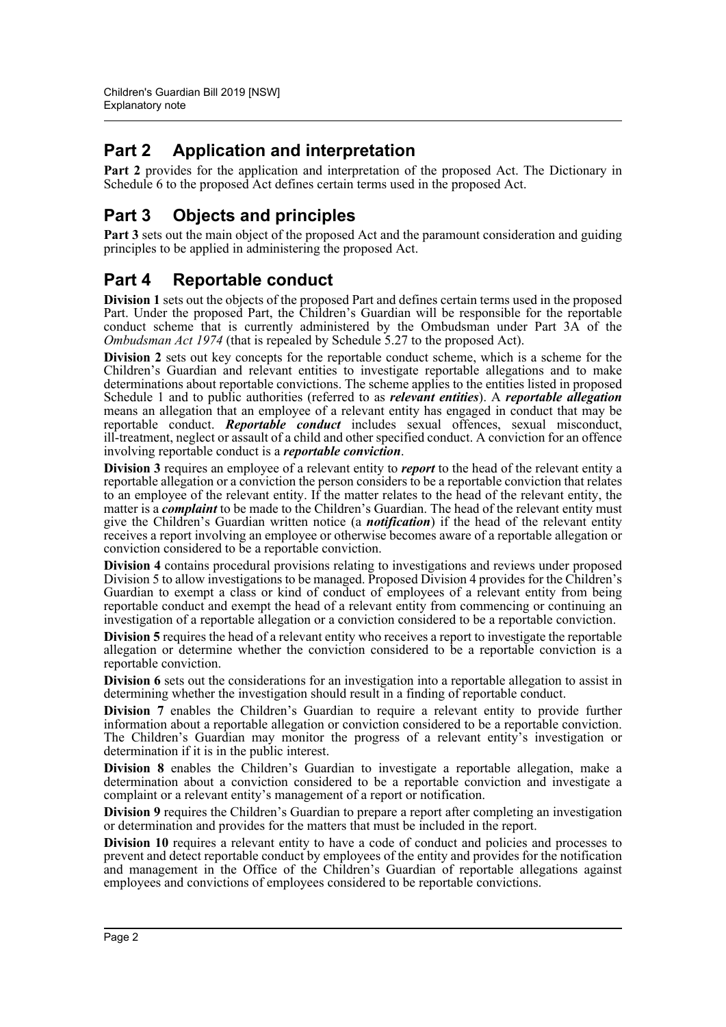# **Part 2 Application and interpretation**

**Part 2** provides for the application and interpretation of the proposed Act. The Dictionary in Schedule 6 to the proposed Act defines certain terms used in the proposed Act.

# **Part 3 Objects and principles**

Part 3 sets out the main object of the proposed Act and the paramount consideration and guiding principles to be applied in administering the proposed Act.

## **Part 4 Reportable conduct**

**Division 1** sets out the objects of the proposed Part and defines certain terms used in the proposed Part. Under the proposed Part, the Children's Guardian will be responsible for the reportable conduct scheme that is currently administered by the Ombudsman under Part 3A of the *Ombudsman Act 1974* (that is repealed by Schedule 5.27 to the proposed Act).

**Division 2** sets out key concepts for the reportable conduct scheme, which is a scheme for the Children's Guardian and relevant entities to investigate reportable allegations and to make determinations about reportable convictions. The scheme applies to the entities listed in proposed Schedule 1 and to public authorities (referred to as *relevant entities*). A *reportable allegation* means an allegation that an employee of a relevant entity has engaged in conduct that may be reportable conduct. *Reportable conduct* includes sexual offences, sexual misconduct, ill-treatment, neglect or assault of a child and other specified conduct. A conviction for an offence involving reportable conduct is a *reportable conviction*.

**Division 3** requires an employee of a relevant entity to *report* to the head of the relevant entity a reportable allegation or a conviction the person considers to be a reportable conviction that relates to an employee of the relevant entity. If the matter relates to the head of the relevant entity, the matter is a *complaint* to be made to the Children's Guardian. The head of the relevant entity must give the Children's Guardian written notice (a *notification*) if the head of the relevant entity receives a report involving an employee or otherwise becomes aware of a reportable allegation or conviction considered to be a reportable conviction.

**Division 4** contains procedural provisions relating to investigations and reviews under proposed Division 5 to allow investigations to be managed. Proposed Division 4 provides for the Children's Guardian to exempt a class or kind of conduct of employees of a relevant entity from being reportable conduct and exempt the head of a relevant entity from commencing or continuing an investigation of a reportable allegation or a conviction considered to be a reportable conviction.

**Division 5** requires the head of a relevant entity who receives a report to investigate the reportable allegation or determine whether the conviction considered to be a reportable conviction is a reportable conviction.

**Division 6** sets out the considerations for an investigation into a reportable allegation to assist in determining whether the investigation should result in a finding of reportable conduct.

**Division 7** enables the Children's Guardian to require a relevant entity to provide further information about a reportable allegation or conviction considered to be a reportable conviction. The Children's Guardian may monitor the progress of a relevant entity's investigation or determination if it is in the public interest.

**Division 8** enables the Children's Guardian to investigate a reportable allegation, make a determination about a conviction considered to be a reportable conviction and investigate a complaint or a relevant entity's management of a report or notification.

**Division 9** requires the Children's Guardian to prepare a report after completing an investigation or determination and provides for the matters that must be included in the report.

**Division 10** requires a relevant entity to have a code of conduct and policies and processes to prevent and detect reportable conduct by employees of the entity and provides for the notification and management in the Office of the Children's Guardian of reportable allegations against employees and convictions of employees considered to be reportable convictions.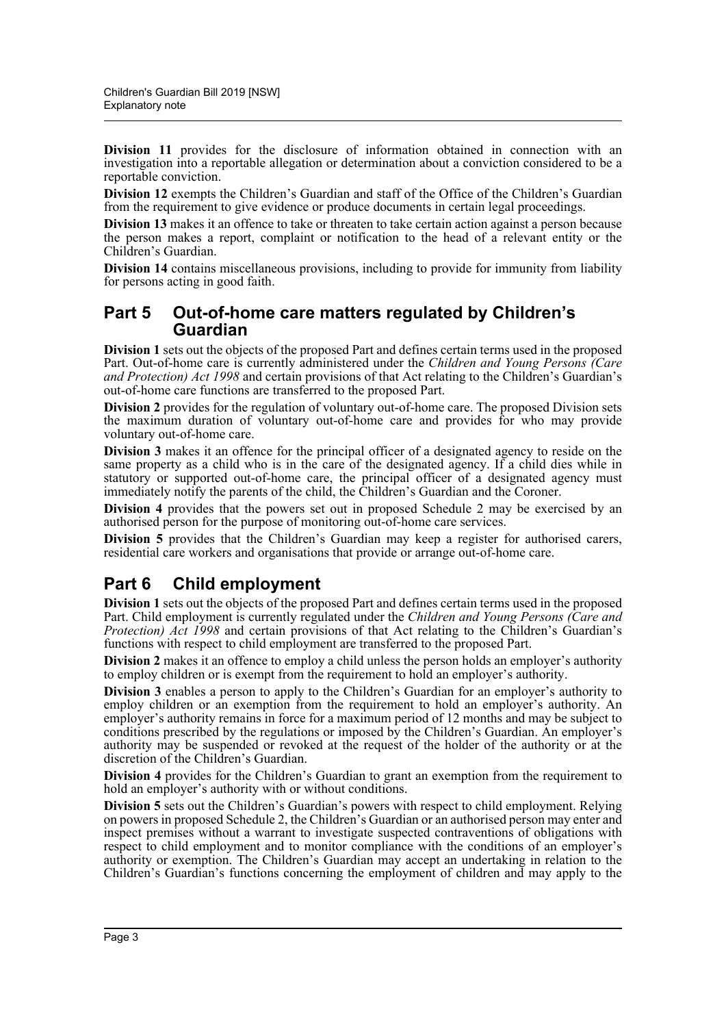**Division 11** provides for the disclosure of information obtained in connection with an investigation into a reportable allegation or determination about a conviction considered to be a reportable conviction.

**Division 12** exempts the Children's Guardian and staff of the Office of the Children's Guardian from the requirement to give evidence or produce documents in certain legal proceedings.

**Division 13** makes it an offence to take or threaten to take certain action against a person because the person makes a report, complaint or notification to the head of a relevant entity or the Children's Guardian.

**Division 14** contains miscellaneous provisions, including to provide for immunity from liability for persons acting in good faith.

## **Part 5 Out-of-home care matters regulated by Children's Guardian**

**Division 1** sets out the objects of the proposed Part and defines certain terms used in the proposed Part. Out-of-home care is currently administered under the *Children and Young Persons (Care and Protection) Act 1998* and certain provisions of that Act relating to the Children's Guardian's out-of-home care functions are transferred to the proposed Part.

**Division 2** provides for the regulation of voluntary out-of-home care. The proposed Division sets the maximum duration of voluntary out-of-home care and provides for who may provide voluntary out-of-home care.

**Division 3** makes it an offence for the principal officer of a designated agency to reside on the same property as a child who is in the care of the designated agency. If a child dies while in statutory or supported out-of-home care, the principal officer of a designated agency must immediately notify the parents of the child, the Children's Guardian and the Coroner.

**Division 4** provides that the powers set out in proposed Schedule 2 may be exercised by an authorised person for the purpose of monitoring out-of-home care services.

**Division 5** provides that the Children's Guardian may keep a register for authorised carers, residential care workers and organisations that provide or arrange out-of-home care.

## **Part 6 Child employment**

**Division 1** sets out the objects of the proposed Part and defines certain terms used in the proposed Part. Child employment is currently regulated under the *Children and Young Persons (Care and Protection) Act 1998* and certain provisions of that Act relating to the Children's Guardian's functions with respect to child employment are transferred to the proposed Part.

**Division 2** makes it an offence to employ a child unless the person holds an employer's authority to employ children or is exempt from the requirement to hold an employer's authority.

**Division 3** enables a person to apply to the Children's Guardian for an employer's authority to employ children or an exemption from the requirement to hold an employer's authority. An employer's authority remains in force for a maximum period of 12 months and may be subject to conditions prescribed by the regulations or imposed by the Children's Guardian. An employer's authority may be suspended or revoked at the request of the holder of the authority or at the discretion of the Children's Guardian.

**Division 4** provides for the Children's Guardian to grant an exemption from the requirement to hold an employer's authority with or without conditions.

**Division 5** sets out the Children's Guardian's powers with respect to child employment. Relying on powers in proposed Schedule 2, the Children's Guardian or an authorised person may enter and inspect premises without a warrant to investigate suspected contraventions of obligations with respect to child employment and to monitor compliance with the conditions of an employer's authority or exemption. The Children's Guardian may accept an undertaking in relation to the Children's Guardian's functions concerning the employment of children and may apply to the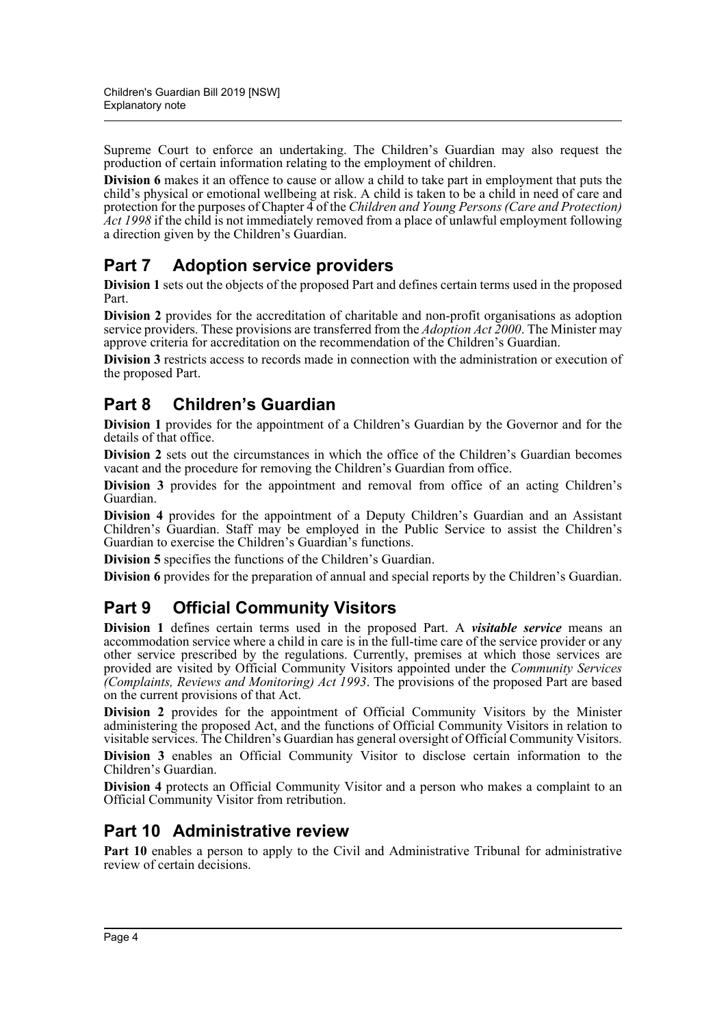Supreme Court to enforce an undertaking. The Children's Guardian may also request the production of certain information relating to the employment of children.

**Division 6** makes it an offence to cause or allow a child to take part in employment that puts the child's physical or emotional wellbeing at risk. A child is taken to be a child in need of care and protection for the purposes of Chapter 4 of the *Children and Young Persons (Care and Protection) Act 1998* if the child is not immediately removed from a place of unlawful employment following a direction given by the Children's Guardian.

## **Part 7 Adoption service providers**

**Division 1** sets out the objects of the proposed Part and defines certain terms used in the proposed Part.

**Division 2** provides for the accreditation of charitable and non-profit organisations as adoption service providers. These provisions are transferred from the *Adoption Act 2000*. The Minister may approve criteria for accreditation on the recommendation of the Children's Guardian.

**Division 3** restricts access to records made in connection with the administration or execution of the proposed Part.

## **Part 8 Children's Guardian**

**Division 1** provides for the appointment of a Children's Guardian by the Governor and for the details of that office.

**Division 2** sets out the circumstances in which the office of the Children's Guardian becomes vacant and the procedure for removing the Children's Guardian from office.

**Division 3** provides for the appointment and removal from office of an acting Children's Guardian.

**Division 4** provides for the appointment of a Deputy Children's Guardian and an Assistant Children's Guardian. Staff may be employed in the Public Service to assist the Children's Guardian to exercise the Children's Guardian's functions.

**Division 5** specifies the functions of the Children's Guardian.

**Division 6** provides for the preparation of annual and special reports by the Children's Guardian.

## **Part 9 Official Community Visitors**

**Division 1** defines certain terms used in the proposed Part. A *visitable service* means an accommodation service where a child in care is in the full-time care of the service provider or any other service prescribed by the regulations. Currently, premises at which those services are provided are visited by Official Community Visitors appointed under the *Community Services (Complaints, Reviews and Monitoring) Act 1993*. The provisions of the proposed Part are based on the current provisions of that Act.

**Division 2** provides for the appointment of Official Community Visitors by the Minister administering the proposed Act, and the functions of Official Community Visitors in relation to visitable services. The Children's Guardian has general oversight of Official Community Visitors.

**Division 3** enables an Official Community Visitor to disclose certain information to the Children's Guardian.

**Division 4** protects an Official Community Visitor and a person who makes a complaint to an Official Community Visitor from retribution.

## **Part 10 Administrative review**

**Part 10** enables a person to apply to the Civil and Administrative Tribunal for administrative review of certain decisions.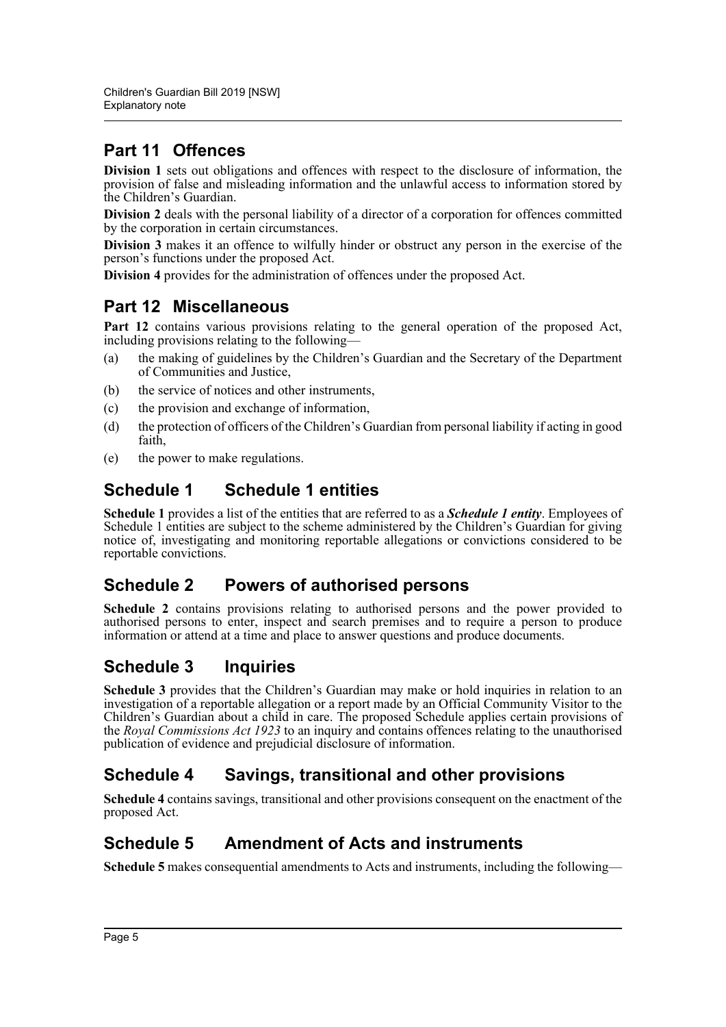## **Part 11 Offences**

**Division 1** sets out obligations and offences with respect to the disclosure of information, the provision of false and misleading information and the unlawful access to information stored by the Children's Guardian.

**Division 2** deals with the personal liability of a director of a corporation for offences committed by the corporation in certain circumstances.

**Division 3** makes it an offence to wilfully hinder or obstruct any person in the exercise of the person's functions under the proposed Act.

**Division 4** provides for the administration of offences under the proposed Act.

## **Part 12 Miscellaneous**

Part 12 contains various provisions relating to the general operation of the proposed Act, including provisions relating to the following—

- (a) the making of guidelines by the Children's Guardian and the Secretary of the Department of Communities and Justice,
- (b) the service of notices and other instruments,
- (c) the provision and exchange of information,
- (d) the protection of officers of the Children's Guardian from personal liability if acting in good faith,
- (e) the power to make regulations.

## **Schedule 1 Schedule 1 entities**

**Schedule 1** provides a list of the entities that are referred to as a *Schedule 1 entity*. Employees of Schedule 1 entities are subject to the scheme administered by the Children's Guardian for giving notice of, investigating and monitoring reportable allegations or convictions considered to be reportable convictions.

## **Schedule 2 Powers of authorised persons**

**Schedule 2** contains provisions relating to authorised persons and the power provided to authorised persons to enter, inspect and search premises and to require a person to produce information or attend at a time and place to answer questions and produce documents.

## **Schedule 3 Inquiries**

**Schedule 3** provides that the Children's Guardian may make or hold inquiries in relation to an investigation of a reportable allegation or a report made by an Official Community Visitor to the Children's Guardian about a child in care. The proposed Schedule applies certain provisions of the *Royal Commissions Act 1923* to an inquiry and contains offences relating to the unauthorised publication of evidence and prejudicial disclosure of information.

## **Schedule 4 Savings, transitional and other provisions**

**Schedule 4** contains savings, transitional and other provisions consequent on the enactment of the proposed Act.

## **Schedule 5 Amendment of Acts and instruments**

**Schedule 5** makes consequential amendments to Acts and instruments, including the following—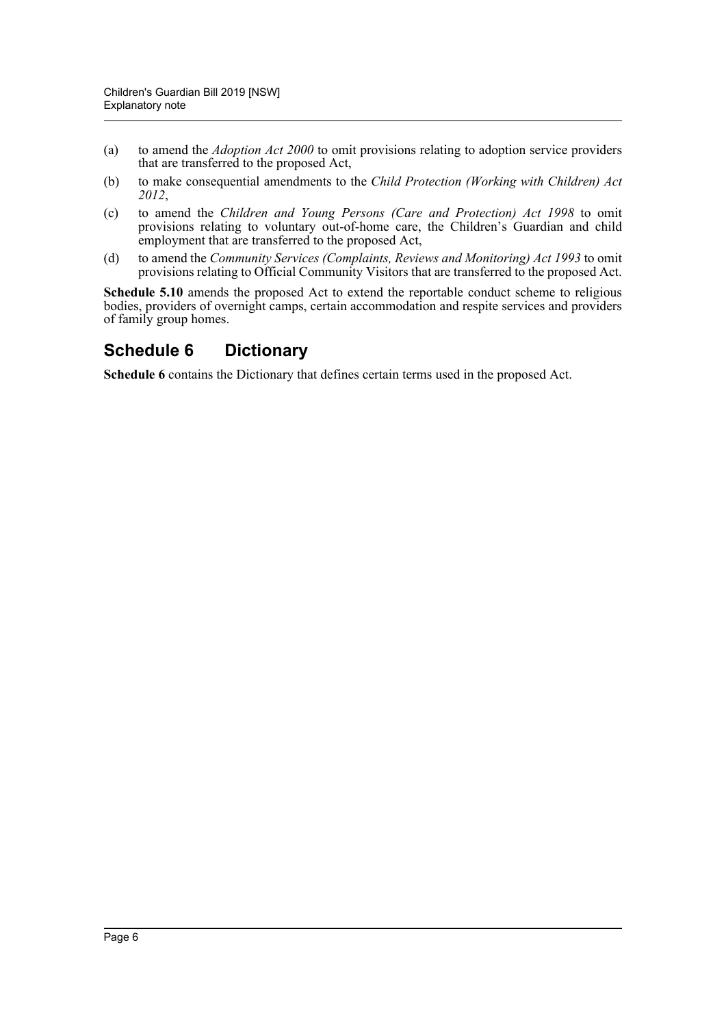- (a) to amend the *Adoption Act 2000* to omit provisions relating to adoption service providers that are transferred to the proposed Act,
- (b) to make consequential amendments to the *Child Protection (Working with Children) Act 2012*,
- (c) to amend the *Children and Young Persons (Care and Protection) Act 1998* to omit provisions relating to voluntary out-of-home care, the Children's Guardian and child employment that are transferred to the proposed Act,
- (d) to amend the *Community Services (Complaints, Reviews and Monitoring) Act 1993* to omit provisions relating to Official Community Visitors that are transferred to the proposed Act.

**Schedule 5.10** amends the proposed Act to extend the reportable conduct scheme to religious bodies, providers of overnight camps, certain accommodation and respite services and providers of family group homes.

## **Schedule 6 Dictionary**

**Schedule 6** contains the Dictionary that defines certain terms used in the proposed Act.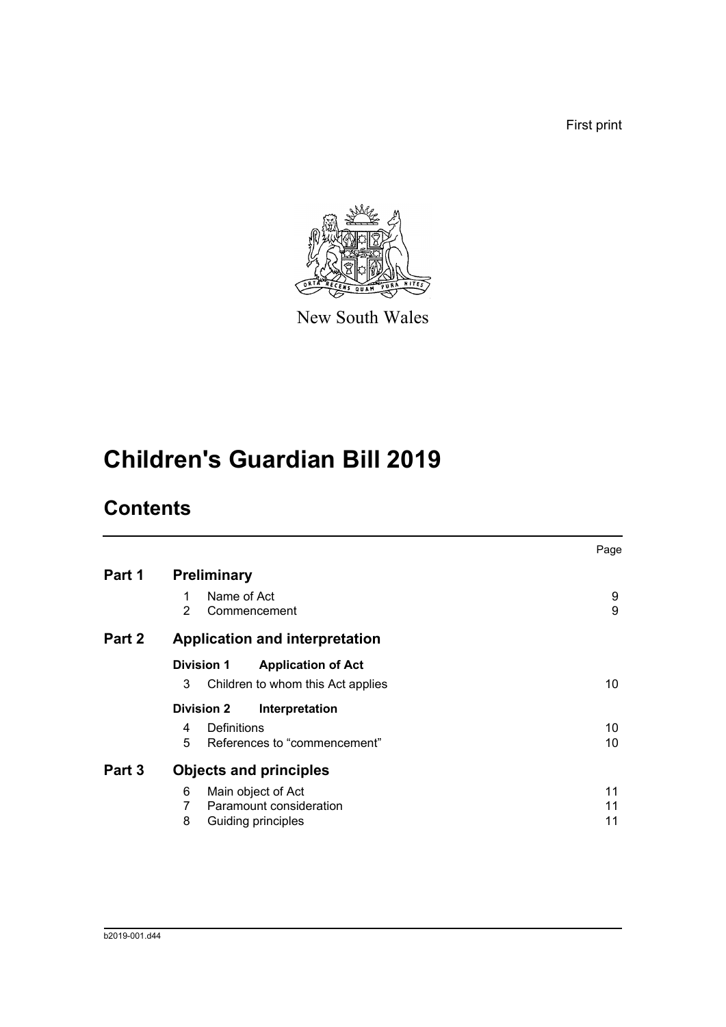First print



New South Wales

# **Children's Guardian Bill 2019**

# **Contents**

|                                                   | Page   |
|---------------------------------------------------|--------|
| <b>Preliminary</b>                                |        |
| Name of Act<br>1<br>$\mathcal{P}$<br>Commencement | 9<br>9 |
| <b>Application and interpretation</b>             |        |
| <b>Division 1</b><br><b>Application of Act</b>    |        |
| 3<br>Children to whom this Act applies            | 10     |
| <b>Division 2</b><br>Interpretation               |        |
| Definitions<br>4                                  | 10     |
| References to "commencement"<br>5                 | 10     |
| <b>Objects and principles</b>                     |        |
| 6<br>Main object of Act                           | 11     |
| Paramount consideration<br>7                      | 11     |
| 8<br>Guiding principles                           | 11     |
|                                                   |        |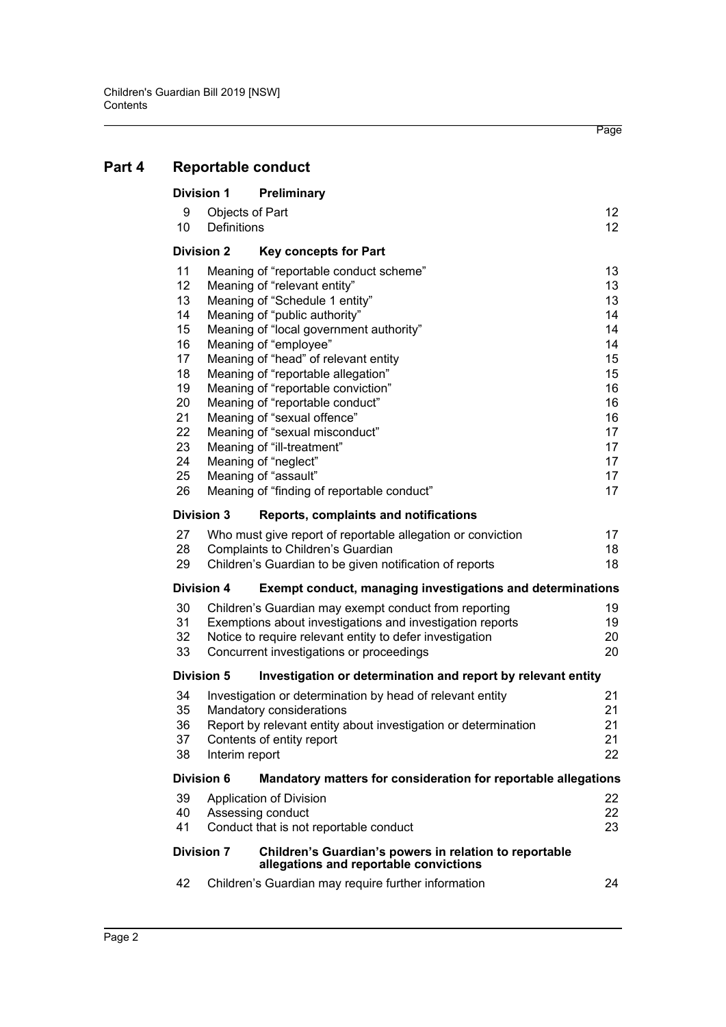| <b>Division 1</b> |                    | Preliminary                                                                                      |          |
|-------------------|--------------------|--------------------------------------------------------------------------------------------------|----------|
| 9                 | Objects of Part    |                                                                                                  | 12       |
| 10                | <b>Definitions</b> |                                                                                                  | 12       |
| <b>Division 2</b> |                    | <b>Key concepts for Part</b>                                                                     |          |
| 11                |                    | Meaning of "reportable conduct scheme"                                                           | 13       |
| 12                |                    | Meaning of "relevant entity"                                                                     | 13       |
| 13                |                    | Meaning of "Schedule 1 entity"                                                                   | 13       |
| 14                |                    | Meaning of "public authority"                                                                    | 14       |
| 15                |                    | Meaning of "local government authority"                                                          | 14       |
| 16                |                    | Meaning of "employee"                                                                            | 14       |
| 17                |                    | Meaning of "head" of relevant entity                                                             | 15       |
| 18                |                    | Meaning of "reportable allegation"                                                               | 15       |
| 19                |                    | Meaning of "reportable conviction"                                                               | 16       |
| 20                |                    | Meaning of "reportable conduct"                                                                  | 16       |
| 21<br>22          |                    | Meaning of "sexual offence"<br>Meaning of "sexual misconduct"                                    | 16<br>17 |
| 23                |                    | Meaning of "ill-treatment"                                                                       | 17       |
| 24                |                    | Meaning of "neglect"                                                                             | 17       |
| 25                |                    | Meaning of "assault"                                                                             | 17       |
| 26                |                    | Meaning of "finding of reportable conduct"                                                       | 17       |
| <b>Division 3</b> |                    | Reports, complaints and notifications                                                            |          |
| 27                |                    | Who must give report of reportable allegation or conviction                                      | 17       |
| 28                |                    | Complaints to Children's Guardian                                                                | 18       |
| 29                |                    | Children's Guardian to be given notification of reports                                          | 18       |
| <b>Division 4</b> |                    | <b>Exempt conduct, managing investigations and determinations</b>                                |          |
| 30                |                    | Children's Guardian may exempt conduct from reporting                                            | 19       |
| 31                |                    | Exemptions about investigations and investigation reports                                        | 19       |
| 32                |                    | Notice to require relevant entity to defer investigation                                         | 20       |
| 33                |                    | Concurrent investigations or proceedings                                                         | 20       |
| <b>Division 5</b> |                    | Investigation or determination and report by relevant entity                                     |          |
| 34                |                    | Investigation or determination by head of relevant entity                                        | 21       |
| 35                |                    | Mandatory considerations                                                                         | 21       |
| 36                |                    | Report by relevant entity about investigation or determination                                   | 21       |
| 37                |                    | Contents of entity report                                                                        | 21       |
| 38                | Interim report     |                                                                                                  | 22       |
| <b>Division 6</b> |                    | Mandatory matters for consideration for reportable allegations                                   |          |
| 39                |                    | <b>Application of Division</b>                                                                   | 22       |
| 40                |                    | Assessing conduct                                                                                | 22       |
| 41                |                    | Conduct that is not reportable conduct                                                           | 23       |
| <b>Division 7</b> |                    | Children's Guardian's powers in relation to reportable<br>allegations and reportable convictions |          |
| 42                |                    | Children's Guardian may require further information                                              | 24       |
|                   |                    |                                                                                                  |          |

## **[Part 4 Reportable conduct](#page-17-0)**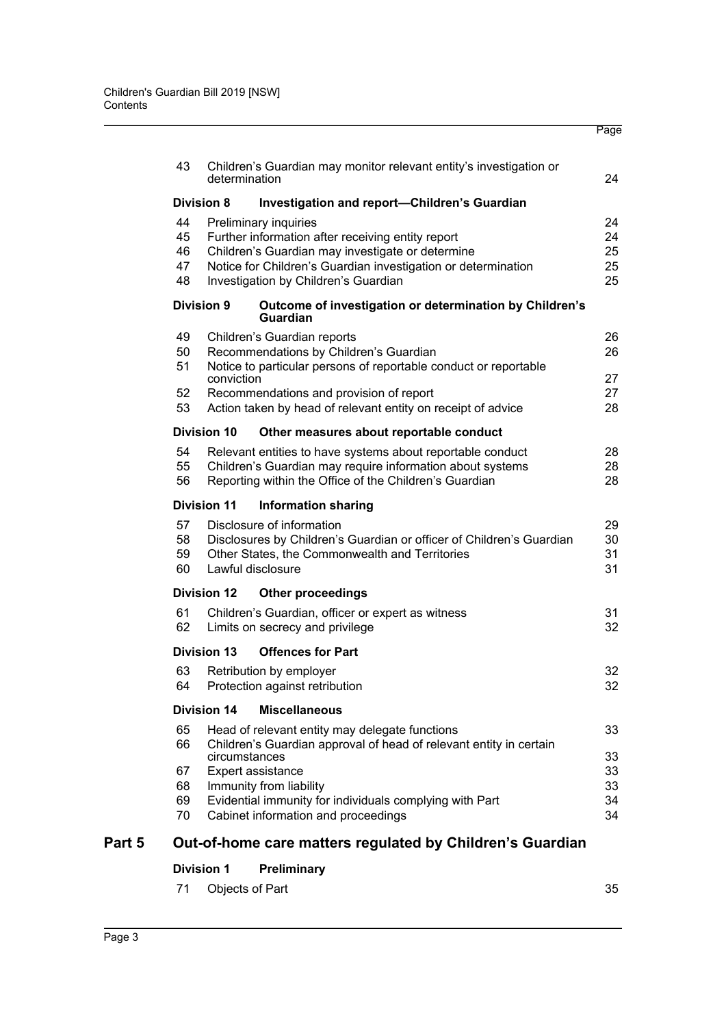|        |          |                    |                                                                                                | Page     |
|--------|----------|--------------------|------------------------------------------------------------------------------------------------|----------|
|        | 43       |                    | Children's Guardian may monitor relevant entity's investigation or                             |          |
|        |          | determination      |                                                                                                | 24       |
|        |          | <b>Division 8</b>  | <b>Investigation and report-Children's Guardian</b>                                            |          |
|        | 44       |                    | Preliminary inquiries                                                                          | 24       |
|        | 45       |                    | Further information after receiving entity report                                              | 24       |
|        | 46       |                    | Children's Guardian may investigate or determine                                               | 25       |
|        | 47       |                    | Notice for Children's Guardian investigation or determination                                  | 25       |
|        | 48       |                    | Investigation by Children's Guardian                                                           | 25       |
|        |          | <b>Division 9</b>  | Outcome of investigation or determination by Children's<br><b>Guardian</b>                     |          |
|        | 49       |                    | Children's Guardian reports                                                                    | 26       |
|        | 50       |                    | Recommendations by Children's Guardian                                                         | 26       |
|        | 51       |                    | Notice to particular persons of reportable conduct or reportable                               |          |
|        |          | conviction         |                                                                                                | 27       |
|        | 52       |                    | Recommendations and provision of report                                                        | 27       |
|        | 53       |                    | Action taken by head of relevant entity on receipt of advice                                   | 28       |
|        |          | <b>Division 10</b> | Other measures about reportable conduct                                                        |          |
|        | 54       |                    | Relevant entities to have systems about reportable conduct                                     | 28       |
|        | 55       |                    | Children's Guardian may require information about systems                                      | 28       |
|        | 56       |                    | Reporting within the Office of the Children's Guardian                                         | 28       |
|        |          | <b>Division 11</b> | <b>Information sharing</b>                                                                     |          |
|        | 57       |                    | Disclosure of information                                                                      | 29       |
|        | 58       |                    | Disclosures by Children's Guardian or officer of Children's Guardian                           | 30       |
|        | 59       |                    | Other States, the Commonwealth and Territories                                                 | 31       |
|        | 60       |                    | Lawful disclosure                                                                              | 31       |
|        |          | <b>Division 12</b> | <b>Other proceedings</b>                                                                       |          |
|        | 61       |                    | Children's Guardian, officer or expert as witness                                              | 31       |
|        | 62       |                    | Limits on secrecy and privilege                                                                | 32       |
|        |          | Division 13        | <b>Offences for Part</b>                                                                       |          |
|        | 63       |                    | Retribution by employer                                                                        | 32       |
|        | 64       |                    | Protection against retribution                                                                 | 32       |
|        |          | <b>Division 14</b> | <b>Miscellaneous</b>                                                                           |          |
|        | 65       |                    | Head of relevant entity may delegate functions                                                 | 33       |
|        | 66       |                    | Children's Guardian approval of head of relevant entity in certain                             |          |
|        |          | circumstances      |                                                                                                | 33       |
|        | 67       |                    | Expert assistance                                                                              | 33       |
|        | 68       |                    | Immunity from liability                                                                        | 33       |
|        | 69<br>70 |                    | Evidential immunity for individuals complying with Part<br>Cabinet information and proceedings | 34<br>34 |
|        |          |                    |                                                                                                |          |
| Part 5 |          |                    | Out-of-home care matters regulated by Children's Guardian                                      |          |
|        |          |                    |                                                                                                |          |

## **[Division 1 Preliminary](#page-41-1)**

| 71 Objects of Part |  | 35 |
|--------------------|--|----|
|                    |  |    |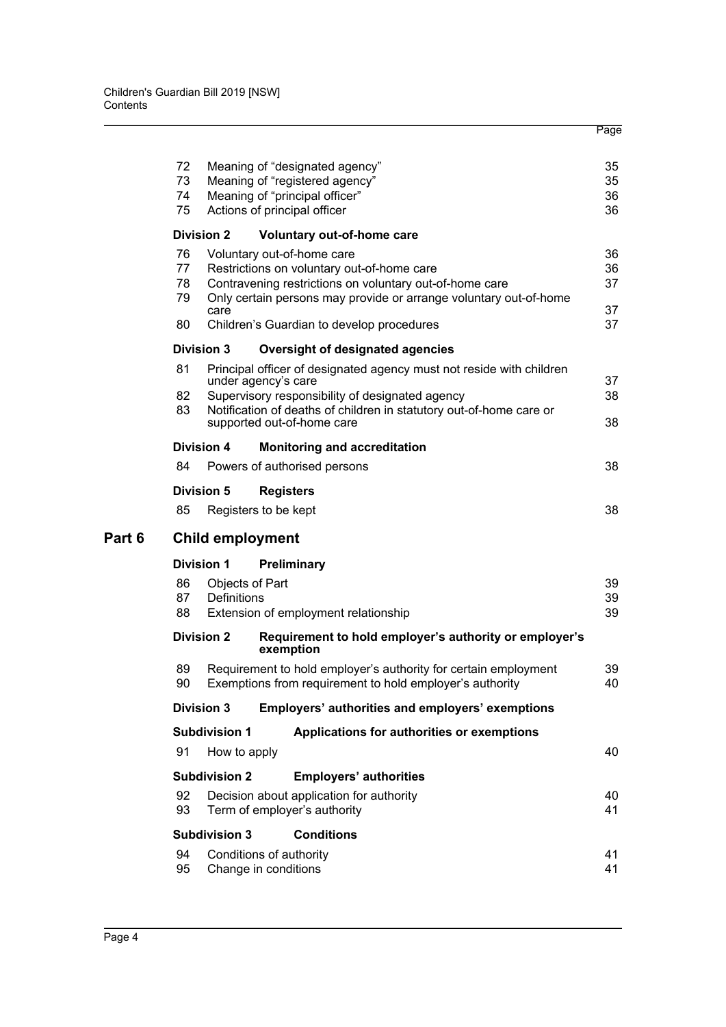|        | 72       |                      | Meaning of "designated agency"                                                                                               | 35       |
|--------|----------|----------------------|------------------------------------------------------------------------------------------------------------------------------|----------|
|        | 73       |                      | Meaning of "registered agency"                                                                                               | 35       |
|        | 74       |                      | Meaning of "principal officer"                                                                                               | 36       |
|        | 75       |                      | Actions of principal officer                                                                                                 | 36       |
|        |          | <b>Division 2</b>    | Voluntary out-of-home care                                                                                                   |          |
|        | 76       |                      | Voluntary out-of-home care                                                                                                   | 36       |
|        | 77       |                      | Restrictions on voluntary out-of-home care                                                                                   | 36       |
|        | 78<br>79 |                      | Contravening restrictions on voluntary out-of-home care<br>Only certain persons may provide or arrange voluntary out-of-home | 37       |
|        |          | care                 |                                                                                                                              | 37       |
|        | 80       |                      | Children's Guardian to develop procedures                                                                                    | 37       |
|        |          | <b>Division 3</b>    | Oversight of designated agencies                                                                                             |          |
|        | 81       |                      | Principal officer of designated agency must not reside with children                                                         |          |
|        |          |                      | under agency's care                                                                                                          | 37<br>38 |
|        | 82<br>83 |                      | Supervisory responsibility of designated agency<br>Notification of deaths of children in statutory out-of-home care or       |          |
|        |          |                      | supported out-of-home care                                                                                                   | 38       |
|        |          | <b>Division 4</b>    | <b>Monitoring and accreditation</b>                                                                                          |          |
|        | 84       |                      | Powers of authorised persons                                                                                                 | 38       |
|        |          | <b>Division 5</b>    | <b>Registers</b>                                                                                                             |          |
|        | 85       |                      | Registers to be kept                                                                                                         | 38       |
|        |          |                      |                                                                                                                              |          |
| Part 6 |          |                      | <b>Child employment</b>                                                                                                      |          |
|        |          | <b>Division 1</b>    | Preliminary                                                                                                                  |          |
|        | 86       | Objects of Part      |                                                                                                                              | 39       |
|        | 87       | <b>Definitions</b>   |                                                                                                                              | 39       |
|        | 88       |                      | Extension of employment relationship                                                                                         | 39       |
|        |          | <b>Division 2</b>    | Requirement to hold employer's authority or employer's<br>exemption                                                          |          |
|        | 89       |                      | Requirement to hold employer's authority for certain employment                                                              | 39       |
|        | 90       |                      | Exemptions from requirement to hold employer's authority                                                                     | 40       |
|        |          | <b>Division 3</b>    | Employers' authorities and employers' exemptions                                                                             |          |
|        |          | <b>Subdivision 1</b> | Applications for authorities or exemptions                                                                                   |          |
|        | 91       | How to apply         |                                                                                                                              | 40       |
|        |          | <b>Subdivision 2</b> | <b>Employers' authorities</b>                                                                                                |          |
|        | 92       |                      | Decision about application for authority                                                                                     | 40       |
|        | 93       |                      | Term of employer's authority                                                                                                 | 41       |
|        |          | <b>Subdivision 3</b> | <b>Conditions</b>                                                                                                            |          |
|        | 94       |                      | Conditions of authority                                                                                                      | 41       |
|        | 95       |                      | Change in conditions                                                                                                         | 41       |
|        |          |                      |                                                                                                                              |          |

Page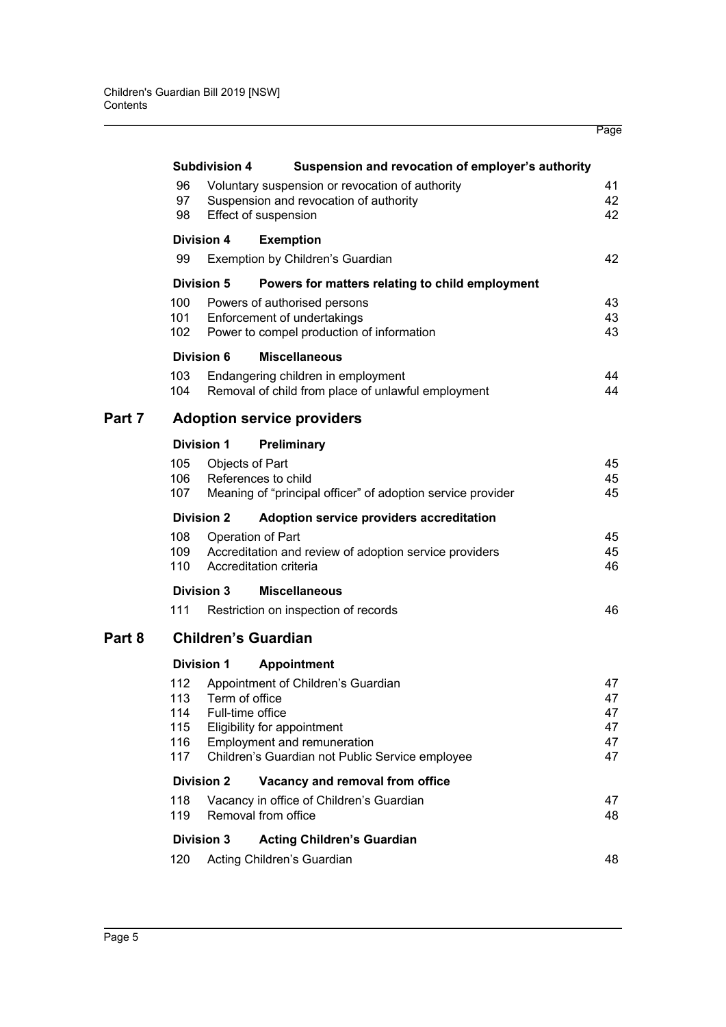|   |                                        |                            |                                                                                                                                                                                | Page                             |  |  |  |
|---|----------------------------------------|----------------------------|--------------------------------------------------------------------------------------------------------------------------------------------------------------------------------|----------------------------------|--|--|--|
|   |                                        | <b>Subdivision 4</b>       | Suspension and revocation of employer's authority                                                                                                                              |                                  |  |  |  |
|   | 96<br>97<br>98                         |                            | Voluntary suspension or revocation of authority<br>Suspension and revocation of authority<br>Effect of suspension                                                              | 41<br>42<br>42                   |  |  |  |
|   |                                        | <b>Division 4</b>          | <b>Exemption</b>                                                                                                                                                               |                                  |  |  |  |
|   | 99                                     |                            | Exemption by Children's Guardian                                                                                                                                               | 42                               |  |  |  |
|   |                                        | <b>Division 5</b>          | Powers for matters relating to child employment                                                                                                                                |                                  |  |  |  |
|   | 100<br>101<br>102                      |                            | Powers of authorised persons<br>Enforcement of undertakings<br>Power to compel production of information                                                                       | 43<br>43<br>43                   |  |  |  |
|   |                                        | <b>Division 6</b>          | <b>Miscellaneous</b>                                                                                                                                                           |                                  |  |  |  |
|   | 103<br>104                             |                            | Endangering children in employment<br>Removal of child from place of unlawful employment                                                                                       | 44<br>44                         |  |  |  |
| 7 |                                        |                            | <b>Adoption service providers</b>                                                                                                                                              |                                  |  |  |  |
|   |                                        | <b>Division 1</b>          | Preliminary                                                                                                                                                                    |                                  |  |  |  |
|   | 105<br>106<br>107                      |                            | Objects of Part<br>References to child<br>Meaning of "principal officer" of adoption service provider                                                                          | 45<br>45<br>45                   |  |  |  |
|   |                                        | <b>Division 2</b>          | Adoption service providers accreditation                                                                                                                                       |                                  |  |  |  |
|   | 108<br>109<br>110                      |                            | Operation of Part<br>Accreditation and review of adoption service providers<br>Accreditation criteria                                                                          | 45<br>45<br>46                   |  |  |  |
|   |                                        | <b>Division 3</b>          | <b>Miscellaneous</b>                                                                                                                                                           |                                  |  |  |  |
|   | 111                                    |                            | Restriction on inspection of records                                                                                                                                           | 46                               |  |  |  |
| 8 |                                        | <b>Children's Guardian</b> |                                                                                                                                                                                |                                  |  |  |  |
|   |                                        | <b>Division 1</b>          | <b>Appointment</b>                                                                                                                                                             |                                  |  |  |  |
|   | 112<br>113<br>114<br>115<br>116<br>117 | Term of office             | Appointment of Children's Guardian<br>Full-time office<br>Eligibility for appointment<br><b>Employment and remuneration</b><br>Children's Guardian not Public Service employee | 47<br>47<br>47<br>47<br>47<br>47 |  |  |  |
|   |                                        | <b>Division 2</b>          | Vacancy and removal from office                                                                                                                                                |                                  |  |  |  |
|   | 118<br>119                             |                            | Vacancy in office of Children's Guardian<br>Removal from office                                                                                                                | 47<br>48                         |  |  |  |
|   |                                        | <b>Division 3</b>          | <b>Acting Children's Guardian</b>                                                                                                                                              |                                  |  |  |  |
|   | 120                                    |                            | Acting Children's Guardian                                                                                                                                                     | 48                               |  |  |  |
|   |                                        |                            |                                                                                                                                                                                |                                  |  |  |  |

**Part** 

**Part**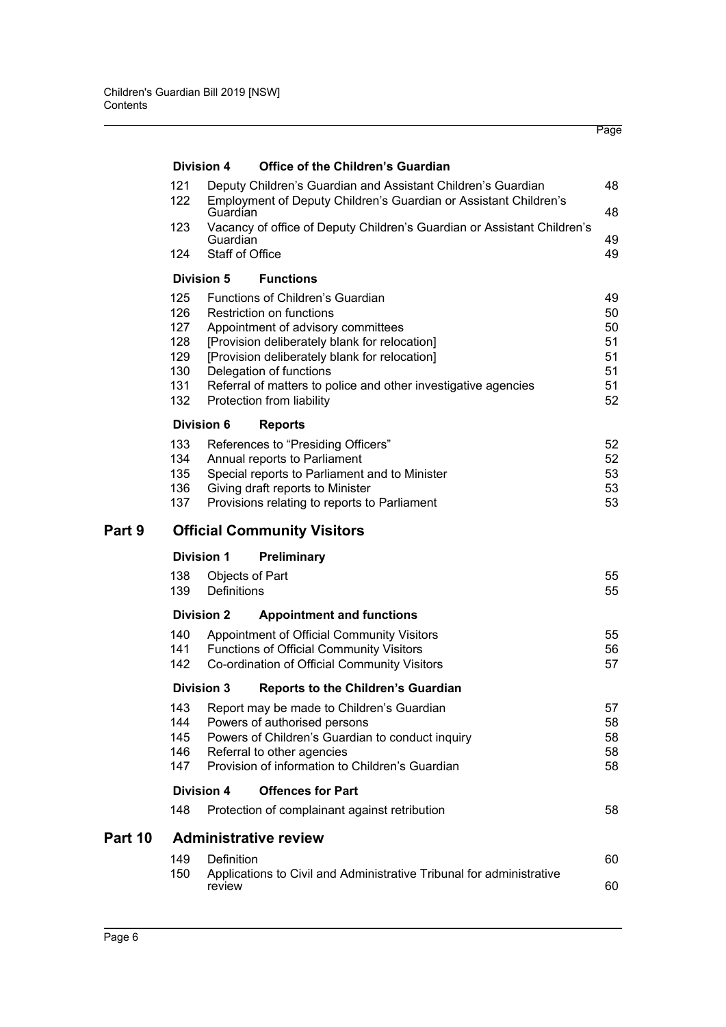|         |                                               |                                       |                                                                                                                                                                                                                                                                                                   | Page                                   |
|---------|-----------------------------------------------|---------------------------------------|---------------------------------------------------------------------------------------------------------------------------------------------------------------------------------------------------------------------------------------------------------------------------------------------------|----------------------------------------|
|         |                                               | Division 4                            | <b>Office of the Children's Guardian</b>                                                                                                                                                                                                                                                          |                                        |
|         | 121                                           |                                       | Deputy Children's Guardian and Assistant Children's Guardian                                                                                                                                                                                                                                      | 48                                     |
|         | 122                                           | Guardian                              | Employment of Deputy Children's Guardian or Assistant Children's                                                                                                                                                                                                                                  | 48                                     |
|         | 123                                           | Guardian                              | Vacancy of office of Deputy Children's Guardian or Assistant Children's                                                                                                                                                                                                                           | 49                                     |
|         | 124                                           | <b>Staff of Office</b>                |                                                                                                                                                                                                                                                                                                   | 49                                     |
|         |                                               | <b>Division 5</b>                     | <b>Functions</b>                                                                                                                                                                                                                                                                                  |                                        |
|         | 125<br>126<br>127<br>128<br>129<br>130<br>131 |                                       | Functions of Children's Guardian<br>Restriction on functions<br>Appointment of advisory committees<br>[Provision deliberately blank for relocation]<br>[Provision deliberately blank for relocation]<br>Delegation of functions<br>Referral of matters to police and other investigative agencies | 49<br>50<br>50<br>51<br>51<br>51<br>51 |
|         | 132                                           |                                       | Protection from liability                                                                                                                                                                                                                                                                         | 52                                     |
|         |                                               | <b>Division 6</b>                     | <b>Reports</b>                                                                                                                                                                                                                                                                                    |                                        |
|         | 133<br>134<br>135<br>136<br>137               |                                       | References to "Presiding Officers"<br>Annual reports to Parliament<br>Special reports to Parliament and to Minister<br>Giving draft reports to Minister<br>Provisions relating to reports to Parliament                                                                                           | 52<br>52<br>53<br>53<br>53             |
| Part 9  |                                               |                                       | <b>Official Community Visitors</b>                                                                                                                                                                                                                                                                |                                        |
|         |                                               | <b>Division 1</b>                     | Preliminary                                                                                                                                                                                                                                                                                       |                                        |
|         | 138<br>139                                    | Objects of Part<br><b>Definitions</b> |                                                                                                                                                                                                                                                                                                   | 55<br>55                               |
|         |                                               | <b>Division 2</b>                     | <b>Appointment and functions</b>                                                                                                                                                                                                                                                                  |                                        |
|         | 140<br>141<br>142                             |                                       | Appointment of Official Community Visitors<br>Functions of Official Community Visitors<br>Co-ordination of Official Community Visitors                                                                                                                                                            | 55<br>56<br>57                         |
|         |                                               | <b>Division 3</b>                     | <b>Reports to the Children's Guardian</b>                                                                                                                                                                                                                                                         |                                        |
|         | 143<br>144<br>145<br>146<br>147               |                                       | Report may be made to Children's Guardian<br>Powers of authorised persons<br>Powers of Children's Guardian to conduct inquiry<br>Referral to other agencies<br>Provision of information to Children's Guardian                                                                                    | 57<br>58<br>58<br>58<br>58             |
|         |                                               | <b>Division 4</b>                     | <b>Offences for Part</b>                                                                                                                                                                                                                                                                          |                                        |
|         | 148                                           |                                       | Protection of complainant against retribution                                                                                                                                                                                                                                                     | 58                                     |
| Part 10 |                                               |                                       | <b>Administrative review</b>                                                                                                                                                                                                                                                                      |                                        |
|         | 149<br>150                                    | Definition                            | Applications to Civil and Administrative Tribunal for administrative                                                                                                                                                                                                                              | 60                                     |
|         |                                               | review                                |                                                                                                                                                                                                                                                                                                   | 60                                     |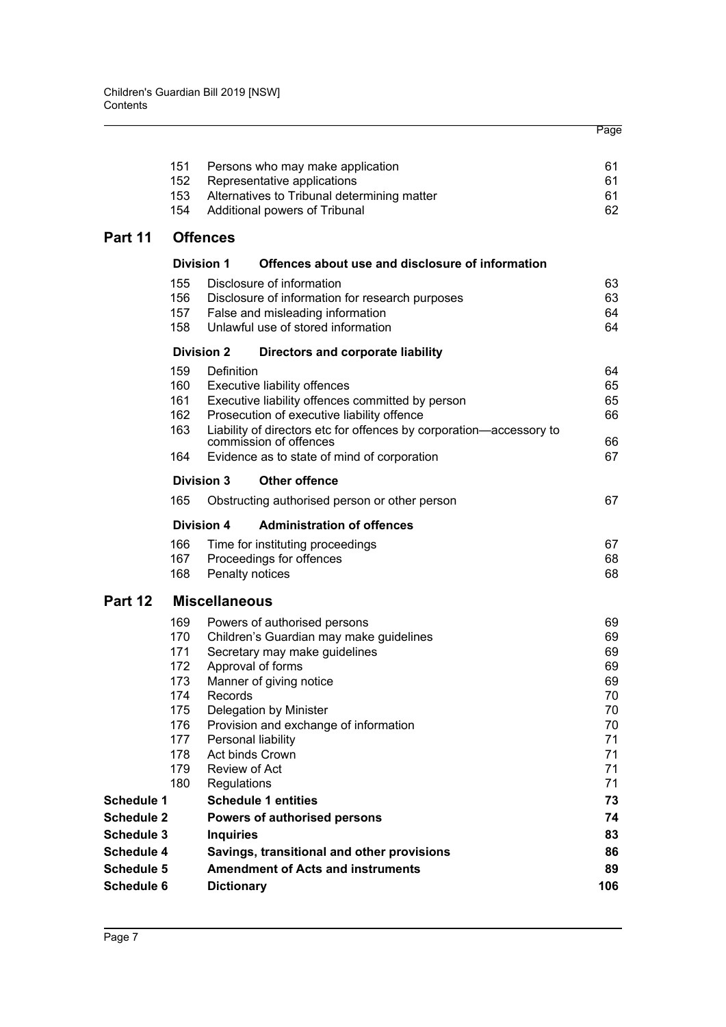|                                                             | 151<br>152                                                                       |                                         | Persons who may make application<br>Representative applications                                                                                                                                                                                                             | 61<br>61                                                             |
|-------------------------------------------------------------|----------------------------------------------------------------------------------|-----------------------------------------|-----------------------------------------------------------------------------------------------------------------------------------------------------------------------------------------------------------------------------------------------------------------------------|----------------------------------------------------------------------|
|                                                             | 153<br>154                                                                       |                                         | Alternatives to Tribunal determining matter<br>Additional powers of Tribunal                                                                                                                                                                                                | 61<br>62                                                             |
| Part 11                                                     |                                                                                  | <b>Offences</b>                         |                                                                                                                                                                                                                                                                             |                                                                      |
|                                                             | <b>Division 1</b>                                                                |                                         | Offences about use and disclosure of information                                                                                                                                                                                                                            |                                                                      |
|                                                             | 155<br>156<br>157<br>158                                                         |                                         | Disclosure of information<br>Disclosure of information for research purposes<br>False and misleading information<br>Unlawful use of stored information                                                                                                                      | 63<br>63<br>64<br>64                                                 |
|                                                             | <b>Division 2</b>                                                                |                                         | Directors and corporate liability                                                                                                                                                                                                                                           |                                                                      |
|                                                             | 159<br>160<br>161<br>162<br>163                                                  | Definition                              | Executive liability offences<br>Executive liability offences committed by person<br>Prosecution of executive liability offence<br>Liability of directors etc for offences by corporation-accessory to                                                                       | 64<br>65<br>65<br>66                                                 |
|                                                             | 164                                                                              |                                         | commission of offences<br>Evidence as to state of mind of corporation                                                                                                                                                                                                       | 66<br>67                                                             |
|                                                             | <b>Division 3</b>                                                                |                                         | <b>Other offence</b>                                                                                                                                                                                                                                                        |                                                                      |
|                                                             | 165                                                                              |                                         | Obstructing authorised person or other person                                                                                                                                                                                                                               | 67                                                                   |
|                                                             | <b>Division 4</b>                                                                |                                         | <b>Administration of offences</b>                                                                                                                                                                                                                                           |                                                                      |
|                                                             | 166<br>167<br>168                                                                |                                         | Time for instituting proceedings<br>Proceedings for offences<br>Penalty notices                                                                                                                                                                                             | 67<br>68<br>68                                                       |
| Part 12                                                     |                                                                                  | <b>Miscellaneous</b>                    |                                                                                                                                                                                                                                                                             |                                                                      |
|                                                             | 169<br>170<br>171<br>172<br>173<br>174<br>175<br>176<br>177<br>178<br>179<br>180 | Records<br>Review of Act<br>Regulations | Powers of authorised persons<br>Children's Guardian may make guidelines<br>Secretary may make guidelines<br>Approval of forms<br>Manner of giving notice<br>Delegation by Minister<br>Provision and exchange of information<br>Personal liability<br><b>Act binds Crown</b> | 69<br>69<br>69<br>69<br>69<br>70<br>70<br>70<br>71<br>71<br>71<br>71 |
| <b>Schedule 1</b>                                           |                                                                                  |                                         | <b>Schedule 1 entities</b>                                                                                                                                                                                                                                                  | 73                                                                   |
| <b>Schedule 2</b><br><b>Schedule 3</b><br><b>Schedule 4</b> |                                                                                  | <b>Inquiries</b>                        | <b>Powers of authorised persons</b><br>Savings, transitional and other provisions                                                                                                                                                                                           | 74<br>83<br>86                                                       |
| <b>Schedule 5</b><br><b>Schedule 6</b>                      |                                                                                  | <b>Dictionary</b>                       | <b>Amendment of Acts and instruments</b>                                                                                                                                                                                                                                    | 89<br>106                                                            |

Page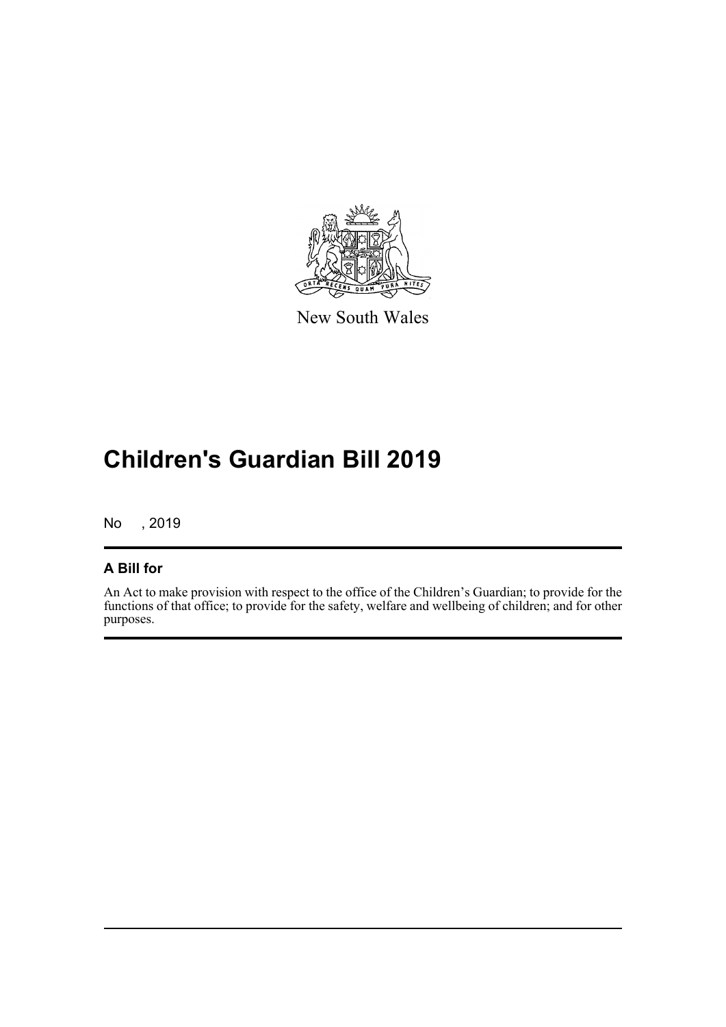

New South Wales

# **Children's Guardian Bill 2019**

No , 2019

## **A Bill for**

An Act to make provision with respect to the office of the Children's Guardian; to provide for the functions of that office; to provide for the safety, welfare and wellbeing of children; and for other purposes.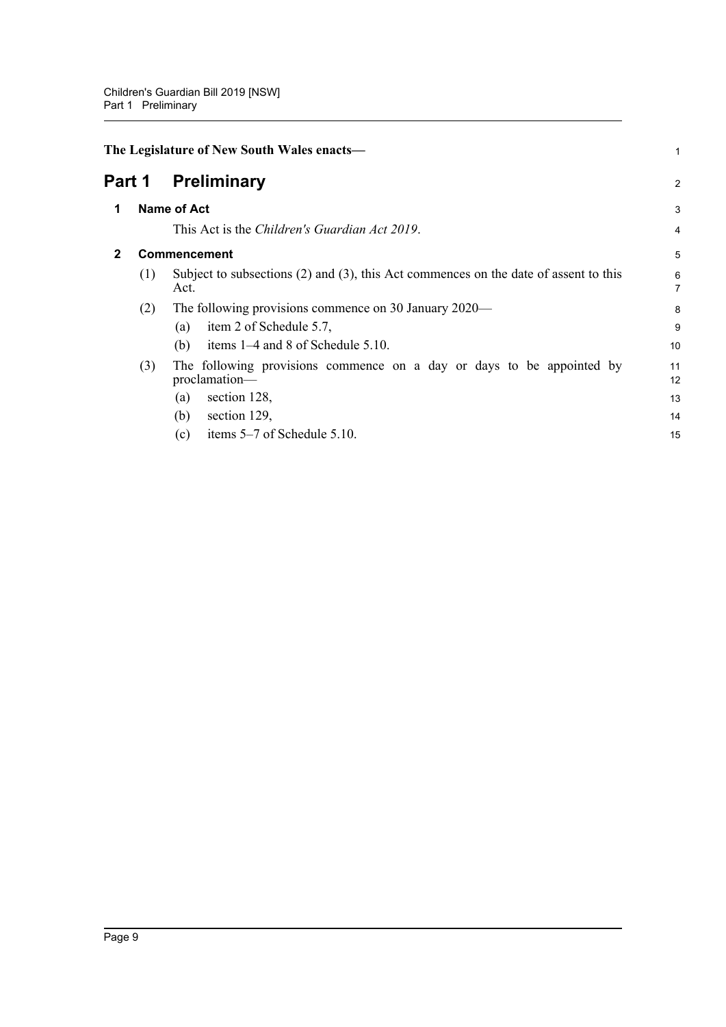<span id="page-14-2"></span><span id="page-14-1"></span><span id="page-14-0"></span>

| The Legislature of New South Wales enacts- |                                                                                                                                                                            |                            |  |  |  |  |
|--------------------------------------------|----------------------------------------------------------------------------------------------------------------------------------------------------------------------------|----------------------------|--|--|--|--|
|                                            | <b>Preliminary</b>                                                                                                                                                         | $\overline{2}$             |  |  |  |  |
|                                            |                                                                                                                                                                            | 3                          |  |  |  |  |
|                                            | This Act is the Children's Guardian Act 2019.                                                                                                                              | 4                          |  |  |  |  |
| <b>Commencement</b>                        |                                                                                                                                                                            |                            |  |  |  |  |
| (1)                                        | Subject to subsections $(2)$ and $(3)$ , this Act commences on the date of assent to this<br>Act.                                                                          | 6<br>7                     |  |  |  |  |
| (2)                                        | The following provisions commence on 30 January 2020—<br>item 2 of Schedule 5.7,<br>(a)<br>items 1–4 and 8 of Schedule 5.10.<br>(b)                                        | 8<br>9<br>10               |  |  |  |  |
| (3)                                        | The following provisions commence on a day or days to be appointed by<br>proclamation-<br>section 128,<br>(a)<br>(b)<br>section 129,<br>items 5–7 of Schedule 5.10.<br>(c) | 11<br>12<br>13<br>14<br>15 |  |  |  |  |
|                                            | Part 1                                                                                                                                                                     | <b>Name of Act</b>         |  |  |  |  |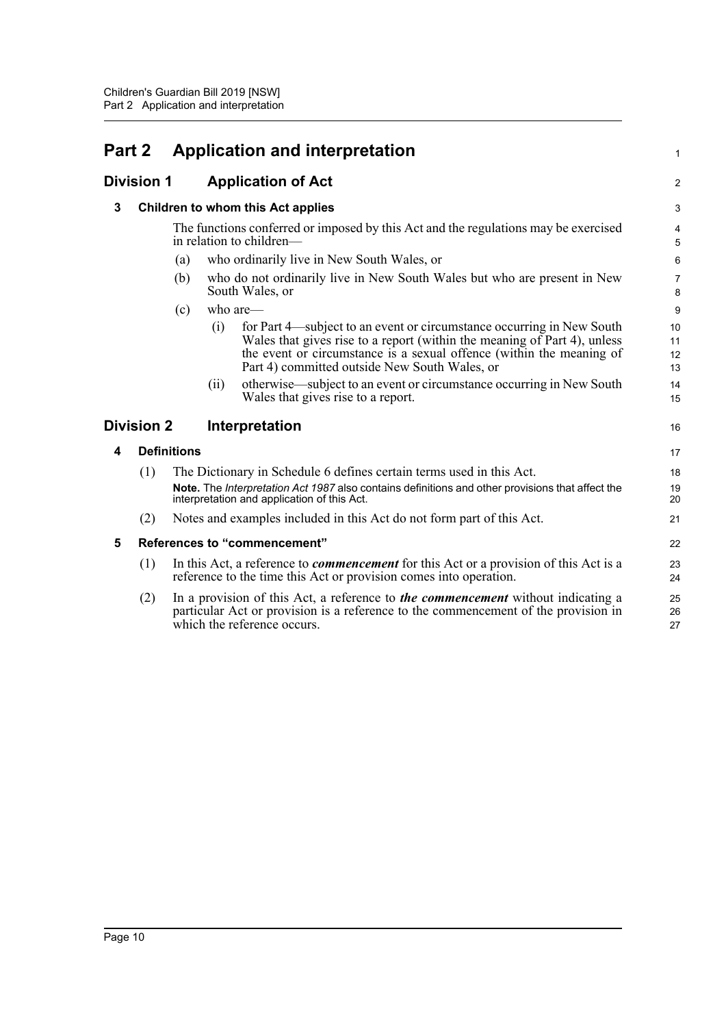<span id="page-15-5"></span><span id="page-15-4"></span><span id="page-15-3"></span><span id="page-15-2"></span><span id="page-15-1"></span><span id="page-15-0"></span>

| Part 2 |                   |                    |      | <b>Application and interpretation</b>                                                                                                                                                                                                                                      | 1                    |
|--------|-------------------|--------------------|------|----------------------------------------------------------------------------------------------------------------------------------------------------------------------------------------------------------------------------------------------------------------------------|----------------------|
|        | <b>Division 1</b> |                    |      | <b>Application of Act</b>                                                                                                                                                                                                                                                  | $\overline{2}$       |
| 3      |                   |                    |      | Children to whom this Act applies                                                                                                                                                                                                                                          | 3                    |
|        |                   |                    |      | The functions conferred or imposed by this Act and the regulations may be exercised<br>in relation to children-                                                                                                                                                            | $\overline{4}$<br>5  |
|        |                   | (a)                |      | who ordinarily live in New South Wales, or                                                                                                                                                                                                                                 | 6                    |
|        |                   | (b)                |      | who do not ordinarily live in New South Wales but who are present in New<br>South Wales, or                                                                                                                                                                                | $\overline{7}$<br>8  |
|        |                   | (c)                |      | who are-                                                                                                                                                                                                                                                                   | 9                    |
|        |                   |                    | (i)  | for Part 4—subject to an event or circumstance occurring in New South<br>Wales that gives rise to a report (within the meaning of Part 4), unless<br>the event or circumstance is a sexual offence (within the meaning of<br>Part 4) committed outside New South Wales, or | 10<br>11<br>12<br>13 |
|        |                   |                    | (ii) | otherwise—subject to an event or circumstance occurring in New South<br>Wales that gives rise to a report.                                                                                                                                                                 | 14<br>15             |
|        | <b>Division 2</b> |                    |      | Interpretation                                                                                                                                                                                                                                                             | 16                   |
| 4      |                   | <b>Definitions</b> |      |                                                                                                                                                                                                                                                                            | 17                   |
|        | (1)               |                    |      | The Dictionary in Schedule 6 defines certain terms used in this Act.<br>Note. The Interpretation Act 1987 also contains definitions and other provisions that affect the<br>interpretation and application of this Act.                                                    | 18<br>19<br>20       |
|        | (2)               |                    |      | Notes and examples included in this Act do not form part of this Act.                                                                                                                                                                                                      | 21                   |
| 5      |                   |                    |      | References to "commencement"                                                                                                                                                                                                                                               | 22                   |
|        | (1)               |                    |      | In this Act, a reference to <i>commencement</i> for this Act or a provision of this Act is a<br>reference to the time this Act or provision comes into operation.                                                                                                          | 23<br>24             |
|        | (2)               |                    |      | In a provision of this Act, a reference to <i>the commencement</i> without indicating a<br>particular Act or provision is a reference to the commencement of the provision in<br>which the reference occurs.                                                               | 25<br>26<br>27       |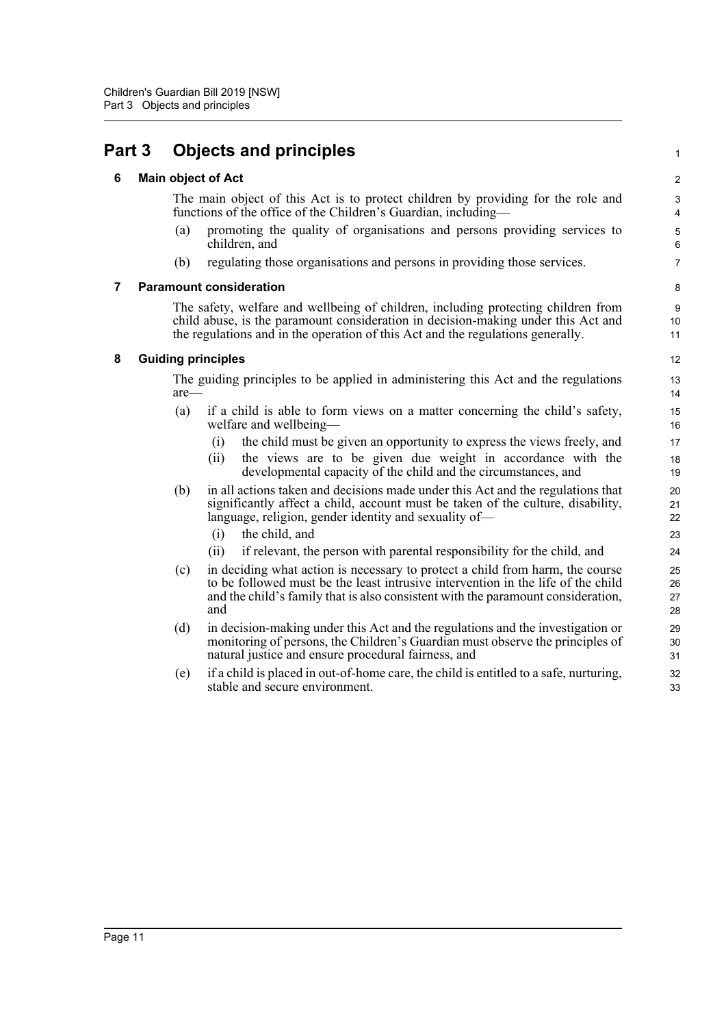## <span id="page-16-1"></span><span id="page-16-0"></span>**Part 3 Objects and principles**

### **6 Main object of Act**

The main object of this Act is to protect children by providing for the role and functions of the office of the Children's Guardian, including1

- (a) promoting the quality of organisations and persons providing services to children, and
- (b) regulating those organisations and persons in providing those services.

### <span id="page-16-2"></span>**7 Paramount consideration**

The safety, welfare and wellbeing of children, including protecting children from child abuse, is the paramount consideration in decision-making under this Act and the regulations and in the operation of this Act and the regulations generally.

### <span id="page-16-3"></span>**8 Guiding principles**

The guiding principles to be applied in administering this Act and the regulations are—

- (a) if a child is able to form views on a matter concerning the child's safety, welfare and wellbeing—
	- (i) the child must be given an opportunity to express the views freely, and
	- (ii) the views are to be given due weight in accordance with the developmental capacity of the child and the circumstances, and
- (b) in all actions taken and decisions made under this Act and the regulations that significantly affect a child, account must be taken of the culture, disability, language, religion, gender identity and sexuality of—
	- (i) the child, and
	- (ii) if relevant, the person with parental responsibility for the child, and
- (c) in deciding what action is necessary to protect a child from harm, the course to be followed must be the least intrusive intervention in the life of the child and the child's family that is also consistent with the paramount consideration, and
- (d) in decision-making under this Act and the regulations and the investigation or monitoring of persons, the Children's Guardian must observe the principles of natural justice and ensure procedural fairness, and
- (e) if a child is placed in out-of-home care, the child is entitled to a safe, nurturing, stable and secure environment.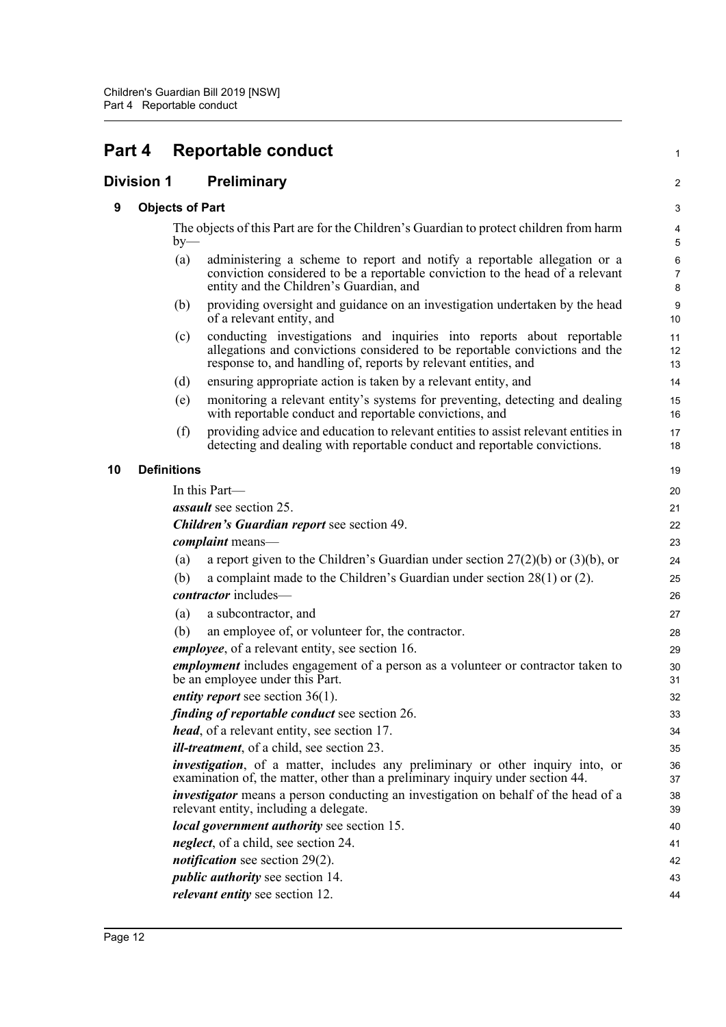<span id="page-17-3"></span><span id="page-17-2"></span><span id="page-17-1"></span><span id="page-17-0"></span>

| Part 4            |  |                        | <b>Reportable conduct</b>                                                                                                                                                                                               | 1                                       |
|-------------------|--|------------------------|-------------------------------------------------------------------------------------------------------------------------------------------------------------------------------------------------------------------------|-----------------------------------------|
| <b>Division 1</b> |  |                        | Preliminary                                                                                                                                                                                                             | 2                                       |
| 9                 |  | <b>Objects of Part</b> |                                                                                                                                                                                                                         | 3                                       |
|                   |  | $by-$                  | The objects of this Part are for the Children's Guardian to protect children from harm                                                                                                                                  | 4<br>5                                  |
|                   |  | (a)                    | administering a scheme to report and notify a reportable allegation or a<br>conviction considered to be a reportable conviction to the head of a relevant<br>entity and the Children's Guardian, and                    | $\boldsymbol{6}$<br>$\overline{7}$<br>8 |
|                   |  | (b)                    | providing oversight and guidance on an investigation undertaken by the head<br>of a relevant entity, and                                                                                                                | 9<br>10                                 |
|                   |  | (c)                    | conducting investigations and inquiries into reports about reportable<br>allegations and convictions considered to be reportable convictions and the<br>response to, and handling of, reports by relevant entities, and | 11<br>12<br>13                          |
|                   |  | (d)                    | ensuring appropriate action is taken by a relevant entity, and                                                                                                                                                          | 14                                      |
|                   |  | (e)                    | monitoring a relevant entity's systems for preventing, detecting and dealing<br>with reportable conduct and reportable convictions, and                                                                                 | 15<br>16                                |
|                   |  | (f)                    | providing advice and education to relevant entities to assist relevant entities in<br>detecting and dealing with reportable conduct and reportable convictions.                                                         | 17<br>18                                |
| 10                |  | <b>Definitions</b>     |                                                                                                                                                                                                                         | 19                                      |
|                   |  |                        | In this Part-                                                                                                                                                                                                           | 20                                      |
|                   |  |                        | <i>assault</i> see section 25.                                                                                                                                                                                          | 21                                      |
|                   |  |                        | <b>Children's Guardian report see section 49.</b>                                                                                                                                                                       | 22                                      |
|                   |  |                        | complaint means-                                                                                                                                                                                                        | 23                                      |
|                   |  | (a)                    | a report given to the Children's Guardian under section $27(2)(b)$ or $(3)(b)$ , or                                                                                                                                     | 24                                      |
|                   |  | (b)                    | a complaint made to the Children's Guardian under section $28(1)$ or (2).                                                                                                                                               | 25                                      |
|                   |  |                        | contractor includes-                                                                                                                                                                                                    | 26                                      |
|                   |  | (a)                    | a subcontractor, and                                                                                                                                                                                                    | 27                                      |
|                   |  | (b)                    | an employee of, or volunteer for, the contractor.                                                                                                                                                                       | 28                                      |
|                   |  |                        | <i>employee</i> , of a relevant entity, see section 16.                                                                                                                                                                 | 29                                      |
|                   |  |                        | <i>employment</i> includes engagement of a person as a volunteer or contractor taken to<br>be an employee under this Part.                                                                                              | 30<br>31                                |
|                   |  |                        | <i>entity report</i> see section $36(1)$ .                                                                                                                                                                              | 32                                      |
|                   |  |                        | <i>finding of reportable conduct see section 26.</i>                                                                                                                                                                    | 33                                      |
|                   |  |                        | <i>head</i> , of a relevant entity, see section 17.                                                                                                                                                                     | 34                                      |
|                   |  |                        | <i>ill-treatment</i> , of a child, see section 23.                                                                                                                                                                      | 35                                      |
|                   |  |                        | <i>investigation</i> , of a matter, includes any preliminary or other inquiry into, or<br>examination of, the matter, other than a preliminary inquiry under section 44.                                                | 36<br>37                                |
|                   |  |                        | <i>investigator</i> means a person conducting an investigation on behalf of the head of a<br>relevant entity, including a delegate.                                                                                     | 38<br>39                                |
|                   |  |                        | local government authority see section 15.                                                                                                                                                                              | 40                                      |
|                   |  |                        | <i>neglect</i> , of a child, see section 24.                                                                                                                                                                            | 41                                      |
|                   |  |                        | <i>notification</i> see section $29(2)$ .                                                                                                                                                                               | 42                                      |
|                   |  |                        | <i>public authority</i> see section 14.                                                                                                                                                                                 | 43                                      |
|                   |  |                        | <i>relevant entity</i> see section 12.                                                                                                                                                                                  | 44                                      |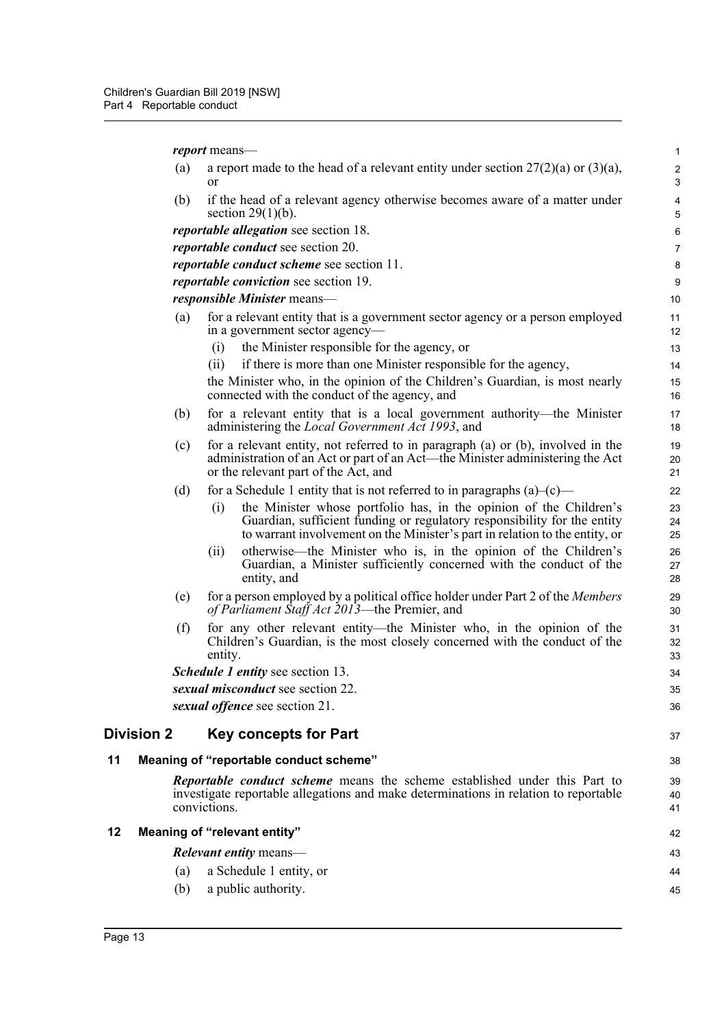*report* means—

<span id="page-18-2"></span><span id="page-18-1"></span><span id="page-18-0"></span>

|    |                   | report means-                                                                                                                                                                                                                        | $\mathbf{1}$               |
|----|-------------------|--------------------------------------------------------------------------------------------------------------------------------------------------------------------------------------------------------------------------------------|----------------------------|
|    | (a)               | a report made to the head of a relevant entity under section $27(2)(a)$ or $(3)(a)$ ,<br><sub>or</sub>                                                                                                                               | $\sqrt{2}$<br>$\mathbf{3}$ |
|    | (b)               | if the head of a relevant agency otherwise becomes aware of a matter under<br>section $29(1)(b)$ .                                                                                                                                   | $\pmb{4}$<br>5             |
|    |                   | <i>reportable allegation</i> see section 18.                                                                                                                                                                                         | $\,6\,$                    |
|    |                   | <i>reportable conduct</i> see section 20.                                                                                                                                                                                            | $\overline{7}$             |
|    |                   | <i>reportable conduct scheme see section 11.</i>                                                                                                                                                                                     | 8                          |
|    |                   | <i>reportable conviction</i> see section 19.                                                                                                                                                                                         | 9                          |
|    |                   | <i>responsible Minister</i> means—                                                                                                                                                                                                   | 10                         |
|    | (a)               | for a relevant entity that is a government sector agency or a person employed<br>in a government sector agency—                                                                                                                      | 11<br>12                   |
|    |                   | the Minister responsible for the agency, or<br>(i)                                                                                                                                                                                   | 13                         |
|    |                   | if there is more than one Minister responsible for the agency,<br>(i)                                                                                                                                                                | 14                         |
|    |                   | the Minister who, in the opinion of the Children's Guardian, is most nearly<br>connected with the conduct of the agency, and                                                                                                         | 15<br>16                   |
|    | (b)               | for a relevant entity that is a local government authority—the Minister<br>administering the <i>Local Government Act 1993</i> , and                                                                                                  | 17<br>18                   |
|    | (c)               | for a relevant entity, not referred to in paragraph (a) or (b), involved in the<br>administration of an Act or part of an Act—the Minister administering the Act<br>or the relevant part of the Act, and                             | 19<br>20<br>21             |
|    | (d)               | for a Schedule 1 entity that is not referred to in paragraphs $(a)$ – $(c)$                                                                                                                                                          | 22                         |
|    |                   | the Minister whose portfolio has, in the opinion of the Children's<br>(i)<br>Guardian, sufficient funding or regulatory responsibility for the entity<br>to warrant involvement on the Minister's part in relation to the entity, or | 23<br>24<br>25             |
|    |                   | otherwise—the Minister who is, in the opinion of the Children's<br>(11)<br>Guardian, a Minister sufficiently concerned with the conduct of the<br>entity, and                                                                        | 26<br>27<br>28             |
|    | (e)               | for a person employed by a political office holder under Part 2 of the Members<br>of Parliament Staff Act 2013—the Premier, and                                                                                                      | 29<br>30                   |
|    | (f)               | for any other relevant entity—the Minister who, in the opinion of the<br>Children's Guardian, is the most closely concerned with the conduct of the<br>entity.                                                                       | 31<br>32<br>33             |
|    |                   | <b>Schedule 1 entity see section 13.</b>                                                                                                                                                                                             | 34                         |
|    |                   | sexual misconduct see section 22                                                                                                                                                                                                     | 35                         |
|    |                   | sexual offence see section 21.                                                                                                                                                                                                       | 36                         |
|    | <b>Division 2</b> | <b>Key concepts for Part</b>                                                                                                                                                                                                         | 37                         |
| 11 |                   | Meaning of "reportable conduct scheme"                                                                                                                                                                                               | 38                         |
|    |                   | <b>Reportable conduct scheme</b> means the scheme established under this Part to<br>investigate reportable allegations and make determinations in relation to reportable<br>convictions.                                             | 39<br>40<br>41             |
| 12 |                   | Meaning of "relevant entity"                                                                                                                                                                                                         | 42                         |
|    |                   | <b>Relevant entity means—</b>                                                                                                                                                                                                        | 43                         |
|    | (a)               | a Schedule 1 entity, or                                                                                                                                                                                                              | 44                         |
|    | (b)               | a public authority.                                                                                                                                                                                                                  | 45                         |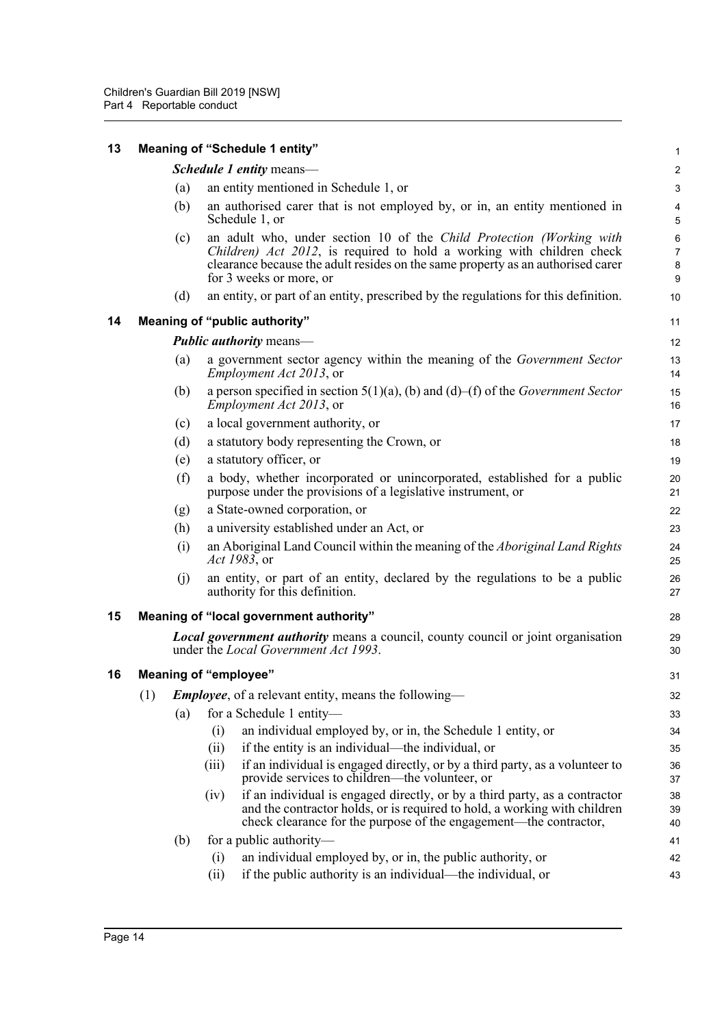<span id="page-19-3"></span><span id="page-19-2"></span><span id="page-19-1"></span><span id="page-19-0"></span>

| 13 |     |     | <b>Meaning of "Schedule 1 entity"</b>                                                                                                                                                                                                                       | 1                       |
|----|-----|-----|-------------------------------------------------------------------------------------------------------------------------------------------------------------------------------------------------------------------------------------------------------------|-------------------------|
|    |     |     | Schedule 1 entity means-                                                                                                                                                                                                                                    | $\overline{\mathbf{c}}$ |
|    |     | (a) | an entity mentioned in Schedule 1, or                                                                                                                                                                                                                       | 3                       |
|    |     | (b) | an authorised carer that is not employed by, or in, an entity mentioned in<br>Schedule 1, or                                                                                                                                                                | 4<br>5                  |
|    |     | (c) | an adult who, under section 10 of the Child Protection (Working with<br>Children) Act 2012, is required to hold a working with children check<br>clearance because the adult resides on the same property as an authorised carer<br>for 3 weeks or more, or | 6<br>7<br>8<br>9        |
|    |     | (d) | an entity, or part of an entity, prescribed by the regulations for this definition.                                                                                                                                                                         | 10                      |
| 14 |     |     | <b>Meaning of "public authority"</b>                                                                                                                                                                                                                        | 11                      |
|    |     |     | <b>Public authority means—</b>                                                                                                                                                                                                                              | 12                      |
|    |     | (a) | a government sector agency within the meaning of the Government Sector<br><i>Employment Act 2013</i> , or                                                                                                                                                   | 13<br>14                |
|    |     | (b) | a person specified in section $5(1)(a)$ , (b) and (d)–(f) of the Government Sector<br>Employment Act 2013, or                                                                                                                                               | 15<br>16                |
|    |     | (c) | a local government authority, or                                                                                                                                                                                                                            | 17                      |
|    |     | (d) | a statutory body representing the Crown, or                                                                                                                                                                                                                 | 18                      |
|    |     | (e) | a statutory officer, or                                                                                                                                                                                                                                     | 19                      |
|    |     | (f) | a body, whether incorporated or unincorporated, established for a public<br>purpose under the provisions of a legislative instrument, or                                                                                                                    | 20<br>21                |
|    |     | (g) | a State-owned corporation, or                                                                                                                                                                                                                               | 22                      |
|    |     | (h) | a university established under an Act, or                                                                                                                                                                                                                   | 23                      |
|    |     | (i) | an Aboriginal Land Council within the meaning of the Aboriginal Land Rights<br>Act 1983, or                                                                                                                                                                 | 24<br>25                |
|    |     | (j) | an entity, or part of an entity, declared by the regulations to be a public<br>authority for this definition.                                                                                                                                               | 26<br>27                |
| 15 |     |     | Meaning of "local government authority"                                                                                                                                                                                                                     | 28                      |
|    |     |     | <b>Local government authority</b> means a council, county council or joint organisation<br>under the Local Government Act 1993.                                                                                                                             | 29<br>30                |
| 16 |     |     | <b>Meaning of "employee"</b>                                                                                                                                                                                                                                | 31                      |
|    | (1) |     | <b>Employee</b> , of a relevant entity, means the following—                                                                                                                                                                                                | 32                      |
|    |     | (a) | for a Schedule 1 entity-                                                                                                                                                                                                                                    | 33                      |
|    |     |     | (i)<br>an individual employed by, or in, the Schedule 1 entity, or                                                                                                                                                                                          | 34                      |
|    |     |     | if the entity is an individual—the individual, or<br>(ii)                                                                                                                                                                                                   | 35                      |
|    |     |     | if an individual is engaged directly, or by a third party, as a volunteer to<br>(iii)<br>provide services to children—the volunteer, or                                                                                                                     | 36<br>37                |
|    |     |     | if an individual is engaged directly, or by a third party, as a contractor<br>(iv)<br>and the contractor holds, or is required to hold, a working with children<br>check clearance for the purpose of the engagement—the contractor,                        | 38<br>39<br>40          |
|    |     | (b) | for a public authority-                                                                                                                                                                                                                                     | 41                      |
|    |     |     | an individual employed by, or in, the public authority, or<br>(i)                                                                                                                                                                                           | 42                      |
|    |     |     | if the public authority is an individual—the individual, or<br>(ii)                                                                                                                                                                                         | 43                      |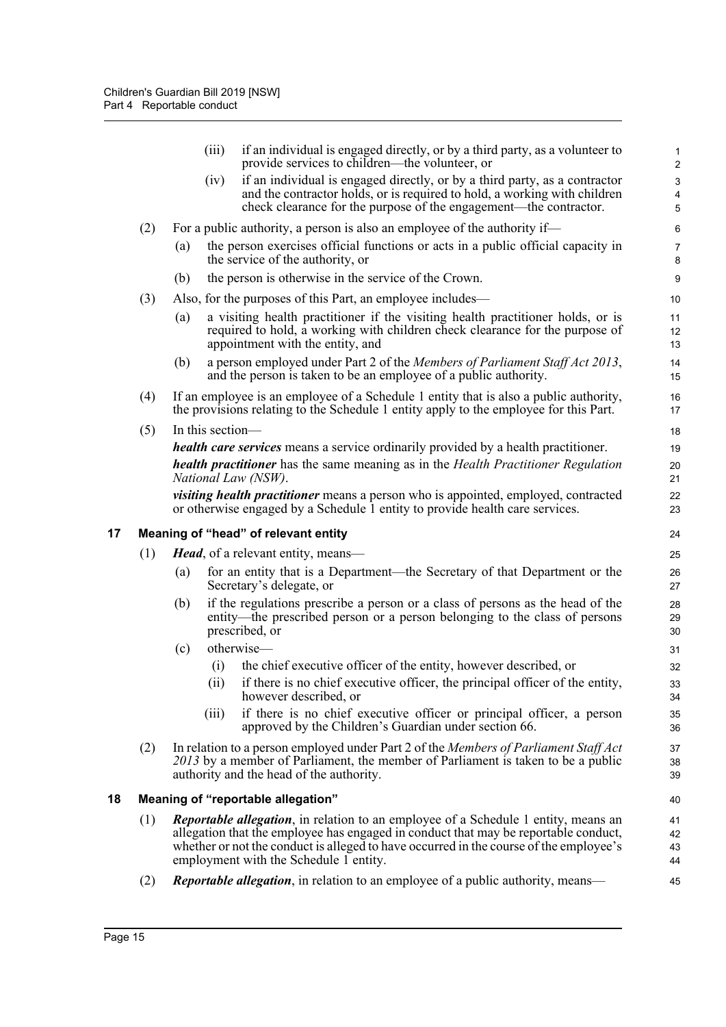<span id="page-20-1"></span><span id="page-20-0"></span>

|    |     | (iii)<br>if an individual is engaged directly, or by a third party, as a volunteer to<br>provide services to children—the volunteer, or                                                                              | 1<br>$\overline{2}$       |
|----|-----|----------------------------------------------------------------------------------------------------------------------------------------------------------------------------------------------------------------------|---------------------------|
|    |     | if an individual is engaged directly, or by a third party, as a contractor<br>(iv)                                                                                                                                   | $\ensuremath{\mathsf{3}}$ |
|    |     | and the contractor holds, or is required to hold, a working with children                                                                                                                                            | 4                         |
|    |     | check clearance for the purpose of the engagement—the contractor.                                                                                                                                                    | $\overline{5}$            |
|    | (2) | For a public authority, a person is also an employee of the authority if—                                                                                                                                            | $\,6\,$                   |
|    |     | the person exercises official functions or acts in a public official capacity in<br>(a)<br>the service of the authority, or                                                                                          | $\overline{7}$<br>8       |
|    |     | the person is otherwise in the service of the Crown.<br>(b)                                                                                                                                                          | $\boldsymbol{9}$          |
|    | (3) | Also, for the purposes of this Part, an employee includes—                                                                                                                                                           | 10                        |
|    |     | a visiting health practitioner if the visiting health practitioner holds, or is<br>(a)<br>required to hold, a working with children check clearance for the purpose of<br>appointment with the entity, and           | 11<br>12<br>13            |
|    |     | (b)<br>a person employed under Part 2 of the Members of Parliament Staff Act 2013,<br>and the person is taken to be an employee of a public authority.                                                               | 14<br>15                  |
|    | (4) | If an employee is an employee of a Schedule 1 entity that is also a public authority,<br>the provisions relating to the Schedule 1 entity apply to the employee for this Part.                                       | 16<br>17                  |
|    | (5) | In this section-                                                                                                                                                                                                     | 18                        |
|    |     | <i>health care services</i> means a service ordinarily provided by a health practitioner.                                                                                                                            | 19                        |
|    |     | <b>health practitioner</b> has the same meaning as in the <i>Health Practitioner Regulation</i><br>National Law (NSW).                                                                                               | 20<br>21                  |
|    |     | <i>visiting health practitioner</i> means a person who is appointed, employed, contracted<br>or otherwise engaged by a Schedule 1 entity to provide health care services.                                            | 22<br>23                  |
| 17 |     | Meaning of "head" of relevant entity                                                                                                                                                                                 | 24                        |
|    | (1) | <b>Head</b> , of a relevant entity, means—                                                                                                                                                                           | 25                        |
|    |     | for an entity that is a Department—the Secretary of that Department or the<br>(a)<br>Secretary's delegate, or                                                                                                        | 26<br>27                  |
|    |     | if the regulations prescribe a person or a class of persons as the head of the<br>(b)<br>entity—the prescribed person or a person belonging to the class of persons<br>prescribed, or                                | 28<br>29<br>30            |
|    |     | otherwise-<br>(c)                                                                                                                                                                                                    | 31                        |
|    |     | the chief executive officer of the entity, however described, or<br>$\left( 1\right)$                                                                                                                                | 32                        |
|    |     | if there is no chief executive officer, the principal officer of the entity,<br>(ii)<br>however described, or                                                                                                        | 33<br>34                  |
|    |     | if there is no chief executive officer or principal officer, a person<br>(iii)<br>approved by the Children's Guardian under section 66.                                                                              | 35<br>36                  |
|    | (2) | In relation to a person employed under Part 2 of the Members of Parliament Staff Act<br>2013 by a member of Parliament, the member of Parliament is taken to be a public<br>authority and the head of the authority. | 37<br>38<br>39            |
| 18 |     | Meaning of "reportable allegation"                                                                                                                                                                                   | 40                        |
|    | (1) | <b>Reportable allegation</b> , in relation to an employee of a Schedule 1 entity, means an                                                                                                                           | 41                        |
|    |     | allegation that the employee has engaged in conduct that may be reportable conduct,                                                                                                                                  | 42                        |
|    |     | whether or not the conduct is alleged to have occurred in the course of the employee's<br>employment with the Schedule 1 entity.                                                                                     | 43<br>44                  |
|    | (2) | Reportable allegation, in relation to an employee of a public authority, means-                                                                                                                                      | 45                        |
|    |     |                                                                                                                                                                                                                      |                           |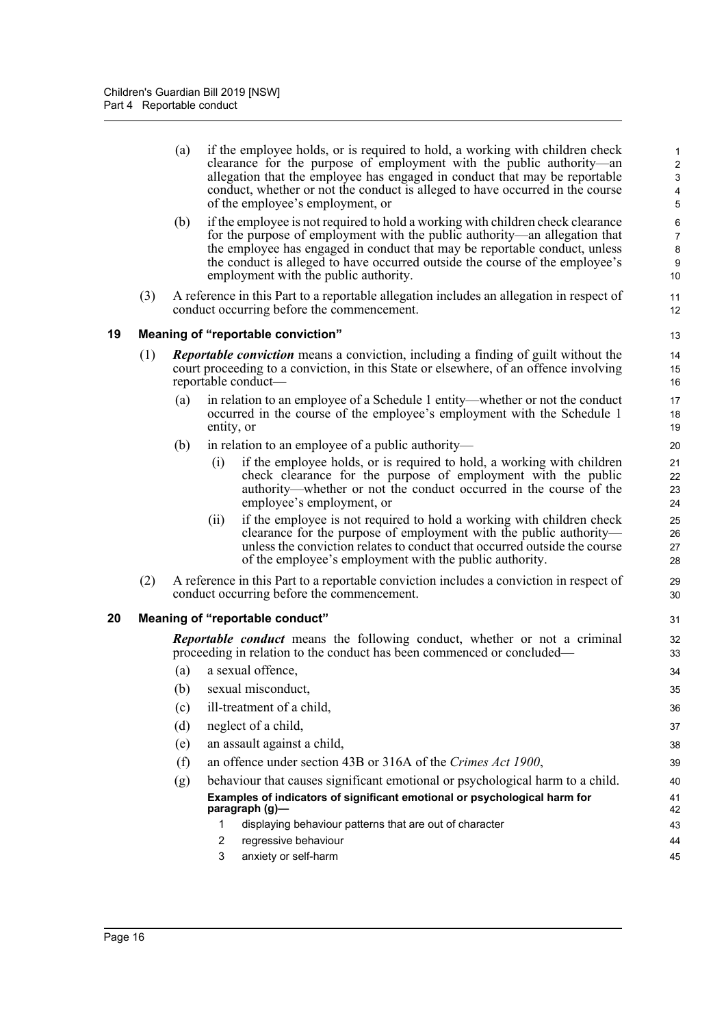(a) if the employee holds, or is required to hold, a working with children check clearance for the purpose of employment with the public authority—an allegation that the employee has engaged in conduct that may be reportable conduct, whether or not the conduct is alleged to have occurred in the course of the employee's employment, or

31 32 33

- (b) if the employee is not required to hold a working with children check clearance for the purpose of employment with the public authority—an allegation that the employee has engaged in conduct that may be reportable conduct, unless the conduct is alleged to have occurred outside the course of the employee's employment with the public authority.
- (3) A reference in this Part to a reportable allegation includes an allegation in respect of conduct occurring before the commencement.

### <span id="page-21-0"></span>**19 Meaning of "reportable conviction"**

- (1) *Reportable conviction* means a conviction, including a finding of guilt without the court proceeding to a conviction, in this State or elsewhere, of an offence involving reportable conduct—
	- (a) in relation to an employee of a Schedule 1 entity—whether or not the conduct occurred in the course of the employee's employment with the Schedule 1 entity, or
	- (b) in relation to an employee of a public authority—
		- (i) if the employee holds, or is required to hold, a working with children check clearance for the purpose of employment with the public authority—whether or not the conduct occurred in the course of the employee's employment, or
		- (ii) if the employee is not required to hold a working with children check clearance for the purpose of employment with the public authority unless the conviction relates to conduct that occurred outside the course of the employee's employment with the public authority.
- (2) A reference in this Part to a reportable conviction includes a conviction in respect of conduct occurring before the commencement.

### <span id="page-21-1"></span>**20 Meaning of "reportable conduct"**

*Reportable conduct* means the following conduct, whether or not a criminal proceeding in relation to the conduct has been commenced or concluded—

(a) a sexual offence, (b) sexual misconduct, (c) ill-treatment of a child, (d) neglect of a child, (e) an assault against a child, (f) an offence under section 43B or 316A of the *Crimes Act 1900*, (g) behaviour that causes significant emotional or psychological harm to a child. **Examples of indicators of significant emotional or psychological harm for paragraph (g)—** 1 displaying behaviour patterns that are out of character 2 regressive behaviour 3 anxiety or self-harm 34 35 36 37 38 39 40 41 42 43 44 45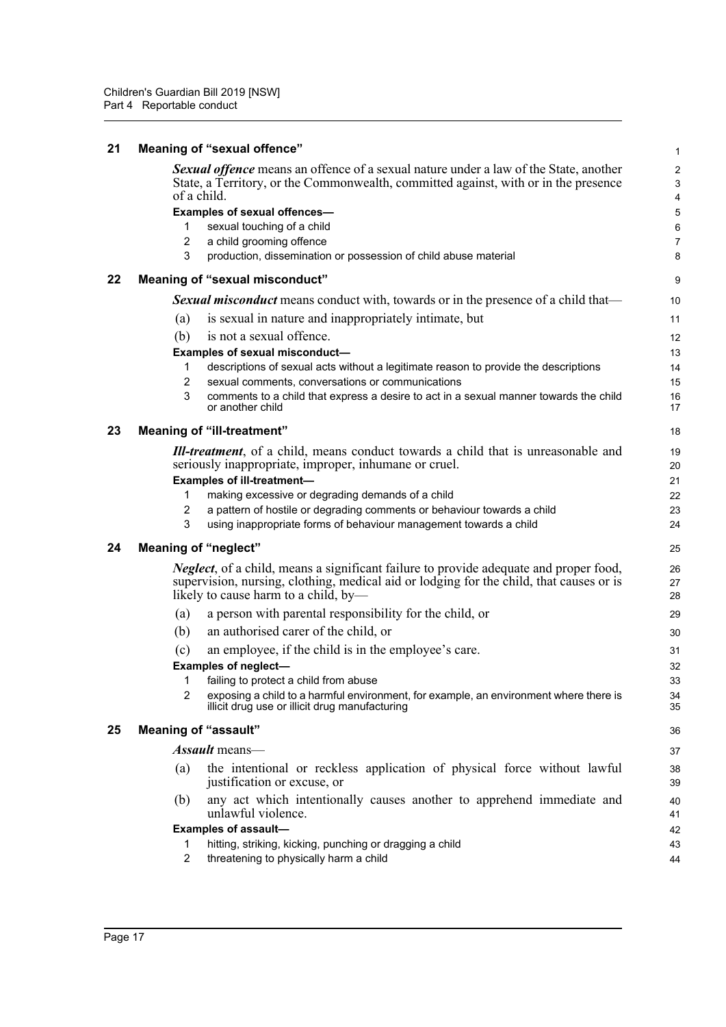<span id="page-22-4"></span><span id="page-22-3"></span><span id="page-22-2"></span><span id="page-22-1"></span><span id="page-22-0"></span>

| 21 |                | Meaning of "sexual offence"                                                                                                                                                                                                      | 1                                 |
|----|----------------|----------------------------------------------------------------------------------------------------------------------------------------------------------------------------------------------------------------------------------|-----------------------------------|
|    |                | <b>Sexual offence</b> means an offence of a sexual nature under a law of the State, another<br>State, a Territory, or the Commonwealth, committed against, with or in the presence<br>of a child.                                | $\overline{\mathbf{c}}$<br>3<br>4 |
|    |                | Examples of sexual offences-                                                                                                                                                                                                     | 5                                 |
|    | 1              | sexual touching of a child                                                                                                                                                                                                       | 6                                 |
|    | $\overline{2}$ | a child grooming offence                                                                                                                                                                                                         | 7                                 |
|    | 3              | production, dissemination or possession of child abuse material                                                                                                                                                                  | 8                                 |
| 22 |                | Meaning of "sexual misconduct"                                                                                                                                                                                                   | 9                                 |
|    |                | <b>Sexual misconduct</b> means conduct with, towards or in the presence of a child that—                                                                                                                                         | 10                                |
|    | (a)            | is sexual in nature and inappropriately intimate, but                                                                                                                                                                            | 11                                |
|    | (b)            | is not a sexual offence.                                                                                                                                                                                                         | 12                                |
|    |                | Examples of sexual misconduct-                                                                                                                                                                                                   | 13                                |
|    | 1              | descriptions of sexual acts without a legitimate reason to provide the descriptions                                                                                                                                              | 14                                |
|    | 2              | sexual comments, conversations or communications                                                                                                                                                                                 | 15                                |
|    | 3              | comments to a child that express a desire to act in a sexual manner towards the child<br>or another child                                                                                                                        | 16<br>17                          |
| 23 |                | Meaning of "ill-treatment"                                                                                                                                                                                                       | 18                                |
|    |                | <b>Ill-treatment</b> , of a child, means conduct towards a child that is unreasonable and<br>seriously inappropriate, improper, inhumane or cruel.                                                                               | 19<br>20                          |
|    |                | <b>Examples of ill-treatment-</b>                                                                                                                                                                                                | 21                                |
|    | 1<br>2         | making excessive or degrading demands of a child<br>a pattern of hostile or degrading comments or behaviour towards a child                                                                                                      | 22<br>23                          |
|    | 3              | using inappropriate forms of behaviour management towards a child                                                                                                                                                                | 24                                |
| 24 |                | <b>Meaning of "neglect"</b>                                                                                                                                                                                                      | 25                                |
|    |                | <i>Neglect</i> , of a child, means a significant failure to provide adequate and proper food,<br>supervision, nursing, clothing, medical aid or lodging for the child, that causes or is<br>likely to cause harm to a child, by- | 26<br>27<br>28                    |
|    | (a)            | a person with parental responsibility for the child, or                                                                                                                                                                          | 29                                |
|    | (b)            | an authorised carer of the child, or                                                                                                                                                                                             | 30                                |
|    | (c)            | an employee, if the child is in the employee's care.                                                                                                                                                                             | 31                                |
|    |                | <b>Examples of neglect-</b>                                                                                                                                                                                                      | 32                                |
|    | 1              | failing to protect a child from abuse                                                                                                                                                                                            | 33                                |
|    | 2              | exposing a child to a harmful environment, for example, an environment where there is<br>illicit drug use or illicit drug manufacturing                                                                                          | 34<br>35                          |
| 25 |                | <b>Meaning of "assault"</b>                                                                                                                                                                                                      | 36                                |
|    |                | <b>Assault</b> means—                                                                                                                                                                                                            | 37                                |
|    | (a)            | the intentional or reckless application of physical force without lawful<br>justification or excuse, or                                                                                                                          | 38<br>39                          |
|    | (b)            | any act which intentionally causes another to apprehend immediate and<br>unlawful violence.                                                                                                                                      | 40<br>41                          |
|    |                | <b>Examples of assault-</b>                                                                                                                                                                                                      | 42                                |
|    | 1              | hitting, striking, kicking, punching or dragging a child                                                                                                                                                                         | 43                                |
|    | $\overline{2}$ | threatening to physically harm a child                                                                                                                                                                                           | 44                                |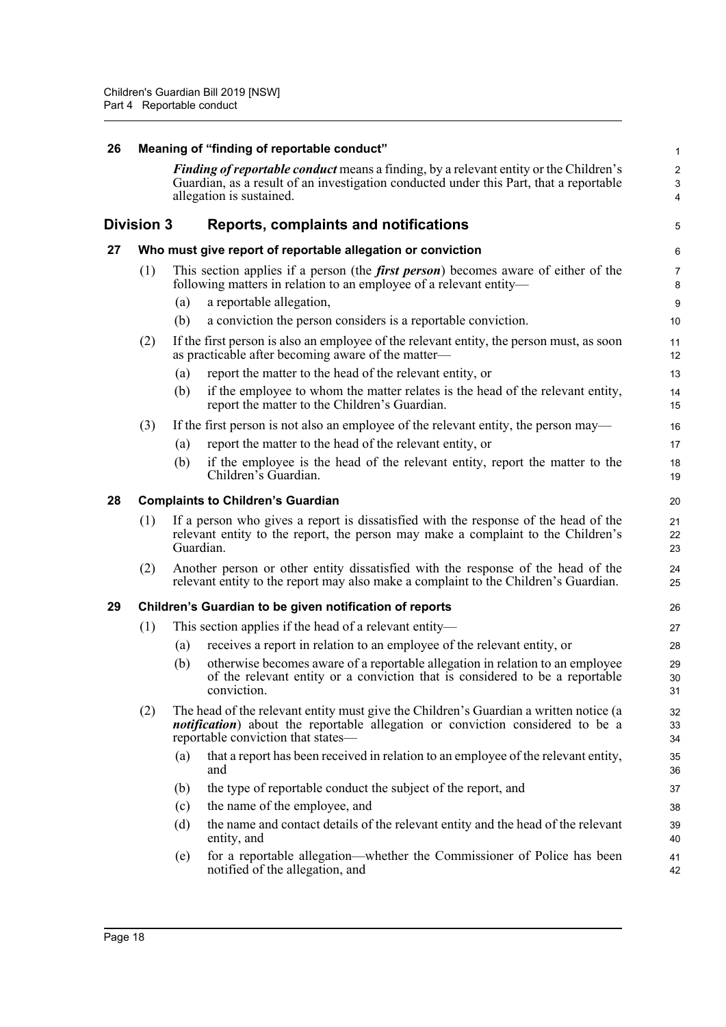<span id="page-23-4"></span><span id="page-23-3"></span><span id="page-23-2"></span><span id="page-23-1"></span><span id="page-23-0"></span>

| 26 | Meaning of "finding of reportable conduct" |                                                                                                                                                                                                                    |                                                                                                                                                                                                                       |                            |  |  |  |
|----|--------------------------------------------|--------------------------------------------------------------------------------------------------------------------------------------------------------------------------------------------------------------------|-----------------------------------------------------------------------------------------------------------------------------------------------------------------------------------------------------------------------|----------------------------|--|--|--|
|    |                                            | <i>Finding of reportable conduct</i> means a finding, by a relevant entity or the Children's<br>Guardian, as a result of an investigation conducted under this Part, that a reportable<br>allegation is sustained. |                                                                                                                                                                                                                       |                            |  |  |  |
|    | Division 3                                 |                                                                                                                                                                                                                    | Reports, complaints and notifications                                                                                                                                                                                 | 5                          |  |  |  |
| 27 |                                            |                                                                                                                                                                                                                    | Who must give report of reportable allegation or conviction                                                                                                                                                           |                            |  |  |  |
|    | (1)                                        |                                                                                                                                                                                                                    | This section applies if a person (the <i>first person</i> ) becomes aware of either of the<br>following matters in relation to an employee of a relevant entity-                                                      | 7<br>ε                     |  |  |  |
|    |                                            | (a)                                                                                                                                                                                                                | a reportable allegation,                                                                                                                                                                                              | ς                          |  |  |  |
|    |                                            | (b)                                                                                                                                                                                                                | a conviction the person considers is a reportable conviction.                                                                                                                                                         | 10                         |  |  |  |
|    | (2)                                        |                                                                                                                                                                                                                    | If the first person is also an employee of the relevant entity, the person must, as soon<br>as practicable after becoming aware of the matter—                                                                        | 11<br>12                   |  |  |  |
|    |                                            | (a)                                                                                                                                                                                                                | report the matter to the head of the relevant entity, or                                                                                                                                                              | 13                         |  |  |  |
|    |                                            | (b)                                                                                                                                                                                                                | if the employee to whom the matter relates is the head of the relevant entity,<br>report the matter to the Children's Guardian.                                                                                       | 14<br>15                   |  |  |  |
|    | (3)                                        |                                                                                                                                                                                                                    | If the first person is not also an employee of the relevant entity, the person may—                                                                                                                                   | 16                         |  |  |  |
|    |                                            | (a)                                                                                                                                                                                                                | report the matter to the head of the relevant entity, or                                                                                                                                                              | 17                         |  |  |  |
|    |                                            | (b)                                                                                                                                                                                                                | if the employee is the head of the relevant entity, report the matter to the<br>Children's Guardian.                                                                                                                  | 18<br>1 <sup>c</sup>       |  |  |  |
| 28 | <b>Complaints to Children's Guardian</b>   |                                                                                                                                                                                                                    |                                                                                                                                                                                                                       |                            |  |  |  |
|    | (1)                                        | Guardian.                                                                                                                                                                                                          | If a person who gives a report is dissatisfied with the response of the head of the<br>relevant entity to the report, the person may make a complaint to the Children's                                               | 21<br>22<br>23             |  |  |  |
|    | (2)                                        |                                                                                                                                                                                                                    | Another person or other entity dissatisfied with the response of the head of the<br>relevant entity to the report may also make a complaint to the Children's Guardian.                                               | 24<br>25                   |  |  |  |
| 29 |                                            |                                                                                                                                                                                                                    | Children's Guardian to be given notification of reports                                                                                                                                                               | 26                         |  |  |  |
|    | (1)                                        |                                                                                                                                                                                                                    | This section applies if the head of a relevant entity—                                                                                                                                                                | 27                         |  |  |  |
|    |                                            | (a)                                                                                                                                                                                                                | receives a report in relation to an employee of the relevant entity, or                                                                                                                                               | 28                         |  |  |  |
|    |                                            | (b)                                                                                                                                                                                                                | otherwise becomes aware of a reportable allegation in relation to an employee<br>of the relevant entity or a conviction that is considered to be a reportable<br>conviction.                                          | 29<br>3 <sub>C</sub><br>31 |  |  |  |
|    | (2)                                        |                                                                                                                                                                                                                    | The head of the relevant entity must give the Children's Guardian a written notice (a<br><i>notification</i> ) about the reportable allegation or conviction considered to be a<br>reportable conviction that states— | 32<br>33<br>34             |  |  |  |
|    |                                            | (a)                                                                                                                                                                                                                | that a report has been received in relation to an employee of the relevant entity,<br>and                                                                                                                             | 35<br>36                   |  |  |  |
|    |                                            | (b)                                                                                                                                                                                                                | the type of reportable conduct the subject of the report, and                                                                                                                                                         | 37                         |  |  |  |
|    |                                            | (c)                                                                                                                                                                                                                | the name of the employee, and                                                                                                                                                                                         | 38                         |  |  |  |
|    |                                            | (d)                                                                                                                                                                                                                | the name and contact details of the relevant entity and the head of the relevant<br>entity, and                                                                                                                       | 39<br>40                   |  |  |  |
|    |                                            | (e)                                                                                                                                                                                                                | for a reportable allegation-whether the Commissioner of Police has been<br>notified of the allegation, and                                                                                                            | 41<br>42                   |  |  |  |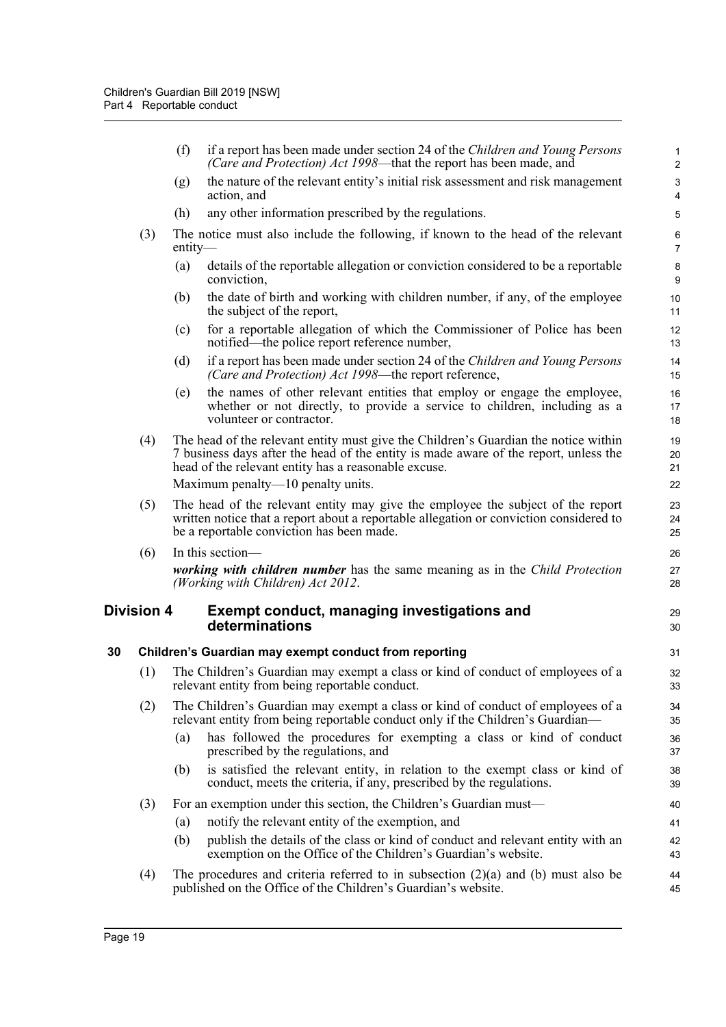<span id="page-24-1"></span><span id="page-24-0"></span>

|    |                   | (f)       | if a report has been made under section 24 of the Children and Young Persons<br>(Care and Protection) Act 1998—that the report has been made, and                                                                                   | $\mathbf{1}$<br>2                       |
|----|-------------------|-----------|-------------------------------------------------------------------------------------------------------------------------------------------------------------------------------------------------------------------------------------|-----------------------------------------|
|    |                   | (g)       | the nature of the relevant entity's initial risk assessment and risk management<br>action, and                                                                                                                                      | $\mathbf{3}$<br>$\overline{\mathbf{4}}$ |
|    |                   | (h)       | any other information prescribed by the regulations.                                                                                                                                                                                | 5                                       |
|    | (3)               | $entity-$ | The notice must also include the following, if known to the head of the relevant                                                                                                                                                    | $\,6\,$<br>$\overline{7}$               |
|    |                   | (a)       | details of the reportable allegation or conviction considered to be a reportable<br>conviction,                                                                                                                                     | $\bf 8$<br>9                            |
|    |                   | (b)       | the date of birth and working with children number, if any, of the employee<br>the subject of the report,                                                                                                                           | 10<br>11                                |
|    |                   | (c)       | for a reportable allegation of which the Commissioner of Police has been<br>notified—the police report reference number,                                                                                                            | 12<br>13                                |
|    |                   | (d)       | if a report has been made under section 24 of the Children and Young Persons<br>(Care and Protection) Act 1998—the report reference,                                                                                                | 14<br>15                                |
|    |                   | (e)       | the names of other relevant entities that employ or engage the employee,<br>whether or not directly, to provide a service to children, including as a<br>volunteer or contractor.                                                   | 16<br>17<br>18                          |
|    | (4)               |           | The head of the relevant entity must give the Children's Guardian the notice within<br>7 business days after the head of the entity is made aware of the report, unless the<br>head of the relevant entity has a reasonable excuse. | 19<br>20<br>21                          |
|    |                   |           | Maximum penalty—10 penalty units.                                                                                                                                                                                                   | 22                                      |
|    | (5)               |           | The head of the relevant entity may give the employee the subject of the report<br>written notice that a report about a reportable allegation or conviction considered to<br>be a reportable conviction has been made.              | 23<br>24<br>25                          |
|    | (6)               |           | In this section-                                                                                                                                                                                                                    | 26                                      |
|    |                   |           | working with children number has the same meaning as in the Child Protection<br>(Working with Children) Act 2012.                                                                                                                   | 27<br>28                                |
|    | <b>Division 4</b> |           | <b>Exempt conduct, managing investigations and</b><br>determinations                                                                                                                                                                | 29<br>30                                |
| 30 |                   |           | Children's Guardian may exempt conduct from reporting                                                                                                                                                                               | 31                                      |
|    | (1)               |           | The Children's Guardian may exempt a class or kind of conduct of employees of a<br>relevant entity from being reportable conduct.                                                                                                   | 32<br>33                                |
|    | (2)               |           | The Children's Guardian may exempt a class or kind of conduct of employees of a<br>relevant entity from being reportable conduct only if the Children's Guardian—                                                                   | 34<br>35                                |
|    |                   | (a)       | has followed the procedures for exempting a class or kind of conduct<br>prescribed by the regulations, and                                                                                                                          | 36<br>37                                |
|    |                   | (b)       | is satisfied the relevant entity, in relation to the exempt class or kind of<br>conduct, meets the criteria, if any, prescribed by the regulations.                                                                                 | 38<br>39                                |
|    | (3)               |           | For an exemption under this section, the Children's Guardian must—                                                                                                                                                                  | 40                                      |
|    |                   | (a)       | notify the relevant entity of the exemption, and                                                                                                                                                                                    | 41                                      |
|    |                   | (b)       | publish the details of the class or kind of conduct and relevant entity with an<br>exemption on the Office of the Children's Guardian's website.                                                                                    | 42<br>43                                |
|    | (4)               |           | The procedures and criteria referred to in subsection $(2)(a)$ and (b) must also be<br>published on the Office of the Children's Guardian's website.                                                                                | 44<br>45                                |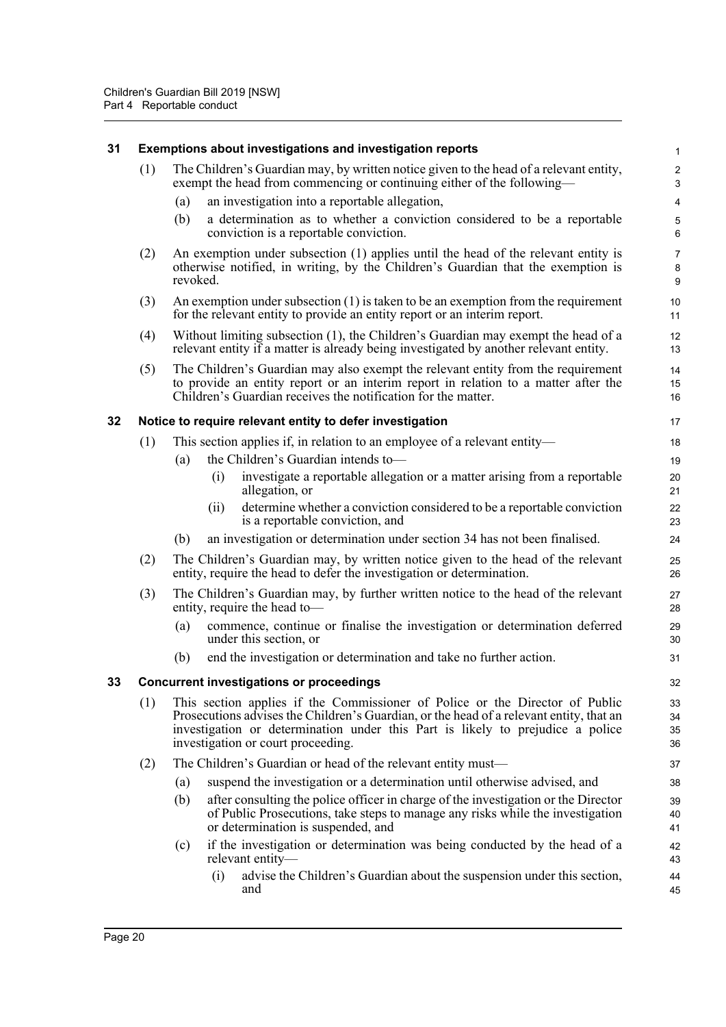<span id="page-25-2"></span><span id="page-25-1"></span><span id="page-25-0"></span>

| 31 | Exemptions about investigations and investigation reports |                                                                                                                                                                                                                                                                                                 |                              |  |  |  |
|----|-----------------------------------------------------------|-------------------------------------------------------------------------------------------------------------------------------------------------------------------------------------------------------------------------------------------------------------------------------------------------|------------------------------|--|--|--|
|    | (1)                                                       | The Children's Guardian may, by written notice given to the head of a relevant entity,<br>exempt the head from commencing or continuing either of the following—                                                                                                                                | $\overline{\mathbf{c}}$<br>3 |  |  |  |
|    |                                                           | an investigation into a reportable allegation,<br>(a)                                                                                                                                                                                                                                           | 4                            |  |  |  |
|    |                                                           | a determination as to whether a conviction considered to be a reportable<br>(b)<br>conviction is a reportable conviction.                                                                                                                                                                       | 5<br>6                       |  |  |  |
|    | (2)                                                       | An exemption under subsection (1) applies until the head of the relevant entity is<br>otherwise notified, in writing, by the Children's Guardian that the exemption is<br>revoked.                                                                                                              | $\overline{7}$<br>8<br>9     |  |  |  |
|    | (3)                                                       | An exemption under subsection $(1)$ is taken to be an exemption from the requirement<br>for the relevant entity to provide an entity report or an interim report.                                                                                                                               | 10<br>11                     |  |  |  |
|    | (4)                                                       | Without limiting subsection (1), the Children's Guardian may exempt the head of a<br>relevant entity if a matter is already being investigated by another relevant entity.                                                                                                                      | 12<br>13                     |  |  |  |
|    | (5)                                                       | The Children's Guardian may also exempt the relevant entity from the requirement<br>to provide an entity report or an interim report in relation to a matter after the<br>Children's Guardian receives the notification for the matter.                                                         | 14<br>15<br>16               |  |  |  |
| 32 |                                                           | Notice to require relevant entity to defer investigation                                                                                                                                                                                                                                        | 17                           |  |  |  |
|    | (1)                                                       | This section applies if, in relation to an employee of a relevant entity—                                                                                                                                                                                                                       | 18                           |  |  |  |
|    |                                                           | the Children's Guardian intends to-<br>(a)                                                                                                                                                                                                                                                      | 19                           |  |  |  |
|    |                                                           | investigate a reportable allegation or a matter arising from a reportable<br>(i)<br>allegation, or                                                                                                                                                                                              | 20<br>21                     |  |  |  |
|    |                                                           | determine whether a conviction considered to be a reportable conviction<br>(11)<br>is a reportable conviction, and                                                                                                                                                                              | 22<br>23                     |  |  |  |
|    |                                                           | (b)<br>an investigation or determination under section 34 has not been finalised.                                                                                                                                                                                                               | 24                           |  |  |  |
|    | (2)                                                       | The Children's Guardian may, by written notice given to the head of the relevant<br>entity, require the head to defer the investigation or determination.                                                                                                                                       | 25<br>26                     |  |  |  |
|    | (3)                                                       | The Children's Guardian may, by further written notice to the head of the relevant<br>entity, require the head to-                                                                                                                                                                              | 27<br>28                     |  |  |  |
|    |                                                           | commence, continue or finalise the investigation or determination deferred<br>(a)<br>under this section, or                                                                                                                                                                                     | 29<br>30                     |  |  |  |
|    |                                                           | end the investigation or determination and take no further action.<br>(b)                                                                                                                                                                                                                       | 31                           |  |  |  |
| 33 |                                                           | <b>Concurrent investigations or proceedings</b>                                                                                                                                                                                                                                                 | 32                           |  |  |  |
|    | (1)                                                       | This section applies if the Commissioner of Police or the Director of Public<br>Prosecutions advises the Children's Guardian, or the head of a relevant entity, that an<br>investigation or determination under this Part is likely to prejudice a police<br>investigation or court proceeding. | 33<br>34<br>35<br>36         |  |  |  |
|    | (2)                                                       | The Children's Guardian or head of the relevant entity must—                                                                                                                                                                                                                                    | 37                           |  |  |  |
|    |                                                           | suspend the investigation or a determination until otherwise advised, and<br>(a)                                                                                                                                                                                                                | 38                           |  |  |  |
|    |                                                           | after consulting the police officer in charge of the investigation or the Director<br>(b)<br>of Public Prosecutions, take steps to manage any risks while the investigation<br>or determination is suspended, and                                                                               | 39<br>40<br>41               |  |  |  |
|    |                                                           | if the investigation or determination was being conducted by the head of a<br>(c)<br>relevant entity-                                                                                                                                                                                           | 42<br>43                     |  |  |  |
|    |                                                           | advise the Children's Guardian about the suspension under this section,<br>(i)<br>and                                                                                                                                                                                                           | 44<br>45                     |  |  |  |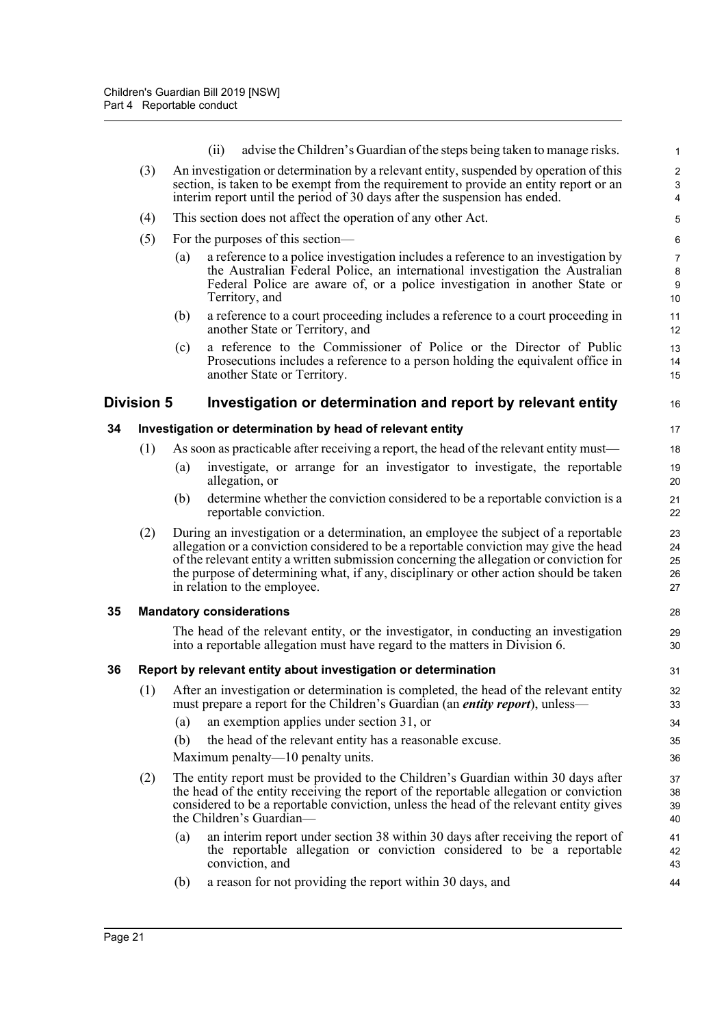<span id="page-26-3"></span><span id="page-26-2"></span><span id="page-26-1"></span><span id="page-26-0"></span>

|    |                   |     | (ii) | advise the Children's Guardian of the steps being taken to manage risks.                                                                                                                                                                                                                                                                                                                         | $\mathbf{1}$                                |
|----|-------------------|-----|------|--------------------------------------------------------------------------------------------------------------------------------------------------------------------------------------------------------------------------------------------------------------------------------------------------------------------------------------------------------------------------------------------------|---------------------------------------------|
|    | (3)               |     |      | An investigation or determination by a relevant entity, suspended by operation of this                                                                                                                                                                                                                                                                                                           | $\overline{c}$                              |
|    |                   |     |      | section, is taken to be exempt from the requirement to provide an entity report or an<br>interim report until the period of 30 days after the suspension has ended.                                                                                                                                                                                                                              | $\ensuremath{\mathsf{3}}$<br>$\overline{4}$ |
|    | (4)               |     |      | This section does not affect the operation of any other Act.                                                                                                                                                                                                                                                                                                                                     | $\sqrt{5}$                                  |
|    | (5)               |     |      | For the purposes of this section—                                                                                                                                                                                                                                                                                                                                                                | $\,6\,$                                     |
|    |                   | (a) |      | a reference to a police investigation includes a reference to an investigation by                                                                                                                                                                                                                                                                                                                | $\overline{7}$                              |
|    |                   |     |      | the Australian Federal Police, an international investigation the Australian                                                                                                                                                                                                                                                                                                                     | $\bf 8$                                     |
|    |                   |     |      | Federal Police are aware of, or a police investigation in another State or<br>Territory, and                                                                                                                                                                                                                                                                                                     | $\boldsymbol{9}$<br>10                      |
|    |                   | (b) |      | a reference to a court proceeding includes a reference to a court proceeding in<br>another State or Territory, and                                                                                                                                                                                                                                                                               | 11<br>12                                    |
|    |                   | (c) |      | a reference to the Commissioner of Police or the Director of Public                                                                                                                                                                                                                                                                                                                              | 13                                          |
|    |                   |     |      | Prosecutions includes a reference to a person holding the equivalent office in<br>another State or Territory.                                                                                                                                                                                                                                                                                    | 14<br>15                                    |
|    | <b>Division 5</b> |     |      | Investigation or determination and report by relevant entity                                                                                                                                                                                                                                                                                                                                     | 16                                          |
| 34 |                   |     |      | Investigation or determination by head of relevant entity                                                                                                                                                                                                                                                                                                                                        | 17                                          |
|    | (1)               |     |      | As soon as practicable after receiving a report, the head of the relevant entity must—                                                                                                                                                                                                                                                                                                           | 18                                          |
|    |                   | (a) |      | investigate, or arrange for an investigator to investigate, the reportable<br>allegation, or                                                                                                                                                                                                                                                                                                     | 19<br>20                                    |
|    |                   | (b) |      | determine whether the conviction considered to be a reportable conviction is a<br>reportable conviction.                                                                                                                                                                                                                                                                                         | 21<br>22                                    |
|    | (2)               |     |      | During an investigation or a determination, an employee the subject of a reportable<br>allegation or a conviction considered to be a reportable conviction may give the head<br>of the relevant entity a written submission concerning the allegation or conviction for<br>the purpose of determining what, if any, disciplinary or other action should be taken<br>in relation to the employee. | 23<br>24<br>25<br>26<br>27                  |
| 35 |                   |     |      | <b>Mandatory considerations</b>                                                                                                                                                                                                                                                                                                                                                                  | 28                                          |
|    |                   |     |      | The head of the relevant entity, or the investigator, in conducting an investigation                                                                                                                                                                                                                                                                                                             | 29                                          |
|    |                   |     |      | into a reportable allegation must have regard to the matters in Division 6.                                                                                                                                                                                                                                                                                                                      | 30                                          |
| 36 |                   |     |      | Report by relevant entity about investigation or determination                                                                                                                                                                                                                                                                                                                                   | 31                                          |
|    | (1)               |     |      | After an investigation or determination is completed, the head of the relevant entity<br>must prepare a report for the Children's Guardian (an <i>entity report</i> ), unless—                                                                                                                                                                                                                   | 32<br>33                                    |
|    |                   | (a) |      | an exemption applies under section 31, or                                                                                                                                                                                                                                                                                                                                                        | 34                                          |
|    |                   | (b) |      | the head of the relevant entity has a reasonable excuse.                                                                                                                                                                                                                                                                                                                                         | 35                                          |
|    |                   |     |      | Maximum penalty—10 penalty units.                                                                                                                                                                                                                                                                                                                                                                | 36                                          |
|    | (2)               |     |      | The entity report must be provided to the Children's Guardian within 30 days after<br>the head of the entity receiving the report of the reportable allegation or conviction<br>considered to be a reportable conviction, unless the head of the relevant entity gives<br>the Children's Guardian—                                                                                               | 37<br>38<br>39<br>40                        |
|    |                   | (a) |      | an interim report under section 38 within 30 days after receiving the report of<br>the reportable allegation or conviction considered to be a reportable<br>conviction, and                                                                                                                                                                                                                      | 41<br>42<br>43                              |
|    |                   | (b) |      | a reason for not providing the report within 30 days, and                                                                                                                                                                                                                                                                                                                                        | 44                                          |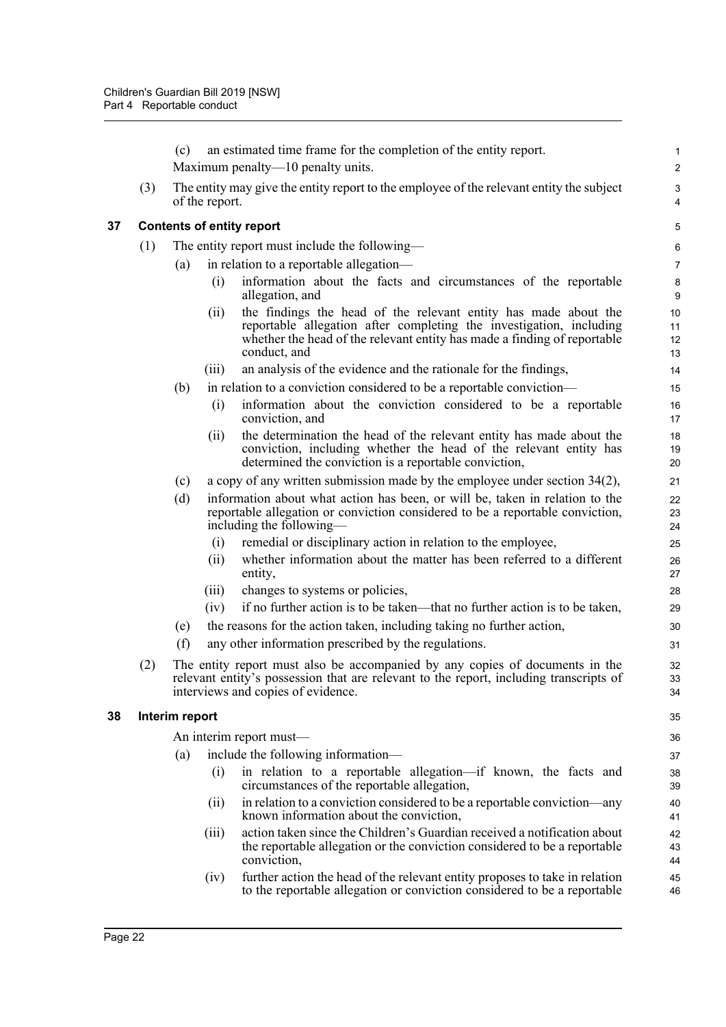<span id="page-27-1"></span><span id="page-27-0"></span>

|    |     | (c)                              |                | an estimated time frame for the completion of the entity report.                                                                                                                                                                   | 1                                     |  |  |  |  |  |
|----|-----|----------------------------------|----------------|------------------------------------------------------------------------------------------------------------------------------------------------------------------------------------------------------------------------------------|---------------------------------------|--|--|--|--|--|
|    |     |                                  |                | Maximum penalty—10 penalty units.                                                                                                                                                                                                  | $\boldsymbol{2}$                      |  |  |  |  |  |
|    | (3) |                                  | of the report. | The entity may give the entity report to the employee of the relevant entity the subject                                                                                                                                           | $\sqrt{3}$<br>$\overline{\mathbf{4}}$ |  |  |  |  |  |
| 37 |     | <b>Contents of entity report</b> |                |                                                                                                                                                                                                                                    |                                       |  |  |  |  |  |
|    | (1) |                                  |                | The entity report must include the following—                                                                                                                                                                                      | $\,6\,$                               |  |  |  |  |  |
|    |     | (a)                              |                | in relation to a reportable allegation—                                                                                                                                                                                            | $\overline{7}$                        |  |  |  |  |  |
|    |     |                                  | (i)            | information about the facts and circumstances of the reportable<br>allegation, and                                                                                                                                                 | $\bf 8$<br>$\boldsymbol{9}$           |  |  |  |  |  |
|    |     |                                  | (ii)           | the findings the head of the relevant entity has made about the<br>reportable allegation after completing the investigation, including<br>whether the head of the relevant entity has made a finding of reportable<br>conduct, and | 10<br>11<br>12<br>13                  |  |  |  |  |  |
|    |     |                                  | (iii)          | an analysis of the evidence and the rationale for the findings,                                                                                                                                                                    | 14                                    |  |  |  |  |  |
|    |     | (b)                              |                | in relation to a conviction considered to be a reportable conviction—                                                                                                                                                              | 15                                    |  |  |  |  |  |
|    |     |                                  | (i)            | information about the conviction considered to be a reportable<br>conviction, and                                                                                                                                                  | 16<br>17                              |  |  |  |  |  |
|    |     |                                  | (ii)           | the determination the head of the relevant entity has made about the<br>conviction, including whether the head of the relevant entity has<br>determined the conviction is a reportable conviction,                                 | 18<br>19<br>20                        |  |  |  |  |  |
|    |     | (c)                              |                | a copy of any written submission made by the employee under section $34(2)$ ,                                                                                                                                                      | 21                                    |  |  |  |  |  |
|    |     | (d)                              |                | information about what action has been, or will be, taken in relation to the<br>reportable allegation or conviction considered to be a reportable conviction,<br>including the following—                                          | 22<br>23<br>24                        |  |  |  |  |  |
|    |     |                                  | (i)            | remedial or disciplinary action in relation to the employee,                                                                                                                                                                       | 25                                    |  |  |  |  |  |
|    |     |                                  | (ii)           | whether information about the matter has been referred to a different<br>entity,                                                                                                                                                   | 26<br>27                              |  |  |  |  |  |
|    |     |                                  | (iii)          | changes to systems or policies,                                                                                                                                                                                                    | 28                                    |  |  |  |  |  |
|    |     |                                  | (iv)           | if no further action is to be taken—that no further action is to be taken,                                                                                                                                                         | 29                                    |  |  |  |  |  |
|    |     | (e)                              |                | the reasons for the action taken, including taking no further action,                                                                                                                                                              | 30                                    |  |  |  |  |  |
|    |     | (f)                              |                | any other information prescribed by the regulations.                                                                                                                                                                               | 31                                    |  |  |  |  |  |
|    | (2) |                                  |                | The entity report must also be accompanied by any copies of documents in the<br>relevant entity's possession that are relevant to the report, including transcripts of<br>interviews and copies of evidence.                       | 32<br>33<br>34                        |  |  |  |  |  |
| 38 |     | Interim report                   |                |                                                                                                                                                                                                                                    | 35                                    |  |  |  |  |  |
|    |     |                                  |                | An interim report must—                                                                                                                                                                                                            | 36                                    |  |  |  |  |  |
|    |     | (a)                              |                | include the following information—                                                                                                                                                                                                 | 37                                    |  |  |  |  |  |
|    |     |                                  | (i)            | in relation to a reportable allegation—if known, the facts and<br>circumstances of the reportable allegation,                                                                                                                      | 38<br>39                              |  |  |  |  |  |
|    |     |                                  | (ii)           | in relation to a conviction considered to be a reportable conviction—any<br>known information about the conviction,                                                                                                                | 40<br>41                              |  |  |  |  |  |
|    |     |                                  | (iii)          | action taken since the Children's Guardian received a notification about<br>the reportable allegation or the conviction considered to be a reportable<br>conviction,                                                               | 42<br>43<br>44                        |  |  |  |  |  |
|    |     |                                  | (iv)           | further action the head of the relevant entity proposes to take in relation<br>to the reportable allegation or conviction considered to be a reportable                                                                            | 45<br>46                              |  |  |  |  |  |
|    |     |                                  |                |                                                                                                                                                                                                                                    |                                       |  |  |  |  |  |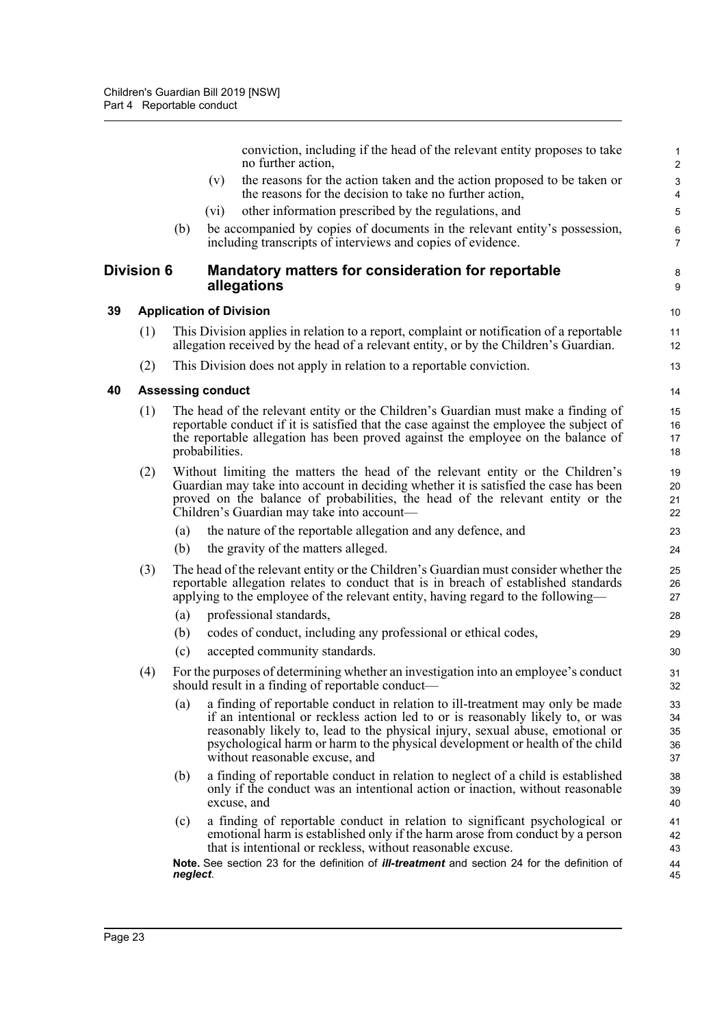<span id="page-28-2"></span><span id="page-28-1"></span><span id="page-28-0"></span>

|    |                   |          | conviction, including if the head of the relevant entity proposes to take<br>no further action,                                                                                                                                                                                                                                                                     | 2                                |
|----|-------------------|----------|---------------------------------------------------------------------------------------------------------------------------------------------------------------------------------------------------------------------------------------------------------------------------------------------------------------------------------------------------------------------|----------------------------------|
|    |                   |          | the reasons for the action taken and the action proposed to be taken or<br>(v)<br>the reasons for the decision to take no further action,                                                                                                                                                                                                                           | G<br>4                           |
|    |                   |          | other information prescribed by the regulations, and<br>(vi)                                                                                                                                                                                                                                                                                                        | 5                                |
|    |                   | (b)      | be accompanied by copies of documents in the relevant entity's possession,<br>including transcripts of interviews and copies of evidence.                                                                                                                                                                                                                           | $\epsilon$<br>$\overline{7}$     |
|    | <b>Division 6</b> |          | Mandatory matters for consideration for reportable<br>allegations                                                                                                                                                                                                                                                                                                   | ε<br>ξ                           |
| 39 |                   |          | <b>Application of Division</b>                                                                                                                                                                                                                                                                                                                                      | 10                               |
|    | (1)               |          | This Division applies in relation to a report, complaint or notification of a reportable<br>allegation received by the head of a relevant entity, or by the Children's Guardian.                                                                                                                                                                                    | 11<br>12                         |
|    | (2)               |          | This Division does not apply in relation to a reportable conviction.                                                                                                                                                                                                                                                                                                | 13                               |
| 40 |                   |          | <b>Assessing conduct</b>                                                                                                                                                                                                                                                                                                                                            | 14                               |
|    | (1)               |          | The head of the relevant entity or the Children's Guardian must make a finding of<br>reportable conduct if it is satisfied that the case against the employee the subject of<br>the reportable allegation has been proved against the employee on the balance of<br>probabilities.                                                                                  | 15<br>16<br>17<br>18             |
|    | (2)               |          | Without limiting the matters the head of the relevant entity or the Children's<br>Guardian may take into account in deciding whether it is satisfied the case has been<br>proved on the balance of probabilities, the head of the relevant entity or the<br>Children's Guardian may take into account—                                                              | 1 <sup>c</sup><br>20<br>21<br>22 |
|    |                   | (a)      | the nature of the reportable allegation and any defence, and                                                                                                                                                                                                                                                                                                        | 23                               |
|    |                   | (b)      | the gravity of the matters alleged.                                                                                                                                                                                                                                                                                                                                 | 24                               |
|    | (3)               |          | The head of the relevant entity or the Children's Guardian must consider whether the<br>reportable allegation relates to conduct that is in breach of established standards<br>applying to the employee of the relevant entity, having regard to the following—                                                                                                     | 25<br>26<br>27                   |
|    |                   | (a)      | professional standards,                                                                                                                                                                                                                                                                                                                                             | 28                               |
|    |                   | (b)      | codes of conduct, including any professional or ethical codes,                                                                                                                                                                                                                                                                                                      | 29                               |
|    |                   | (c)      | accepted community standards.                                                                                                                                                                                                                                                                                                                                       | 3 <sub>C</sub>                   |
|    | (4)               |          | For the purposes of determining whether an investigation into an employee's conduct<br>should result in a finding of reportable conduct-                                                                                                                                                                                                                            | 31<br>32                         |
|    |                   | (a)      | a finding of reportable conduct in relation to ill-treatment may only be made<br>if an intentional or reckless action led to or is reasonably likely to, or was<br>reasonably likely to, lead to the physical injury, sexual abuse, emotional or<br>psychological harm or harm to the physical development or health of the child<br>without reasonable excuse, and | 33<br>34<br>35<br>36<br>37       |
|    |                   | (b)      | a finding of reportable conduct in relation to neglect of a child is established<br>only if the conduct was an intentional action or inaction, without reasonable<br>excuse, and                                                                                                                                                                                    | 38<br>39<br>40                   |
|    |                   | (c)      | a finding of reportable conduct in relation to significant psychological or<br>emotional harm is established only if the harm arose from conduct by a person<br>that is intentional or reckless, without reasonable excuse.                                                                                                                                         | 41<br>42<br>43                   |
|    |                   | neglect. | Note. See section 23 for the definition of <i>ill-treatment</i> and section 24 for the definition of                                                                                                                                                                                                                                                                | 44<br>45                         |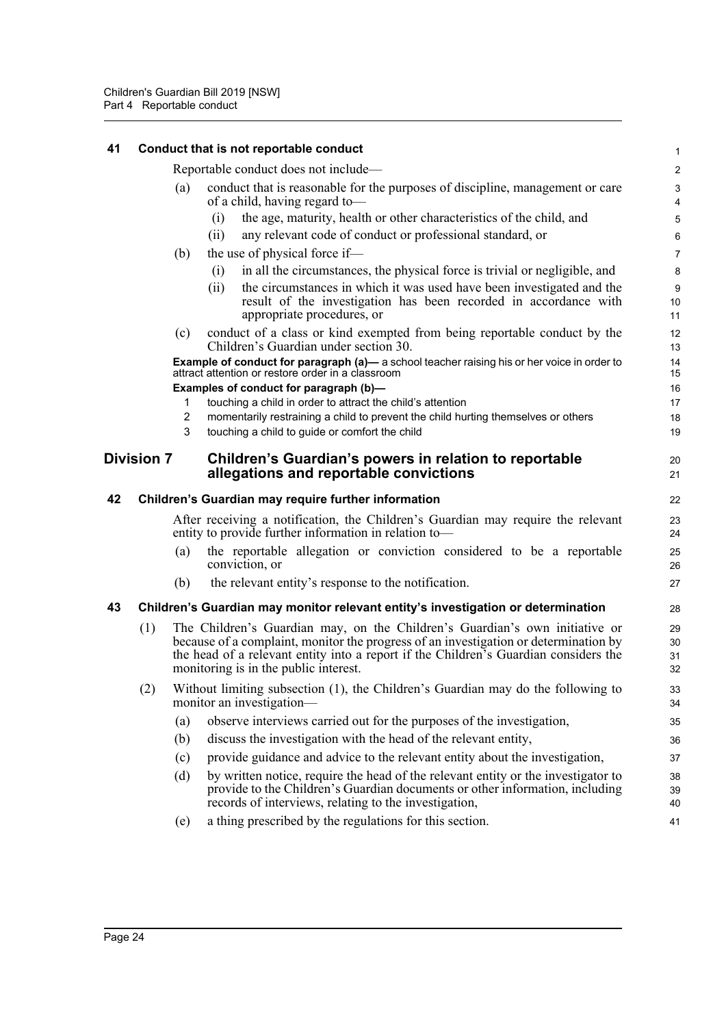<span id="page-29-3"></span><span id="page-29-2"></span><span id="page-29-1"></span><span id="page-29-0"></span>

| 41 |                   |        | Conduct that is not reportable conduct                                                                                                                                                                                                                                                               | $\mathbf{1}$            |
|----|-------------------|--------|------------------------------------------------------------------------------------------------------------------------------------------------------------------------------------------------------------------------------------------------------------------------------------------------------|-------------------------|
|    |                   |        | Reportable conduct does not include—                                                                                                                                                                                                                                                                 | $\overline{\mathbf{c}}$ |
|    |                   | (a)    | conduct that is reasonable for the purposes of discipline, management or care<br>of a child, having regard to-                                                                                                                                                                                       | 3<br>4                  |
|    |                   |        | the age, maturity, health or other characteristics of the child, and<br>(i)                                                                                                                                                                                                                          | 5                       |
|    |                   |        | any relevant code of conduct or professional standard, or<br>(i)                                                                                                                                                                                                                                     | 6                       |
|    |                   | (b)    | the use of physical force if-                                                                                                                                                                                                                                                                        | $\overline{7}$          |
|    |                   |        | in all the circumstances, the physical force is trivial or negligible, and<br>(i)                                                                                                                                                                                                                    | 8                       |
|    |                   |        | the circumstances in which it was used have been investigated and the<br>(i)<br>result of the investigation has been recorded in accordance with<br>appropriate procedures, or                                                                                                                       | 9<br>10<br>11           |
|    |                   | (c)    | conduct of a class or kind exempted from being reportable conduct by the<br>Children's Guardian under section 30.                                                                                                                                                                                    | 12<br>13                |
|    |                   |        | <b>Example of conduct for paragraph (a)—</b> a school teacher raising his or her voice in order to attract attention or restore order in a classroom                                                                                                                                                 | 14<br>15                |
|    |                   |        | Examples of conduct for paragraph (b)-                                                                                                                                                                                                                                                               | 16                      |
|    |                   | 1<br>2 | touching a child in order to attract the child's attention                                                                                                                                                                                                                                           | 17<br>18                |
|    |                   | 3      | momentarily restraining a child to prevent the child hurting themselves or others<br>touching a child to guide or comfort the child                                                                                                                                                                  | 19                      |
|    | <b>Division 7</b> |        | Children's Guardian's powers in relation to reportable<br>allegations and reportable convictions                                                                                                                                                                                                     | 20<br>21                |
| 42 |                   |        | Children's Guardian may require further information                                                                                                                                                                                                                                                  | 22                      |
|    |                   |        | After receiving a notification, the Children's Guardian may require the relevant<br>entity to provide further information in relation to-                                                                                                                                                            | 23<br>24                |
|    |                   | (a)    | the reportable allegation or conviction considered to be a reportable<br>conviction, or                                                                                                                                                                                                              | 25<br>26                |
|    |                   | (b)    | the relevant entity's response to the notification.                                                                                                                                                                                                                                                  | 27                      |
| 43 |                   |        | Children's Guardian may monitor relevant entity's investigation or determination                                                                                                                                                                                                                     | 28                      |
|    | (1)               |        | The Children's Guardian may, on the Children's Guardian's own initiative or<br>because of a complaint, monitor the progress of an investigation or determination by<br>the head of a relevant entity into a report if the Children's Guardian considers the<br>monitoring is in the public interest. | 29<br>30<br>31<br>32    |
|    | (2)               |        | Without limiting subsection (1), the Children's Guardian may do the following to<br>monitor an investigation-                                                                                                                                                                                        | 33<br>34                |
|    |                   | (a)    | observe interviews carried out for the purposes of the investigation,                                                                                                                                                                                                                                | 35                      |
|    |                   | (b)    | discuss the investigation with the head of the relevant entity,                                                                                                                                                                                                                                      | 36                      |
|    |                   | (c)    | provide guidance and advice to the relevant entity about the investigation,                                                                                                                                                                                                                          | 37                      |
|    |                   | (d)    | by written notice, require the head of the relevant entity or the investigator to<br>provide to the Children's Guardian documents or other information, including<br>records of interviews, relating to the investigation,                                                                           | 38<br>39                |
|    |                   | (e)    | a thing prescribed by the regulations for this section.                                                                                                                                                                                                                                              | 40<br>41                |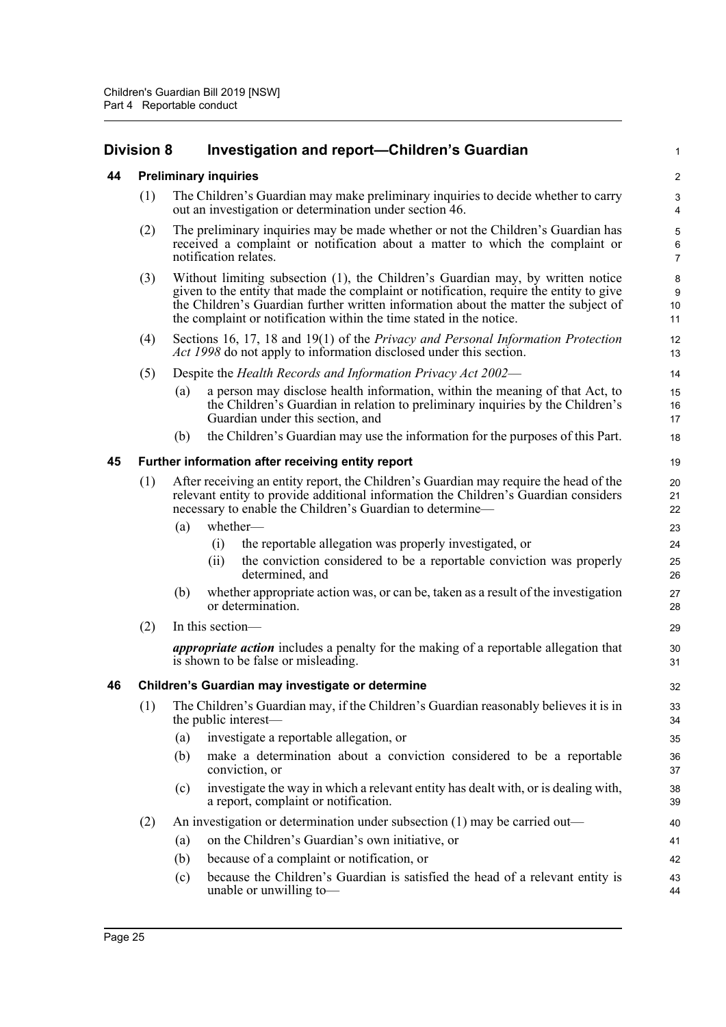### <span id="page-30-0"></span>**Division 8 Investigation and report—Children's Guardian**

#### <span id="page-30-1"></span>**44 Preliminary inquiries**

(1) The Children's Guardian may make preliminary inquiries to decide whether to carry out an investigation or determination under section 46.

1

- (2) The preliminary inquiries may be made whether or not the Children's Guardian has received a complaint or notification about a matter to which the complaint or notification relates.
- (3) Without limiting subsection (1), the Children's Guardian may, by written notice given to the entity that made the complaint or notification, require the entity to give the Children's Guardian further written information about the matter the subject of the complaint or notification within the time stated in the notice.
- (4) Sections 16, 17, 18 and 19(1) of the *Privacy and Personal Information Protection Act 1998* do not apply to information disclosed under this section.
- (5) Despite the *Health Records and Information Privacy Act 2002*
	- (a) a person may disclose health information, within the meaning of that Act, to the Children's Guardian in relation to preliminary inquiries by the Children's Guardian under this section, and
	- (b) the Children's Guardian may use the information for the purposes of this Part.

#### <span id="page-30-2"></span>**45 Further information after receiving entity report**

| (1) | After receiving an entity report, the Children's Guardian may require the head of the |
|-----|---------------------------------------------------------------------------------------|
|     | relevant entity to provide additional information the Children's Guardian considers   |
|     | necessary to enable the Children's Guardian to determine—                             |

- (a) whether—
	- (i) the reportable allegation was properly investigated, or
	- (ii) the conviction considered to be a reportable conviction was properly determined, and
- (b) whether appropriate action was, or can be, taken as a result of the investigation or determination.
- $(2)$  In this section-

*appropriate action* includes a penalty for the making of a reportable allegation that is shown to be false or misleading.

#### <span id="page-30-3"></span>**46 Children's Guardian may investigate or determine**

- (1) The Children's Guardian may, if the Children's Guardian reasonably believes it is in the public interest—
	- (a) investigate a reportable allegation, or
	- (b) make a determination about a conviction considered to be a reportable conviction, or
	- (c) investigate the way in which a relevant entity has dealt with, or is dealing with, a report, complaint or notification.
- (2) An investigation or determination under subsection (1) may be carried out—
	- (a) on the Children's Guardian's own initiative, or
	- (b) because of a complaint or notification, or
	- (c) because the Children's Guardian is satisfied the head of a relevant entity is unable or unwilling to—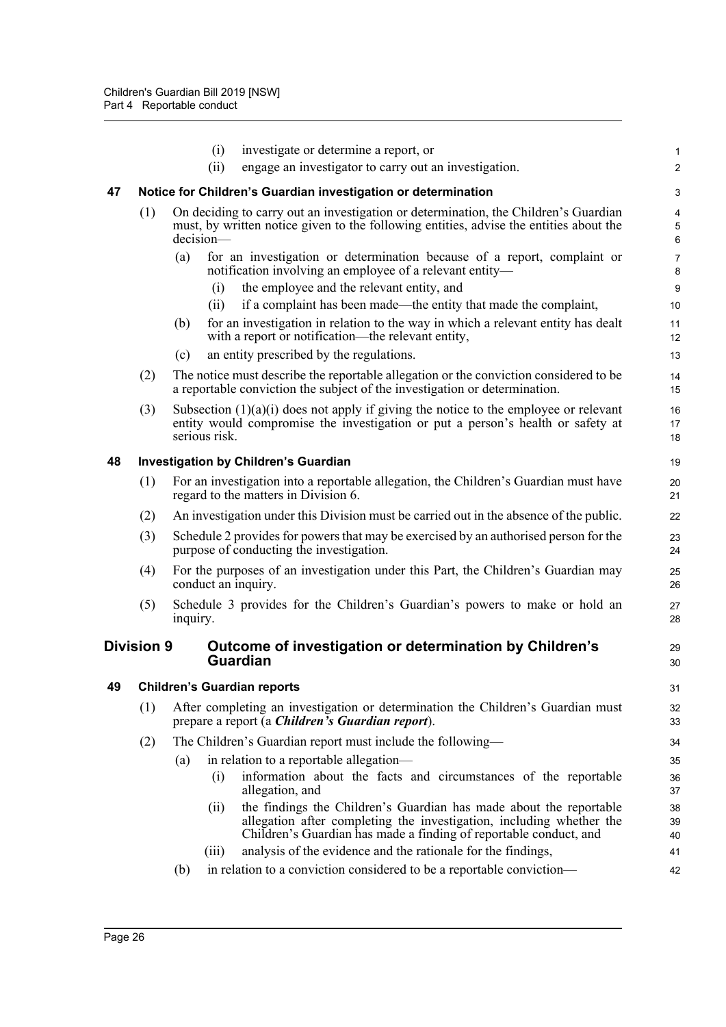<span id="page-31-3"></span><span id="page-31-2"></span><span id="page-31-1"></span><span id="page-31-0"></span>

|    |                   | investigate or determine a report, or<br>(i)                                                                                                                                                                            | 1                   |
|----|-------------------|-------------------------------------------------------------------------------------------------------------------------------------------------------------------------------------------------------------------------|---------------------|
|    |                   | engage an investigator to carry out an investigation.<br>(ii)                                                                                                                                                           | $\overline{c}$      |
| 47 |                   | Notice for Children's Guardian investigation or determination                                                                                                                                                           | 3                   |
|    | (1)               | On deciding to carry out an investigation or determination, the Children's Guardian<br>must, by written notice given to the following entities, advise the entities about the<br>$decision-$                            | 4<br>5<br>6         |
|    |                   | for an investigation or determination because of a report, complaint or<br>(a)<br>notification involving an employee of a relevant entity-                                                                              | $\overline{7}$<br>8 |
|    |                   | the employee and the relevant entity, and<br>(i)                                                                                                                                                                        | 9                   |
|    |                   | if a complaint has been made—the entity that made the complaint,<br>(11)                                                                                                                                                | 10                  |
|    |                   | for an investigation in relation to the way in which a relevant entity has dealt<br>(b)<br>with a report or notification—the relevant entity,                                                                           | 11<br>12            |
|    |                   | an entity prescribed by the regulations.<br>(c)                                                                                                                                                                         | 13                  |
|    | (2)               | The notice must describe the reportable allegation or the conviction considered to be<br>a reportable conviction the subject of the investigation or determination.                                                     | 14<br>15            |
|    | (3)               | Subsection $(1)(a)(i)$ does not apply if giving the notice to the employee or relevant<br>entity would compromise the investigation or put a person's health or safety at<br>serious risk.                              | 16<br>17<br>18      |
| 48 |                   | <b>Investigation by Children's Guardian</b>                                                                                                                                                                             | 19                  |
|    | (1)               | For an investigation into a reportable allegation, the Children's Guardian must have<br>regard to the matters in Division 6.                                                                                            | 20<br>21            |
|    | (2)               | An investigation under this Division must be carried out in the absence of the public.                                                                                                                                  | 22                  |
|    | (3)               | Schedule 2 provides for powers that may be exercised by an authorised person for the<br>purpose of conducting the investigation.                                                                                        | 23<br>24            |
|    | (4)               | For the purposes of an investigation under this Part, the Children's Guardian may<br>conduct an inquiry.                                                                                                                | 25<br>26            |
|    | (5)               | Schedule 3 provides for the Children's Guardian's powers to make or hold an<br>inquiry.                                                                                                                                 | 27<br>28            |
|    | <b>Division 9</b> | Outcome of investigation or determination by Children's<br><b>Guardian</b>                                                                                                                                              | 29<br>30            |
| 49 |                   | <b>Children's Guardian reports</b>                                                                                                                                                                                      | 31                  |
|    | (1)               | After completing an investigation or determination the Children's Guardian must<br>prepare a report (a Children's Guardian report).                                                                                     | 32<br>33            |
|    | (2)               | The Children's Guardian report must include the following—                                                                                                                                                              | 34                  |
|    |                   | in relation to a reportable allegation—<br>(a)                                                                                                                                                                          | 35                  |
|    |                   | information about the facts and circumstances of the reportable<br>(i)<br>allegation, and                                                                                                                               | 36<br>37            |
|    |                   | the findings the Children's Guardian has made about the reportable<br>(ii)<br>allegation after completing the investigation, including whether the<br>Children's Guardian has made a finding of reportable conduct, and | 38<br>39<br>40      |
|    |                   | analysis of the evidence and the rationale for the findings,<br>(iii)                                                                                                                                                   | 41                  |
|    |                   | in relation to a conviction considered to be a reportable conviction—<br>(b)                                                                                                                                            | 42                  |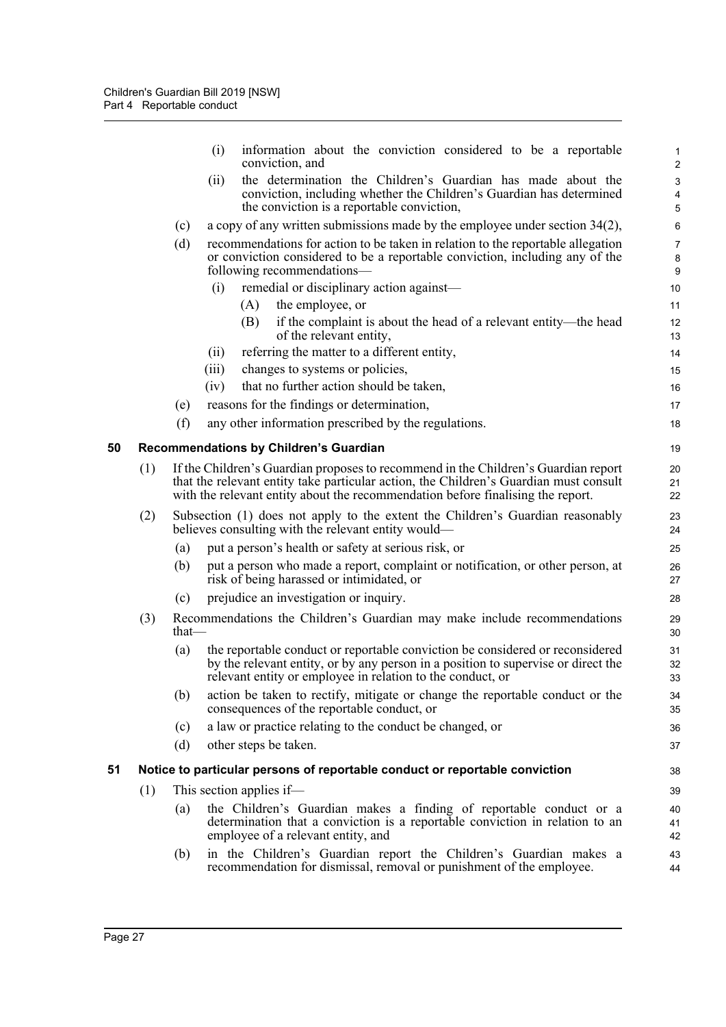<span id="page-32-1"></span><span id="page-32-0"></span>

|    |     |       | (i)<br>information about the conviction considered to be a reportable<br>conviction, and                                                                                                                                                                       | $\mathbf{1}$<br>$\overline{c}$                |
|----|-----|-------|----------------------------------------------------------------------------------------------------------------------------------------------------------------------------------------------------------------------------------------------------------------|-----------------------------------------------|
|    |     |       | the determination the Children's Guardian has made about the<br>(ii)<br>conviction, including whether the Children's Guardian has determined                                                                                                                   | 3<br>4                                        |
|    |     |       | the conviction is a reportable conviction,                                                                                                                                                                                                                     | 5                                             |
|    |     | (c)   | a copy of any written submissions made by the employee under section $34(2)$ ,                                                                                                                                                                                 | $\,6\,$                                       |
|    |     | (d)   | recommendations for action to be taken in relation to the reportable allegation<br>or conviction considered to be a reportable conviction, including any of the<br>following recommendations—                                                                  | $\overline{7}$<br>$\bf 8$<br>$\boldsymbol{9}$ |
|    |     |       | remedial or disciplinary action against—<br>(i)                                                                                                                                                                                                                | 10                                            |
|    |     |       | the employee, or<br>(A)                                                                                                                                                                                                                                        | 11                                            |
|    |     |       | if the complaint is about the head of a relevant entity—the head<br>(B)<br>of the relevant entity,                                                                                                                                                             | 12<br>13                                      |
|    |     |       | referring the matter to a different entity,<br>(ii)                                                                                                                                                                                                            | 14                                            |
|    |     |       | changes to systems or policies,<br>(iii)                                                                                                                                                                                                                       | 15                                            |
|    |     |       | that no further action should be taken,<br>(iv)                                                                                                                                                                                                                | 16                                            |
|    |     | (e)   | reasons for the findings or determination,                                                                                                                                                                                                                     | 17                                            |
|    |     | (f)   | any other information prescribed by the regulations.                                                                                                                                                                                                           | 18                                            |
| 50 |     |       | Recommendations by Children's Guardian                                                                                                                                                                                                                         | 19                                            |
|    | (1) |       | If the Children's Guardian proposes to recommend in the Children's Guardian report<br>that the relevant entity take particular action, the Children's Guardian must consult<br>with the relevant entity about the recommendation before finalising the report. | 20<br>21<br>22                                |
|    | (2) |       | Subsection (1) does not apply to the extent the Children's Guardian reasonably<br>believes consulting with the relevant entity would—                                                                                                                          | 23<br>24                                      |
|    |     | (a)   | put a person's health or safety at serious risk, or                                                                                                                                                                                                            | 25                                            |
|    |     | (b)   | put a person who made a report, complaint or notification, or other person, at<br>risk of being harassed or intimidated, or                                                                                                                                    | 26<br>27                                      |
|    |     | (c)   | prejudice an investigation or inquiry.                                                                                                                                                                                                                         | 28                                            |
|    | (3) | that— | Recommendations the Children's Guardian may make include recommendations                                                                                                                                                                                       | 29<br>30                                      |
|    |     | (a)   | the reportable conduct or reportable conviction be considered or reconsidered<br>by the relevant entity, or by any person in a position to supervise or direct the<br>relevant entity or employee in relation to the conduct, or                               | 31<br>32<br>33                                |
|    |     | (b)   | action be taken to rectify, mitigate or change the reportable conduct or the<br>consequences of the reportable conduct, or                                                                                                                                     | 34<br>35                                      |
|    |     | (c)   | a law or practice relating to the conduct be changed, or                                                                                                                                                                                                       | 36                                            |
|    |     | (d)   | other steps be taken.                                                                                                                                                                                                                                          | 37                                            |
| 51 |     |       | Notice to particular persons of reportable conduct or reportable conviction                                                                                                                                                                                    | 38                                            |
|    | (1) |       | This section applies if—                                                                                                                                                                                                                                       | 39                                            |
|    |     | (a)   | the Children's Guardian makes a finding of reportable conduct or a<br>determination that a conviction is a reportable conviction in relation to an<br>employee of a relevant entity, and                                                                       | 40<br>41<br>42                                |
|    |     | (b)   | in the Children's Guardian report the Children's Guardian makes a<br>recommendation for dismissal, removal or punishment of the employee.                                                                                                                      | 43<br>44                                      |
|    |     |       |                                                                                                                                                                                                                                                                |                                               |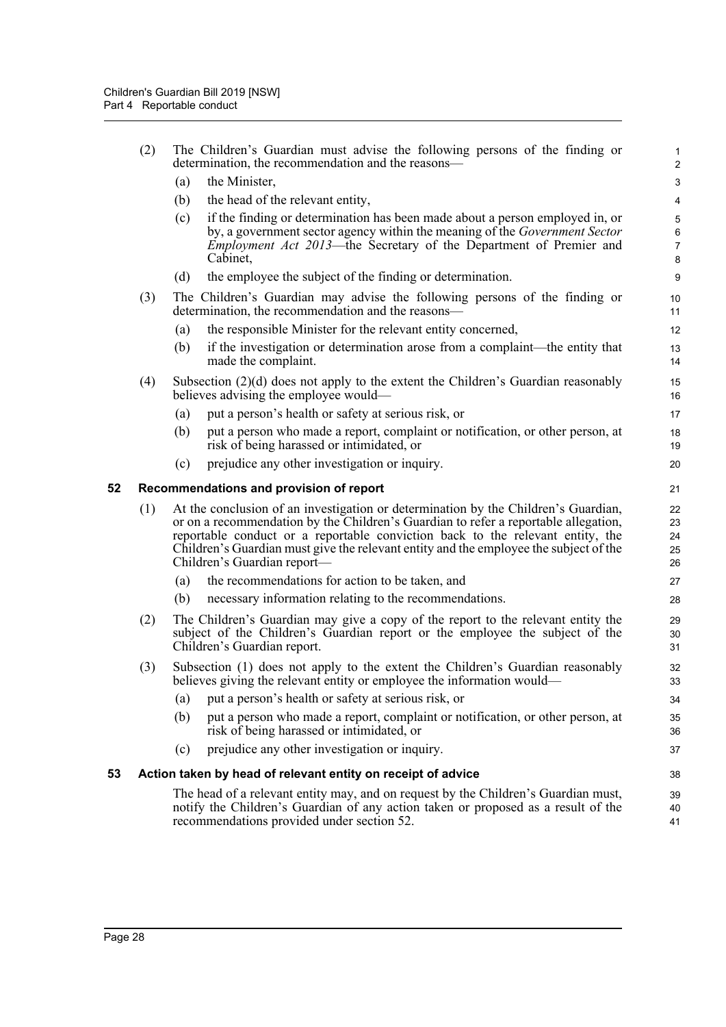<span id="page-33-1"></span><span id="page-33-0"></span>

|    | (2)                                                          | The Children's Guardian must advise the following persons of the finding or<br>determination, the recommendation and the reasons—                                                                                                                                                                                                                                                   |                                                                                                                                                                                                                                                             |                               |  |  |  |
|----|--------------------------------------------------------------|-------------------------------------------------------------------------------------------------------------------------------------------------------------------------------------------------------------------------------------------------------------------------------------------------------------------------------------------------------------------------------------|-------------------------------------------------------------------------------------------------------------------------------------------------------------------------------------------------------------------------------------------------------------|-------------------------------|--|--|--|
|    |                                                              | (a)                                                                                                                                                                                                                                                                                                                                                                                 | the Minister,                                                                                                                                                                                                                                               | 3                             |  |  |  |
|    |                                                              | (b)                                                                                                                                                                                                                                                                                                                                                                                 | the head of the relevant entity,                                                                                                                                                                                                                            | 4                             |  |  |  |
|    |                                                              | (c)                                                                                                                                                                                                                                                                                                                                                                                 | if the finding or determination has been made about a person employed in, or<br>by, a government sector agency within the meaning of the <i>Government Sector</i><br><i>Employment Act 2013</i> —the Secretary of the Department of Premier and<br>Cabinet, | 5<br>6<br>$\overline{7}$<br>8 |  |  |  |
|    |                                                              | (d)                                                                                                                                                                                                                                                                                                                                                                                 | the employee the subject of the finding or determination.                                                                                                                                                                                                   | 9                             |  |  |  |
|    | (3)                                                          |                                                                                                                                                                                                                                                                                                                                                                                     | The Children's Guardian may advise the following persons of the finding or<br>determination, the recommendation and the reasons—                                                                                                                            | 10<br>11                      |  |  |  |
|    |                                                              | (a)                                                                                                                                                                                                                                                                                                                                                                                 | the responsible Minister for the relevant entity concerned,                                                                                                                                                                                                 | 12                            |  |  |  |
|    |                                                              | (b)                                                                                                                                                                                                                                                                                                                                                                                 | if the investigation or determination arose from a complaint—the entity that<br>made the complaint.                                                                                                                                                         | 13<br>14                      |  |  |  |
|    | (4)                                                          |                                                                                                                                                                                                                                                                                                                                                                                     | Subsection $(2)(d)$ does not apply to the extent the Children's Guardian reasonably<br>believes advising the employee would—                                                                                                                                | 15<br>16                      |  |  |  |
|    |                                                              | (a)                                                                                                                                                                                                                                                                                                                                                                                 | put a person's health or safety at serious risk, or                                                                                                                                                                                                         | 17                            |  |  |  |
|    |                                                              | (b)                                                                                                                                                                                                                                                                                                                                                                                 | put a person who made a report, complaint or notification, or other person, at<br>risk of being harassed or intimidated, or                                                                                                                                 | 18<br>19                      |  |  |  |
|    |                                                              | (c)                                                                                                                                                                                                                                                                                                                                                                                 | prejudice any other investigation or inquiry.                                                                                                                                                                                                               | 20                            |  |  |  |
| 52 |                                                              |                                                                                                                                                                                                                                                                                                                                                                                     | Recommendations and provision of report                                                                                                                                                                                                                     | 21                            |  |  |  |
|    | (1)                                                          | At the conclusion of an investigation or determination by the Children's Guardian,<br>or on a recommendation by the Children's Guardian to refer a reportable allegation,<br>reportable conduct or a reportable conviction back to the relevant entity, the<br>Children's Guardian must give the relevant entity and the employee the subject of the<br>Children's Guardian report- |                                                                                                                                                                                                                                                             |                               |  |  |  |
|    |                                                              | (a)                                                                                                                                                                                                                                                                                                                                                                                 | the recommendations for action to be taken, and                                                                                                                                                                                                             | 27                            |  |  |  |
|    |                                                              | (b)                                                                                                                                                                                                                                                                                                                                                                                 | necessary information relating to the recommendations.                                                                                                                                                                                                      | 28                            |  |  |  |
|    | (2)                                                          | The Children's Guardian may give a copy of the report to the relevant entity the<br>subject of the Children's Guardian report or the employee the subject of the<br>Children's Guardian report.                                                                                                                                                                                     |                                                                                                                                                                                                                                                             | 29<br>30<br>31                |  |  |  |
|    | (3)                                                          |                                                                                                                                                                                                                                                                                                                                                                                     | Subsection (1) does not apply to the extent the Children's Guardian reasonably<br>believes giving the relevant entity or employee the information would-                                                                                                    | 32<br>33                      |  |  |  |
|    |                                                              | (a)                                                                                                                                                                                                                                                                                                                                                                                 | put a person's health or safety at serious risk, or                                                                                                                                                                                                         | 34                            |  |  |  |
|    |                                                              | (b)                                                                                                                                                                                                                                                                                                                                                                                 | put a person who made a report, complaint or notification, or other person, at<br>risk of being harassed or intimidated, or                                                                                                                                 | 35<br>36                      |  |  |  |
|    |                                                              | (c)                                                                                                                                                                                                                                                                                                                                                                                 | prejudice any other investigation or inquiry.                                                                                                                                                                                                               | 37                            |  |  |  |
| 53 | Action taken by head of relevant entity on receipt of advice |                                                                                                                                                                                                                                                                                                                                                                                     |                                                                                                                                                                                                                                                             |                               |  |  |  |
|    |                                                              |                                                                                                                                                                                                                                                                                                                                                                                     | The head of a relevant entity may, and on request by the Children's Guardian must,<br>notify the Children's Guardian of any action taken or proposed as a result of the<br>recommendations provided under section 52.                                       | 39<br>40<br>41                |  |  |  |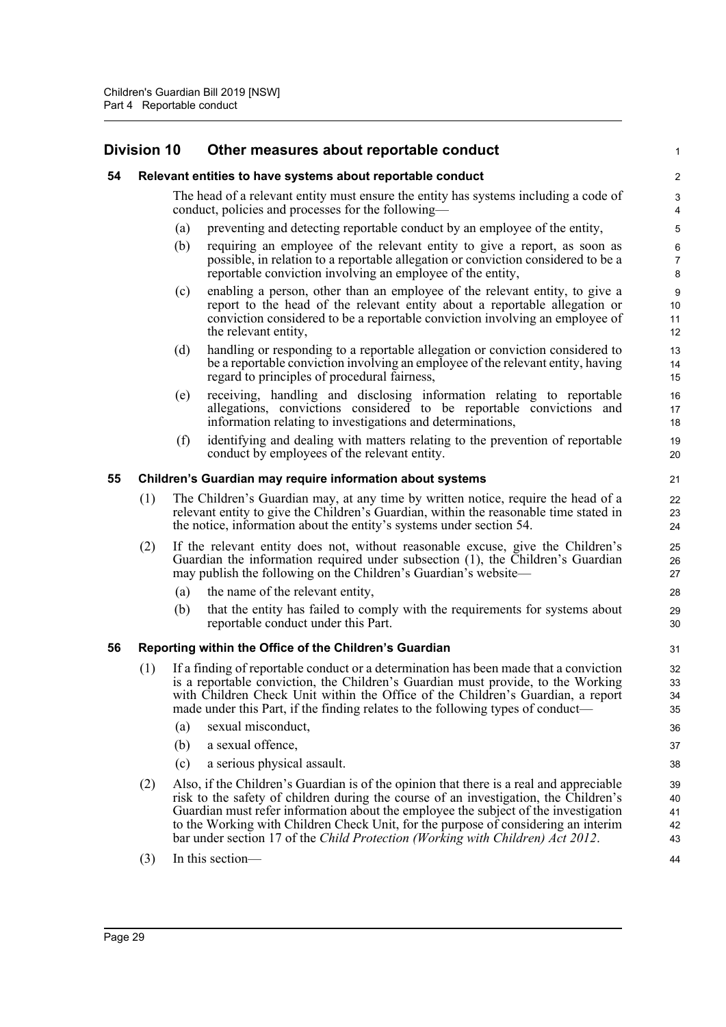### <span id="page-34-1"></span><span id="page-34-0"></span>**Division 10 Other measures about reportable conduct**

<span id="page-34-3"></span><span id="page-34-2"></span>

| DIVISION 10 |                                                           |                                                                                                                                                                                                                                                    | Other measures about reportable conduct                                                                                                                                                                                                                                                                                                                                                                                                        |                                    |  |  |
|-------------|-----------------------------------------------------------|----------------------------------------------------------------------------------------------------------------------------------------------------------------------------------------------------------------------------------------------------|------------------------------------------------------------------------------------------------------------------------------------------------------------------------------------------------------------------------------------------------------------------------------------------------------------------------------------------------------------------------------------------------------------------------------------------------|------------------------------------|--|--|
| 54          |                                                           |                                                                                                                                                                                                                                                    | Relevant entities to have systems about reportable conduct                                                                                                                                                                                                                                                                                                                                                                                     | $\sqrt{2}$                         |  |  |
|             |                                                           |                                                                                                                                                                                                                                                    | The head of a relevant entity must ensure the entity has systems including a code of<br>conduct, policies and processes for the following—                                                                                                                                                                                                                                                                                                     | $\sqrt{3}$<br>4                    |  |  |
|             |                                                           | (a)                                                                                                                                                                                                                                                | preventing and detecting reportable conduct by an employee of the entity,                                                                                                                                                                                                                                                                                                                                                                      | $\overline{5}$                     |  |  |
|             |                                                           | (b)                                                                                                                                                                                                                                                | requiring an employee of the relevant entity to give a report, as soon as<br>possible, in relation to a reportable allegation or conviction considered to be a<br>reportable conviction involving an employee of the entity,                                                                                                                                                                                                                   | 6<br>$\overline{7}$<br>8           |  |  |
|             |                                                           | (c)                                                                                                                                                                                                                                                | enabling a person, other than an employee of the relevant entity, to give a<br>report to the head of the relevant entity about a reportable allegation or<br>conviction considered to be a reportable conviction involving an employee of<br>the relevant entity,                                                                                                                                                                              | $\boldsymbol{9}$<br>10<br>11<br>12 |  |  |
|             |                                                           | (d)                                                                                                                                                                                                                                                | handling or responding to a reportable allegation or conviction considered to<br>be a reportable conviction involving an employee of the relevant entity, having<br>regard to principles of procedural fairness,                                                                                                                                                                                                                               | 13<br>14<br>15                     |  |  |
|             |                                                           | (e)                                                                                                                                                                                                                                                | receiving, handling and disclosing information relating to reportable<br>allegations, convictions considered to be reportable convictions and<br>information relating to investigations and determinations,                                                                                                                                                                                                                                    | 16<br>17<br>18                     |  |  |
|             |                                                           | (f)                                                                                                                                                                                                                                                | identifying and dealing with matters relating to the prevention of reportable<br>conduct by employees of the relevant entity.                                                                                                                                                                                                                                                                                                                  | 19<br>20                           |  |  |
| 55          | Children's Guardian may require information about systems |                                                                                                                                                                                                                                                    |                                                                                                                                                                                                                                                                                                                                                                                                                                                |                                    |  |  |
|             | (1)                                                       | The Children's Guardian may, at any time by written notice, require the head of a<br>relevant entity to give the Children's Guardian, within the reasonable time stated in<br>the notice, information about the entity's systems under section 54. |                                                                                                                                                                                                                                                                                                                                                                                                                                                |                                    |  |  |
|             | (2)                                                       | If the relevant entity does not, without reasonable excuse, give the Children's<br>Guardian the information required under subsection (1), the Children's Guardian<br>may publish the following on the Children's Guardian's website—              |                                                                                                                                                                                                                                                                                                                                                                                                                                                | 25<br>26<br>27                     |  |  |
|             |                                                           | (a)                                                                                                                                                                                                                                                | the name of the relevant entity,                                                                                                                                                                                                                                                                                                                                                                                                               | 28                                 |  |  |
|             |                                                           | (b)                                                                                                                                                                                                                                                | that the entity has failed to comply with the requirements for systems about<br>reportable conduct under this Part.                                                                                                                                                                                                                                                                                                                            | 29<br>30                           |  |  |
| 56          | Reporting within the Office of the Children's Guardian    |                                                                                                                                                                                                                                                    |                                                                                                                                                                                                                                                                                                                                                                                                                                                |                                    |  |  |
|             | (1)                                                       |                                                                                                                                                                                                                                                    | If a finding of reportable conduct or a determination has been made that a conviction<br>is a reportable conviction, the Children's Guardian must provide, to the Working<br>with Children Check Unit within the Office of the Children's Guardian, a report<br>made under this Part, if the finding relates to the following types of conduct—                                                                                                | 32<br>33<br>34<br>35               |  |  |
|             |                                                           | (a)                                                                                                                                                                                                                                                | sexual misconduct,                                                                                                                                                                                                                                                                                                                                                                                                                             | 36                                 |  |  |
|             |                                                           | (b)                                                                                                                                                                                                                                                | a sexual offence,                                                                                                                                                                                                                                                                                                                                                                                                                              | 37                                 |  |  |
|             |                                                           | (c)                                                                                                                                                                                                                                                | a serious physical assault.                                                                                                                                                                                                                                                                                                                                                                                                                    | 38                                 |  |  |
|             | (2)                                                       |                                                                                                                                                                                                                                                    | Also, if the Children's Guardian is of the opinion that there is a real and appreciable<br>risk to the safety of children during the course of an investigation, the Children's<br>Guardian must refer information about the employee the subject of the investigation<br>to the Working with Children Check Unit, for the purpose of considering an interim<br>bar under section 17 of the Child Protection (Working with Children) Act 2012. | 39<br>40<br>41<br>42<br>43         |  |  |
|             | (3)                                                       |                                                                                                                                                                                                                                                    | In this section-                                                                                                                                                                                                                                                                                                                                                                                                                               | 44                                 |  |  |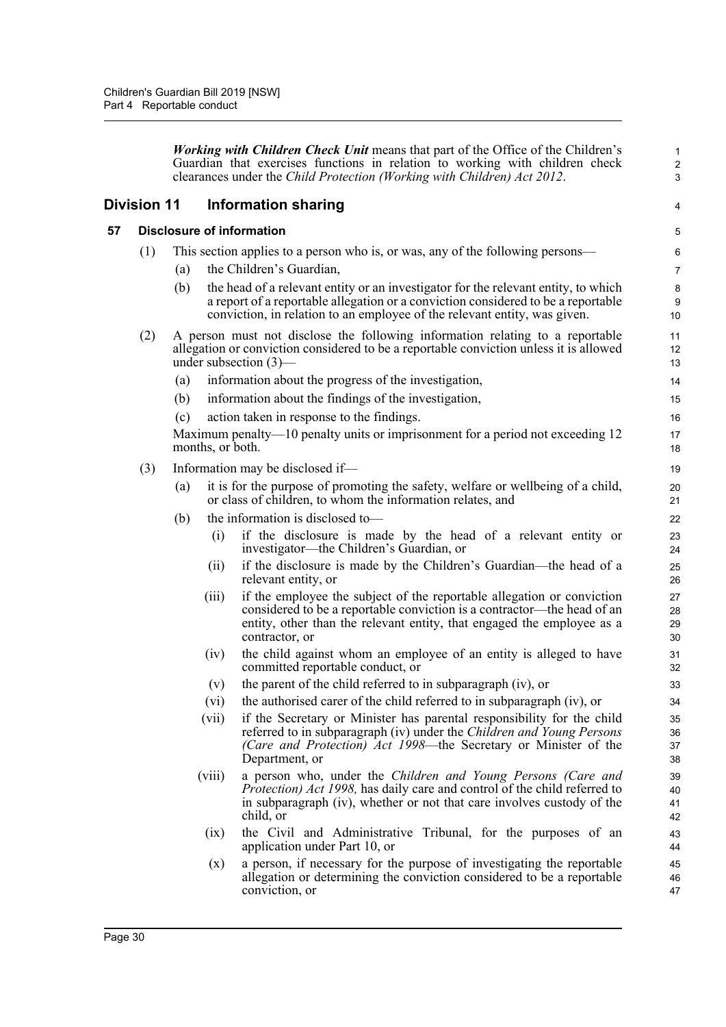*Working with Children Check Unit* means that part of the Office of the Children's Guardian that exercises functions in relation to working with children check clearances under the *Child Protection (Working with Children) Act 2012*.

1 2 3

4

### <span id="page-35-0"></span>**Division 11 Information sharing**

#### <span id="page-35-1"></span>**57 Disclosure of information**

- (1) This section applies to a person who is, or was, any of the following persons—
	- (a) the Children's Guardian,
	- (b) the head of a relevant entity or an investigator for the relevant entity, to which a report of a reportable allegation or a conviction considered to be a reportable conviction, in relation to an employee of the relevant entity, was given.
- (2) A person must not disclose the following information relating to a reportable allegation or conviction considered to be a reportable conviction unless it is allowed under subsection (3)—
	- (a) information about the progress of the investigation,
	- (b) information about the findings of the investigation,
	- (c) action taken in response to the findings.

Maximum penalty—10 penalty units or imprisonment for a period not exceeding 12 months, or both.

- (3) Information may be disclosed if—
	- (a) it is for the purpose of promoting the safety, welfare or wellbeing of a child, or class of children, to whom the information relates, and
	- (b) the information is disclosed to—
		- (i) if the disclosure is made by the head of a relevant entity or investigator—the Children's Guardian, or
		- (ii) if the disclosure is made by the Children's Guardian—the head of a relevant entity, or
		- (iii) if the employee the subject of the reportable allegation or conviction considered to be a reportable conviction is a contractor—the head of an entity, other than the relevant entity, that engaged the employee as a contractor, or
		- (iv) the child against whom an employee of an entity is alleged to have committed reportable conduct, or
		- (v) the parent of the child referred to in subparagraph (iv), or
		- (vi) the authorised carer of the child referred to in subparagraph (iv), or
		- (vii) if the Secretary or Minister has parental responsibility for the child referred to in subparagraph (iv) under the *Children and Young Persons (Care and Protection) Act 1998*—the Secretary or Minister of the Department, or
		- (viii) a person who, under the *Children and Young Persons (Care and Protection) Act 1998,* has daily care and control of the child referred to in subparagraph (iv), whether or not that care involves custody of the child, or
			- (ix) the Civil and Administrative Tribunal, for the purposes of an application under Part 10, or
			- (x) a person, if necessary for the purpose of investigating the reportable allegation or determining the conviction considered to be a reportable conviction, or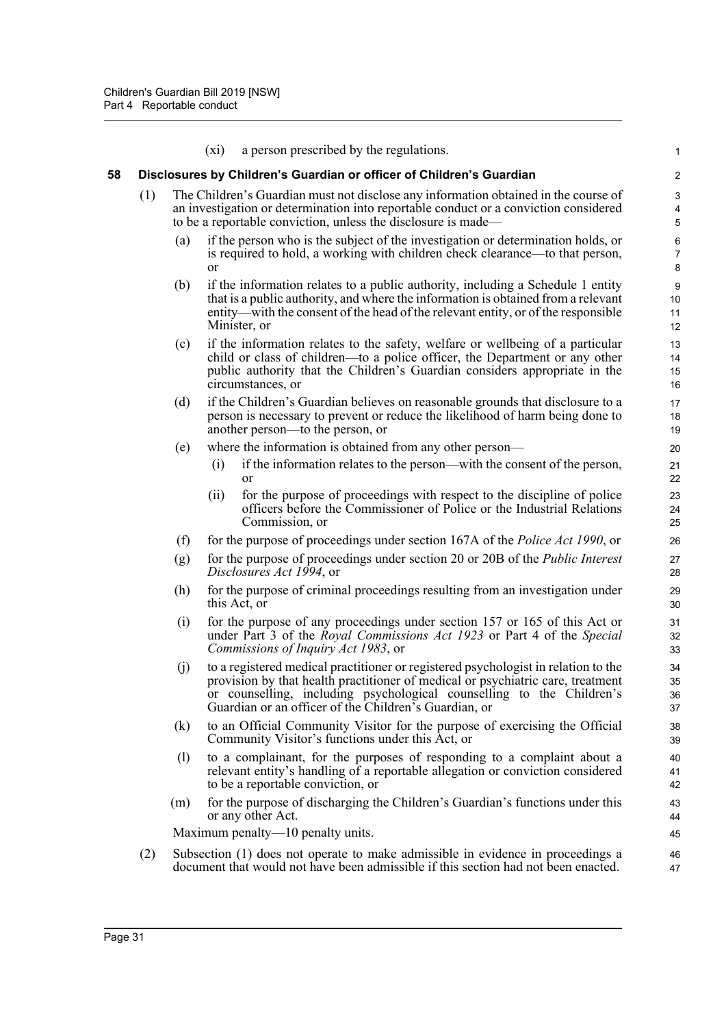|    |     |     | a person prescribed by the regulations.<br>$(x_i)$                                                                                                                                                                                                                                                      | 1                        |
|----|-----|-----|---------------------------------------------------------------------------------------------------------------------------------------------------------------------------------------------------------------------------------------------------------------------------------------------------------|--------------------------|
| 58 |     |     | Disclosures by Children's Guardian or officer of Children's Guardian                                                                                                                                                                                                                                    | $\overline{\mathbf{c}}$  |
|    | (1) |     | The Children's Guardian must not disclose any information obtained in the course of<br>an investigation or determination into reportable conduct or a conviction considered<br>to be a reportable conviction, unless the disclosure is made—                                                            | 3<br>4<br>5              |
|    |     | (a) | if the person who is the subject of the investigation or determination holds, or<br>is required to hold, a working with children check clearance—to that person,<br><b>or</b>                                                                                                                           | 6<br>$\overline{7}$<br>8 |
|    |     | (b) | if the information relates to a public authority, including a Schedule 1 entity<br>that is a public authority, and where the information is obtained from a relevant<br>entity—with the consent of the head of the relevant entity, or of the responsible<br>Minister, or                               | 9<br>10<br>11<br>12      |
|    |     | (c) | if the information relates to the safety, welfare or wellbeing of a particular<br>child or class of children—to a police officer, the Department or any other<br>public authority that the Children's Guardian considers appropriate in the<br>circumstances, or                                        | 13<br>14<br>15<br>16     |
|    |     | (d) | if the Children's Guardian believes on reasonable grounds that disclosure to a<br>person is necessary to prevent or reduce the likelihood of harm being done to<br>another person—to the person, or                                                                                                     | 17<br>18<br>19           |
|    |     | (e) | where the information is obtained from any other person—                                                                                                                                                                                                                                                | 20                       |
|    |     |     | if the information relates to the person—with the consent of the person,<br>(i)<br><sub>or</sub>                                                                                                                                                                                                        | 21<br>22                 |
|    |     |     | for the purpose of proceedings with respect to the discipline of police<br>(ii)<br>officers before the Commissioner of Police or the Industrial Relations<br>Commission, or                                                                                                                             | 23<br>24<br>25           |
|    |     | (f) | for the purpose of proceedings under section 167A of the <i>Police Act 1990</i> , or                                                                                                                                                                                                                    | 26                       |
|    |     | (g) | for the purpose of proceedings under section 20 or 20B of the <i>Public Interest</i><br><i>Disclosures Act 1994</i> , or                                                                                                                                                                                | 27<br>28                 |
|    |     | (h) | for the purpose of criminal proceedings resulting from an investigation under<br>this Act, or                                                                                                                                                                                                           | 29<br>30                 |
|    |     | (i) | for the purpose of any proceedings under section 157 or 165 of this Act or<br>under Part 3 of the Royal Commissions Act 1923 or Part 4 of the Special<br>Commissions of Inquiry Act 1983, or                                                                                                            | 31<br>32<br>33           |
|    |     | (j) | to a registered medical practitioner or registered psychologist in relation to the<br>provision by that health practitioner of medical or psychiatric care, treatment<br>or counselling, including psychological counselling to the Children's<br>Guardian or an officer of the Children's Guardian, or | 34<br>35<br>36<br>37     |
|    |     | (k) | to an Official Community Visitor for the purpose of exercising the Official<br>Community Visitor's functions under this Act, or                                                                                                                                                                         | 38<br>39                 |
|    |     | (1) | to a complainant, for the purposes of responding to a complaint about a<br>relevant entity's handling of a reportable allegation or conviction considered<br>to be a reportable conviction, or                                                                                                          | 40<br>41<br>42           |
|    |     | (m) | for the purpose of discharging the Children's Guardian's functions under this<br>or any other Act.                                                                                                                                                                                                      | 43<br>44                 |
|    |     |     | Maximum penalty—10 penalty units.                                                                                                                                                                                                                                                                       | 45                       |
|    | (2) |     | Subsection (1) does not operate to make admissible in evidence in proceedings a<br>document that would not have been admissible if this section had not been enacted.                                                                                                                                   | 46<br>47                 |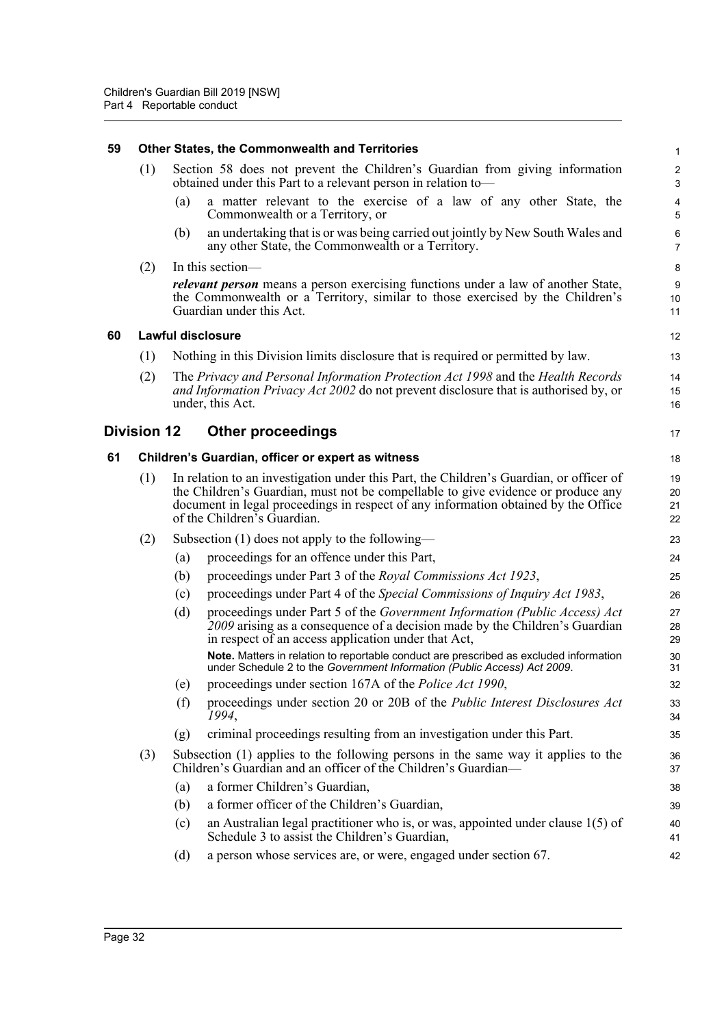| 59 |                    |     | <b>Other States, the Commonwealth and Territories</b>                                                                                                                                                                                                                                            |                                  |
|----|--------------------|-----|--------------------------------------------------------------------------------------------------------------------------------------------------------------------------------------------------------------------------------------------------------------------------------------------------|----------------------------------|
|    | (1)                |     | Section 58 does not prevent the Children's Guardian from giving information<br>obtained under this Part to a relevant person in relation to-                                                                                                                                                     | $\tilde{z}$<br>G                 |
|    |                    | (a) | a matter relevant to the exercise of a law of any other State, the<br>Commonwealth or a Territory, or                                                                                                                                                                                            | Ę                                |
|    |                    | (b) | an undertaking that is or was being carried out jointly by New South Wales and<br>any other State, the Commonwealth or a Territory.                                                                                                                                                              | $\epsilon$<br>7                  |
|    | (2)                |     | In this section-                                                                                                                                                                                                                                                                                 | ε                                |
|    |                    |     | <i>relevant person</i> means a person exercising functions under a law of another State,<br>the Commonwealth or a Territory, similar to those exercised by the Children's<br>Guardian under this Act.                                                                                            | ς<br>10<br>11                    |
| 60 |                    |     | <b>Lawful disclosure</b>                                                                                                                                                                                                                                                                         | 12                               |
|    | (1)                |     | Nothing in this Division limits disclosure that is required or permitted by law.                                                                                                                                                                                                                 | 13                               |
|    | (2)                |     | The Privacy and Personal Information Protection Act 1998 and the Health Records<br>and Information Privacy Act 2002 do not prevent disclosure that is authorised by, or<br>under, this Act.                                                                                                      | 14<br>15<br>16                   |
|    | <b>Division 12</b> |     | <b>Other proceedings</b>                                                                                                                                                                                                                                                                         | 17                               |
| 61 |                    |     | Children's Guardian, officer or expert as witness                                                                                                                                                                                                                                                | 18                               |
|    | (1)                |     | In relation to an investigation under this Part, the Children's Guardian, or officer of<br>the Children's Guardian, must not be compellable to give evidence or produce any<br>document in legal proceedings in respect of any information obtained by the Office<br>of the Children's Guardian. | 1 <sup>c</sup><br>20<br>21<br>22 |
|    | (2)                |     | Subsection $(1)$ does not apply to the following—                                                                                                                                                                                                                                                | 23                               |
|    |                    | (a) | proceedings for an offence under this Part,                                                                                                                                                                                                                                                      | 24                               |
|    |                    | (b) | proceedings under Part 3 of the Royal Commissions Act 1923,                                                                                                                                                                                                                                      | 25                               |
|    |                    | (c) | proceedings under Part 4 of the Special Commissions of Inquiry Act 1983,                                                                                                                                                                                                                         | 26                               |
|    |                    | (d) | proceedings under Part 5 of the Government Information (Public Access) Act<br>2009 arising as a consequence of a decision made by the Children's Guardian<br>in respect of an access application under that Act,                                                                                 | 27<br>28<br>29                   |
|    |                    |     | Note. Matters in relation to reportable conduct are prescribed as excluded information<br>under Schedule 2 to the Government Information (Public Access) Act 2009.                                                                                                                               | 3 <sub>C</sub><br>31             |
|    |                    | (e) | proceedings under section 167A of the Police Act 1990,                                                                                                                                                                                                                                           | 32                               |
|    |                    | (f) | proceedings under section 20 or 20B of the Public Interest Disclosures Act<br>1994,                                                                                                                                                                                                              | 33<br>34                         |
|    |                    | (g) | criminal proceedings resulting from an investigation under this Part.                                                                                                                                                                                                                            | 35                               |
|    | (3)                |     | Subsection (1) applies to the following persons in the same way it applies to the<br>Children's Guardian and an officer of the Children's Guardian-                                                                                                                                              | 36<br>37                         |
|    |                    | (a) | a former Children's Guardian,                                                                                                                                                                                                                                                                    | 38                               |
|    |                    | (b) | a former officer of the Children's Guardian,                                                                                                                                                                                                                                                     | 39                               |
|    |                    | (c) | an Australian legal practitioner who is, or was, appointed under clause $1(5)$ of<br>Schedule 3 to assist the Children's Guardian,                                                                                                                                                               | 40<br>41                         |
|    |                    | (d) | a person whose services are, or were, engaged under section 67.                                                                                                                                                                                                                                  | 42                               |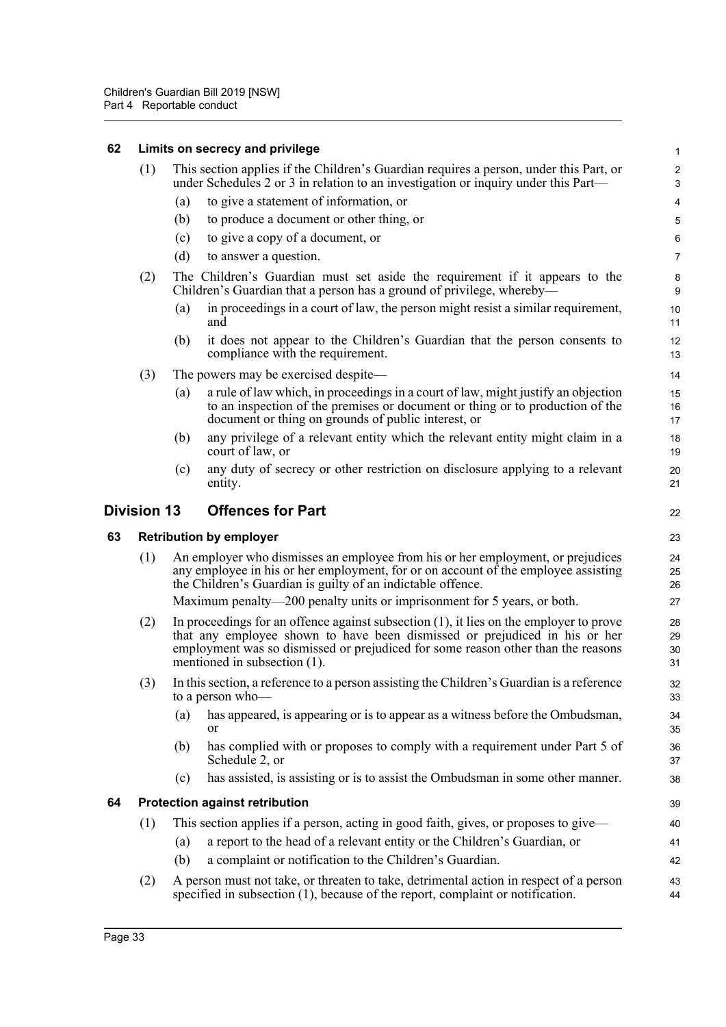#### **62 Limits on secrecy and privilege** (1) This section applies if the Children's Guardian requires a person, under this Part, or under Schedules 2 or 3 in relation to an investigation or inquiry under this Part— (a) to give a statement of information, or (b) to produce a document or other thing, or (c) to give a copy of a document, or (d) to answer a question. (2) The Children's Guardian must set aside the requirement if it appears to the Children's Guardian that a person has a ground of privilege, whereby— (a) in proceedings in a court of law, the person might resist a similar requirement, and (b) it does not appear to the Children's Guardian that the person consents to compliance with the requirement. (3) The powers may be exercised despite— (a) a rule of law which, in proceedings in a court of law, might justify an objection to an inspection of the premises or document or thing or to production of the document or thing on grounds of public interest, or (b) any privilege of a relevant entity which the relevant entity might claim in a court of law, or (c) any duty of secrecy or other restriction on disclosure applying to a relevant entity. **Division 13 Offences for Part 63 Retribution by employer** (1) An employer who dismisses an employee from his or her employment, or prejudices any employee in his or her employment, for or on account of the employee assisting the Children's Guardian is guilty of an indictable offence. Maximum penalty—200 penalty units or imprisonment for 5 years, or both. (2) In proceedings for an offence against subsection (1), it lies on the employer to prove that any employee shown to have been dismissed or prejudiced in his or her employment was so dismissed or prejudiced for some reason other than the reasons mentioned in subsection (1). (3) In this section, a reference to a person assisting the Children's Guardian is a reference to a person who-(a) has appeared, is appearing or is to appear as a witness before the Ombudsman, or (b) has complied with or proposes to comply with a requirement under Part 5 of Schedule 2, or (c) has assisted, is assisting or is to assist the Ombudsman in some other manner. **64 Protection against retribution** (1) This section applies if a person, acting in good faith, gives, or proposes to give— (a) a report to the head of a relevant entity or the Children's Guardian, or (b) a complaint or notification to the Children's Guardian. (2) A person must not take, or threaten to take, detrimental action in respect of a person specified in subsection (1), because of the report, complaint or notification. 1  $\overline{2}$ 3 4 5 6 7 8 9 10 11 12 13  $14$ 15 16 17 18 19  $20$ 21 22 23 24 25 26 27 28 29 30 31 32 33 34 35 36 37 38 39 40 41 42 43 44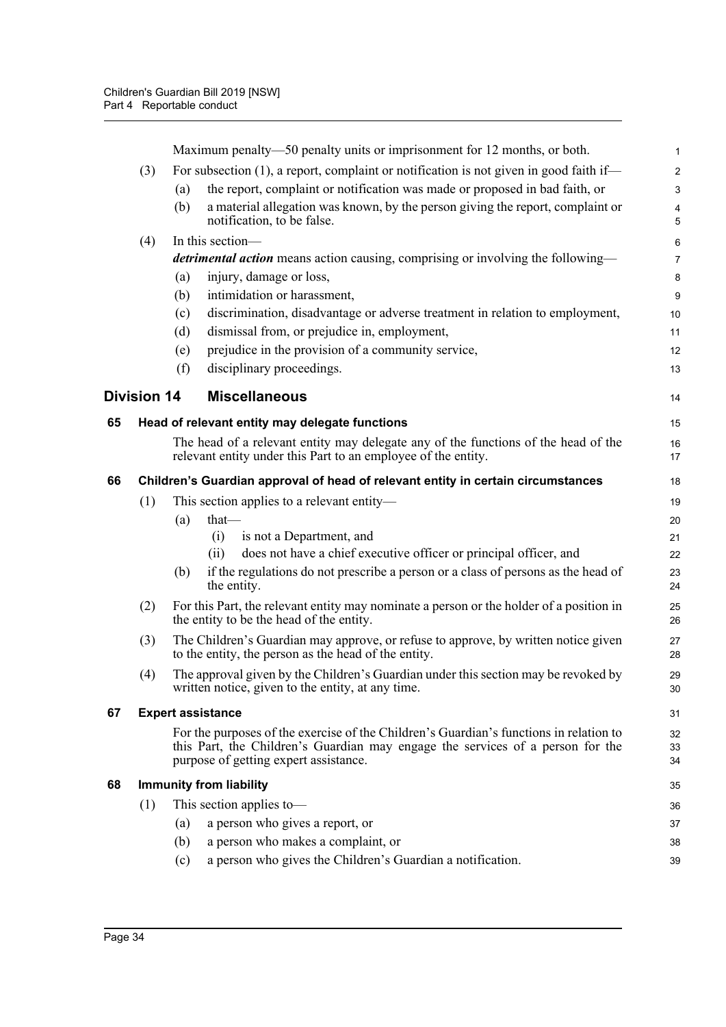|    |                    |     | Maximum penalty—50 penalty units or imprisonment for 12 months, or both.                                                                                                                                          | $\mathbf{1}$                 |
|----|--------------------|-----|-------------------------------------------------------------------------------------------------------------------------------------------------------------------------------------------------------------------|------------------------------|
|    | (3)                |     | For subsection (1), a report, complaint or notification is not given in good faith if—                                                                                                                            | $\overline{2}$               |
|    |                    | (a) | the report, complaint or notification was made or proposed in bad faith, or                                                                                                                                       | $\mathbf{3}$                 |
|    |                    | (b) | a material allegation was known, by the person giving the report, complaint or<br>notification, to be false.                                                                                                      | $\overline{\mathbf{4}}$<br>5 |
|    | (4)                |     | In this section-                                                                                                                                                                                                  | 6                            |
|    |                    |     | <i>detrimental action</i> means action causing, comprising or involving the following—                                                                                                                            | $\overline{7}$               |
|    |                    | (a) | injury, damage or loss,                                                                                                                                                                                           | 8                            |
|    |                    | (b) | intimidation or harassment,                                                                                                                                                                                       | $\boldsymbol{9}$             |
|    |                    | (c) | discrimination, disadvantage or adverse treatment in relation to employment,                                                                                                                                      | 10                           |
|    |                    | (d) | dismissal from, or prejudice in, employment,                                                                                                                                                                      | 11                           |
|    |                    | (e) | prejudice in the provision of a community service,                                                                                                                                                                | 12                           |
|    |                    | (f) | disciplinary proceedings.                                                                                                                                                                                         | 13                           |
|    | <b>Division 14</b> |     | <b>Miscellaneous</b>                                                                                                                                                                                              | 14                           |
| 65 |                    |     | Head of relevant entity may delegate functions                                                                                                                                                                    | 15                           |
|    |                    |     | The head of a relevant entity may delegate any of the functions of the head of the<br>relevant entity under this Part to an employee of the entity.                                                               | 16<br>17                     |
| 66 |                    |     | Children's Guardian approval of head of relevant entity in certain circumstances                                                                                                                                  | 18                           |
|    | (1)                |     | This section applies to a relevant entity-                                                                                                                                                                        | 19                           |
|    |                    | (a) | that-                                                                                                                                                                                                             | 20                           |
|    |                    |     | is not a Department, and<br>(i)                                                                                                                                                                                   | 21                           |
|    |                    |     | does not have a chief executive officer or principal officer, and<br>(ii)                                                                                                                                         | 22                           |
|    |                    | (b) | if the regulations do not prescribe a person or a class of persons as the head of<br>the entity.                                                                                                                  | 23<br>24                     |
|    | (2)                |     | For this Part, the relevant entity may nominate a person or the holder of a position in<br>the entity to be the head of the entity.                                                                               | 25<br>26                     |
|    | (3)                |     | The Children's Guardian may approve, or refuse to approve, by written notice given<br>to the entity, the person as the head of the entity.                                                                        | 27<br>28                     |
|    | (4)                |     | The approval given by the Children's Guardian under this section may be revoked by<br>written notice, given to the entity, at any time.                                                                           | 29<br>30                     |
| 67 |                    |     | <b>Expert assistance</b>                                                                                                                                                                                          | 31                           |
|    |                    |     | For the purposes of the exercise of the Children's Guardian's functions in relation to<br>this Part, the Children's Guardian may engage the services of a person for the<br>purpose of getting expert assistance. | 32<br>33<br>34               |
| 68 |                    |     | <b>Immunity from liability</b>                                                                                                                                                                                    | 35                           |
|    | (1)                |     | This section applies to-                                                                                                                                                                                          | 36                           |
|    |                    | (a) | a person who gives a report, or                                                                                                                                                                                   | 37                           |
|    |                    | (b) | a person who makes a complaint, or                                                                                                                                                                                | 38                           |
|    |                    | (c) | a person who gives the Children's Guardian a notification.                                                                                                                                                        | 39                           |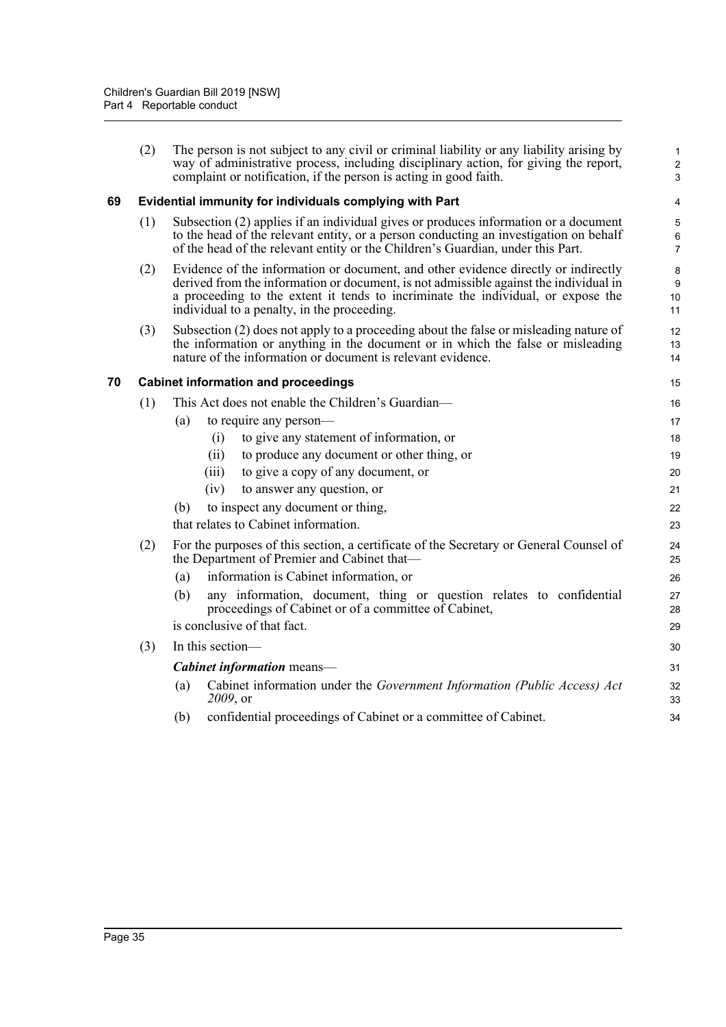|    | (2) | The person is not subject to any civil or criminal liability or any liability arising by<br>way of administrative process, including disciplinary action, for giving the report,<br>complaint or notification, if the person is acting in good faith.                                                          | 1<br>$\overline{\mathbf{c}}$<br>3 |
|----|-----|----------------------------------------------------------------------------------------------------------------------------------------------------------------------------------------------------------------------------------------------------------------------------------------------------------------|-----------------------------------|
| 69 |     | Evidential immunity for individuals complying with Part                                                                                                                                                                                                                                                        | 4                                 |
|    | (1) | Subsection (2) applies if an individual gives or produces information or a document<br>to the head of the relevant entity, or a person conducting an investigation on behalf<br>of the head of the relevant entity or the Children's Guardian, under this Part.                                                | 5<br>6<br>7                       |
|    | (2) | Evidence of the information or document, and other evidence directly or indirectly<br>derived from the information or document, is not admissible against the individual in<br>a proceeding to the extent it tends to incriminate the individual, or expose the<br>individual to a penalty, in the proceeding. | 8<br>9<br>10<br>11                |
|    | (3) | Subsection (2) does not apply to a proceeding about the false or misleading nature of<br>the information or anything in the document or in which the false or misleading<br>nature of the information or document is relevant evidence.                                                                        | 12<br>13<br>14                    |
| 70 |     | <b>Cabinet information and proceedings</b>                                                                                                                                                                                                                                                                     | 15                                |
|    | (1) | This Act does not enable the Children's Guardian—                                                                                                                                                                                                                                                              | 16                                |
|    |     | to require any person-<br>(a)                                                                                                                                                                                                                                                                                  | 17                                |
|    |     | to give any statement of information, or<br>(i)                                                                                                                                                                                                                                                                | 18                                |
|    |     | to produce any document or other thing, or<br>(ii)                                                                                                                                                                                                                                                             | 19                                |
|    |     | to give a copy of any document, or<br>(iii)                                                                                                                                                                                                                                                                    | 20                                |
|    |     | (iv)<br>to answer any question, or                                                                                                                                                                                                                                                                             | 21                                |
|    |     | to inspect any document or thing,<br>(b)                                                                                                                                                                                                                                                                       | 22                                |
|    |     | that relates to Cabinet information.                                                                                                                                                                                                                                                                           | 23                                |
|    | (2) | For the purposes of this section, a certificate of the Secretary or General Counsel of<br>the Department of Premier and Cabinet that-                                                                                                                                                                          | 24<br>25                          |
|    |     | information is Cabinet information, or<br>(a)                                                                                                                                                                                                                                                                  | 26                                |
|    |     | any information, document, thing or question relates to confidential<br>(b)<br>proceedings of Cabinet or of a committee of Cabinet,                                                                                                                                                                            | 27<br>28                          |
|    |     | is conclusive of that fact.                                                                                                                                                                                                                                                                                    | 29                                |
|    | (3) | In this section—                                                                                                                                                                                                                                                                                               | 30                                |
|    |     | <b>Cabinet information</b> means-                                                                                                                                                                                                                                                                              | 31                                |
|    |     | Cabinet information under the Government Information (Public Access) Act<br>(a)<br>2009, or                                                                                                                                                                                                                    | 32<br>33                          |
|    |     | confidential proceedings of Cabinet or a committee of Cabinet.<br>(b)                                                                                                                                                                                                                                          | 34                                |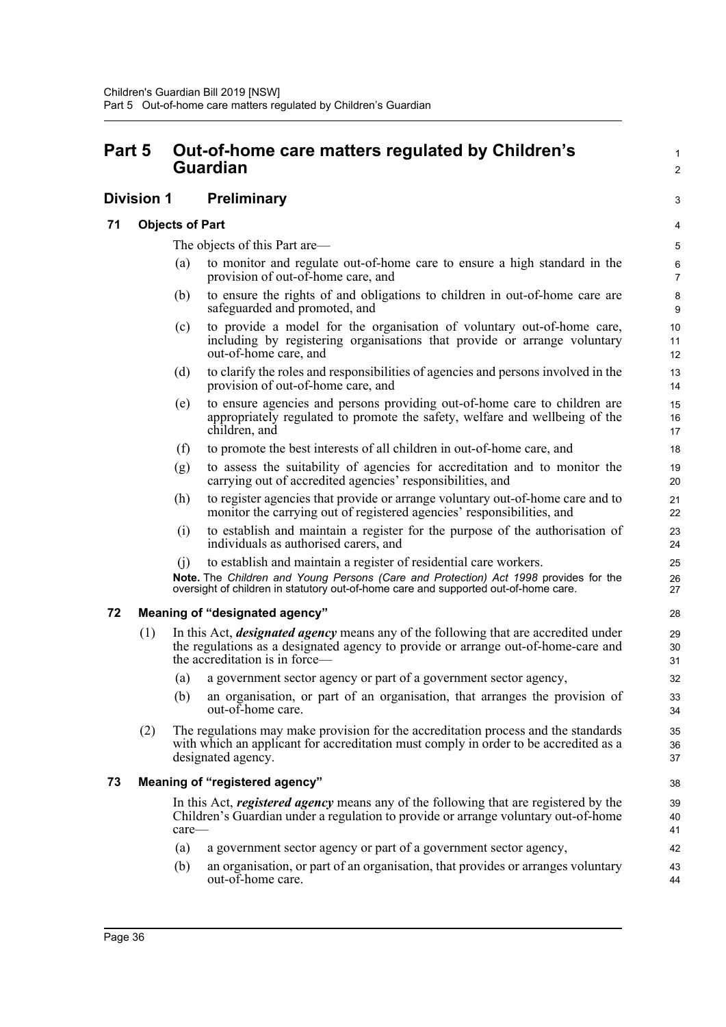# **Part 5 Out-of-home care matters regulated by Children's Guardian**

# **Division 1 Preliminary**

### **71 Objects of Part**

The objects of this Part are—

- (a) to monitor and regulate out-of-home care to ensure a high standard in the provision of out-of-home care, and
- (b) to ensure the rights of and obligations to children in out-of-home care are safeguarded and promoted, and
- (c) to provide a model for the organisation of voluntary out-of-home care, including by registering organisations that provide or arrange voluntary out-of-home care, and
- (d) to clarify the roles and responsibilities of agencies and persons involved in the provision of out-of-home care, and
- (e) to ensure agencies and persons providing out-of-home care to children are appropriately regulated to promote the safety, welfare and wellbeing of the children, and
- (f) to promote the best interests of all children in out-of-home care, and
- (g) to assess the suitability of agencies for accreditation and to monitor the carrying out of accredited agencies' responsibilities, and
- (h) to register agencies that provide or arrange voluntary out-of-home care and to monitor the carrying out of registered agencies' responsibilities, and
- (i) to establish and maintain a register for the purpose of the authorisation of individuals as authorised carers, and
- (j) to establish and maintain a register of residential care workers.

**Note.** The *Children and Young Persons (Care and Protection) Act 1998* provides for the oversight of children in statutory out-of-home care and supported out-of-home care.

# **72 Meaning of "designated agency"**

- (1) In this Act, *designated agency* means any of the following that are accredited under the regulations as a designated agency to provide or arrange out-of-home-care and the accreditation is in force—
	- (a) a government sector agency or part of a government sector agency,
	- (b) an organisation, or part of an organisation, that arranges the provision of out-of-home care.
- (2) The regulations may make provision for the accreditation process and the standards with which an applicant for accreditation must comply in order to be accredited as a designated agency.

# **73 Meaning of "registered agency"**

In this Act, *registered agency* means any of the following that are registered by the Children's Guardian under a regulation to provide or arrange voluntary out-of-home care—

- (a) a government sector agency or part of a government sector agency,
- (b) an organisation, or part of an organisation, that provides or arranges voluntary out-of-home care.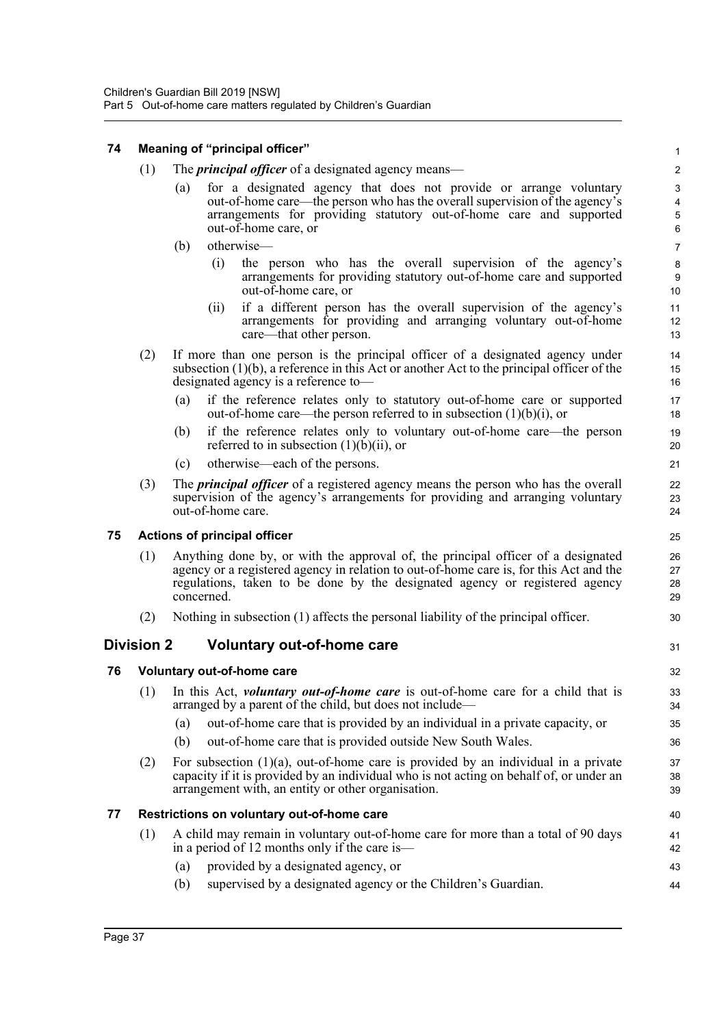### **74 Meaning of "principal officer"**

- (1) The *principal officer* of a designated agency means—
	- (a) for a designated agency that does not provide or arrange voluntary out-of-home care—the person who has the overall supervision of the agency's arrangements for providing statutory out-of-home care and supported out-of-home care, or

31

- (b) otherwise—
	- (i) the person who has the overall supervision of the agency's arrangements for providing statutory out-of-home care and supported out-of-home care, or
	- (ii) if a different person has the overall supervision of the agency's arrangements for providing and arranging voluntary out-of-home care—that other person.
- (2) If more than one person is the principal officer of a designated agency under subsection (1)(b), a reference in this Act or another Act to the principal officer of the designated agency is a reference to—
	- (a) if the reference relates only to statutory out-of-home care or supported out-of-home care—the person referred to in subsection (1)(b)(i), or
	- (b) if the reference relates only to voluntary out-of-home care—the person referred to in subsection  $(1)(b)(ii)$ , or
	- (c) otherwise—each of the persons.
- (3) The *principal officer* of a registered agency means the person who has the overall supervision of the agency's arrangements for providing and arranging voluntary out-of-home care.

### **75 Actions of principal officer**

- (1) Anything done by, or with the approval of, the principal officer of a designated agency or a registered agency in relation to out-of-home care is, for this Act and the regulations, taken to be done by the designated agency or registered agency concerned.
- (2) Nothing in subsection (1) affects the personal liability of the principal officer.

### **Division 2 Voluntary out-of-home care**

### **76 Voluntary out-of-home care**

- (1) In this Act, *voluntary out-of-home care* is out-of-home care for a child that is arranged by a parent of the child, but does not include—
	- (a) out-of-home care that is provided by an individual in a private capacity, or
	- (b) out-of-home care that is provided outside New South Wales.
- (2) For subsection  $(1)(a)$ , out-of-home care is provided by an individual in a private capacity if it is provided by an individual who is not acting on behalf of, or under an arrangement with, an entity or other organisation.

### **77 Restrictions on voluntary out-of-home care**

- (1) A child may remain in voluntary out-of-home care for more than a total of 90 days in a period of 12 months only if the care is—
	- (a) provided by a designated agency, or
	- (b) supervised by a designated agency or the Children's Guardian.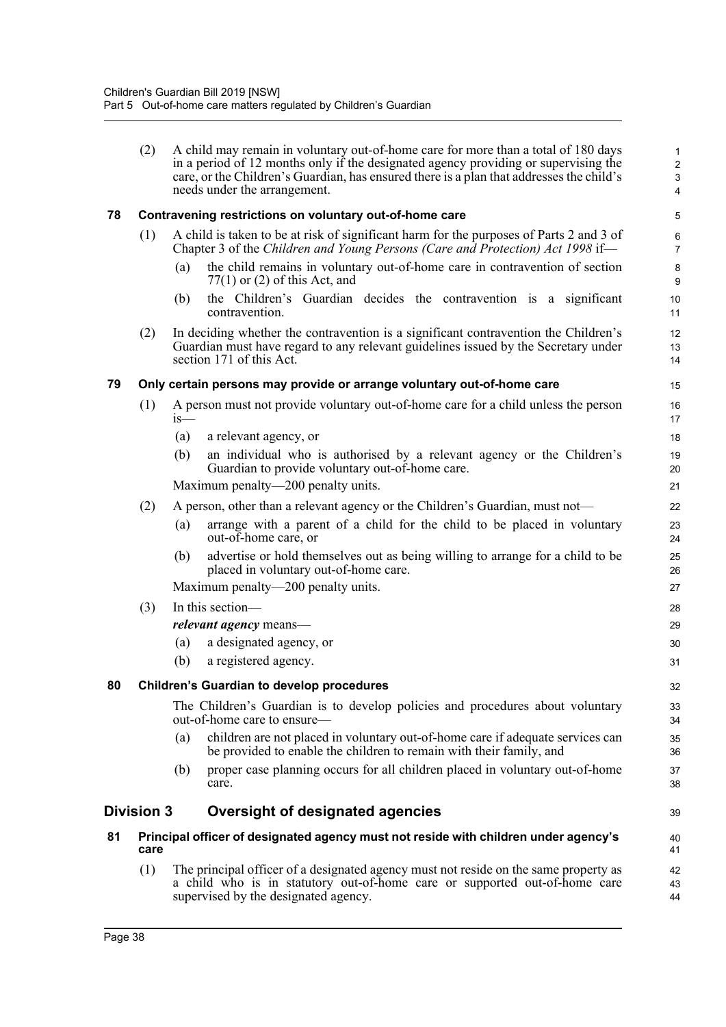|    | (2)               | A child may remain in voluntary out-of-home care for more than a total of 180 days<br>in a period of 12 months only if the designated agency providing or supervising the<br>care, or the Children's Guardian, has ensured there is a plan that addresses the child's<br>needs under the arrangement. | 1<br>$\sqrt{2}$<br>$\mathbf{3}$<br>$\overline{\mathbf{4}}$ |
|----|-------------------|-------------------------------------------------------------------------------------------------------------------------------------------------------------------------------------------------------------------------------------------------------------------------------------------------------|------------------------------------------------------------|
| 78 |                   | Contravening restrictions on voluntary out-of-home care                                                                                                                                                                                                                                               | 5                                                          |
|    | (1)               | A child is taken to be at risk of significant harm for the purposes of Parts 2 and 3 of<br>Chapter 3 of the Children and Young Persons (Care and Protection) Act 1998 if-                                                                                                                             | 6<br>$\overline{7}$                                        |
|    |                   | the child remains in voluntary out-of-home care in contravention of section<br>(a)<br>$77(1)$ or (2) of this Act, and                                                                                                                                                                                 | $\bf8$<br>9                                                |
|    |                   | the Children's Guardian decides the contravention is a significant<br>(b)<br>contravention.                                                                                                                                                                                                           | 10<br>11                                                   |
|    | (2)               | In deciding whether the contravention is a significant contravention the Children's<br>Guardian must have regard to any relevant guidelines issued by the Secretary under<br>section 171 of this Act.                                                                                                 | 12<br>13<br>14                                             |
| 79 |                   | Only certain persons may provide or arrange voluntary out-of-home care                                                                                                                                                                                                                                | 15                                                         |
|    | (1)               | A person must not provide voluntary out-of-home care for a child unless the person<br>$1S$ —                                                                                                                                                                                                          | 16<br>17                                                   |
|    |                   | (a)<br>a relevant agency, or                                                                                                                                                                                                                                                                          | 18                                                         |
|    |                   | (b)<br>an individual who is authorised by a relevant agency or the Children's<br>Guardian to provide voluntary out-of-home care.                                                                                                                                                                      | 19<br>20                                                   |
|    |                   | Maximum penalty—200 penalty units.                                                                                                                                                                                                                                                                    | 21                                                         |
|    | (2)               | A person, other than a relevant agency or the Children's Guardian, must not—                                                                                                                                                                                                                          | 22                                                         |
|    |                   | arrange with a parent of a child for the child to be placed in voluntary<br>(a)<br>out-of-home care, or                                                                                                                                                                                               | 23<br>24                                                   |
|    |                   | advertise or hold themselves out as being willing to arrange for a child to be<br>(b)<br>placed in voluntary out-of-home care.                                                                                                                                                                        | 25<br>26                                                   |
|    |                   | Maximum penalty—200 penalty units.                                                                                                                                                                                                                                                                    | 27                                                         |
|    | (3)               | In this section-                                                                                                                                                                                                                                                                                      | 28                                                         |
|    |                   | <i>relevant agency</i> means—                                                                                                                                                                                                                                                                         | 29                                                         |
|    |                   | a designated agency, or<br>(a)                                                                                                                                                                                                                                                                        | 30                                                         |
|    |                   | (b)<br>a registered agency.                                                                                                                                                                                                                                                                           | 31                                                         |
| 80 |                   | <b>Children's Guardian to develop procedures</b>                                                                                                                                                                                                                                                      | 32                                                         |
|    |                   | The Children's Guardian is to develop policies and procedures about voluntary<br>out-of-home care to ensure—                                                                                                                                                                                          | 33<br>34                                                   |
|    |                   | children are not placed in voluntary out-of-home care if adequate services can<br>(a)<br>be provided to enable the children to remain with their family, and                                                                                                                                          | 35<br>36                                                   |
|    |                   | proper case planning occurs for all children placed in voluntary out-of-home<br>(b)<br>care.                                                                                                                                                                                                          | 37<br>38                                                   |
|    | <b>Division 3</b> | Oversight of designated agencies                                                                                                                                                                                                                                                                      | 39                                                         |
| 81 | care              | Principal officer of designated agency must not reside with children under agency's                                                                                                                                                                                                                   | 40<br>41                                                   |
|    | (1)               | The principal officer of a designated agency must not reside on the same property as<br>a child who is in statutory out-of-home care or supported out-of-home care<br>supervised by the designated agency.                                                                                            | 42<br>43<br>44                                             |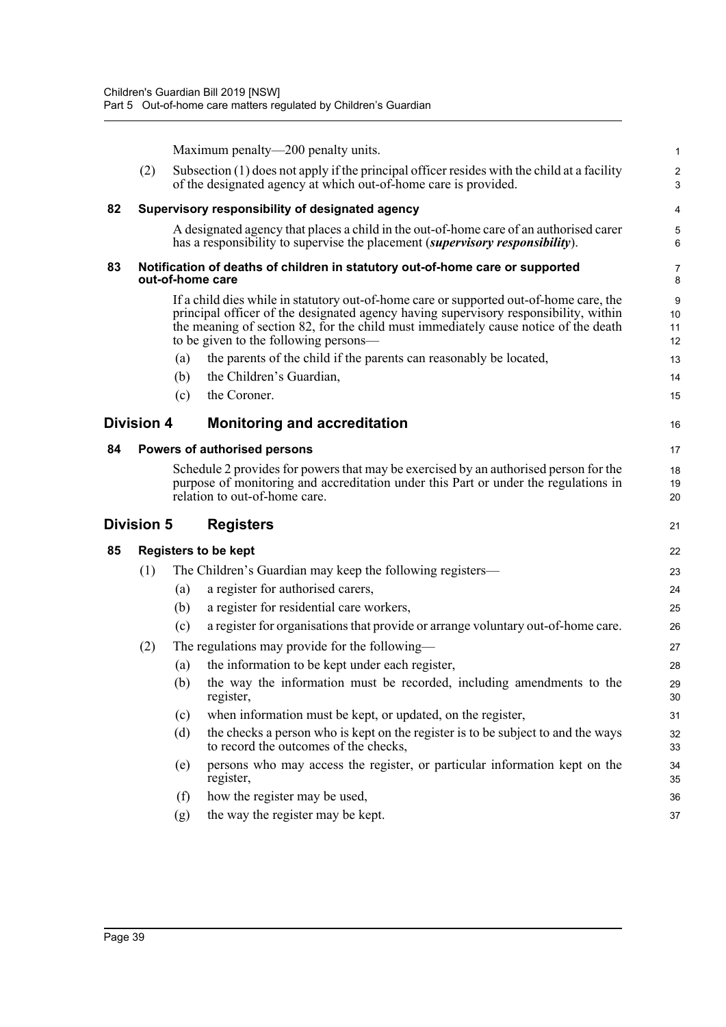|    |                   |     | Maximum penalty—200 penalty units.                                                                                                                                                                                                                                                                             | $\mathbf{1}$        |
|----|-------------------|-----|----------------------------------------------------------------------------------------------------------------------------------------------------------------------------------------------------------------------------------------------------------------------------------------------------------------|---------------------|
|    | (2)               |     | Subsection $(1)$ does not apply if the principal officer resides with the child at a facility<br>of the designated agency at which out-of-home care is provided.                                                                                                                                               | $\overline{c}$<br>3 |
| 82 |                   |     | Supervisory responsibility of designated agency                                                                                                                                                                                                                                                                | 4                   |
|    |                   |     | A designated agency that places a child in the out-of-home care of an authorised carer<br>has a responsibility to supervise the placement <i>(supervisory responsibility)</i> .                                                                                                                                | $\,$ 5 $\,$<br>6    |
| 83 |                   |     | Notification of deaths of children in statutory out-of-home care or supported<br>out-of-home care                                                                                                                                                                                                              | 7<br>8              |
|    |                   |     | If a child dies while in statutory out-of-home care or supported out-of-home care, the<br>principal officer of the designated agency having supervisory responsibility, within<br>the meaning of section 82, for the child must immediately cause notice of the death<br>to be given to the following persons— | 9<br>10<br>11<br>12 |
|    |                   | (a) | the parents of the child if the parents can reasonably be located,                                                                                                                                                                                                                                             | 13                  |
|    |                   | (b) | the Children's Guardian,                                                                                                                                                                                                                                                                                       | 14                  |
|    |                   | (c) | the Coroner.                                                                                                                                                                                                                                                                                                   | 15                  |
|    | <b>Division 4</b> |     | <b>Monitoring and accreditation</b>                                                                                                                                                                                                                                                                            | 16                  |
| 84 |                   |     | Powers of authorised persons                                                                                                                                                                                                                                                                                   | 17                  |
|    |                   |     | Schedule 2 provides for powers that may be exercised by an authorised person for the<br>purpose of monitoring and accreditation under this Part or under the regulations in<br>relation to out-of-home care.                                                                                                   | 18<br>19<br>20      |
|    | Division 5        |     | <b>Registers</b>                                                                                                                                                                                                                                                                                               | 21                  |
| 85 |                   |     | <b>Registers to be kept</b>                                                                                                                                                                                                                                                                                    | 22                  |
|    | (1)               |     | The Children's Guardian may keep the following registers—                                                                                                                                                                                                                                                      | 23                  |
|    |                   | (a) | a register for authorised carers,                                                                                                                                                                                                                                                                              | 24                  |
|    |                   | (b) | a register for residential care workers,                                                                                                                                                                                                                                                                       | 25                  |
|    |                   | (c) | a register for organisations that provide or arrange voluntary out-of-home care.                                                                                                                                                                                                                               | 26                  |
|    | (2)               |     | The regulations may provide for the following—                                                                                                                                                                                                                                                                 | 27                  |
|    |                   | (a) | the information to be kept under each register,                                                                                                                                                                                                                                                                | 28                  |
|    |                   |     | (b) the way the information must be recorded, including amendments to the<br>register,                                                                                                                                                                                                                         | 29<br>30            |
|    |                   | (c) | when information must be kept, or updated, on the register,                                                                                                                                                                                                                                                    | 31                  |
|    |                   | (d) | the checks a person who is kept on the register is to be subject to and the ways<br>to record the outcomes of the checks,                                                                                                                                                                                      | 32<br>33            |
|    |                   | (e) | persons who may access the register, or particular information kept on the<br>register,                                                                                                                                                                                                                        | 34<br>35            |
|    |                   | (f) | how the register may be used,                                                                                                                                                                                                                                                                                  | 36                  |
|    |                   | (g) | the way the register may be kept.                                                                                                                                                                                                                                                                              | 37                  |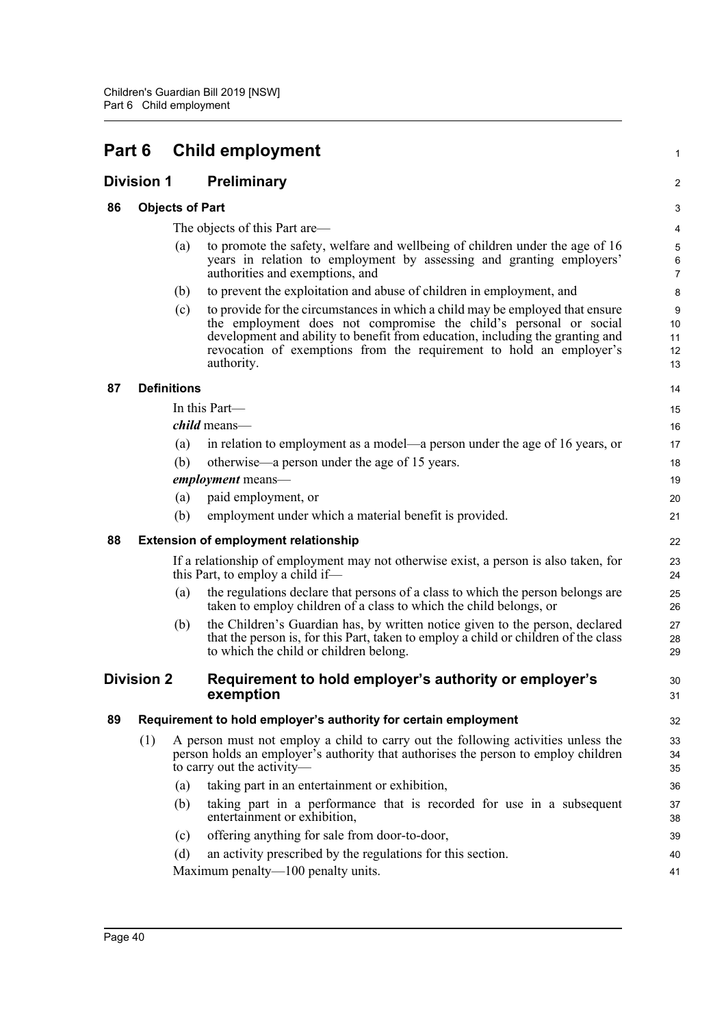| Part 6 |                   |                        | <b>Child employment</b>                                                                                                                                                                                                                                                                                                  |                                          |  |
|--------|-------------------|------------------------|--------------------------------------------------------------------------------------------------------------------------------------------------------------------------------------------------------------------------------------------------------------------------------------------------------------------------|------------------------------------------|--|
|        | <b>Division 1</b> |                        | <b>Preliminary</b>                                                                                                                                                                                                                                                                                                       | 2                                        |  |
| 86     |                   | <b>Objects of Part</b> |                                                                                                                                                                                                                                                                                                                          | 3                                        |  |
|        |                   |                        | The objects of this Part are—                                                                                                                                                                                                                                                                                            | 4                                        |  |
|        |                   | (a)                    | to promote the safety, welfare and wellbeing of children under the age of 16<br>years in relation to employment by assessing and granting employers'<br>authorities and exemptions, and                                                                                                                                  | $\sqrt{5}$<br>6<br>$\overline{7}$        |  |
|        |                   | (b)                    | to prevent the exploitation and abuse of children in employment, and                                                                                                                                                                                                                                                     | 8                                        |  |
|        |                   | (c)                    | to provide for the circumstances in which a child may be employed that ensure<br>the employment does not compromise the child's personal or social<br>development and ability to benefit from education, including the granting and<br>revocation of exemptions from the requirement to hold an employer's<br>authority. | $\boldsymbol{9}$<br>10<br>11<br>12<br>13 |  |
| 87     |                   | <b>Definitions</b>     |                                                                                                                                                                                                                                                                                                                          | 14                                       |  |
|        |                   |                        | In this Part-                                                                                                                                                                                                                                                                                                            | 15                                       |  |
|        |                   |                        | <i>child</i> means—                                                                                                                                                                                                                                                                                                      | 16                                       |  |
|        |                   | (a)                    | in relation to employment as a model—a person under the age of 16 years, or                                                                                                                                                                                                                                              | 17                                       |  |
|        |                   | (b)                    | otherwise—a person under the age of 15 years.                                                                                                                                                                                                                                                                            | 18                                       |  |
|        |                   |                        | employment means-                                                                                                                                                                                                                                                                                                        | 19                                       |  |
|        |                   | (a)                    | paid employment, or                                                                                                                                                                                                                                                                                                      | 20                                       |  |
|        |                   | (b)                    | employment under which a material benefit is provided.                                                                                                                                                                                                                                                                   | 21                                       |  |
| 88     |                   |                        | <b>Extension of employment relationship</b>                                                                                                                                                                                                                                                                              | 22                                       |  |
|        |                   |                        | If a relationship of employment may not otherwise exist, a person is also taken, for<br>this Part, to employ a child if—                                                                                                                                                                                                 | 23<br>24                                 |  |
|        |                   | (a)                    | the regulations declare that persons of a class to which the person belongs are<br>taken to employ children of a class to which the child belongs, or                                                                                                                                                                    | 25<br>26                                 |  |
|        |                   | (b)                    | the Children's Guardian has, by written notice given to the person, declared<br>that the person is, for this Part, taken to employ a child or children of the class<br>to which the child or children belong.                                                                                                            | 27<br>28<br>29                           |  |
|        | <b>Division 2</b> |                        | Requirement to hold employer's authority or employer's<br>exemption                                                                                                                                                                                                                                                      | 30<br>31                                 |  |
| 89     |                   |                        | Requirement to hold employer's authority for certain employment                                                                                                                                                                                                                                                          | 32                                       |  |
|        | (1)               |                        | A person must not employ a child to carry out the following activities unless the<br>person holds an employer's authority that authorises the person to employ children<br>to carry out the activity-                                                                                                                    | 33<br>34<br>35                           |  |
|        |                   | (a)                    | taking part in an entertainment or exhibition,                                                                                                                                                                                                                                                                           | 36                                       |  |
|        |                   | (b)                    | taking part in a performance that is recorded for use in a subsequent<br>entertainment or exhibition,                                                                                                                                                                                                                    | 37<br>38                                 |  |
|        |                   | (c)                    | offering anything for sale from door-to-door,                                                                                                                                                                                                                                                                            | 39                                       |  |
|        |                   | (d)                    | an activity prescribed by the regulations for this section.                                                                                                                                                                                                                                                              | 40                                       |  |
|        |                   |                        | Maximum penalty—100 penalty units.                                                                                                                                                                                                                                                                                       | 41                                       |  |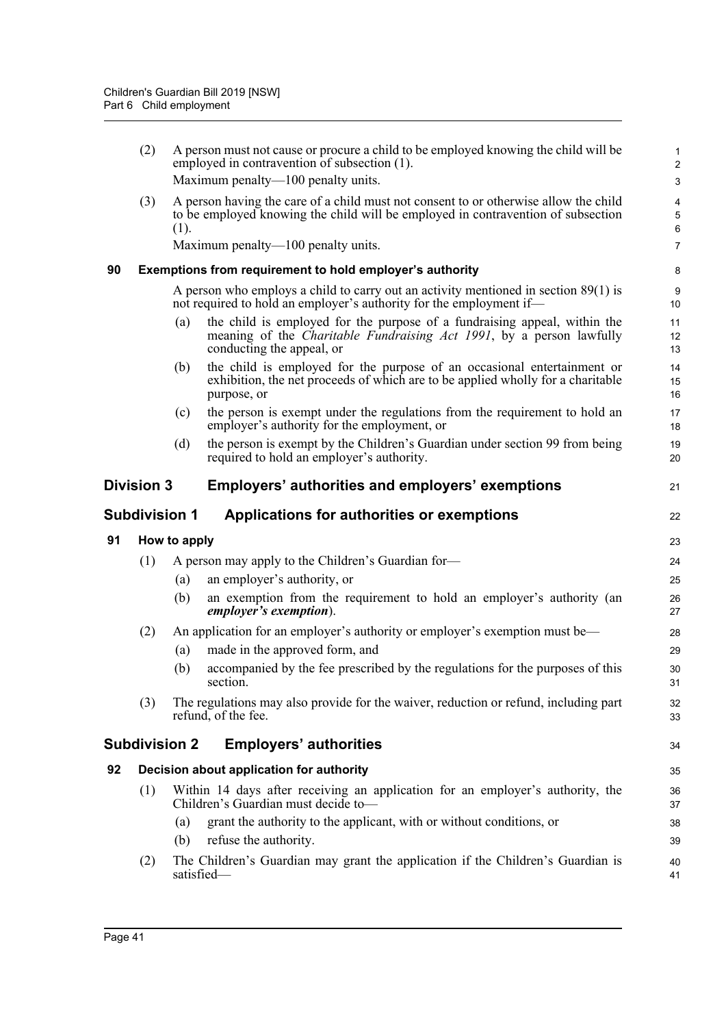|    | (2)                  |                      | A person must not cause or procure a child to be employed knowing the child will be<br>employed in contravention of subsection (1).<br>Maximum penalty—100 penalty units.              | 1<br>$\overline{\mathbf{c}}$<br>3 |
|----|----------------------|----------------------|----------------------------------------------------------------------------------------------------------------------------------------------------------------------------------------|-----------------------------------|
|    | (3)                  | (1).                 | A person having the care of a child must not consent to or otherwise allow the child<br>to be employed knowing the child will be employed in contravention of subsection               | 4<br>5<br>6                       |
|    |                      |                      | Maximum penalty—100 penalty units.                                                                                                                                                     | 7                                 |
| 90 |                      |                      | Exemptions from requirement to hold employer's authority                                                                                                                               | 8                                 |
|    |                      |                      | A person who employs a child to carry out an activity mentioned in section $89(1)$ is<br>not required to hold an employer's authority for the employment if—                           | 9<br>10                           |
|    |                      | (a)                  | the child is employed for the purpose of a fundraising appeal, within the<br>meaning of the <i>Charitable Fundraising Act 1991</i> , by a person lawfully<br>conducting the appeal, or | 11<br>12<br>13                    |
|    |                      | (b)                  | the child is employed for the purpose of an occasional entertainment or<br>exhibition, the net proceeds of which are to be applied wholly for a charitable<br>purpose, or              | 14<br>15<br>16                    |
|    |                      | (c)                  | the person is exempt under the regulations from the requirement to hold an<br>employer's authority for the employment, or                                                              | 17<br>18                          |
|    |                      | (d)                  | the person is exempt by the Children's Guardian under section 99 from being<br>required to hold an employer's authority.                                                               | 19<br>20                          |
|    | <b>Division 3</b>    |                      | Employers' authorities and employers' exemptions                                                                                                                                       | 21                                |
|    | <b>Subdivision 1</b> |                      | Applications for authorities or exemptions                                                                                                                                             | 22                                |
| 91 |                      | How to apply         |                                                                                                                                                                                        | 23                                |
|    | (1)                  |                      | A person may apply to the Children's Guardian for-                                                                                                                                     | 24                                |
|    |                      | (a)                  | an employer's authority, or                                                                                                                                                            | 25                                |
|    |                      | (b)                  | an exemption from the requirement to hold an employer's authority (an<br>employer's exemption).                                                                                        | 26<br>27                          |
|    | (2)                  |                      | An application for an employer's authority or employer's exemption must be-                                                                                                            | 28                                |
|    |                      | (a)                  | made in the approved form, and                                                                                                                                                         | 29                                |
|    |                      | (b)                  | accompanied by the fee prescribed by the regulations for the purposes of this<br>section.                                                                                              | 30<br>31                          |
|    | (3)                  |                      | The regulations may also provide for the waiver, reduction or refund, including part<br>refund, of the fee.                                                                            | 32<br>33                          |
|    |                      | <b>Subdivision 2</b> | <b>Employers' authorities</b>                                                                                                                                                          | 34                                |
| 92 |                      |                      | Decision about application for authority                                                                                                                                               | 35                                |
|    | (1)                  |                      | Within 14 days after receiving an application for an employer's authority, the<br>Children's Guardian must decide to-                                                                  | 36<br>37                          |
|    |                      | (a)<br>(b)           | grant the authority to the applicant, with or without conditions, or<br>refuse the authority.                                                                                          | 38<br>39                          |
|    | (2)                  | satisfied-           | The Children's Guardian may grant the application if the Children's Guardian is                                                                                                        | 40<br>41                          |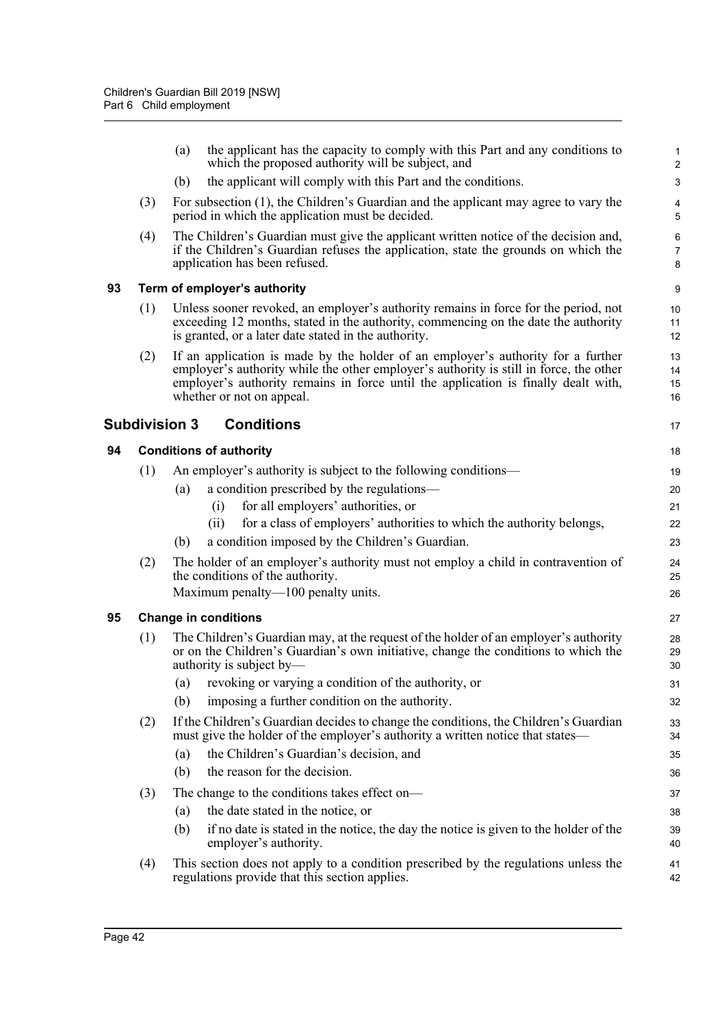|    |     | the applicant has the capacity to comply with this Part and any conditions to<br>(a)<br>which the proposed authority will be subject, and                                                                                                                                                     | $\mathbf{1}$<br>$\overline{2}$ |
|----|-----|-----------------------------------------------------------------------------------------------------------------------------------------------------------------------------------------------------------------------------------------------------------------------------------------------|--------------------------------|
|    |     | the applicant will comply with this Part and the conditions.<br>(b)                                                                                                                                                                                                                           | 3                              |
|    | (3) | For subsection (1), the Children's Guardian and the applicant may agree to vary the<br>period in which the application must be decided.                                                                                                                                                       | 4<br>5                         |
|    | (4) | The Children's Guardian must give the applicant written notice of the decision and,<br>if the Children's Guardian refuses the application, state the grounds on which the<br>application has been refused.                                                                                    | 6<br>$\overline{7}$<br>8       |
| 93 |     | Term of employer's authority                                                                                                                                                                                                                                                                  | $\boldsymbol{9}$               |
|    | (1) | Unless sooner revoked, an employer's authority remains in force for the period, not<br>exceeding 12 months, stated in the authority, commencing on the date the authority<br>is granted, or a later date stated in the authority.                                                             | 10<br>11<br>12                 |
|    | (2) | If an application is made by the holder of an employer's authority for a further<br>employer's authority while the other employer's authority is still in force, the other<br>employer's authority remains in force until the application is finally dealt with,<br>whether or not on appeal. | 13<br>14<br>15<br>16           |
|    |     | <b>Subdivision 3</b><br><b>Conditions</b>                                                                                                                                                                                                                                                     | 17                             |
| 94 |     | <b>Conditions of authority</b>                                                                                                                                                                                                                                                                | 18                             |
|    | (1) | An employer's authority is subject to the following conditions—                                                                                                                                                                                                                               | 19                             |
|    |     | a condition prescribed by the regulations—<br>(a)                                                                                                                                                                                                                                             | 20                             |
|    |     | for all employers' authorities, or<br>(i)                                                                                                                                                                                                                                                     | 21                             |
|    |     | for a class of employers' authorities to which the authority belongs,<br>(ii)                                                                                                                                                                                                                 | 22                             |
|    |     | a condition imposed by the Children's Guardian.<br>(b)                                                                                                                                                                                                                                        | 23                             |
|    | (2) | The holder of an employer's authority must not employ a child in contravention of<br>the conditions of the authority.                                                                                                                                                                         | 24<br>25                       |
|    |     | Maximum penalty—100 penalty units.                                                                                                                                                                                                                                                            | 26                             |
| 95 |     | <b>Change in conditions</b>                                                                                                                                                                                                                                                                   | 27                             |
|    | (1) | The Children's Guardian may, at the request of the holder of an employer's authority<br>or on the Children's Guardian's own initiative, change the conditions to which the<br>authority is subject by—                                                                                        | 28<br>29<br>30                 |
|    |     | (a) revoking or varying a condition of the authority, or                                                                                                                                                                                                                                      | 31                             |
|    |     | imposing a further condition on the authority.<br>(b)                                                                                                                                                                                                                                         | 32                             |
|    | (2) | If the Children's Guardian decides to change the conditions, the Children's Guardian<br>must give the holder of the employer's authority a written notice that states—                                                                                                                        | 33<br>34                       |
|    |     | the Children's Guardian's decision, and<br>(a)                                                                                                                                                                                                                                                | 35                             |
|    |     | (b)<br>the reason for the decision.                                                                                                                                                                                                                                                           | 36                             |
|    | (3) | The change to the conditions takes effect on-                                                                                                                                                                                                                                                 | 37                             |
|    |     | the date stated in the notice, or<br>(a)                                                                                                                                                                                                                                                      | 38                             |
|    |     | if no date is stated in the notice, the day the notice is given to the holder of the<br>(b)<br>employer's authority.                                                                                                                                                                          | 39<br>40                       |
|    | (4) | This section does not apply to a condition prescribed by the regulations unless the<br>regulations provide that this section applies.                                                                                                                                                         | 41<br>42                       |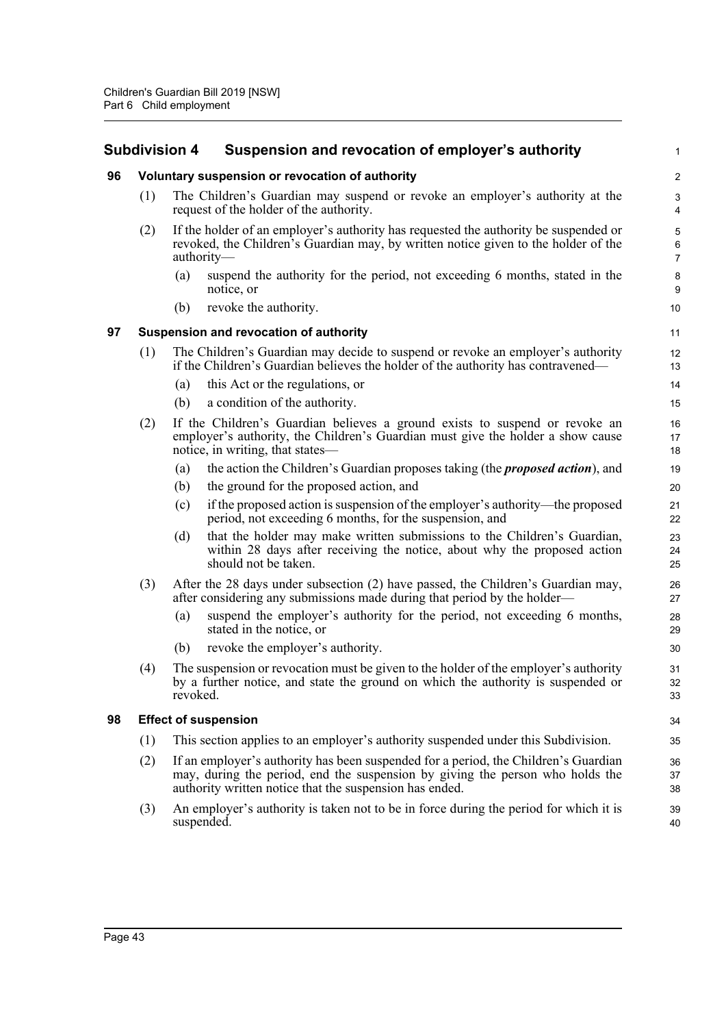# **Subdivision 4 Suspension and revocation of employer's authority**

|    |     | Subdivision 4 | Suspension and revocation of employer's authority                                                                                                                                                                               | 1                        |
|----|-----|---------------|---------------------------------------------------------------------------------------------------------------------------------------------------------------------------------------------------------------------------------|--------------------------|
| 96 |     |               | Voluntary suspension or revocation of authority                                                                                                                                                                                 | $\overline{\mathbf{c}}$  |
|    | (1) |               | The Children's Guardian may suspend or revoke an employer's authority at the<br>request of the holder of the authority.                                                                                                         | 3<br>4                   |
|    | (2) |               | If the holder of an employer's authority has requested the authority be suspended or<br>revoked, the Children's Guardian may, by written notice given to the holder of the<br>authority—                                        | 5<br>6<br>$\overline{7}$ |
|    |     | (a)           | suspend the authority for the period, not exceeding 6 months, stated in the<br>notice, or                                                                                                                                       | 8<br>9                   |
|    |     | (b)           | revoke the authority.                                                                                                                                                                                                           | 10                       |
| 97 |     |               | Suspension and revocation of authority                                                                                                                                                                                          | 11                       |
|    | (1) |               | The Children's Guardian may decide to suspend or revoke an employer's authority<br>if the Children's Guardian believes the holder of the authority has contravened—                                                             | 12<br>13                 |
|    |     | (a)           | this Act or the regulations, or                                                                                                                                                                                                 | 14                       |
|    |     | (b)           | a condition of the authority.                                                                                                                                                                                                   | 15                       |
|    | (2) |               | If the Children's Guardian believes a ground exists to suspend or revoke an<br>employer's authority, the Children's Guardian must give the holder a show cause<br>notice, in writing, that states—                              | 16<br>17<br>18           |
|    |     | (a)           | the action the Children's Guardian proposes taking (the <i>proposed action</i> ), and                                                                                                                                           | 19                       |
|    |     | (b)           | the ground for the proposed action, and                                                                                                                                                                                         | 20                       |
|    |     | (c)           | if the proposed action is suspension of the employer's authority—the proposed<br>period, not exceeding 6 months, for the suspension, and                                                                                        | 21<br>22                 |
|    |     | (d)           | that the holder may make written submissions to the Children's Guardian,<br>within 28 days after receiving the notice, about why the proposed action<br>should not be taken.                                                    | 23<br>24<br>25           |
|    | (3) |               | After the 28 days under subsection (2) have passed, the Children's Guardian may,<br>after considering any submissions made during that period by the holder—                                                                    | 26<br>27                 |
|    |     | (a)           | suspend the employer's authority for the period, not exceeding 6 months,<br>stated in the notice, or                                                                                                                            | 28<br>29                 |
|    |     | (b)           | revoke the employer's authority.                                                                                                                                                                                                | 30                       |
|    | (4) | revoked.      | The suspension or revocation must be given to the holder of the employer's authority<br>by a further notice, and state the ground on which the authority is suspended or                                                        | 31<br>32<br>33           |
| 98 |     |               | <b>Effect of suspension</b>                                                                                                                                                                                                     | 34                       |
|    | (1) |               | This section applies to an employer's authority suspended under this Subdivision.                                                                                                                                               | 35                       |
|    | (2) |               | If an employer's authority has been suspended for a period, the Children's Guardian<br>may, during the period, end the suspension by giving the person who holds the<br>authority written notice that the suspension has ended. | 36<br>37<br>38           |
|    | (3) |               | An employer's authority is taken not to be in force during the period for which it is<br>suspended.                                                                                                                             | 39<br>40                 |
|    |     |               |                                                                                                                                                                                                                                 |                          |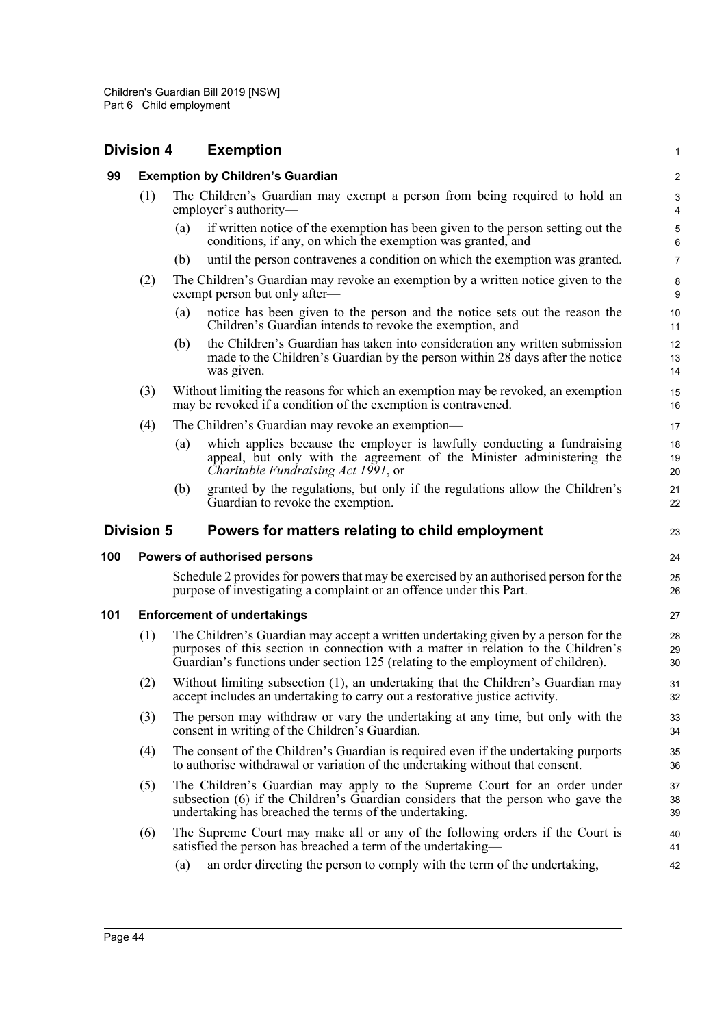|     | <b>Division 4</b>                       | <b>Exemption</b>                                                                                                                                                                                                                                             | $\mathbf{1}$                   |  |
|-----|-----------------------------------------|--------------------------------------------------------------------------------------------------------------------------------------------------------------------------------------------------------------------------------------------------------------|--------------------------------|--|
| 99  | <b>Exemption by Children's Guardian</b> |                                                                                                                                                                                                                                                              |                                |  |
|     | (1)                                     | The Children's Guardian may exempt a person from being required to hold an<br>employer's authority-                                                                                                                                                          | $\ensuremath{\mathsf{3}}$<br>4 |  |
|     |                                         | if written notice of the exemption has been given to the person setting out the<br>(a)<br>conditions, if any, on which the exemption was granted, and                                                                                                        | $\sqrt{5}$<br>$\,6\,$          |  |
|     |                                         | until the person contravenes a condition on which the exemption was granted.<br>(b)                                                                                                                                                                          | $\overline{7}$                 |  |
|     | (2)                                     | The Children's Guardian may revoke an exemption by a written notice given to the<br>exempt person but only after—                                                                                                                                            | 8<br>9                         |  |
|     |                                         | notice has been given to the person and the notice sets out the reason the<br>(a)<br>Children's Guardian intends to revoke the exemption, and                                                                                                                | 10<br>11                       |  |
|     |                                         | the Children's Guardian has taken into consideration any written submission<br>(b)<br>made to the Children's Guardian by the person within 28 days after the notice<br>was given.                                                                            | 12<br>13<br>14                 |  |
|     | (3)                                     | Without limiting the reasons for which an exemption may be revoked, an exemption<br>may be revoked if a condition of the exemption is contravened.                                                                                                           | 15<br>16                       |  |
|     | (4)                                     | The Children's Guardian may revoke an exemption—                                                                                                                                                                                                             | 17                             |  |
|     |                                         | which applies because the employer is lawfully conducting a fundraising<br>(a)<br>appeal, but only with the agreement of the Minister administering the<br>Charitable Fundraising Act 1991, or                                                               | 18<br>19<br>20                 |  |
|     |                                         | granted by the regulations, but only if the regulations allow the Children's<br>(b)<br>Guardian to revoke the exemption.                                                                                                                                     | 21<br>22                       |  |
|     |                                         |                                                                                                                                                                                                                                                              |                                |  |
|     | <b>Division 5</b>                       | Powers for matters relating to child employment                                                                                                                                                                                                              | 23                             |  |
| 100 |                                         | Powers of authorised persons                                                                                                                                                                                                                                 | 24                             |  |
|     |                                         | Schedule 2 provides for powers that may be exercised by an authorised person for the<br>purpose of investigating a complaint or an offence under this Part.                                                                                                  | 25<br>26                       |  |
| 101 |                                         | <b>Enforcement of undertakings</b>                                                                                                                                                                                                                           | 27                             |  |
|     | (1)                                     | The Children's Guardian may accept a written undertaking given by a person for the<br>purposes of this section in connection with a matter in relation to the Children's<br>Guardian's functions under section 125 (relating to the employment of children). | 28<br>29<br>30                 |  |
|     | (2)                                     | Without limiting subsection (1), an undertaking that the Children's Guardian may<br>accept includes an undertaking to carry out a restorative justice activity.                                                                                              | 31<br>32                       |  |
|     | (3)                                     | The person may withdraw or vary the undertaking at any time, but only with the<br>consent in writing of the Children's Guardian.                                                                                                                             | 33<br>34                       |  |
|     | (4)                                     | The consent of the Children's Guardian is required even if the undertaking purports<br>to authorise withdrawal or variation of the undertaking without that consent.                                                                                         | 35<br>36                       |  |
|     | (5)                                     | The Children's Guardian may apply to the Supreme Court for an order under<br>subsection (6) if the Children's Guardian considers that the person who gave the<br>undertaking has breached the terms of the undertaking.                                      | 37<br>38<br>39                 |  |
|     | (6)                                     | The Supreme Court may make all or any of the following orders if the Court is<br>satisfied the person has breached a term of the undertaking—                                                                                                                | 40<br>41                       |  |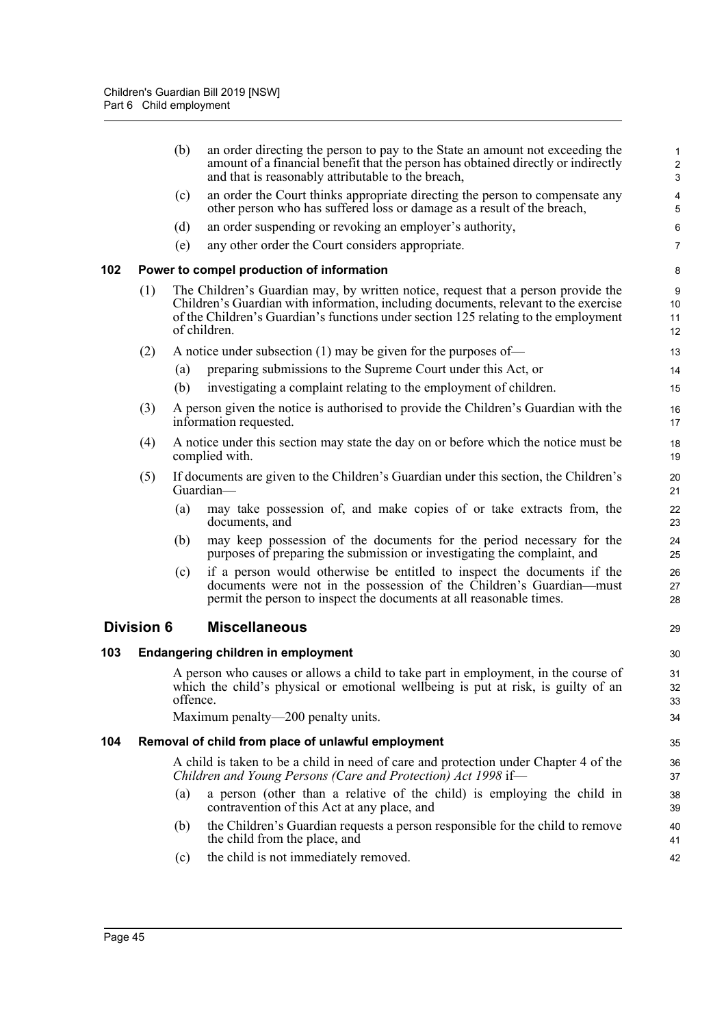|     |                   | (b)      | an order directing the person to pay to the State an amount not exceeding the<br>amount of a financial benefit that the person has obtained directly or indirectly<br>and that is reasonably attributable to the breach,                                                        | $\mathbf{1}$<br>$\overline{\mathbf{c}}$<br>$\mathsf 3$ |
|-----|-------------------|----------|---------------------------------------------------------------------------------------------------------------------------------------------------------------------------------------------------------------------------------------------------------------------------------|--------------------------------------------------------|
|     |                   | (c)      | an order the Court thinks appropriate directing the person to compensate any<br>other person who has suffered loss or damage as a result of the breach,                                                                                                                         | 4<br>5                                                 |
|     |                   | (d)      | an order suspending or revoking an employer's authority,                                                                                                                                                                                                                        | 6                                                      |
|     |                   | (e)      | any other order the Court considers appropriate.                                                                                                                                                                                                                                | $\overline{7}$                                         |
| 102 |                   |          | Power to compel production of information                                                                                                                                                                                                                                       | 8                                                      |
|     | (1)               |          | The Children's Guardian may, by written notice, request that a person provide the<br>Children's Guardian with information, including documents, relevant to the exercise<br>of the Children's Guardian's functions under section 125 relating to the employment<br>of children. | 9<br>10<br>11<br>12                                    |
|     | (2)               |          | A notice under subsection $(1)$ may be given for the purposes of-                                                                                                                                                                                                               | 13                                                     |
|     |                   | (a)      | preparing submissions to the Supreme Court under this Act, or                                                                                                                                                                                                                   | 14                                                     |
|     |                   | (b)      | investigating a complaint relating to the employment of children.                                                                                                                                                                                                               | 15                                                     |
|     | (3)               |          | A person given the notice is authorised to provide the Children's Guardian with the<br>information requested.                                                                                                                                                                   | 16<br>17                                               |
|     | (4)               |          | A notice under this section may state the day on or before which the notice must be<br>complied with.                                                                                                                                                                           | 18<br>19                                               |
|     | (5)               |          | If documents are given to the Children's Guardian under this section, the Children's<br>Guardian-                                                                                                                                                                               | 20<br>21                                               |
|     |                   | (a)      | may take possession of, and make copies of or take extracts from, the<br>documents, and                                                                                                                                                                                         | 22<br>23                                               |
|     |                   | (b)      | may keep possession of the documents for the period necessary for the<br>purposes of preparing the submission or investigating the complaint, and                                                                                                                               | 24<br>25                                               |
|     |                   | (c)      | if a person would otherwise be entitled to inspect the documents if the<br>documents were not in the possession of the Children's Guardian—must<br>permit the person to inspect the documents at all reasonable times.                                                          | 26<br>27<br>28                                         |
|     | <b>Division 6</b> |          | <b>Miscellaneous</b>                                                                                                                                                                                                                                                            | 29                                                     |
| 103 |                   |          | <b>Endangering children in employment</b>                                                                                                                                                                                                                                       | 30                                                     |
|     |                   |          | A person who causes or allows a child to take part in employment, in the course of                                                                                                                                                                                              | 31                                                     |
|     |                   | offence. | which the child's physical or emotional wellbeing is put at risk, is guilty of an                                                                                                                                                                                               | 32<br>33                                               |
|     |                   |          | Maximum penalty—200 penalty units.                                                                                                                                                                                                                                              | 34                                                     |
| 104 |                   |          | Removal of child from place of unlawful employment                                                                                                                                                                                                                              | 35                                                     |
|     |                   |          | A child is taken to be a child in need of care and protection under Chapter 4 of the<br>Children and Young Persons (Care and Protection) Act 1998 if-                                                                                                                           | 36<br>37                                               |
|     |                   | (a)      | a person (other than a relative of the child) is employing the child in<br>contravention of this Act at any place, and                                                                                                                                                          | 38<br>39                                               |
|     |                   | (b)      | the Children's Guardian requests a person responsible for the child to remove<br>the child from the place, and                                                                                                                                                                  | 40<br>41                                               |
|     |                   | (c)      | the child is not immediately removed.                                                                                                                                                                                                                                           | 42                                                     |
|     |                   |          |                                                                                                                                                                                                                                                                                 |                                                        |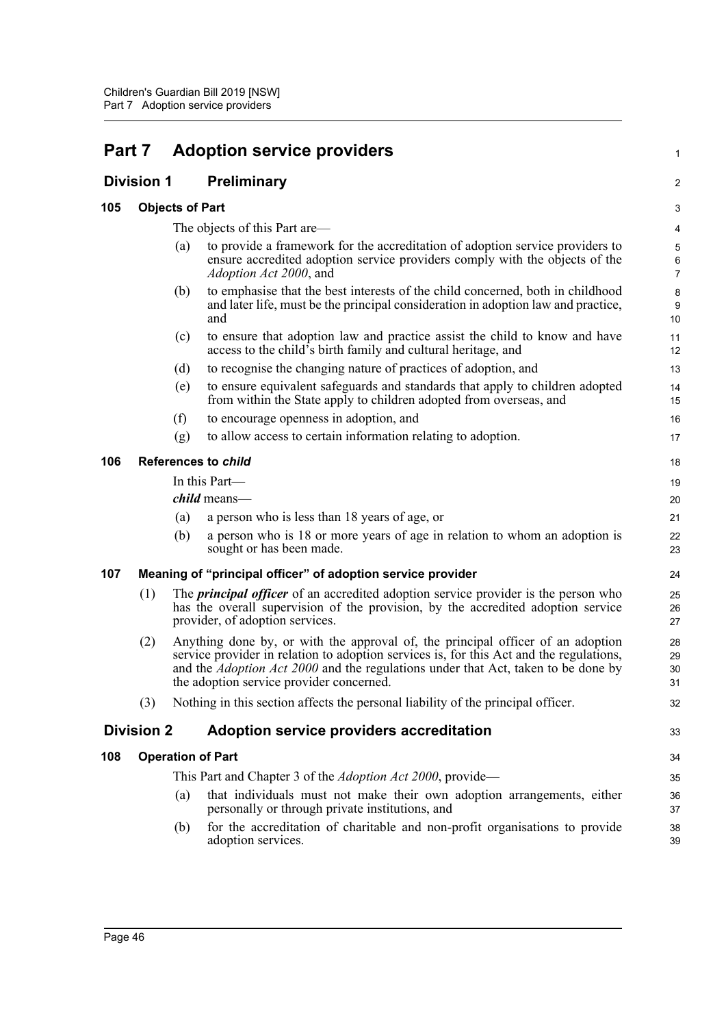| Part 7 |                            |     | <b>Adoption service providers</b>                                                                                                                                                                                                                                                                                  | 1                                       |  |  |
|--------|----------------------------|-----|--------------------------------------------------------------------------------------------------------------------------------------------------------------------------------------------------------------------------------------------------------------------------------------------------------------------|-----------------------------------------|--|--|
|        | <b>Division 1</b>          |     | <b>Preliminary</b>                                                                                                                                                                                                                                                                                                 | 2                                       |  |  |
| 105    |                            |     | <b>Objects of Part</b>                                                                                                                                                                                                                                                                                             |                                         |  |  |
|        |                            |     | The objects of this Part are—                                                                                                                                                                                                                                                                                      | 4                                       |  |  |
|        |                            | (a) | to provide a framework for the accreditation of adoption service providers to<br>ensure accredited adoption service providers comply with the objects of the<br>Adoption Act 2000, and                                                                                                                             | $\sqrt{5}$<br>$\,6\,$<br>$\overline{7}$ |  |  |
|        |                            | (b) | to emphasise that the best interests of the child concerned, both in childhood<br>and later life, must be the principal consideration in adoption law and practice,<br>and                                                                                                                                         | $\bf 8$<br>9<br>10                      |  |  |
|        |                            | (c) | to ensure that adoption law and practice assist the child to know and have<br>access to the child's birth family and cultural heritage, and                                                                                                                                                                        | 11<br>12                                |  |  |
|        |                            | (d) | to recognise the changing nature of practices of adoption, and                                                                                                                                                                                                                                                     | 13                                      |  |  |
|        |                            | (e) | to ensure equivalent safeguards and standards that apply to children adopted<br>from within the State apply to children adopted from overseas, and                                                                                                                                                                 | 14<br>15                                |  |  |
|        |                            | (f) | to encourage openness in adoption, and                                                                                                                                                                                                                                                                             | 16                                      |  |  |
|        |                            | (g) | to allow access to certain information relating to adoption.                                                                                                                                                                                                                                                       | 17                                      |  |  |
| 106    | <b>References to child</b> |     |                                                                                                                                                                                                                                                                                                                    | 18                                      |  |  |
|        |                            |     | In this Part-                                                                                                                                                                                                                                                                                                      | 19                                      |  |  |
|        |                            |     | <i>child</i> means—                                                                                                                                                                                                                                                                                                | 20                                      |  |  |
|        |                            | (a) | a person who is less than 18 years of age, or                                                                                                                                                                                                                                                                      | 21                                      |  |  |
|        |                            | (b) | a person who is 18 or more years of age in relation to whom an adoption is<br>sought or has been made.                                                                                                                                                                                                             | 22<br>23                                |  |  |
| 107    |                            |     | Meaning of "principal officer" of adoption service provider                                                                                                                                                                                                                                                        | 24                                      |  |  |
|        | (1)                        |     | The <i>principal officer</i> of an accredited adoption service provider is the person who<br>has the overall supervision of the provision, by the accredited adoption service<br>provider, of adoption services.                                                                                                   | 25<br>26<br>27                          |  |  |
|        | (2)                        |     | Anything done by, or with the approval of, the principal officer of an adoption<br>service provider in relation to adoption services is, for this Act and the regulations,<br>and the <i>Adoption Act 2000</i> and the regulations under that Act, taken to be done by<br>the adoption service provider concerned. | 28<br>29<br>30<br>31                    |  |  |
|        | (3)                        |     | Nothing in this section affects the personal liability of the principal officer.                                                                                                                                                                                                                                   | 32                                      |  |  |
|        | <b>Division 2</b>          |     | Adoption service providers accreditation                                                                                                                                                                                                                                                                           | 33                                      |  |  |
| 108    |                            |     | <b>Operation of Part</b>                                                                                                                                                                                                                                                                                           | 34                                      |  |  |
|        |                            |     | This Part and Chapter 3 of the Adoption Act 2000, provide—                                                                                                                                                                                                                                                         | 35                                      |  |  |
|        |                            | (a) | that individuals must not make their own adoption arrangements, either<br>personally or through private institutions, and                                                                                                                                                                                          | 36<br>37                                |  |  |
|        |                            | (b) | for the accreditation of charitable and non-profit organisations to provide<br>adoption services.                                                                                                                                                                                                                  | 38<br>39                                |  |  |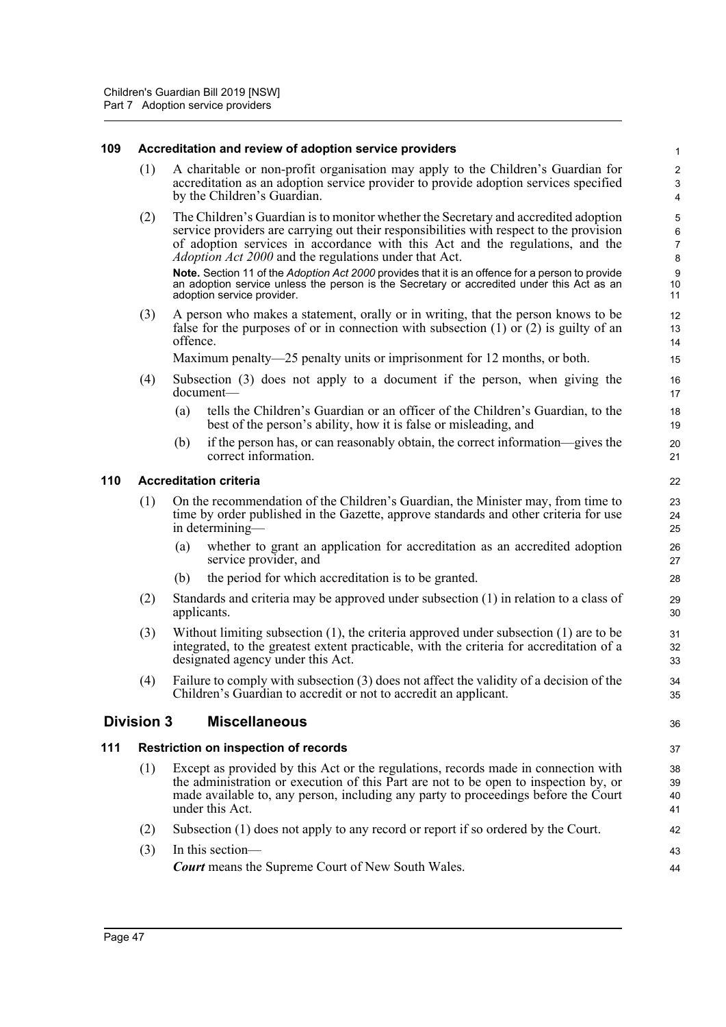#### **109 Accreditation and review of adoption service providers**

- (1) A charitable or non-profit organisation may apply to the Children's Guardian for accreditation as an adoption service provider to provide adoption services specified by the Children's Guardian.
- (2) The Children's Guardian is to monitor whether the Secretary and accredited adoption service providers are carrying out their responsibilities with respect to the provision of adoption services in accordance with this Act and the regulations, and the *Adoption Act 2000* and the regulations under that Act.

**Note.** Section 11 of the *Adoption Act 2000* provides that it is an offence for a person to provide an adoption service unless the person is the Secretary or accredited under this Act as an adoption service provider.

(3) A person who makes a statement, orally or in writing, that the person knows to be false for the purposes of or in connection with subsection (1) or (2) is guilty of an offence.

Maximum penalty—25 penalty units or imprisonment for 12 months, or both.

- (4) Subsection (3) does not apply to a document if the person, when giving the document—
	- (a) tells the Children's Guardian or an officer of the Children's Guardian, to the best of the person's ability, how it is false or misleading, and
	- (b) if the person has, or can reasonably obtain, the correct information—gives the correct information.

### **110 Accreditation criteria**

| (1) On the recommendation of the Children's Guardian, the Minister may, from time to |
|--------------------------------------------------------------------------------------|
| time by order published in the Gazette, approve standards and other criteria for use |
| in determining—                                                                      |

- (a) whether to grant an application for accreditation as an accredited adoption service provider, and
- (b) the period for which accreditation is to be granted.
- (2) Standards and criteria may be approved under subsection (1) in relation to a class of applicants.
- (3) Without limiting subsection (1), the criteria approved under subsection (1) are to be integrated, to the greatest extent practicable, with the criteria for accreditation of a designated agency under this Act.
- (4) Failure to comply with subsection (3) does not affect the validity of a decision of the Children's Guardian to accredit or not to accredit an applicant.

### **Division 3 Miscellaneous**

### **111 Restriction on inspection of records**

- (1) Except as provided by this Act or the regulations, records made in connection with the administration or execution of this Part are not to be open to inspection by, or made available to, any person, including any party to proceedings before the Court under this Act.
- (2) Subsection (1) does not apply to any record or report if so ordered by the Court.

| $(3)$ In this section—                                   |
|----------------------------------------------------------|
| <b>Court</b> means the Supreme Court of New South Wales. |

38 39

36

37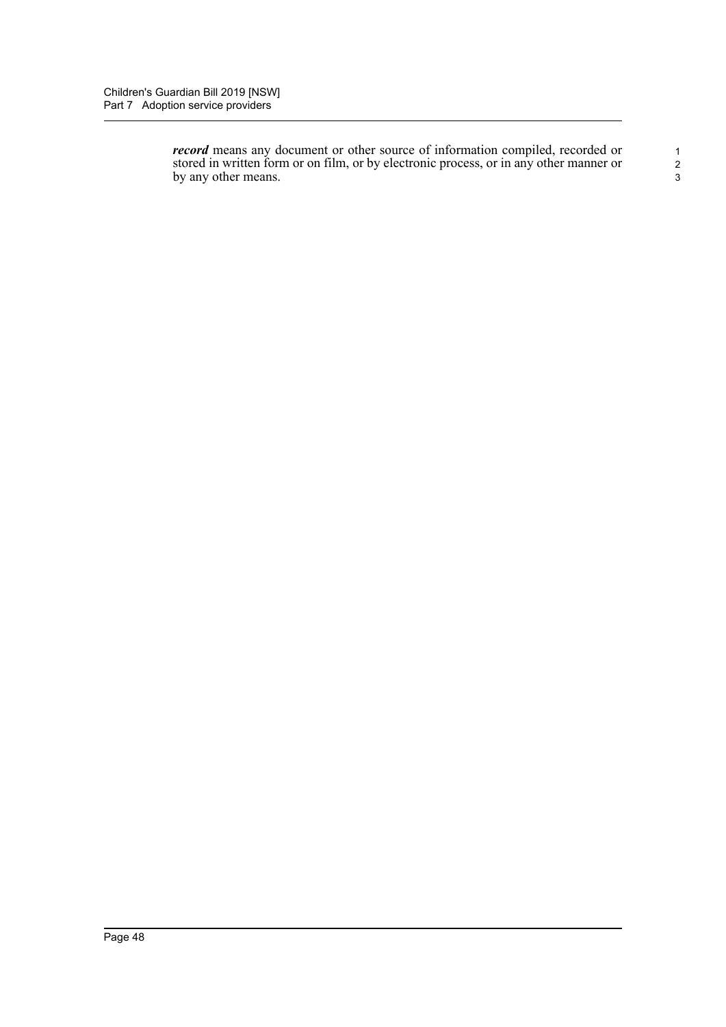*record* means any document or other source of information compiled, recorded or stored in written form or on film, or by electronic process, or in any other manner or by any other means.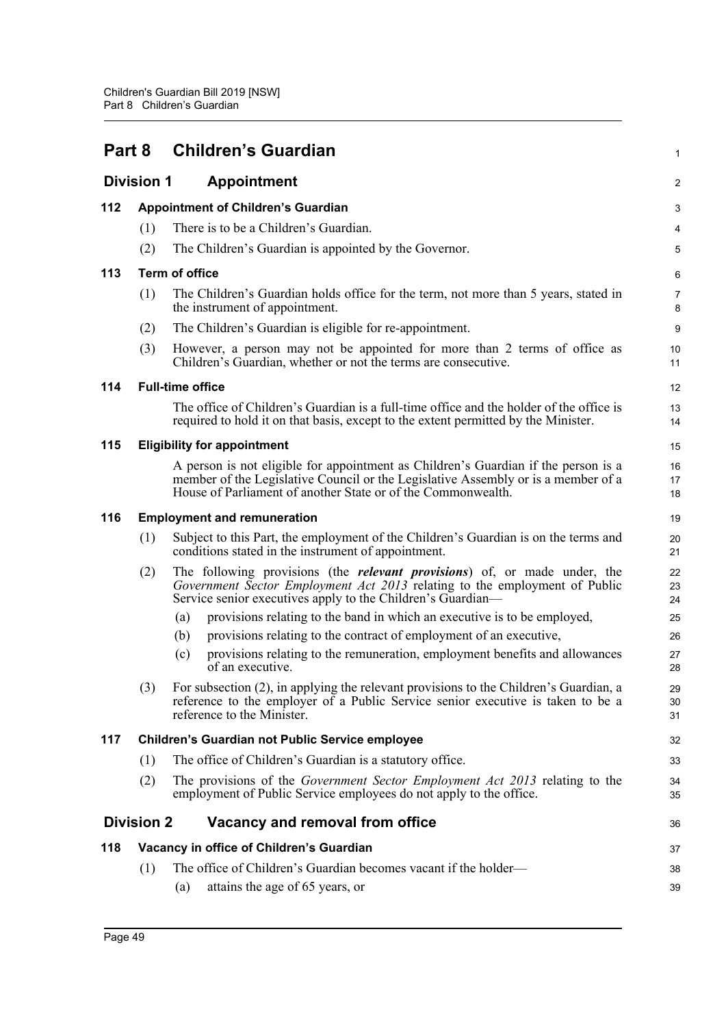| Part 8 |                   | <b>Children's Guardian</b>                                                                                                                                                                                                              |                     |  |  |  |  |
|--------|-------------------|-----------------------------------------------------------------------------------------------------------------------------------------------------------------------------------------------------------------------------------------|---------------------|--|--|--|--|
|        | <b>Division 1</b> | <b>Appointment</b>                                                                                                                                                                                                                      | 2                   |  |  |  |  |
| 112    |                   | <b>Appointment of Children's Guardian</b>                                                                                                                                                                                               | 3                   |  |  |  |  |
|        | (1)               | There is to be a Children's Guardian.                                                                                                                                                                                                   | 4                   |  |  |  |  |
|        | (2)               | The Children's Guardian is appointed by the Governor.                                                                                                                                                                                   | 5                   |  |  |  |  |
| 113    |                   | <b>Term of office</b>                                                                                                                                                                                                                   | 6                   |  |  |  |  |
|        | (1)               | The Children's Guardian holds office for the term, not more than 5 years, stated in<br>the instrument of appointment.                                                                                                                   | $\overline{7}$<br>8 |  |  |  |  |
|        | (2)               | The Children's Guardian is eligible for re-appointment.                                                                                                                                                                                 | 9                   |  |  |  |  |
|        | (3)               | However, a person may not be appointed for more than 2 terms of office as<br>Children's Guardian, whether or not the terms are consecutive.                                                                                             | 10<br>11            |  |  |  |  |
| 114    |                   | <b>Full-time office</b>                                                                                                                                                                                                                 | 12                  |  |  |  |  |
|        |                   | The office of Children's Guardian is a full-time office and the holder of the office is<br>required to hold it on that basis, except to the extent permitted by the Minister.                                                           | 13<br>14            |  |  |  |  |
| 115    |                   | <b>Eligibility for appointment</b>                                                                                                                                                                                                      |                     |  |  |  |  |
|        |                   | A person is not eligible for appointment as Children's Guardian if the person is a<br>member of the Legislative Council or the Legislative Assembly or is a member of a<br>House of Parliament of another State or of the Commonwealth. | 16<br>17<br>18      |  |  |  |  |
| 116    |                   | <b>Employment and remuneration</b>                                                                                                                                                                                                      | 19                  |  |  |  |  |
|        | (1)               | Subject to this Part, the employment of the Children's Guardian is on the terms and<br>conditions stated in the instrument of appointment.                                                                                              | 20<br>21            |  |  |  |  |
|        | (2)               | The following provisions (the <i>relevant provisions</i> ) of, or made under, the<br>Government Sector Employment Act 2013 relating to the employment of Public<br>Service senior executives apply to the Children's Guardian—          | 22<br>23<br>24      |  |  |  |  |
|        |                   | provisions relating to the band in which an executive is to be employed,<br>(a)                                                                                                                                                         | 25                  |  |  |  |  |
|        |                   | provisions relating to the contract of employment of an executive,<br>(b)                                                                                                                                                               | 26                  |  |  |  |  |
|        |                   | provisions relating to the remuneration, employment benefits and allowances<br>(c)<br>of an executive.                                                                                                                                  | 27<br>28            |  |  |  |  |
|        | (3)               | For subsection (2), in applying the relevant provisions to the Children's Guardian, a<br>reference to the employer of a Public Service senior executive is taken to be a<br>reference to the Minister.                                  | 29<br>30<br>31      |  |  |  |  |
| 117    |                   | <b>Children's Guardian not Public Service employee</b>                                                                                                                                                                                  | 32                  |  |  |  |  |
|        | (1)               | The office of Children's Guardian is a statutory office.                                                                                                                                                                                | 33                  |  |  |  |  |
|        | (2)               | The provisions of the <i>Government Sector Employment Act 2013</i> relating to the<br>employment of Public Service employees do not apply to the office.                                                                                | 34<br>35            |  |  |  |  |
|        | <b>Division 2</b> | Vacancy and removal from office                                                                                                                                                                                                         | 36                  |  |  |  |  |
| 118    |                   | Vacancy in office of Children's Guardian                                                                                                                                                                                                | 37                  |  |  |  |  |
|        | (1)               | The office of Children's Guardian becomes vacant if the holder—<br>attains the age of 65 years, or<br>(a)                                                                                                                               | 38<br>39            |  |  |  |  |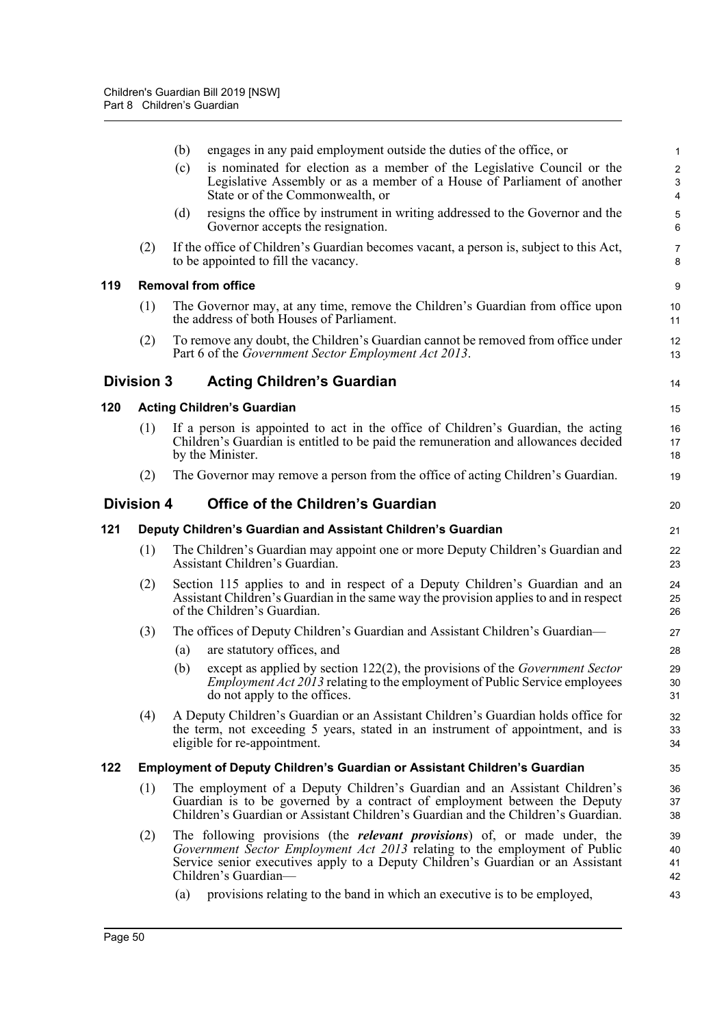|     |                   | (b) | engages in any paid employment outside the duties of the office, or                                                                                                                                                                                                        | $\mathbf{1}$                                     |
|-----|-------------------|-----|----------------------------------------------------------------------------------------------------------------------------------------------------------------------------------------------------------------------------------------------------------------------------|--------------------------------------------------|
|     |                   | (c) | is nominated for election as a member of the Legislative Council or the<br>Legislative Assembly or as a member of a House of Parliament of another<br>State or of the Commonwealth, or                                                                                     | $\overline{2}$<br>$\ensuremath{\mathsf{3}}$<br>4 |
|     |                   | (d) | resigns the office by instrument in writing addressed to the Governor and the<br>Governor accepts the resignation.                                                                                                                                                         | $\mathbf 5$<br>6                                 |
|     | (2)               |     | If the office of Children's Guardian becomes vacant, a person is, subject to this Act,<br>to be appointed to fill the vacancy.                                                                                                                                             | $\overline{7}$<br>8                              |
| 119 |                   |     | <b>Removal from office</b>                                                                                                                                                                                                                                                 | 9                                                |
|     | (1)               |     | The Governor may, at any time, remove the Children's Guardian from office upon<br>the address of both Houses of Parliament.                                                                                                                                                | 10<br>11                                         |
|     | (2)               |     | To remove any doubt, the Children's Guardian cannot be removed from office under<br>Part 6 of the Government Sector Employment Act 2013.                                                                                                                                   | 12<br>13                                         |
|     | <b>Division 3</b> |     | <b>Acting Children's Guardian</b>                                                                                                                                                                                                                                          | 14                                               |
| 120 |                   |     | <b>Acting Children's Guardian</b>                                                                                                                                                                                                                                          | 15                                               |
|     | (1)               |     | If a person is appointed to act in the office of Children's Guardian, the acting<br>Children's Guardian is entitled to be paid the remuneration and allowances decided<br>by the Minister.                                                                                 | 16<br>17<br>18                                   |
|     | (2)               |     | The Governor may remove a person from the office of acting Children's Guardian.                                                                                                                                                                                            | 19                                               |
|     | <b>Division 4</b> |     | <b>Office of the Children's Guardian</b>                                                                                                                                                                                                                                   | 20                                               |
| 121 |                   |     | Deputy Children's Guardian and Assistant Children's Guardian                                                                                                                                                                                                               | 21                                               |
|     | (1)               |     | The Children's Guardian may appoint one or more Deputy Children's Guardian and<br>Assistant Children's Guardian.                                                                                                                                                           | 22<br>23                                         |
|     | (2)               |     | Section 115 applies to and in respect of a Deputy Children's Guardian and an<br>Assistant Children's Guardian in the same way the provision applies to and in respect<br>of the Children's Guardian.                                                                       | 24<br>25<br>26                                   |
|     | (3)               |     | The offices of Deputy Children's Guardian and Assistant Children's Guardian-                                                                                                                                                                                               | 27                                               |
|     |                   | (a) | are statutory offices, and                                                                                                                                                                                                                                                 | 28                                               |
|     |                   | (b) | except as applied by section 122(2), the provisions of the <i>Government Sector</i><br>Employment Act 2013 relating to the employment of Public Service employees<br>do not apply to the offices.                                                                          | 29<br>30<br>31                                   |
|     | (4)               |     | A Deputy Children's Guardian or an Assistant Children's Guardian holds office for<br>the term, not exceeding 5 years, stated in an instrument of appointment, and is<br>eligible for re-appointment.                                                                       | 32<br>33<br>34                                   |
| 122 |                   |     | Employment of Deputy Children's Guardian or Assistant Children's Guardian                                                                                                                                                                                                  | 35                                               |
|     | (1)               |     | The employment of a Deputy Children's Guardian and an Assistant Children's<br>Guardian is to be governed by a contract of employment between the Deputy<br>Children's Guardian or Assistant Children's Guardian and the Children's Guardian.                               | 36<br>37<br>38                                   |
|     | (2)               |     | The following provisions (the <i>relevant provisions</i> ) of, or made under, the<br>Government Sector Employment Act 2013 relating to the employment of Public<br>Service senior executives apply to a Deputy Children's Guardian or an Assistant<br>Children's Guardian- | 39<br>40<br>41<br>42                             |
|     |                   | (a) | provisions relating to the band in which an executive is to be employed,                                                                                                                                                                                                   | 43                                               |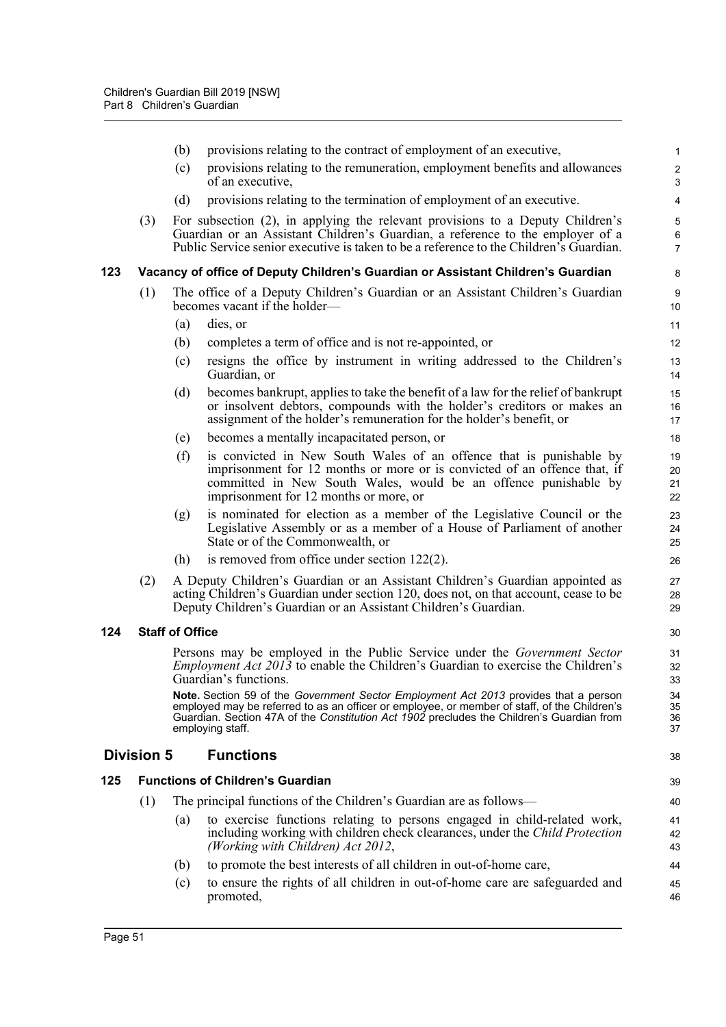|     | (b) | provisions relating to the contract of employment of an executive,                                                                                                                                                                                            | $\mathbf{1}$                                                                                                                                                                                                                                                                                                                                                                                                                                                                                                                                                                                                                                                                                                                                                                                                                                                                                                                                                                                                                                                                                                                                                                                                                                                                                                                                                       |
|-----|-----|---------------------------------------------------------------------------------------------------------------------------------------------------------------------------------------------------------------------------------------------------------------|--------------------------------------------------------------------------------------------------------------------------------------------------------------------------------------------------------------------------------------------------------------------------------------------------------------------------------------------------------------------------------------------------------------------------------------------------------------------------------------------------------------------------------------------------------------------------------------------------------------------------------------------------------------------------------------------------------------------------------------------------------------------------------------------------------------------------------------------------------------------------------------------------------------------------------------------------------------------------------------------------------------------------------------------------------------------------------------------------------------------------------------------------------------------------------------------------------------------------------------------------------------------------------------------------------------------------------------------------------------------|
|     | (c) | provisions relating to the remuneration, employment benefits and allowances<br>of an executive,                                                                                                                                                               | $\overline{c}$<br>$\mathbf{3}$                                                                                                                                                                                                                                                                                                                                                                                                                                                                                                                                                                                                                                                                                                                                                                                                                                                                                                                                                                                                                                                                                                                                                                                                                                                                                                                                     |
|     | (d) | provisions relating to the termination of employment of an executive.                                                                                                                                                                                         | 4                                                                                                                                                                                                                                                                                                                                                                                                                                                                                                                                                                                                                                                                                                                                                                                                                                                                                                                                                                                                                                                                                                                                                                                                                                                                                                                                                                  |
| (3) |     |                                                                                                                                                                                                                                                               | 5<br>6<br>$\overline{7}$                                                                                                                                                                                                                                                                                                                                                                                                                                                                                                                                                                                                                                                                                                                                                                                                                                                                                                                                                                                                                                                                                                                                                                                                                                                                                                                                           |
|     |     |                                                                                                                                                                                                                                                               | 8                                                                                                                                                                                                                                                                                                                                                                                                                                                                                                                                                                                                                                                                                                                                                                                                                                                                                                                                                                                                                                                                                                                                                                                                                                                                                                                                                                  |
| (1) |     |                                                                                                                                                                                                                                                               | 9<br>10                                                                                                                                                                                                                                                                                                                                                                                                                                                                                                                                                                                                                                                                                                                                                                                                                                                                                                                                                                                                                                                                                                                                                                                                                                                                                                                                                            |
|     | (a) | dies, or                                                                                                                                                                                                                                                      | 11                                                                                                                                                                                                                                                                                                                                                                                                                                                                                                                                                                                                                                                                                                                                                                                                                                                                                                                                                                                                                                                                                                                                                                                                                                                                                                                                                                 |
|     | (b) | completes a term of office and is not re-appointed, or                                                                                                                                                                                                        | 12                                                                                                                                                                                                                                                                                                                                                                                                                                                                                                                                                                                                                                                                                                                                                                                                                                                                                                                                                                                                                                                                                                                                                                                                                                                                                                                                                                 |
|     | (c) | resigns the office by instrument in writing addressed to the Children's<br>Guardian, or                                                                                                                                                                       | 13<br>14                                                                                                                                                                                                                                                                                                                                                                                                                                                                                                                                                                                                                                                                                                                                                                                                                                                                                                                                                                                                                                                                                                                                                                                                                                                                                                                                                           |
|     | (d) | becomes bankrupt, applies to take the benefit of a law for the relief of bankrupt<br>or insolvent debtors, compounds with the holder's creditors or makes an<br>assignment of the holder's remuneration for the holder's benefit, or                          | 15<br>16<br>17                                                                                                                                                                                                                                                                                                                                                                                                                                                                                                                                                                                                                                                                                                                                                                                                                                                                                                                                                                                                                                                                                                                                                                                                                                                                                                                                                     |
|     | (e) | becomes a mentally incapacitated person, or                                                                                                                                                                                                                   | 18                                                                                                                                                                                                                                                                                                                                                                                                                                                                                                                                                                                                                                                                                                                                                                                                                                                                                                                                                                                                                                                                                                                                                                                                                                                                                                                                                                 |
|     | (f) | is convicted in New South Wales of an offence that is punishable by<br>imprisonment for 12 months or more or is convicted of an offence that, if<br>committed in New South Wales, would be an offence punishable by<br>imprisonment for 12 months or more, or | 19<br>20<br>21<br>22                                                                                                                                                                                                                                                                                                                                                                                                                                                                                                                                                                                                                                                                                                                                                                                                                                                                                                                                                                                                                                                                                                                                                                                                                                                                                                                                               |
|     | (g) | is nominated for election as a member of the Legislative Council or the<br>Legislative Assembly or as a member of a House of Parliament of another<br>State or of the Commonwealth, or                                                                        | 23<br>24<br>25                                                                                                                                                                                                                                                                                                                                                                                                                                                                                                                                                                                                                                                                                                                                                                                                                                                                                                                                                                                                                                                                                                                                                                                                                                                                                                                                                     |
|     | (h) | is removed from office under section $122(2)$ .                                                                                                                                                                                                               | 26                                                                                                                                                                                                                                                                                                                                                                                                                                                                                                                                                                                                                                                                                                                                                                                                                                                                                                                                                                                                                                                                                                                                                                                                                                                                                                                                                                 |
| (2) |     |                                                                                                                                                                                                                                                               | 27<br>28<br>29                                                                                                                                                                                                                                                                                                                                                                                                                                                                                                                                                                                                                                                                                                                                                                                                                                                                                                                                                                                                                                                                                                                                                                                                                                                                                                                                                     |
|     |     |                                                                                                                                                                                                                                                               | 30                                                                                                                                                                                                                                                                                                                                                                                                                                                                                                                                                                                                                                                                                                                                                                                                                                                                                                                                                                                                                                                                                                                                                                                                                                                                                                                                                                 |
|     |     |                                                                                                                                                                                                                                                               | 31<br>32<br>33                                                                                                                                                                                                                                                                                                                                                                                                                                                                                                                                                                                                                                                                                                                                                                                                                                                                                                                                                                                                                                                                                                                                                                                                                                                                                                                                                     |
|     |     |                                                                                                                                                                                                                                                               | 34<br>35<br>36<br>37                                                                                                                                                                                                                                                                                                                                                                                                                                                                                                                                                                                                                                                                                                                                                                                                                                                                                                                                                                                                                                                                                                                                                                                                                                                                                                                                               |
|     |     | <b>Functions</b>                                                                                                                                                                                                                                              | 38                                                                                                                                                                                                                                                                                                                                                                                                                                                                                                                                                                                                                                                                                                                                                                                                                                                                                                                                                                                                                                                                                                                                                                                                                                                                                                                                                                 |
|     |     |                                                                                                                                                                                                                                                               | 39                                                                                                                                                                                                                                                                                                                                                                                                                                                                                                                                                                                                                                                                                                                                                                                                                                                                                                                                                                                                                                                                                                                                                                                                                                                                                                                                                                 |
| (1) |     |                                                                                                                                                                                                                                                               | 40                                                                                                                                                                                                                                                                                                                                                                                                                                                                                                                                                                                                                                                                                                                                                                                                                                                                                                                                                                                                                                                                                                                                                                                                                                                                                                                                                                 |
|     | (a) | to exercise functions relating to persons engaged in child-related work,<br>including working with children check clearances, under the Child Protection<br>(Working with Children) Act 2012,                                                                 | 41<br>42<br>43                                                                                                                                                                                                                                                                                                                                                                                                                                                                                                                                                                                                                                                                                                                                                                                                                                                                                                                                                                                                                                                                                                                                                                                                                                                                                                                                                     |
|     | (b) | to promote the best interests of all children in out-of-home care,                                                                                                                                                                                            | 44                                                                                                                                                                                                                                                                                                                                                                                                                                                                                                                                                                                                                                                                                                                                                                                                                                                                                                                                                                                                                                                                                                                                                                                                                                                                                                                                                                 |
|     | (c) | to ensure the rights of all children in out-of-home care are safeguarded and<br>promoted,                                                                                                                                                                     | 45<br>46                                                                                                                                                                                                                                                                                                                                                                                                                                                                                                                                                                                                                                                                                                                                                                                                                                                                                                                                                                                                                                                                                                                                                                                                                                                                                                                                                           |
|     |     | <b>Division 5</b>                                                                                                                                                                                                                                             | For subsection (2), in applying the relevant provisions to a Deputy Children's<br>Guardian or an Assistant Children's Guardian, a reference to the employer of a<br>Public Service senior executive is taken to be a reference to the Children's Guardian.<br>Vacancy of office of Deputy Children's Guardian or Assistant Children's Guardian<br>The office of a Deputy Children's Guardian or an Assistant Children's Guardian<br>becomes vacant if the holder—<br>A Deputy Children's Guardian or an Assistant Children's Guardian appointed as<br>acting Children's Guardian under section 120, does not, on that account, cease to be<br>Deputy Children's Guardian or an Assistant Children's Guardian.<br><b>Staff of Office</b><br>Persons may be employed in the Public Service under the Government Sector<br><i>Employment Act 2013</i> to enable the Children's Guardian to exercise the Children's<br>Guardian's functions.<br>Note. Section 59 of the Government Sector Employment Act 2013 provides that a person<br>employed may be referred to as an officer or employee, or member of staff, of the Children's<br>Guardian. Section 47A of the Constitution Act 1902 precludes the Children's Guardian from<br>employing staff.<br><b>Functions of Children's Guardian</b><br>The principal functions of the Children's Guardian are as follows— |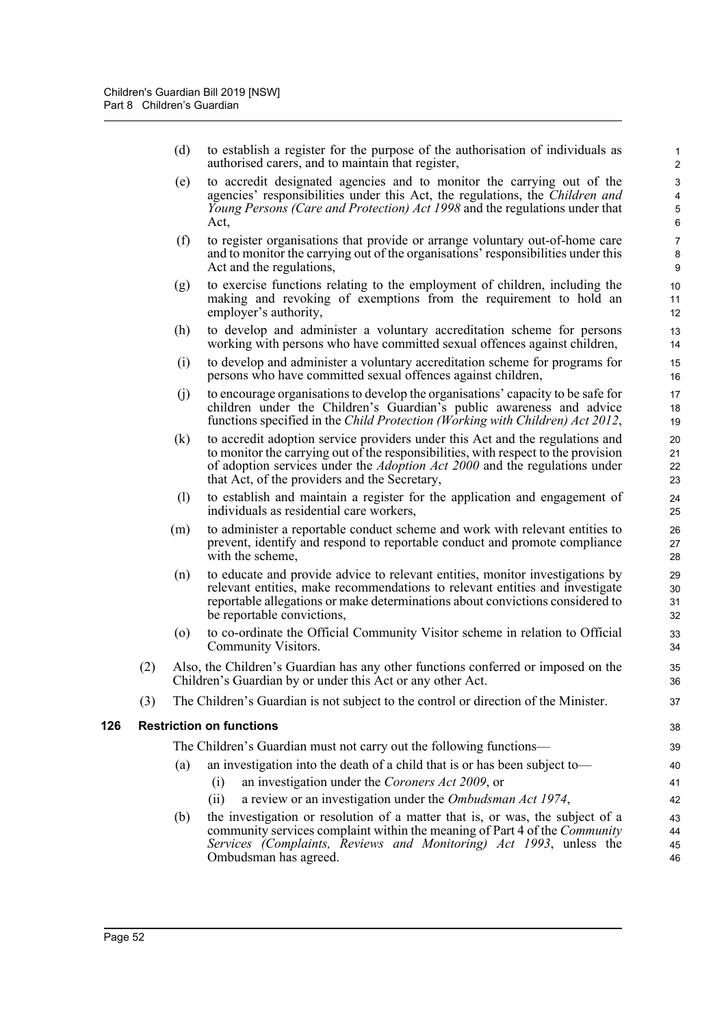(d) to establish a register for the purpose of the authorisation of individuals as authorised carers, and to maintain that register,

44 45 46

- (e) to accredit designated agencies and to monitor the carrying out of the agencies' responsibilities under this Act, the regulations, the *Children and Young Persons (Care and Protection) Act 1998* and the regulations under that Act,
- (f) to register organisations that provide or arrange voluntary out-of-home care and to monitor the carrying out of the organisations' responsibilities under this Act and the regulations,
- (g) to exercise functions relating to the employment of children, including the making and revoking of exemptions from the requirement to hold an employer's authority,
- (h) to develop and administer a voluntary accreditation scheme for persons working with persons who have committed sexual offences against children,
- (i) to develop and administer a voluntary accreditation scheme for programs for persons who have committed sexual offences against children,
- (j) to encourage organisations to develop the organisations' capacity to be safe for children under the Children's Guardian's public awareness and advice functions specified in the *Child Protection (Working with Children) Act 2012*,
- (k) to accredit adoption service providers under this Act and the regulations and to monitor the carrying out of the responsibilities, with respect to the provision of adoption services under the *Adoption Act 2000* and the regulations under that Act, of the providers and the Secretary,
- (l) to establish and maintain a register for the application and engagement of individuals as residential care workers,
- (m) to administer a reportable conduct scheme and work with relevant entities to prevent, identify and respond to reportable conduct and promote compliance with the scheme,
- (n) to educate and provide advice to relevant entities, monitor investigations by relevant entities, make recommendations to relevant entities and investigate reportable allegations or make determinations about convictions considered to be reportable convictions,
- (o) to co-ordinate the Official Community Visitor scheme in relation to Official Community Visitors.
- (2) Also, the Children's Guardian has any other functions conferred or imposed on the Children's Guardian by or under this Act or any other Act.
- (3) The Children's Guardian is not subject to the control or direction of the Minister.

### **126 Restriction on functions**

|     | striction on functions                                                        | 38 |
|-----|-------------------------------------------------------------------------------|----|
|     | The Children's Guardian must not carry out the following functions—           | 39 |
| (a) | an investigation into the death of a child that is or has been subject to—    | 40 |
|     | an investigation under the Coroners Act 2009, or                              | 41 |
|     | a review or an investigation under the Ombudsman Act 1974,<br>(11)            | 42 |
| (b) | the investigation or resolution of a matter that is, or was, the subject of a | 43 |

community services complaint within the meaning of Part 4 of the *Community Services (Complaints, Reviews and Monitoring) Act 1993*, unless the Ombudsman has agreed.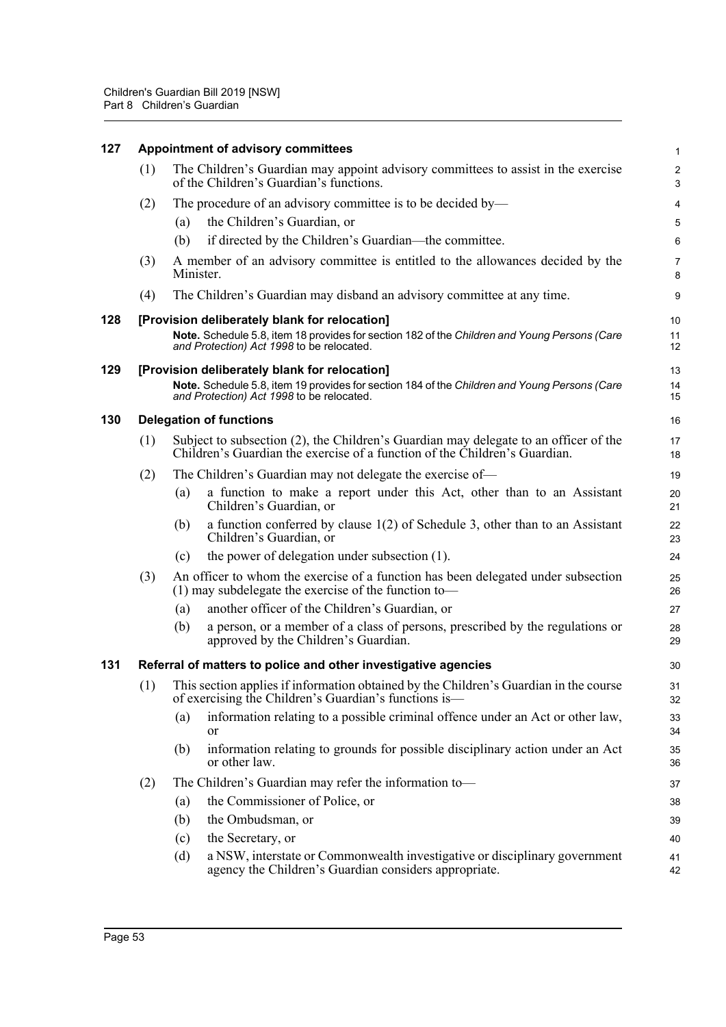| 127 | Appointment of advisory committees |                                                                                                                                                                    |                                                                                                                                                                                            |                |  |  |
|-----|------------------------------------|--------------------------------------------------------------------------------------------------------------------------------------------------------------------|--------------------------------------------------------------------------------------------------------------------------------------------------------------------------------------------|----------------|--|--|
|     | (1)                                |                                                                                                                                                                    | The Children's Guardian may appoint advisory committees to assist in the exercise<br>of the Children's Guardian's functions.                                                               | З              |  |  |
|     | (2)                                |                                                                                                                                                                    | The procedure of an advisory committee is to be decided by—                                                                                                                                |                |  |  |
|     |                                    | (a)                                                                                                                                                                | the Children's Guardian, or                                                                                                                                                                |                |  |  |
|     |                                    | (b)                                                                                                                                                                | if directed by the Children's Guardian-the committee.                                                                                                                                      | Е              |  |  |
|     | (3)                                | Minister.                                                                                                                                                          | A member of an advisory committee is entitled to the allowances decided by the                                                                                                             | 7<br>ε         |  |  |
|     | (4)                                |                                                                                                                                                                    | The Children's Guardian may disband an advisory committee at any time.                                                                                                                     | ç              |  |  |
| 128 |                                    |                                                                                                                                                                    | [Provision deliberately blank for relocation]<br>Note. Schedule 5.8, item 18 provides for section 182 of the Children and Young Persons (Care<br>and Protection) Act 1998 to be relocated. | 10<br>11<br>12 |  |  |
| 129 |                                    |                                                                                                                                                                    | [Provision deliberately blank for relocation]<br>Note. Schedule 5.8, item 19 provides for section 184 of the Children and Young Persons (Care<br>and Protection) Act 1998 to be relocated. | 13<br>14<br>15 |  |  |
| 130 |                                    |                                                                                                                                                                    | <b>Delegation of functions</b>                                                                                                                                                             | 16             |  |  |
|     | (1)                                | Subject to subsection (2), the Children's Guardian may delegate to an officer of the<br>Children's Guardian the exercise of a function of the Children's Guardian. |                                                                                                                                                                                            |                |  |  |
|     | (2)                                |                                                                                                                                                                    | The Children's Guardian may not delegate the exercise of—                                                                                                                                  | 1 <sup>c</sup> |  |  |
|     |                                    | (a)                                                                                                                                                                | a function to make a report under this Act, other than to an Assistant<br>Children's Guardian, or                                                                                          | 20<br>21       |  |  |
|     |                                    | (b)                                                                                                                                                                | a function conferred by clause $1(2)$ of Schedule 3, other than to an Assistant<br>Children's Guardian, or                                                                                 | 22<br>23       |  |  |
|     |                                    | (c)                                                                                                                                                                | the power of delegation under subsection (1).                                                                                                                                              | 24             |  |  |
|     | (3)                                |                                                                                                                                                                    | An officer to whom the exercise of a function has been delegated under subsection<br>$(1)$ may subdelegate the exercise of the function to-                                                | 25<br>26       |  |  |
|     |                                    | (a)                                                                                                                                                                | another officer of the Children's Guardian, or                                                                                                                                             | 27             |  |  |
|     |                                    | (b)                                                                                                                                                                | a person, or a member of a class of persons, prescribed by the regulations or<br>approved by the Children's Guardian.                                                                      | 28<br>29       |  |  |
| 131 |                                    |                                                                                                                                                                    | Referral of matters to police and other investigative agencies                                                                                                                             | 3 <sub>C</sub> |  |  |
|     | (1)                                | This section applies if information obtained by the Children's Guardian in the course<br>of exercising the Children's Guardian's functions is—                     |                                                                                                                                                                                            |                |  |  |
|     |                                    | (a)                                                                                                                                                                | information relating to a possible criminal offence under an Act or other law,<br><b>or</b>                                                                                                | 33<br>34       |  |  |
|     |                                    | (b)                                                                                                                                                                | information relating to grounds for possible disciplinary action under an Act<br>or other law.                                                                                             | 35<br>36       |  |  |
|     | (2)                                |                                                                                                                                                                    | The Children's Guardian may refer the information to-                                                                                                                                      | 37             |  |  |
|     |                                    | (a)                                                                                                                                                                | the Commissioner of Police, or                                                                                                                                                             | 38             |  |  |
|     |                                    | (b)                                                                                                                                                                | the Ombudsman, or                                                                                                                                                                          | 39             |  |  |
|     |                                    | (c)                                                                                                                                                                | the Secretary, or                                                                                                                                                                          | 40             |  |  |
|     |                                    | (d)                                                                                                                                                                | a NSW, interstate or Commonwealth investigative or disciplinary government<br>agency the Children's Guardian considers appropriate.                                                        | 41<br>42       |  |  |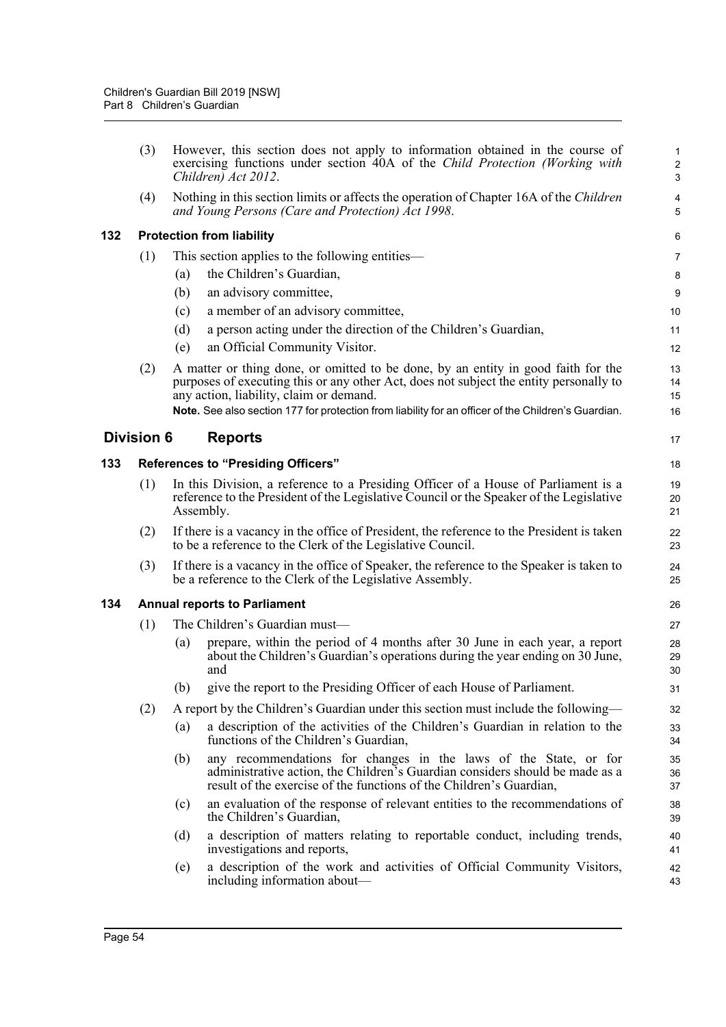|     | (3)               |     | However, this section does not apply to information obtained in the course of<br>exercising functions under section 40A of the Child Protection (Working with<br>Children) Act 2012.                                    | 2<br>G                     |
|-----|-------------------|-----|-------------------------------------------------------------------------------------------------------------------------------------------------------------------------------------------------------------------------|----------------------------|
|     | (4)               |     | Nothing in this section limits or affects the operation of Chapter 16A of the Children<br>and Young Persons (Care and Protection) Act 1998.                                                                             | 4<br>5                     |
| 132 |                   |     | <b>Protection from liability</b>                                                                                                                                                                                        | Е                          |
|     | (1)               |     | This section applies to the following entities—                                                                                                                                                                         | 7                          |
|     |                   | (a) | the Children's Guardian,                                                                                                                                                                                                | ε                          |
|     |                   | (b) | an advisory committee,                                                                                                                                                                                                  | ς                          |
|     |                   | (c) | a member of an advisory committee,                                                                                                                                                                                      | 10                         |
|     |                   | (d) | a person acting under the direction of the Children's Guardian,                                                                                                                                                         | 11                         |
|     |                   | (e) | an Official Community Visitor.                                                                                                                                                                                          | 12                         |
|     | (2)               |     | A matter or thing done, or omitted to be done, by an entity in good faith for the<br>purposes of executing this or any other Act, does not subject the entity personally to<br>any action, liability, claim or demand.  | 13<br>14<br>15             |
|     |                   |     | Note. See also section 177 for protection from liability for an officer of the Children's Guardian.                                                                                                                     | 16                         |
|     | <b>Division 6</b> |     | <b>Reports</b>                                                                                                                                                                                                          | 17                         |
| 133 |                   |     | <b>References to "Presiding Officers"</b>                                                                                                                                                                               | 18                         |
|     | (1)               |     | In this Division, a reference to a Presiding Officer of a House of Parliament is a<br>reference to the President of the Legislative Council or the Speaker of the Legislative<br>Assembly.                              | 1 <sup>c</sup><br>20<br>21 |
|     | (2)               |     | If there is a vacancy in the office of President, the reference to the President is taken<br>to be a reference to the Clerk of the Legislative Council.                                                                 | 22<br>23                   |
|     | (3)               |     | If there is a vacancy in the office of Speaker, the reference to the Speaker is taken to<br>be a reference to the Clerk of the Legislative Assembly.                                                                    | 24<br>25                   |
| 134 |                   |     | <b>Annual reports to Parliament</b>                                                                                                                                                                                     | 26                         |
|     | (1)               |     | The Children's Guardian must-                                                                                                                                                                                           | 27                         |
|     |                   | (a) | prepare, within the period of 4 months after 30 June in each year, a report<br>about the Children's Guardian's operations during the year ending on 30 June,<br>and                                                     | 28<br>29<br>3 <sub>C</sub> |
|     |                   |     | (b) give the report to the Presiding Officer of each House of Parliament.                                                                                                                                               | 31                         |
|     | (2)               |     | A report by the Children's Guardian under this section must include the following—                                                                                                                                      | 32                         |
|     |                   | (a) | a description of the activities of the Children's Guardian in relation to the<br>functions of the Children's Guardian,                                                                                                  | 33<br>34                   |
|     |                   | (b) | any recommendations for changes in the laws of the State, or for<br>administrative action, the Children's Guardian considers should be made as a<br>result of the exercise of the functions of the Children's Guardian, | 35<br>36<br>37             |
|     |                   | (c) | an evaluation of the response of relevant entities to the recommendations of<br>the Children's Guardian,                                                                                                                | 38<br>39                   |
|     |                   | (d) | a description of matters relating to reportable conduct, including trends,<br>investigations and reports,                                                                                                               | 40<br>41                   |
|     |                   | (e) | a description of the work and activities of Official Community Visitors,<br>including information about—                                                                                                                | 42<br>43                   |
|     |                   |     |                                                                                                                                                                                                                         |                            |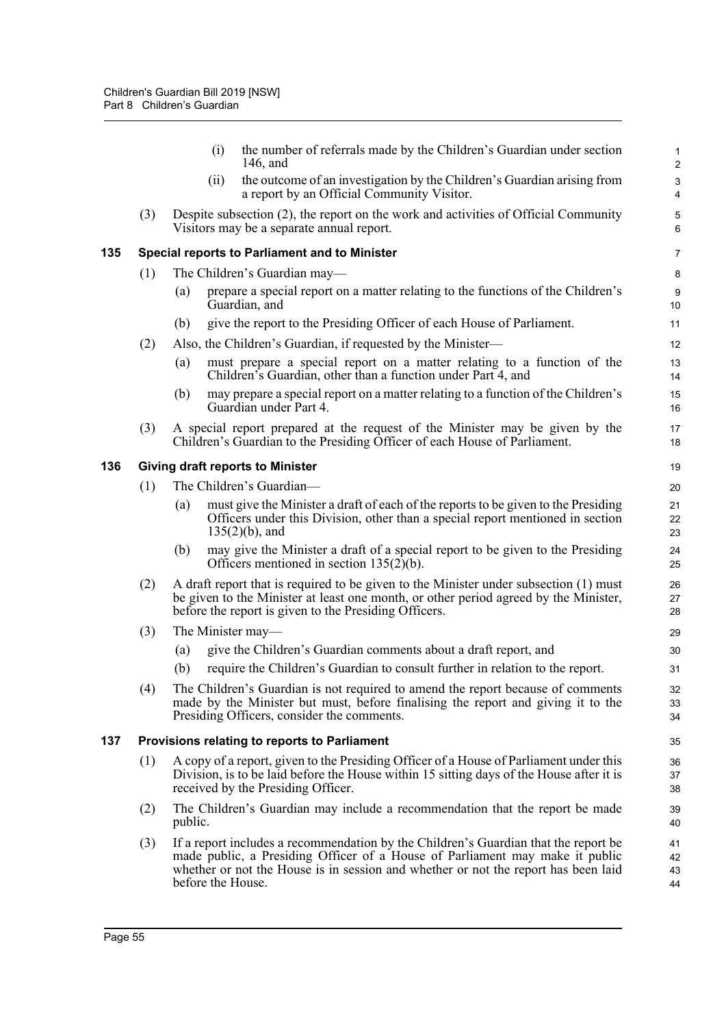|     |     |         | the number of referrals made by the Children's Guardian under section<br>(i)<br>146, and                                                                                                                                                                                       | 1<br>$\overline{2}$    |
|-----|-----|---------|--------------------------------------------------------------------------------------------------------------------------------------------------------------------------------------------------------------------------------------------------------------------------------|------------------------|
|     |     |         | the outcome of an investigation by the Children's Guardian arising from<br>(ii)<br>a report by an Official Community Visitor.                                                                                                                                                  | 3<br>4                 |
|     | (3) |         | Despite subsection (2), the report on the work and activities of Official Community<br>Visitors may be a separate annual report.                                                                                                                                               | 5<br>6                 |
| 135 |     |         | Special reports to Parliament and to Minister                                                                                                                                                                                                                                  | $\overline{7}$         |
|     | (1) |         | The Children's Guardian may—                                                                                                                                                                                                                                                   | 8                      |
|     |     | (a)     | prepare a special report on a matter relating to the functions of the Children's<br>Guardian, and                                                                                                                                                                              | $\boldsymbol{9}$<br>10 |
|     |     | (b)     | give the report to the Presiding Officer of each House of Parliament.                                                                                                                                                                                                          | 11                     |
|     | (2) |         | Also, the Children's Guardian, if requested by the Minister—                                                                                                                                                                                                                   | 12                     |
|     |     | (a)     | must prepare a special report on a matter relating to a function of the<br>Children's Guardian, other than a function under Part 4, and                                                                                                                                        | 13<br>14               |
|     |     | (b)     | may prepare a special report on a matter relating to a function of the Children's<br>Guardian under Part 4.                                                                                                                                                                    | 15<br>16               |
|     | (3) |         | A special report prepared at the request of the Minister may be given by the<br>Children's Guardian to the Presiding Officer of each House of Parliament.                                                                                                                      | 17<br>18               |
| 136 |     |         | <b>Giving draft reports to Minister</b>                                                                                                                                                                                                                                        | 19                     |
|     | (1) |         | The Children's Guardian-                                                                                                                                                                                                                                                       | 20                     |
|     |     | (a)     | must give the Minister a draft of each of the reports to be given to the Presiding<br>Officers under this Division, other than a special report mentioned in section<br>$135(2)(b)$ , and                                                                                      | 21<br>22<br>23         |
|     |     | (b)     | may give the Minister a draft of a special report to be given to the Presiding<br>Officers mentioned in section $135(2)(b)$ .                                                                                                                                                  | 24<br>25               |
|     | (2) |         | A draft report that is required to be given to the Minister under subsection (1) must<br>be given to the Minister at least one month, or other period agreed by the Minister,<br>before the report is given to the Presiding Officers.                                         | 26<br>27<br>28         |
|     | (3) |         | The Minister may—                                                                                                                                                                                                                                                              | 29                     |
|     |     | (a)     | give the Children's Guardian comments about a draft report, and                                                                                                                                                                                                                | 30                     |
|     |     | (b)     | require the Children's Guardian to consult further in relation to the report.                                                                                                                                                                                                  | 31                     |
|     | (4) |         | The Children's Guardian is not required to amend the report because of comments<br>made by the Minister but must, before finalising the report and giving it to the<br>Presiding Officers, consider the comments.                                                              | 32<br>33<br>34         |
| 137 |     |         | Provisions relating to reports to Parliament                                                                                                                                                                                                                                   | 35                     |
|     | (1) |         | A copy of a report, given to the Presiding Officer of a House of Parliament under this<br>Division, is to be laid before the House within 15 sitting days of the House after it is<br>received by the Presiding Officer.                                                       | 36<br>37<br>38         |
|     | (2) | public. | The Children's Guardian may include a recommendation that the report be made                                                                                                                                                                                                   | 39<br>40               |
|     | (3) |         | If a report includes a recommendation by the Children's Guardian that the report be<br>made public, a Presiding Officer of a House of Parliament may make it public<br>whether or not the House is in session and whether or not the report has been laid<br>before the House. | 41<br>42<br>43<br>44   |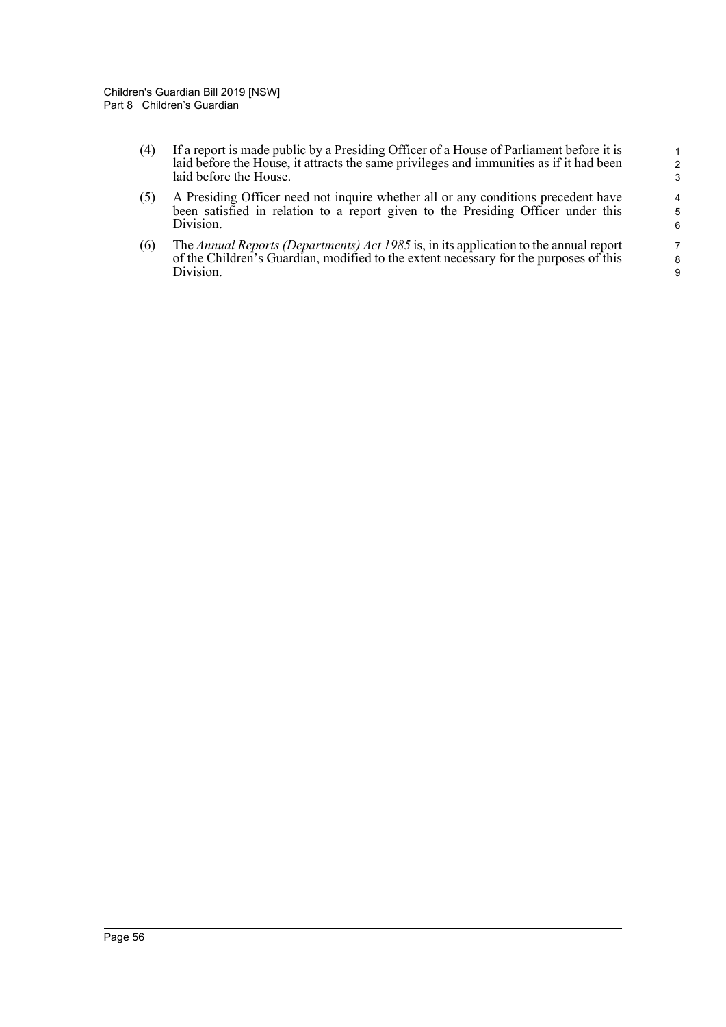- (4) If a report is made public by a Presiding Officer of a House of Parliament before it is laid before the House, it attracts the same privileges and immunities as if it had been laid before the House.
- (5) A Presiding Officer need not inquire whether all or any conditions precedent have been satisfied in relation to a report given to the Presiding Officer under this Division.
- (6) The *Annual Reports (Departments) Act 1985* is, in its application to the annual report of the Children's Guardian, modified to the extent necessary for the purposes of this Division.

9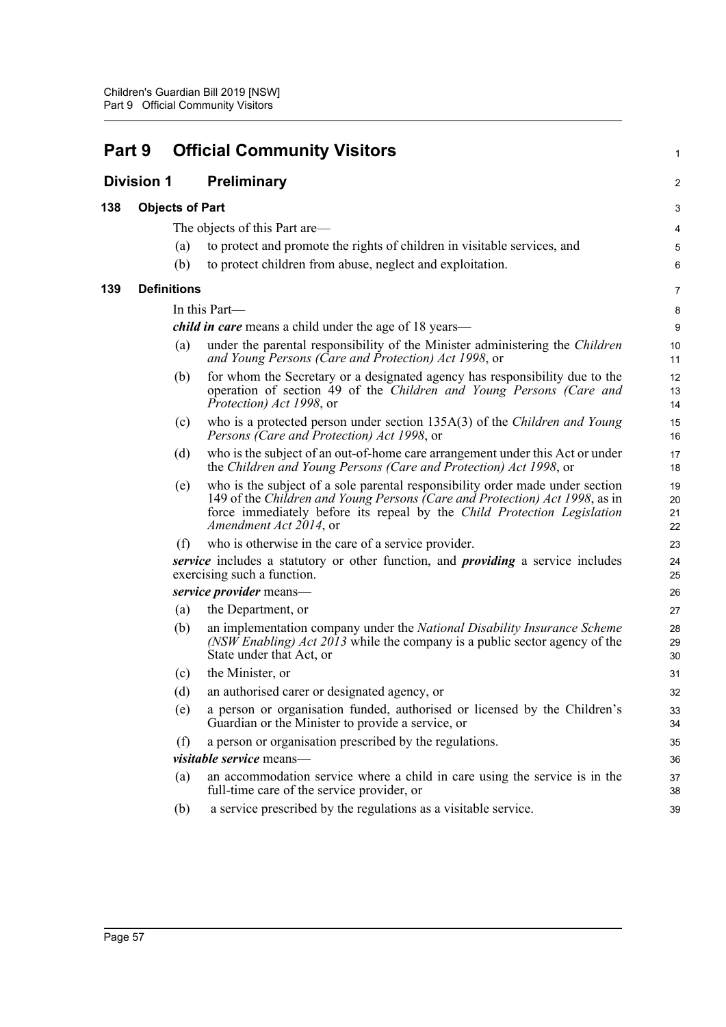| Part 9 |                        |                    | <b>Official Community Visitors</b>                                                                                                                                                                                                                                | 1                    |
|--------|------------------------|--------------------|-------------------------------------------------------------------------------------------------------------------------------------------------------------------------------------------------------------------------------------------------------------------|----------------------|
|        | <b>Division 1</b>      |                    | <b>Preliminary</b>                                                                                                                                                                                                                                                | 2                    |
| 138    | <b>Objects of Part</b> |                    |                                                                                                                                                                                                                                                                   | 3                    |
|        |                        |                    | The objects of this Part are—                                                                                                                                                                                                                                     | 4                    |
|        |                        | (a)                | to protect and promote the rights of children in visitable services, and                                                                                                                                                                                          | 5                    |
|        |                        | (b)                | to protect children from abuse, neglect and exploitation.                                                                                                                                                                                                         | 6                    |
| 139    |                        | <b>Definitions</b> |                                                                                                                                                                                                                                                                   | 7                    |
|        |                        |                    | In this Part-                                                                                                                                                                                                                                                     | 8                    |
|        |                        |                    | <i>child in care</i> means a child under the age of 18 years—                                                                                                                                                                                                     | $\boldsymbol{9}$     |
|        |                        | (a)                | under the parental responsibility of the Minister administering the Children<br>and Young Persons (Care and Protection) Act 1998, or                                                                                                                              | 10<br>11             |
|        |                        | (b)                | for whom the Secretary or a designated agency has responsibility due to the<br>operation of section 49 of the Children and Young Persons (Care and<br><i>Protection</i> ) <i>Act 1998</i> , or                                                                    | 12<br>13<br>14       |
|        |                        | (c)                | who is a protected person under section 135A(3) of the <i>Children and Young</i><br>Persons (Care and Protection) Act 1998, or                                                                                                                                    | 15<br>16             |
|        |                        | (d)                | who is the subject of an out-of-home care arrangement under this Act or under<br>the Children and Young Persons (Care and Protection) Act 1998, or                                                                                                                | 17<br>18             |
|        |                        | (e)                | who is the subject of a sole parental responsibility order made under section<br>149 of the Children and Young Persons (Care and Protection) Act 1998, as in<br>force immediately before its repeal by the Child Protection Legislation<br>Amendment Act 2014, or | 19<br>20<br>21<br>22 |
|        |                        | (f)                | who is otherwise in the care of a service provider.                                                                                                                                                                                                               | 23                   |
|        |                        |                    | service includes a statutory or other function, and <i>providing</i> a service includes<br>exercising such a function.                                                                                                                                            | 24<br>25             |
|        |                        |                    | service provider means-                                                                                                                                                                                                                                           | 26                   |
|        |                        | (a)                | the Department, or                                                                                                                                                                                                                                                | 27                   |
|        |                        | (b)                | an implementation company under the National Disability Insurance Scheme<br>(NSW Enabling) Act 2013 while the company is a public sector agency of the<br>State under that Act, or                                                                                | 28<br>29<br>30       |
|        |                        | (c)                | the Minister, or                                                                                                                                                                                                                                                  | 31                   |
|        |                        | (d)                | an authorised carer or designated agency, or                                                                                                                                                                                                                      | 32                   |
|        |                        | (e)                | a person or organisation funded, authorised or licensed by the Children's<br>Guardian or the Minister to provide a service, or                                                                                                                                    | 33<br>34             |
|        |                        | (f)                | a person or organisation prescribed by the regulations.                                                                                                                                                                                                           | 35                   |
|        |                        |                    | visitable service means-                                                                                                                                                                                                                                          | 36                   |
|        |                        | (a)                | an accommodation service where a child in care using the service is in the<br>full-time care of the service provider, or                                                                                                                                          | 37<br>38             |
|        |                        | (b)                | a service prescribed by the regulations as a visitable service.                                                                                                                                                                                                   | 39                   |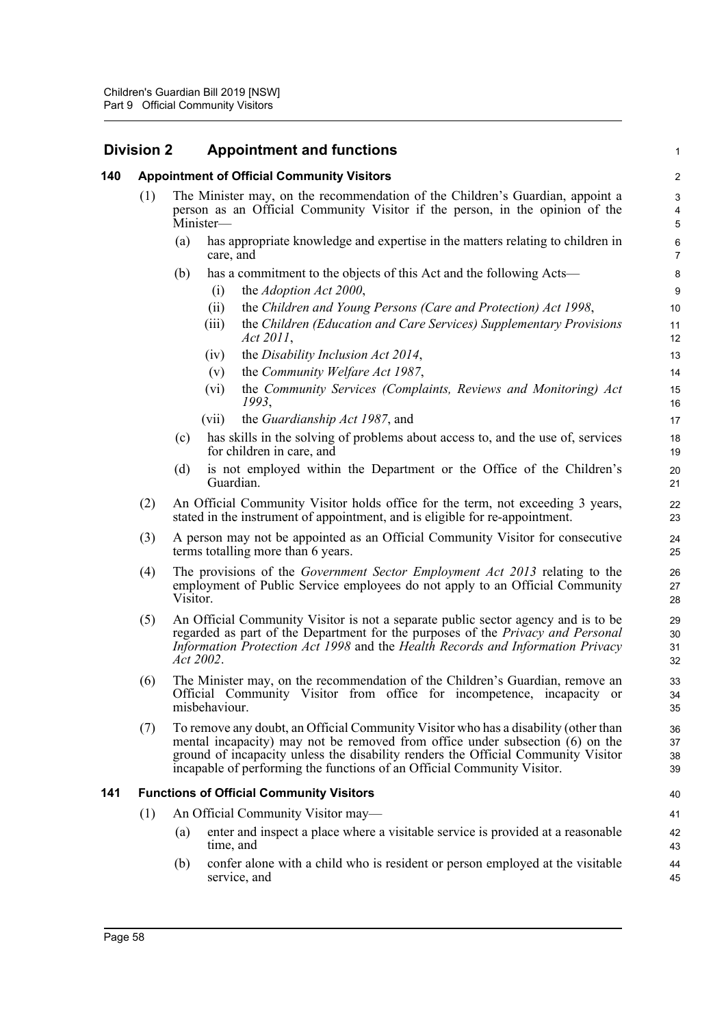| <b>Division 2</b> |     |          | <b>Appointment and functions</b>                                                                                                                                                                                                                                                                                                     | $\mathbf{1}$                                          |
|-------------------|-----|----------|--------------------------------------------------------------------------------------------------------------------------------------------------------------------------------------------------------------------------------------------------------------------------------------------------------------------------------------|-------------------------------------------------------|
| 140               |     |          | <b>Appointment of Official Community Visitors</b>                                                                                                                                                                                                                                                                                    | $\sqrt{2}$                                            |
|                   | (1) |          | The Minister may, on the recommendation of the Children's Guardian, appoint a<br>person as an Official Community Visitor if the person, in the opinion of the<br>Minister-                                                                                                                                                           | $\mathbf{3}$<br>$\overline{\mathbf{4}}$<br>$\sqrt{5}$ |
|                   |     | (a)      | has appropriate knowledge and expertise in the matters relating to children in<br>care, and                                                                                                                                                                                                                                          | 6<br>$\overline{7}$                                   |
|                   |     | (b)      | has a commitment to the objects of this Act and the following Acts—<br>the Adoption Act 2000,<br>(i)                                                                                                                                                                                                                                 | 8<br>$\boldsymbol{9}$                                 |
|                   |     |          | the Children and Young Persons (Care and Protection) Act 1998,<br>(ii)<br>the Children (Education and Care Services) Supplementary Provisions<br>(iii)<br>Act 2011,                                                                                                                                                                  | 10<br>11<br>12                                        |
|                   |     |          | the Disability Inclusion Act 2014,<br>(iv)                                                                                                                                                                                                                                                                                           | 13                                                    |
|                   |     |          | the Community Welfare Act 1987,<br>(v)                                                                                                                                                                                                                                                                                               | 14                                                    |
|                   |     |          | the Community Services (Complaints, Reviews and Monitoring) Act<br>$(v_i)$<br>1993,                                                                                                                                                                                                                                                  | 15<br>16                                              |
|                   |     |          | the Guardianship Act 1987, and<br>(vii)                                                                                                                                                                                                                                                                                              | 17                                                    |
|                   |     | (c)      | has skills in the solving of problems about access to, and the use of, services<br>for children in care, and                                                                                                                                                                                                                         | 18<br>19                                              |
|                   |     | (d)      | is not employed within the Department or the Office of the Children's<br>Guardian.                                                                                                                                                                                                                                                   | 20<br>21                                              |
|                   | (2) |          | An Official Community Visitor holds office for the term, not exceeding 3 years,<br>stated in the instrument of appointment, and is eligible for re-appointment.                                                                                                                                                                      | 22<br>23                                              |
|                   | (3) |          | A person may not be appointed as an Official Community Visitor for consecutive<br>terms totalling more than 6 years.                                                                                                                                                                                                                 | 24<br>25                                              |
|                   | (4) | Visitor. | The provisions of the <i>Government Sector Employment Act 2013</i> relating to the<br>employment of Public Service employees do not apply to an Official Community                                                                                                                                                                   | 26<br>27<br>28                                        |
|                   | (5) |          | An Official Community Visitor is not a separate public sector agency and is to be<br>regarded as part of the Department for the purposes of the <i>Privacy and Personal</i><br>Information Protection Act 1998 and the Health Records and Information Privacy<br>Act 2002.                                                           | 29<br>30<br>31<br>32                                  |
|                   | (6) |          | The Minister may, on the recommendation of the Children's Guardian, remove an<br>Official Community Visitor from office for incompetence, incapacity or<br>misbehaviour.                                                                                                                                                             | 33<br>34<br>35                                        |
|                   | (7) |          | To remove any doubt, an Official Community Visitor who has a disability (other than<br>mental incapacity) may not be removed from office under subsection (6) on the<br>ground of incapacity unless the disability renders the Official Community Visitor<br>incapable of performing the functions of an Official Community Visitor. | 36<br>37<br>38<br>39                                  |
| 141               |     |          | <b>Functions of Official Community Visitors</b>                                                                                                                                                                                                                                                                                      | 40                                                    |
|                   | (1) |          | An Official Community Visitor may-                                                                                                                                                                                                                                                                                                   | 41                                                    |
|                   |     | (a)      | enter and inspect a place where a visitable service is provided at a reasonable<br>time, and                                                                                                                                                                                                                                         | 42<br>43                                              |
|                   |     | (b)      | confer alone with a child who is resident or person employed at the visitable<br>service, and                                                                                                                                                                                                                                        | 44<br>45                                              |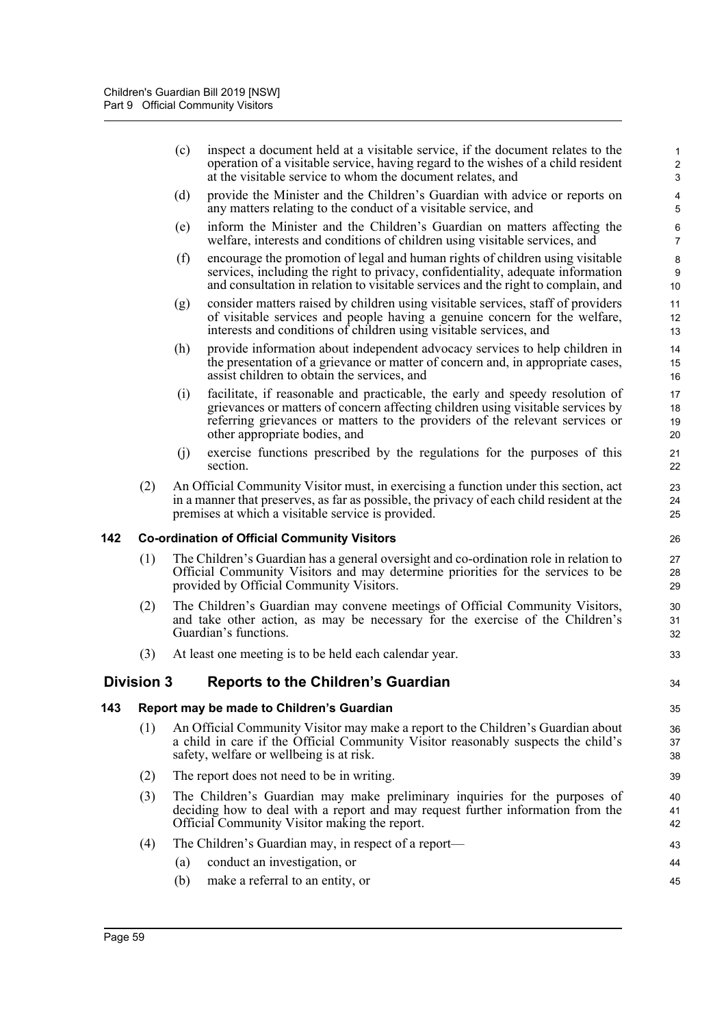|     |                                           | (c)        | inspect a document held at a visitable service, if the document relates to the<br>operation of a visitable service, having regard to the wishes of a child resident<br>at the visitable service to whom the document relates, and                                                 | $\mathbf{1}$<br>$\sqrt{2}$<br>3 |
|-----|-------------------------------------------|------------|-----------------------------------------------------------------------------------------------------------------------------------------------------------------------------------------------------------------------------------------------------------------------------------|---------------------------------|
|     |                                           | (d)        | provide the Minister and the Children's Guardian with advice or reports on<br>any matters relating to the conduct of a visitable service, and                                                                                                                                     | 4<br>$\,$ 5 $\,$                |
|     |                                           | (e)        | inform the Minister and the Children's Guardian on matters affecting the<br>welfare, interests and conditions of children using visitable services, and                                                                                                                           | 6<br>$\overline{7}$             |
|     |                                           | (f)        | encourage the promotion of legal and human rights of children using visitable<br>services, including the right to privacy, confidentiality, adequate information<br>and consultation in relation to visitable services and the right to complain, and                             | $\bf 8$<br>$9\,$<br>10          |
|     |                                           | (g)        | consider matters raised by children using visitable services, staff of providers<br>of visitable services and people having a genuine concern for the welfare,<br>interests and conditions of children using visitable services, and                                              | 11<br>12<br>13                  |
|     |                                           | (h)        | provide information about independent advocacy services to help children in<br>the presentation of a grievance or matter of concern and, in appropriate cases,<br>assist children to obtain the services, and                                                                     | 14<br>15<br>16                  |
|     |                                           | (i)        | facilitate, if reasonable and practicable, the early and speedy resolution of<br>grievances or matters of concern affecting children using visitable services by<br>referring grievances or matters to the providers of the relevant services or<br>other appropriate bodies, and | 17<br>18<br>19<br>20            |
|     |                                           | (j)        | exercise functions prescribed by the regulations for the purposes of this<br>section.                                                                                                                                                                                             | 21<br>22                        |
|     | (2)                                       |            | An Official Community Visitor must, in exercising a function under this section, act<br>in a manner that preserves, as far as possible, the privacy of each child resident at the<br>premises at which a visitable service is provided.                                           | 23<br>24<br>25                  |
| 142 |                                           |            | <b>Co-ordination of Official Community Visitors</b>                                                                                                                                                                                                                               | 26                              |
|     | (1)                                       |            | The Children's Guardian has a general oversight and co-ordination role in relation to<br>Official Community Visitors and may determine priorities for the services to be<br>provided by Official Community Visitors.                                                              | 27<br>28<br>29                  |
|     | (2)                                       |            | The Children's Guardian may convene meetings of Official Community Visitors,<br>and take other action, as may be necessary for the exercise of the Children's<br>Guardian's functions.                                                                                            | 30<br>31<br>32                  |
|     | (3)                                       |            | At least one meeting is to be held each calendar year.                                                                                                                                                                                                                            | 33                              |
|     | <b>Division 3</b>                         |            | <b>Reports to the Children's Guardian</b>                                                                                                                                                                                                                                         | 34                              |
| 143 | Report may be made to Children's Guardian |            |                                                                                                                                                                                                                                                                                   | 35                              |
|     | (1)                                       |            | An Official Community Visitor may make a report to the Children's Guardian about<br>a child in care if the Official Community Visitor reasonably suspects the child's<br>safety, welfare or wellbeing is at risk.                                                                 | 36<br>37<br>38                  |
|     | (2)                                       |            | The report does not need to be in writing.                                                                                                                                                                                                                                        | 39                              |
|     | (3)                                       |            | The Children's Guardian may make preliminary inquiries for the purposes of<br>deciding how to deal with a report and may request further information from the                                                                                                                     | 40<br>41                        |
|     |                                           |            | Official Community Visitor making the report.                                                                                                                                                                                                                                     | 42                              |
|     | (4)                                       |            | The Children's Guardian may, in respect of a report—                                                                                                                                                                                                                              | 43                              |
|     |                                           | (a)<br>(b) | conduct an investigation, or<br>make a referral to an entity, or                                                                                                                                                                                                                  | 44<br>45                        |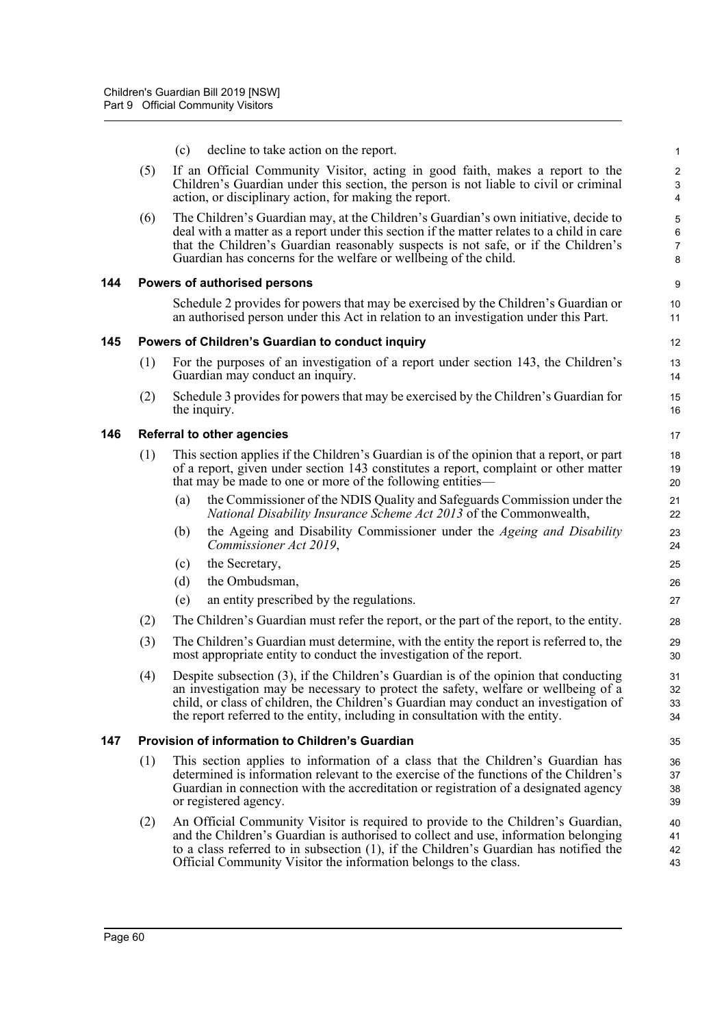|     |                                                  | (c)                                                                                                                                                                                                                                            | decline to take action on the report.                                                                                                                                                                                                                                                                                                               | 1                                 |  |  |
|-----|--------------------------------------------------|------------------------------------------------------------------------------------------------------------------------------------------------------------------------------------------------------------------------------------------------|-----------------------------------------------------------------------------------------------------------------------------------------------------------------------------------------------------------------------------------------------------------------------------------------------------------------------------------------------------|-----------------------------------|--|--|
|     | (5)                                              |                                                                                                                                                                                                                                                | If an Official Community Visitor, acting in good faith, makes a report to the<br>Children's Guardian under this section, the person is not liable to civil or criminal<br>action, or disciplinary action, for making the report.                                                                                                                    | $\overline{\mathbf{c}}$<br>3<br>4 |  |  |
|     | (6)                                              |                                                                                                                                                                                                                                                | The Children's Guardian may, at the Children's Guardian's own initiative, decide to<br>deal with a matter as a report under this section if the matter relates to a child in care<br>that the Children's Guardian reasonably suspects is not safe, or if the Children's<br>Guardian has concerns for the welfare or wellbeing of the child.         | 5<br>6<br>7<br>8                  |  |  |
| 144 |                                                  |                                                                                                                                                                                                                                                | Powers of authorised persons                                                                                                                                                                                                                                                                                                                        | 9                                 |  |  |
|     |                                                  |                                                                                                                                                                                                                                                | Schedule 2 provides for powers that may be exercised by the Children's Guardian or<br>an authorised person under this Act in relation to an investigation under this Part.                                                                                                                                                                          | 10<br>11                          |  |  |
| 145 | Powers of Children's Guardian to conduct inquiry |                                                                                                                                                                                                                                                |                                                                                                                                                                                                                                                                                                                                                     |                                   |  |  |
|     | (1)                                              |                                                                                                                                                                                                                                                | For the purposes of an investigation of a report under section 143, the Children's<br>Guardian may conduct an inquiry.                                                                                                                                                                                                                              | 13<br>14                          |  |  |
|     | (2)                                              |                                                                                                                                                                                                                                                | Schedule 3 provides for powers that may be exercised by the Children's Guardian for<br>the inquiry.                                                                                                                                                                                                                                                 | 15<br>16                          |  |  |
| 146 |                                                  | <b>Referral to other agencies</b>                                                                                                                                                                                                              |                                                                                                                                                                                                                                                                                                                                                     |                                   |  |  |
|     | (1)                                              | This section applies if the Children's Guardian is of the opinion that a report, or part<br>of a report, given under section 143 constitutes a report, complaint or other matter<br>that may be made to one or more of the following entities— |                                                                                                                                                                                                                                                                                                                                                     | 18<br>19<br>20                    |  |  |
|     |                                                  | (a)                                                                                                                                                                                                                                            | the Commissioner of the NDIS Quality and Safeguards Commission under the<br>National Disability Insurance Scheme Act 2013 of the Commonwealth,                                                                                                                                                                                                      | 21<br>22                          |  |  |
|     |                                                  | (b)                                                                                                                                                                                                                                            | the Ageing and Disability Commissioner under the Ageing and Disability<br>Commissioner Act 2019,                                                                                                                                                                                                                                                    | 23<br>24                          |  |  |
|     |                                                  | (c)                                                                                                                                                                                                                                            | the Secretary,                                                                                                                                                                                                                                                                                                                                      | 25                                |  |  |
|     |                                                  | (d)                                                                                                                                                                                                                                            | the Ombudsman,                                                                                                                                                                                                                                                                                                                                      | 26                                |  |  |
|     |                                                  | (e)                                                                                                                                                                                                                                            | an entity prescribed by the regulations.                                                                                                                                                                                                                                                                                                            | 27                                |  |  |
|     | (2)                                              |                                                                                                                                                                                                                                                | The Children's Guardian must refer the report, or the part of the report, to the entity.                                                                                                                                                                                                                                                            | 28                                |  |  |
|     | (3)                                              |                                                                                                                                                                                                                                                | The Children's Guardian must determine, with the entity the report is referred to, the<br>most appropriate entity to conduct the investigation of the report.                                                                                                                                                                                       | 29<br>30                          |  |  |
|     | (4)                                              |                                                                                                                                                                                                                                                | Despite subsection (3), if the Children's Guardian is of the opinion that conducting<br>an investigation may be necessary to protect the safety, welfare or wellbeing of a<br>child, or class of children, the Children's Guardian may conduct an investigation of<br>the report referred to the entity, including in consultation with the entity. | 31<br>32<br>33<br>34              |  |  |
| 147 |                                                  | Provision of information to Children's Guardian                                                                                                                                                                                                |                                                                                                                                                                                                                                                                                                                                                     |                                   |  |  |
|     | (1)                                              |                                                                                                                                                                                                                                                | This section applies to information of a class that the Children's Guardian has<br>determined is information relevant to the exercise of the functions of the Children's<br>Guardian in connection with the accreditation or registration of a designated agency<br>or registered agency.                                                           | 36<br>37<br>38<br>39              |  |  |
|     | (2)                                              |                                                                                                                                                                                                                                                | An Official Community Visitor is required to provide to the Children's Guardian,<br>and the Children's Guardian is authorised to collect and use, information belonging<br>to a class referred to in subsection $(1)$ , if the Children's Guardian has notified the<br>Official Community Visitor the information belongs to the class.             | 40<br>41<br>42<br>43              |  |  |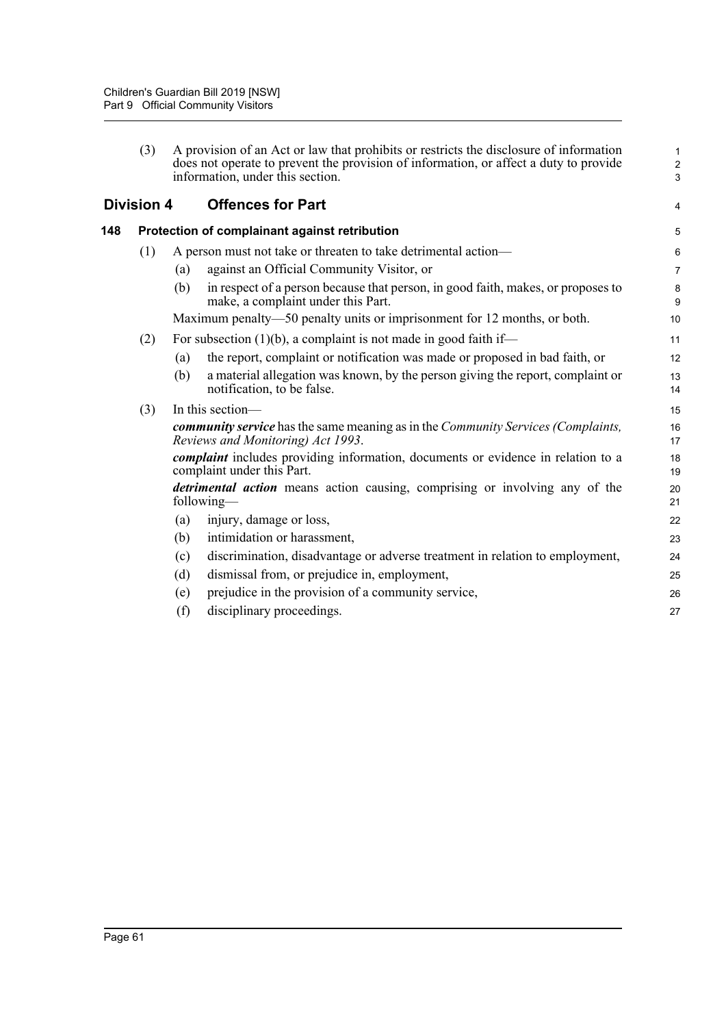|     | (3)               |     | A provision of an Act or law that prohibits or restricts the disclosure of information<br>does not operate to prevent the provision of information, or affect a duty to provide<br>information, under this section. | $\mathbf{1}$<br>$\overline{2}$<br>$\mathbf{3}$ |
|-----|-------------------|-----|---------------------------------------------------------------------------------------------------------------------------------------------------------------------------------------------------------------------|------------------------------------------------|
|     | <b>Division 4</b> |     | <b>Offences for Part</b>                                                                                                                                                                                            | 4                                              |
| 148 |                   |     | Protection of complainant against retribution                                                                                                                                                                       | 5                                              |
|     | (1)               |     | A person must not take or threaten to take detrimental action-                                                                                                                                                      | 6                                              |
|     |                   | (a) | against an Official Community Visitor, or                                                                                                                                                                           | $\overline{7}$                                 |
|     |                   | (b) | in respect of a person because that person, in good faith, makes, or proposes to<br>make, a complaint under this Part.                                                                                              | $\bf 8$<br>9                                   |
|     |                   |     | Maximum penalty—50 penalty units or imprisonment for 12 months, or both.                                                                                                                                            | 10                                             |
|     | (2)               |     | For subsection $(1)(b)$ , a complaint is not made in good faith if—                                                                                                                                                 | 11                                             |
|     |                   | (a) | the report, complaint or notification was made or proposed in bad faith, or                                                                                                                                         | 12                                             |
|     |                   | (b) | a material allegation was known, by the person giving the report, complaint or<br>notification, to be false.                                                                                                        | 13<br>14                                       |
|     | (3)               |     | In this section-                                                                                                                                                                                                    | 15                                             |
|     |                   |     | community service has the same meaning as in the Community Services (Complaints,<br>Reviews and Monitoring) Act 1993.                                                                                               | 16<br>17                                       |
|     |                   |     | <i>complaint</i> includes providing information, documents or evidence in relation to a<br>complaint under this Part.                                                                                               | 18<br>19                                       |
|     |                   |     | <i>detrimental action</i> means action causing, comprising or involving any of the<br>following—                                                                                                                    | 20<br>21                                       |
|     |                   | (a) | injury, damage or loss,                                                                                                                                                                                             | 22                                             |
|     |                   | (b) | intimidation or harassment,                                                                                                                                                                                         | 23                                             |
|     |                   | (c) | discrimination, disadvantage or adverse treatment in relation to employment,                                                                                                                                        | 24                                             |
|     |                   | (d) | dismissal from, or prejudice in, employment,                                                                                                                                                                        | 25                                             |
|     |                   | (e) | prejudice in the provision of a community service,                                                                                                                                                                  | 26                                             |
|     |                   | (f) | disciplinary proceedings.                                                                                                                                                                                           | 27                                             |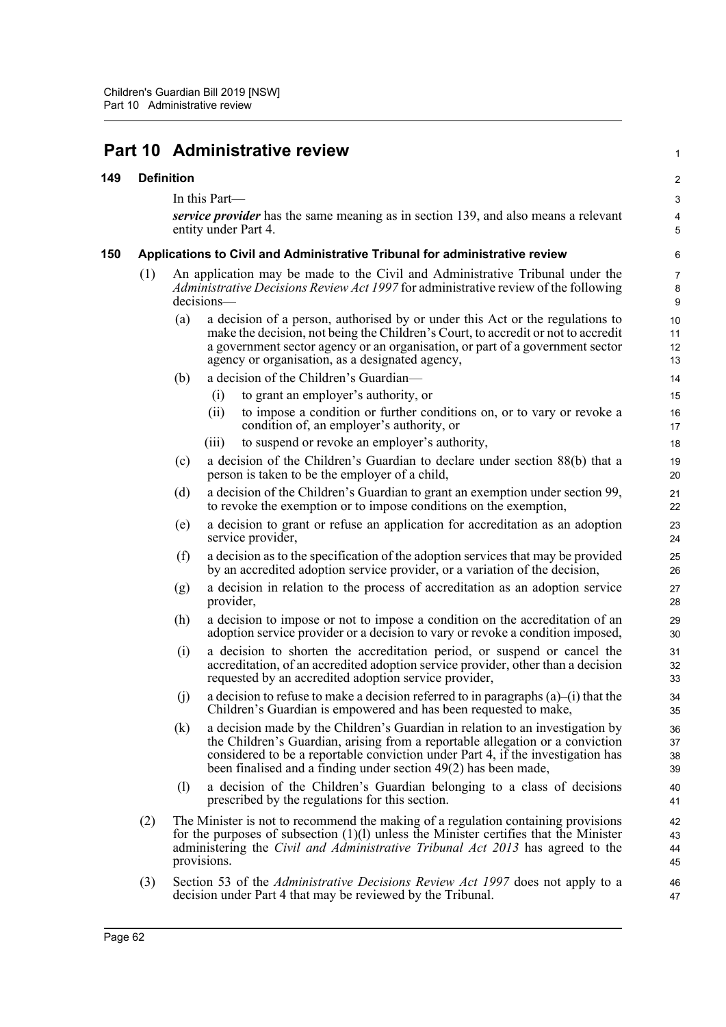# **Part 10 Administrative review**

#### **149 Definition**

In this Part—

*service provider* has the same meaning as in section 139, and also means a relevant entity under Part 4.

1

### **150 Applications to Civil and Administrative Tribunal for administrative review**

- (1) An application may be made to the Civil and Administrative Tribunal under the *Administrative Decisions Review Act 1997* for administrative review of the following decisions—
	- (a) a decision of a person, authorised by or under this Act or the regulations to make the decision, not being the Children's Court, to accredit or not to accredit a government sector agency or an organisation, or part of a government sector agency or organisation, as a designated agency,
	- (b) a decision of the Children's Guardian—
		- (i) to grant an employer's authority, or
		- (ii) to impose a condition or further conditions on, or to vary or revoke a condition of, an employer's authority, or
		- (iii) to suspend or revoke an employer's authority,
	- (c) a decision of the Children's Guardian to declare under section 88(b) that a person is taken to be the employer of a child,
	- (d) a decision of the Children's Guardian to grant an exemption under section 99, to revoke the exemption or to impose conditions on the exemption,
	- (e) a decision to grant or refuse an application for accreditation as an adoption service provider,
	- (f) a decision as to the specification of the adoption services that may be provided by an accredited adoption service provider, or a variation of the decision,
	- (g) a decision in relation to the process of accreditation as an adoption service provider,
	- (h) a decision to impose or not to impose a condition on the accreditation of an adoption service provider or a decision to vary or revoke a condition imposed,
	- (i) a decision to shorten the accreditation period, or suspend or cancel the accreditation, of an accredited adoption service provider, other than a decision requested by an accredited adoption service provider,
	- (i) a decision to refuse to make a decision referred to in paragraphs  $(a)$ –(i) that the Children's Guardian is empowered and has been requested to make,
	- (k) a decision made by the Children's Guardian in relation to an investigation by the Children's Guardian, arising from a reportable allegation or a conviction considered to be a reportable conviction under Part 4, if the investigation has been finalised and a finding under section 49(2) has been made,
	- (l) a decision of the Children's Guardian belonging to a class of decisions prescribed by the regulations for this section.
- (2) The Minister is not to recommend the making of a regulation containing provisions for the purposes of subsection  $(1)(l)$  unless the Minister certifies that the Minister administering the *Civil and Administrative Tribunal Act 2013* has agreed to the provisions.
- (3) Section 53 of the *Administrative Decisions Review Act 1997* does not apply to a decision under Part 4 that may be reviewed by the Tribunal.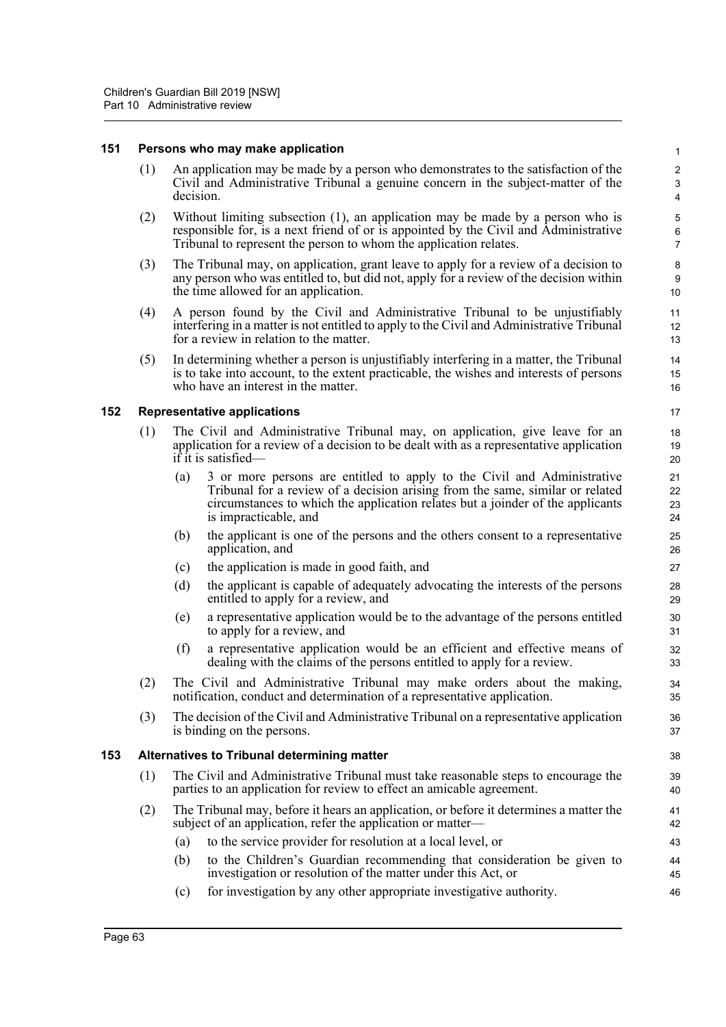#### **151 Persons who may make application**

(1) An application may be made by a person who demonstrates to the satisfaction of the Civil and Administrative Tribunal a genuine concern in the subject-matter of the decision.

- (2) Without limiting subsection (1), an application may be made by a person who is responsible for, is a next friend of or is appointed by the Civil and Administrative Tribunal to represent the person to whom the application relates.
- (3) The Tribunal may, on application, grant leave to apply for a review of a decision to any person who was entitled to, but did not, apply for a review of the decision within the time allowed for an application.
- (4) A person found by the Civil and Administrative Tribunal to be unjustifiably interfering in a matter is not entitled to apply to the Civil and Administrative Tribunal for a review in relation to the matter.
- (5) In determining whether a person is unjustifiably interfering in a matter, the Tribunal is to take into account, to the extent practicable, the wishes and interests of persons who have an interest in the matter.

#### **152 Representative applications**

- (1) The Civil and Administrative Tribunal may, on application, give leave for an application for a review of a decision to be dealt with as a representative application if it is satisfied—
	- (a) 3 or more persons are entitled to apply to the Civil and Administrative Tribunal for a review of a decision arising from the same, similar or related circumstances to which the application relates but a joinder of the applicants is impracticable, and
	- (b) the applicant is one of the persons and the others consent to a representative application, and
	- (c) the application is made in good faith, and
	- (d) the applicant is capable of adequately advocating the interests of the persons entitled to apply for a review, and
	- (e) a representative application would be to the advantage of the persons entitled to apply for a review, and
	- (f) a representative application would be an efficient and effective means of dealing with the claims of the persons entitled to apply for a review.
- (2) The Civil and Administrative Tribunal may make orders about the making, notification, conduct and determination of a representative application.
- (3) The decision of the Civil and Administrative Tribunal on a representative application is binding on the persons.

#### **153 Alternatives to Tribunal determining matter**

- (1) The Civil and Administrative Tribunal must take reasonable steps to encourage the parties to an application for review to effect an amicable agreement.
- (2) The Tribunal may, before it hears an application, or before it determines a matter the subject of an application, refer the application or matter—
	- (a) to the service provider for resolution at a local level, or
	- (b) to the Children's Guardian recommending that consideration be given to investigation or resolution of the matter under this Act, or
	- (c) for investigation by any other appropriate investigative authority.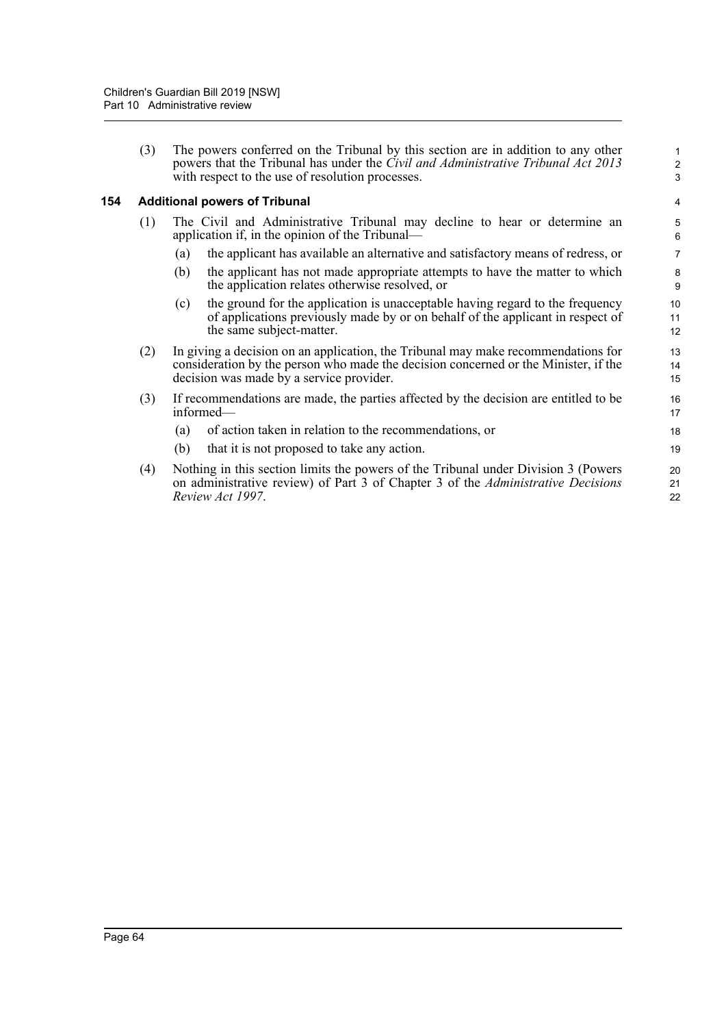(3) The powers conferred on the Tribunal by this section are in addition to any other powers that the Tribunal has under the *Civil and Administrative Tribunal Act 2013* with respect to the use of resolution processes.

1 2 3

### **154 Additional powers of Tribunal**

- (1) The Civil and Administrative Tribunal may decline to hear or determine an application if, in the opinion of the Tribunal—
	- (a) the applicant has available an alternative and satisfactory means of redress, or
	- (b) the applicant has not made appropriate attempts to have the matter to which the application relates otherwise resolved, or
	- (c) the ground for the application is unacceptable having regard to the frequency of applications previously made by or on behalf of the applicant in respect of the same subject-matter.
- (2) In giving a decision on an application, the Tribunal may make recommendations for consideration by the person who made the decision concerned or the Minister, if the decision was made by a service provider.
- (3) If recommendations are made, the parties affected by the decision are entitled to be informed—
	- (a) of action taken in relation to the recommendations, or
	- (b) that it is not proposed to take any action.
- (4) Nothing in this section limits the powers of the Tribunal under Division 3 (Powers on administrative review) of Part 3 of Chapter 3 of the *Administrative Decisions Review Act 1997*.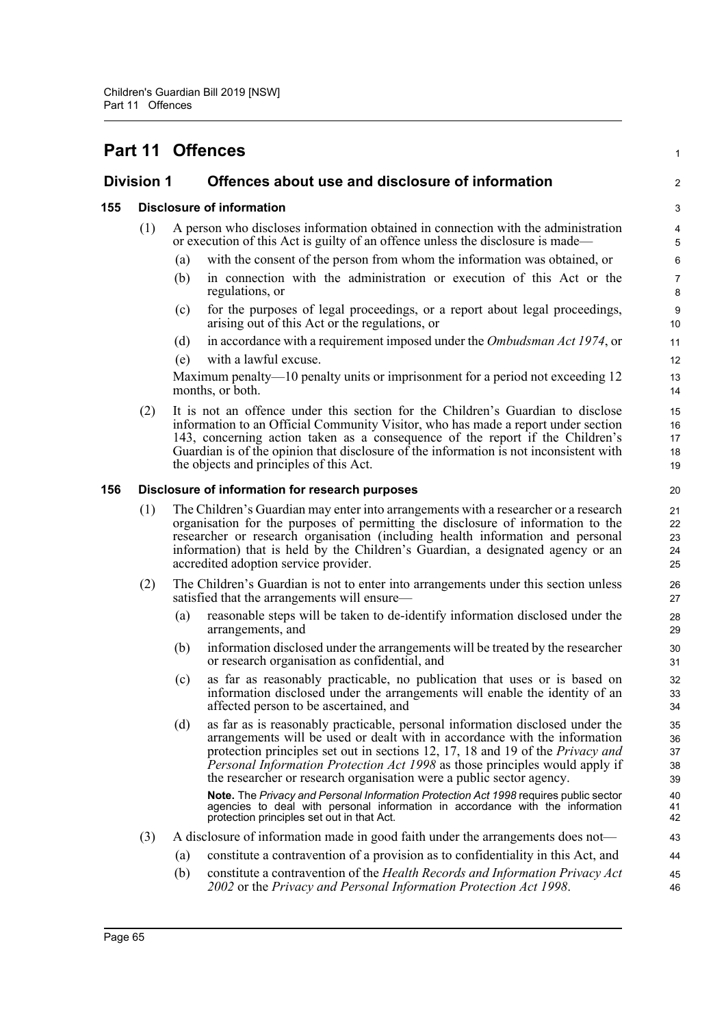|                   |     |                                                                                                                                                                                                                                                                                                                                                                                       | Part 11 Offences                                                                                                                                                                                                                                                                                                                                                                                            | $\mathbf{1}$                              |
|-------------------|-----|---------------------------------------------------------------------------------------------------------------------------------------------------------------------------------------------------------------------------------------------------------------------------------------------------------------------------------------------------------------------------------------|-------------------------------------------------------------------------------------------------------------------------------------------------------------------------------------------------------------------------------------------------------------------------------------------------------------------------------------------------------------------------------------------------------------|-------------------------------------------|
| <b>Division 1</b> |     |                                                                                                                                                                                                                                                                                                                                                                                       | Offences about use and disclosure of information                                                                                                                                                                                                                                                                                                                                                            | $\overline{2}$                            |
| 155               |     |                                                                                                                                                                                                                                                                                                                                                                                       | <b>Disclosure of information</b>                                                                                                                                                                                                                                                                                                                                                                            | 3                                         |
|                   | (1) |                                                                                                                                                                                                                                                                                                                                                                                       | A person who discloses information obtained in connection with the administration<br>or execution of this Act is guilty of an offence unless the disclosure is made—                                                                                                                                                                                                                                        | $\overline{\mathbf{4}}$<br>$\overline{5}$ |
|                   |     | (a)                                                                                                                                                                                                                                                                                                                                                                                   | with the consent of the person from whom the information was obtained, or                                                                                                                                                                                                                                                                                                                                   | 6                                         |
|                   |     | (b)                                                                                                                                                                                                                                                                                                                                                                                   | in connection with the administration or execution of this Act or the<br>regulations, or                                                                                                                                                                                                                                                                                                                    | $\overline{7}$<br>8                       |
|                   |     | (c)                                                                                                                                                                                                                                                                                                                                                                                   | for the purposes of legal proceedings, or a report about legal proceedings,<br>arising out of this Act or the regulations, or                                                                                                                                                                                                                                                                               | $\boldsymbol{9}$<br>10                    |
|                   |     | (d)                                                                                                                                                                                                                                                                                                                                                                                   | in accordance with a requirement imposed under the Ombudsman Act 1974, or                                                                                                                                                                                                                                                                                                                                   | 11                                        |
|                   |     | (e)                                                                                                                                                                                                                                                                                                                                                                                   | with a lawful excuse.                                                                                                                                                                                                                                                                                                                                                                                       | 12                                        |
|                   |     |                                                                                                                                                                                                                                                                                                                                                                                       | Maximum penalty—10 penalty units or imprisonment for a period not exceeding 12<br>months, or both.                                                                                                                                                                                                                                                                                                          | 13<br>14                                  |
|                   | (2) |                                                                                                                                                                                                                                                                                                                                                                                       | It is not an offence under this section for the Children's Guardian to disclose<br>information to an Official Community Visitor, who has made a report under section<br>143, concerning action taken as a consequence of the report if the Children's<br>Guardian is of the opinion that disclosure of the information is not inconsistent with<br>the objects and principles of this Act.                  | 15<br>16<br>17<br>18<br>19                |
| 156               |     |                                                                                                                                                                                                                                                                                                                                                                                       | Disclosure of information for research purposes                                                                                                                                                                                                                                                                                                                                                             | 20                                        |
|                   | (1) | The Children's Guardian may enter into arrangements with a researcher or a research<br>organisation for the purposes of permitting the disclosure of information to the<br>researcher or research organisation (including health information and personal<br>information) that is held by the Children's Guardian, a designated agency or an<br>accredited adoption service provider. |                                                                                                                                                                                                                                                                                                                                                                                                             |                                           |
|                   | (2) |                                                                                                                                                                                                                                                                                                                                                                                       | The Children's Guardian is not to enter into arrangements under this section unless<br>satisfied that the arrangements will ensure—                                                                                                                                                                                                                                                                         | 26<br>27                                  |
|                   |     | (a)                                                                                                                                                                                                                                                                                                                                                                                   | reasonable steps will be taken to de-identify information disclosed under the<br>arrangements, and                                                                                                                                                                                                                                                                                                          | 28<br>29                                  |
|                   |     | (b)                                                                                                                                                                                                                                                                                                                                                                                   | information disclosed under the arrangements will be treated by the researcher<br>or research organisation as confidential, and                                                                                                                                                                                                                                                                             | 30<br>31                                  |
|                   |     | (c)                                                                                                                                                                                                                                                                                                                                                                                   | as far as reasonably practicable, no publication that uses or is based on<br>information disclosed under the arrangements will enable the identity of an<br>affected person to be ascertained, and                                                                                                                                                                                                          | 32<br>33<br>34                            |
|                   |     | (d)                                                                                                                                                                                                                                                                                                                                                                                   | as far as is reasonably practicable, personal information disclosed under the<br>arrangements will be used or dealt with in accordance with the information<br>protection principles set out in sections 12, 17, 18 and 19 of the <i>Privacy and</i><br>Personal Information Protection Act 1998 as those principles would apply if<br>the researcher or research organisation were a public sector agency. | 35<br>36<br>37<br>38<br>39                |
|                   |     |                                                                                                                                                                                                                                                                                                                                                                                       | Note. The Privacy and Personal Information Protection Act 1998 requires public sector<br>agencies to deal with personal information in accordance with the information<br>protection principles set out in that Act.                                                                                                                                                                                        | 40<br>41<br>42                            |
|                   | (3) |                                                                                                                                                                                                                                                                                                                                                                                       | A disclosure of information made in good faith under the arrangements does not—                                                                                                                                                                                                                                                                                                                             | 43                                        |
|                   |     | (a)                                                                                                                                                                                                                                                                                                                                                                                   | constitute a contravention of a provision as to confidentiality in this Act, and                                                                                                                                                                                                                                                                                                                            | 44                                        |
|                   |     | (b)                                                                                                                                                                                                                                                                                                                                                                                   | constitute a contravention of the Health Records and Information Privacy Act<br>2002 or the Privacy and Personal Information Protection Act 1998.                                                                                                                                                                                                                                                           | 45<br>46                                  |
|                   |     |                                                                                                                                                                                                                                                                                                                                                                                       |                                                                                                                                                                                                                                                                                                                                                                                                             |                                           |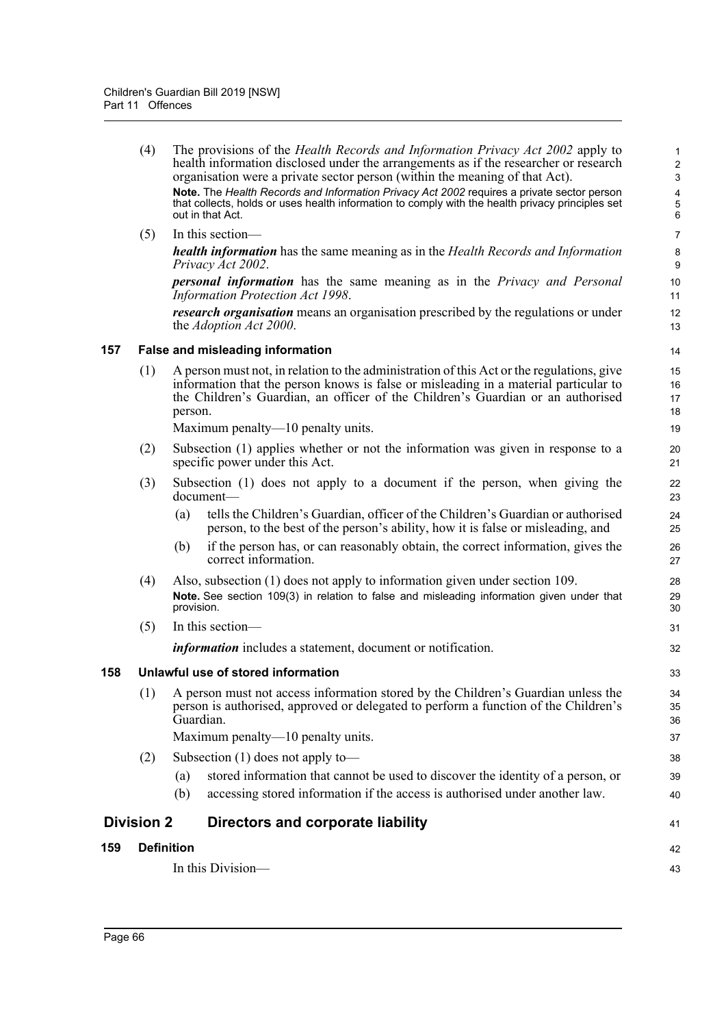|     |     | Subsection $(1)$ does not apply to —                                                                                                                                                                                                                                                              |                                                 |
|-----|-----|---------------------------------------------------------------------------------------------------------------------------------------------------------------------------------------------------------------------------------------------------------------------------------------------------|-------------------------------------------------|
|     |     | Maximum penalty—10 penalty units.                                                                                                                                                                                                                                                                 | 37                                              |
|     | (1) | A person must not access information stored by the Children's Guardian unless the<br>person is authorised, approved or delegated to perform a function of the Children's<br>Guardian.                                                                                                             | 34<br>35<br>36                                  |
| 158 |     | Unlawful use of stored information                                                                                                                                                                                                                                                                | 33                                              |
|     |     | <i>information</i> includes a statement, document or notification.                                                                                                                                                                                                                                | 32                                              |
|     | (5) | In this section-                                                                                                                                                                                                                                                                                  | 31                                              |
|     |     | Note. See section 109(3) in relation to false and misleading information given under that<br>provision.                                                                                                                                                                                           | 29<br>30                                        |
|     | (4) | if the person has, or can reasonably obtain, the correct information, gives the<br>(b)<br>correct information.<br>Also, subsection (1) does not apply to information given under section 109.                                                                                                     | 26<br>27<br>28                                  |
|     |     | tells the Children's Guardian, officer of the Children's Guardian or authorised<br>(a)<br>person, to the best of the person's ability, how it is false or misleading, and                                                                                                                         | 24<br>25                                        |
|     | (3) | Subsection (1) does not apply to a document if the person, when giving the<br>document-                                                                                                                                                                                                           | 22<br>23                                        |
|     | (2) | Subsection (1) applies whether or not the information was given in response to a<br>specific power under this Act.                                                                                                                                                                                | 20<br>21                                        |
|     |     | Maximum penalty—10 penalty units.                                                                                                                                                                                                                                                                 | 19                                              |
|     | (1) | A person must not, in relation to the administration of this Act or the regulations, give<br>information that the person knows is false or misleading in a material particular to<br>the Children's Guardian, an officer of the Children's Guardian or an authorised<br>person.                   | 15<br>16<br>17<br>18                            |
| 157 |     | False and misleading information                                                                                                                                                                                                                                                                  | 14                                              |
|     |     | <i>research organisation</i> means an organisation prescribed by the regulations or under<br>the <i>Adoption Act 2000</i> .                                                                                                                                                                       | 12<br>13                                        |
|     |     | <b>personal information</b> has the same meaning as in the Privacy and Personal<br>Information Protection Act 1998.                                                                                                                                                                               | 10<br>11                                        |
|     |     | <b>health information</b> has the same meaning as in the Health Records and Information<br>Privacy Act 2002.                                                                                                                                                                                      | 8<br>$\boldsymbol{9}$                           |
|     | (5) | In this section-                                                                                                                                                                                                                                                                                  | $\overline{7}$                                  |
|     |     | organisation were a private sector person (within the meaning of that Act).<br>Note. The Health Records and Information Privacy Act 2002 requires a private sector person<br>that collects, holds or uses health information to comply with the health privacy principles set<br>out in that Act. | $\boldsymbol{2}$<br>$\mathbf{3}$<br>4<br>5<br>6 |
|     | (4) | The provisions of the <i>Health Records and Information Privacy Act 2002</i> apply to<br>health information disclosed under the arrangements as if the researcher or research                                                                                                                     |                                                 |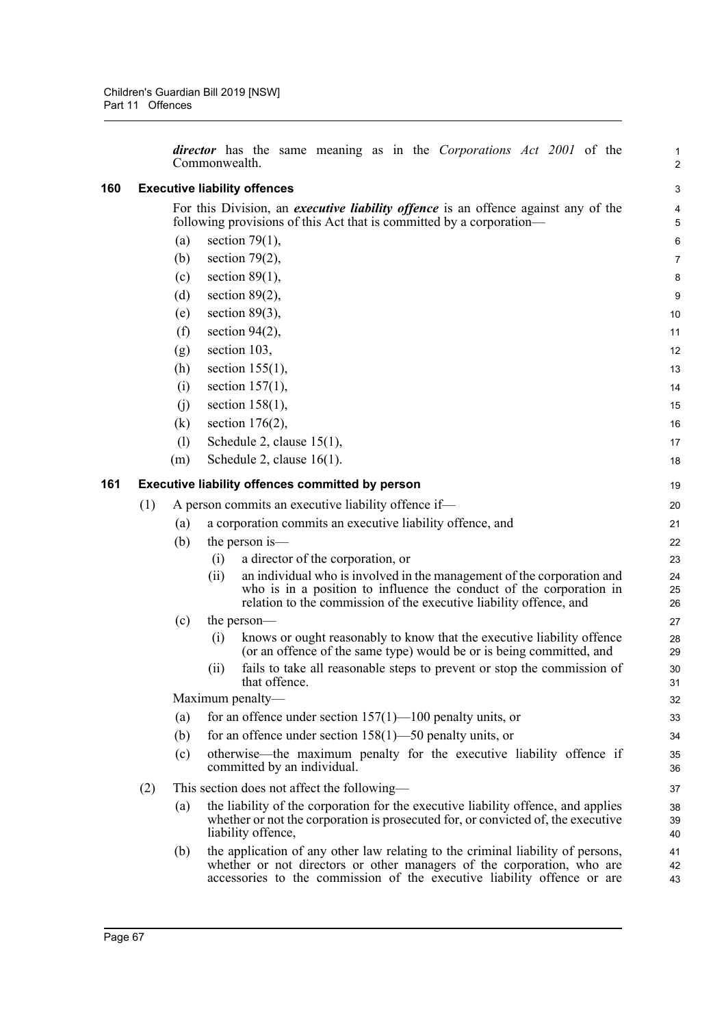|     |     |            | <i>director</i> has the same meaning as in the <i>Corporations Act 2001</i> of the<br>Commonwealth.                                                                                                                                  | $\mathbf{1}$<br>$\overline{2}$ |
|-----|-----|------------|--------------------------------------------------------------------------------------------------------------------------------------------------------------------------------------------------------------------------------------|--------------------------------|
| 160 |     |            | <b>Executive liability offences</b>                                                                                                                                                                                                  | 3                              |
|     |     |            | For this Division, an <i>executive liability offence</i> is an offence against any of the                                                                                                                                            | 4                              |
|     |     |            | following provisions of this Act that is committed by a corporation-                                                                                                                                                                 | 5                              |
|     |     | (a)        | section $79(1)$ ,                                                                                                                                                                                                                    | $\,6\,$                        |
|     |     | (b)        | section $79(2)$ ,                                                                                                                                                                                                                    | $\overline{7}$                 |
|     |     | (c)        | section $89(1)$ ,                                                                                                                                                                                                                    | 8                              |
|     |     | (d)        | section $89(2)$ ,                                                                                                                                                                                                                    | 9                              |
|     |     | (e)        | section $89(3)$ ,                                                                                                                                                                                                                    | 10                             |
|     |     | (f)        | section $94(2)$ ,                                                                                                                                                                                                                    | 11                             |
|     |     | (g)        | section 103,                                                                                                                                                                                                                         | 12                             |
|     |     | (h)        | section $155(1)$ ,                                                                                                                                                                                                                   | 13                             |
|     |     | (i)        | section $157(1)$ ,                                                                                                                                                                                                                   | 14                             |
|     |     | (i)        | section $158(1)$ ,                                                                                                                                                                                                                   | 15                             |
|     |     | (k)        | section $176(2)$ ,<br>Schedule 2, clause 15(1),                                                                                                                                                                                      | 16                             |
|     |     | (1)<br>(m) | Schedule 2, clause $16(1)$ .                                                                                                                                                                                                         | 17<br>18                       |
|     |     |            |                                                                                                                                                                                                                                      |                                |
| 161 |     |            | <b>Executive liability offences committed by person</b>                                                                                                                                                                              | 19                             |
|     | (1) |            | A person commits an executive liability offence if-                                                                                                                                                                                  | 20                             |
|     |     | (a)        | a corporation commits an executive liability offence, and                                                                                                                                                                            | 21                             |
|     |     | (b)        | the person is—                                                                                                                                                                                                                       | 22                             |
|     |     |            | a director of the corporation, or<br>(i)                                                                                                                                                                                             | 23                             |
|     |     |            | an individual who is involved in the management of the corporation and<br>(ii)<br>who is in a position to influence the conduct of the corporation in<br>relation to the commission of the executive liability offence, and          | 24<br>25<br>26                 |
|     |     | (c)        | the person—                                                                                                                                                                                                                          | 27                             |
|     |     |            | knows or ought reasonably to know that the executive liability offence<br>(i)<br>(or an offence of the same type) would be or is being committed, and                                                                                | 28<br>29                       |
|     |     |            | fails to take all reasonable steps to prevent or stop the commission of<br>(11)<br>that offence.                                                                                                                                     | 30<br>31                       |
|     |     |            | Maximum penalty-                                                                                                                                                                                                                     | 32                             |
|     |     | (a)        | for an offence under section $157(1)$ — $100$ penalty units, or                                                                                                                                                                      | 33                             |
|     |     | (b)        | for an offence under section $158(1)$ —50 penalty units, or                                                                                                                                                                          | 34                             |
|     |     | (c)        | otherwise—the maximum penalty for the executive liability offence if<br>committed by an individual.                                                                                                                                  | 35<br>36                       |
|     | (2) |            | This section does not affect the following—                                                                                                                                                                                          | 37                             |
|     |     | (a)        | the liability of the corporation for the executive liability offence, and applies<br>whether or not the corporation is prosecuted for, or convicted of, the executive<br>liability offence,                                          | 38<br>39<br>40                 |
|     |     | (b)        | the application of any other law relating to the criminal liability of persons,<br>whether or not directors or other managers of the corporation, who are<br>accessories to the commission of the executive liability offence or are | 41<br>42<br>43                 |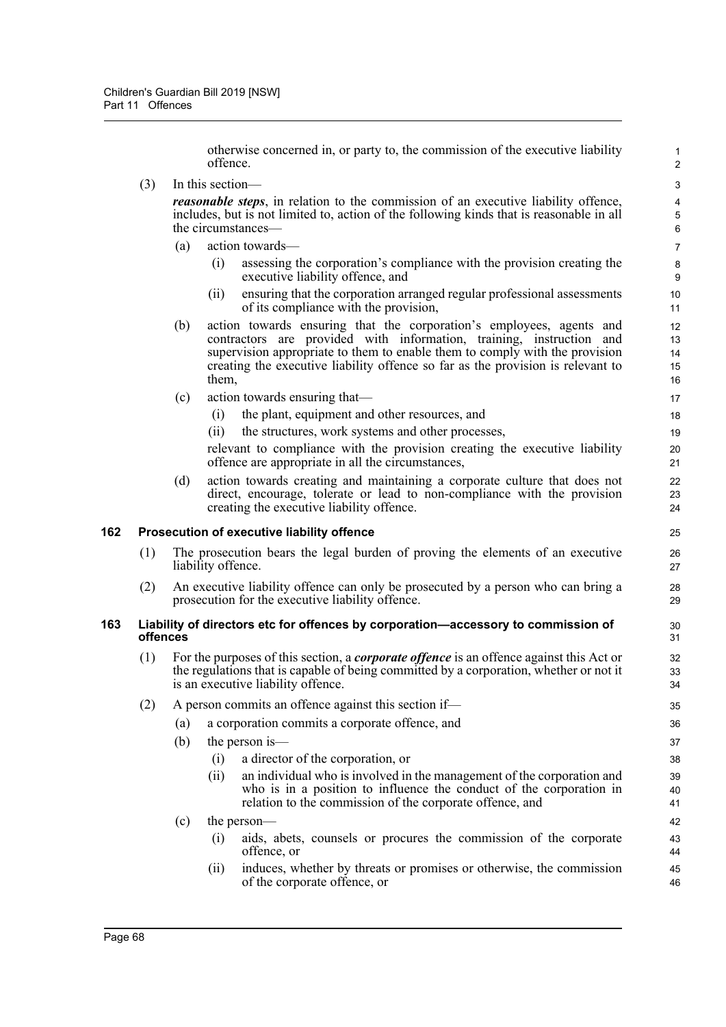otherwise concerned in, or party to, the commission of the executive liability offence.

(3) In this section—

*reasonable steps*, in relation to the commission of an executive liability offence, includes, but is not limited to, action of the following kinds that is reasonable in all the circumstances—

- (a) action towards—
	- (i) assessing the corporation's compliance with the provision creating the executive liability offence, and
	- (ii) ensuring that the corporation arranged regular professional assessments of its compliance with the provision,
- (b) action towards ensuring that the corporation's employees, agents and contractors are provided with information, training, instruction and supervision appropriate to them to enable them to comply with the provision creating the executive liability offence so far as the provision is relevant to them,
- (c) action towards ensuring that—
	- (i) the plant, equipment and other resources, and
	- (ii) the structures, work systems and other processes,

relevant to compliance with the provision creating the executive liability offence are appropriate in all the circumstances,

(d) action towards creating and maintaining a corporate culture that does not direct, encourage, tolerate or lead to non-compliance with the provision creating the executive liability offence.

### **162 Prosecution of executive liability offence**

- (1) The prosecution bears the legal burden of proving the elements of an executive liability offence.
- (2) An executive liability offence can only be prosecuted by a person who can bring a prosecution for the executive liability offence.

### **163 Liability of directors etc for offences by corporation—accessory to commission of offences**

- (1) For the purposes of this section, a *corporate offence* is an offence against this Act or the regulations that is capable of being committed by a corporation, whether or not it is an executive liability offence.
- (2) A person commits an offence against this section if—
	- (a) a corporation commits a corporate offence, and
		- (b) the person is—
			- (i) a director of the corporation, or
			- (ii) an individual who is involved in the management of the corporation and who is in a position to influence the conduct of the corporation in relation to the commission of the corporate offence, and
		- (c) the person—
			- (i) aids, abets, counsels or procures the commission of the corporate offence, or
			- (ii) induces, whether by threats or promises or otherwise, the commission of the corporate offence, or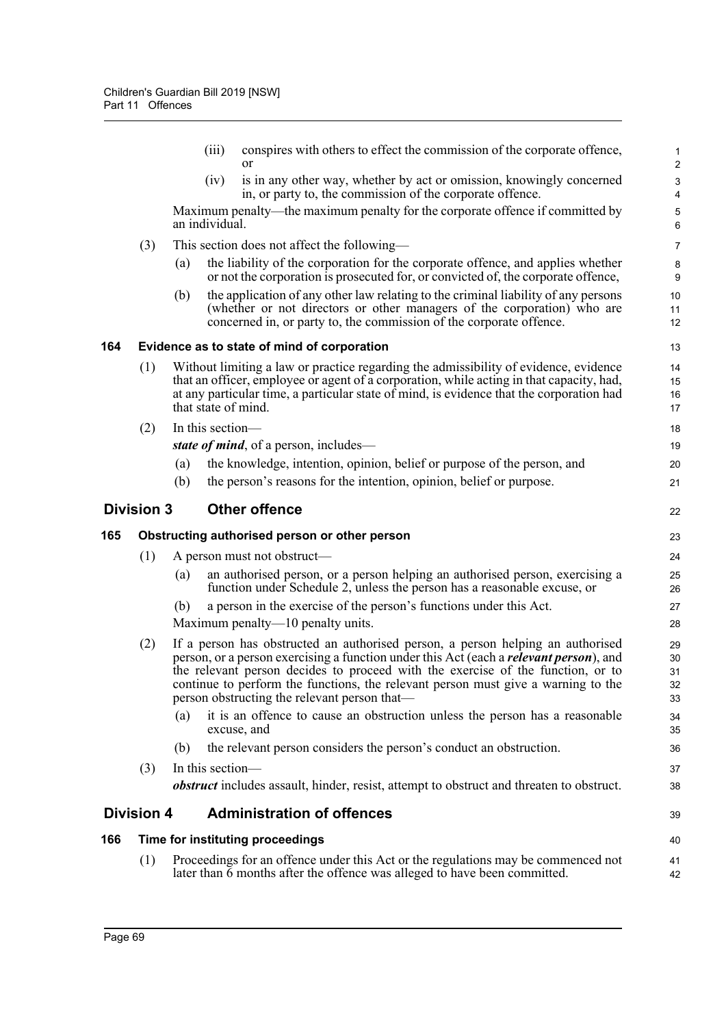|     |                   | (iii)               | conspires with others to effect the commission of the corporate offence,<br>or                                                                                                                                                                                                                                                                                                                            | 1<br>$\overline{2}$                                  |
|-----|-------------------|---------------------|-----------------------------------------------------------------------------------------------------------------------------------------------------------------------------------------------------------------------------------------------------------------------------------------------------------------------------------------------------------------------------------------------------------|------------------------------------------------------|
|     |                   | (iv)                | is in any other way, whether by act or omission, knowingly concerned<br>in, or party to, the commission of the corporate offence.                                                                                                                                                                                                                                                                         | $\ensuremath{\mathsf{3}}$<br>$\overline{\mathbf{4}}$ |
|     |                   | an individual.      | Maximum penalty—the maximum penalty for the corporate offence if committed by                                                                                                                                                                                                                                                                                                                             | 5<br>6                                               |
|     | (3)               |                     | This section does not affect the following—                                                                                                                                                                                                                                                                                                                                                               | $\overline{7}$                                       |
|     |                   | (a)                 | the liability of the corporation for the corporate offence, and applies whether<br>or not the corporation is prosecuted for, or convicted of, the corporate offence,                                                                                                                                                                                                                                      | 8<br>$\boldsymbol{9}$                                |
|     |                   | (b)                 | the application of any other law relating to the criminal liability of any persons<br>(whether or not directors or other managers of the corporation) who are<br>concerned in, or party to, the commission of the corporate offence.                                                                                                                                                                      | 10<br>11<br>12                                       |
| 164 |                   |                     | Evidence as to state of mind of corporation                                                                                                                                                                                                                                                                                                                                                               | 13                                                   |
|     | (1)               | that state of mind. | Without limiting a law or practice regarding the admissibility of evidence, evidence<br>that an officer, employee or agent of a corporation, while acting in that capacity, had,<br>at any particular time, a particular state of mind, is evidence that the corporation had                                                                                                                              | 14<br>15<br>16<br>17                                 |
|     | (2)               | In this section-    |                                                                                                                                                                                                                                                                                                                                                                                                           | 18                                                   |
|     |                   |                     | state of mind, of a person, includes—                                                                                                                                                                                                                                                                                                                                                                     | 19                                                   |
|     |                   | $\left( a\right)$   | the knowledge, intention, opinion, belief or purpose of the person, and                                                                                                                                                                                                                                                                                                                                   | 20                                                   |
|     |                   | (b)                 | the person's reasons for the intention, opinion, belief or purpose.                                                                                                                                                                                                                                                                                                                                       | 21                                                   |
|     | <b>Division 3</b> |                     | <b>Other offence</b>                                                                                                                                                                                                                                                                                                                                                                                      | 22                                                   |
| 165 |                   |                     | Obstructing authorised person or other person                                                                                                                                                                                                                                                                                                                                                             | 23                                                   |
|     | (1)               |                     | A person must not obstruct—                                                                                                                                                                                                                                                                                                                                                                               | 24                                                   |
|     |                   | (a)                 | an authorised person, or a person helping an authorised person, exercising a<br>function under Schedule 2, unless the person has a reasonable excuse, or                                                                                                                                                                                                                                                  | 25<br>26                                             |
|     |                   | (b)                 | a person in the exercise of the person's functions under this Act.<br>Maximum penalty—10 penalty units.                                                                                                                                                                                                                                                                                                   | 27<br>28                                             |
|     | (2)               |                     | If a person has obstructed an authorised person, a person helping an authorised<br>person, or a person exercising a function under this Act (each a <i>relevant person</i> ), and<br>the relevant person decides to proceed with the exercise of the function, or to<br>continue to perform the functions, the relevant person must give a warning to the<br>person obstructing the relevant person that— | 29<br>30<br>31<br>32<br>33                           |
|     |                   | (a)                 | it is an offence to cause an obstruction unless the person has a reasonable<br>excuse, and                                                                                                                                                                                                                                                                                                                | 34<br>35                                             |
|     |                   | (b)                 | the relevant person considers the person's conduct an obstruction.                                                                                                                                                                                                                                                                                                                                        | 36                                                   |
|     | (3)               | In this section-    |                                                                                                                                                                                                                                                                                                                                                                                                           | 37                                                   |
|     |                   |                     | <b><i>obstruct</i></b> includes assault, hinder, resist, attempt to obstruct and threaten to obstruct.                                                                                                                                                                                                                                                                                                    | 38                                                   |
|     | <b>Division 4</b> |                     | <b>Administration of offences</b>                                                                                                                                                                                                                                                                                                                                                                         | 39                                                   |
| 166 |                   |                     | Time for instituting proceedings                                                                                                                                                                                                                                                                                                                                                                          | 40                                                   |
|     | (1)               |                     | Proceedings for an offence under this Act or the regulations may be commenced not<br>later than 6 months after the offence was alleged to have been committed.                                                                                                                                                                                                                                            | 41<br>42                                             |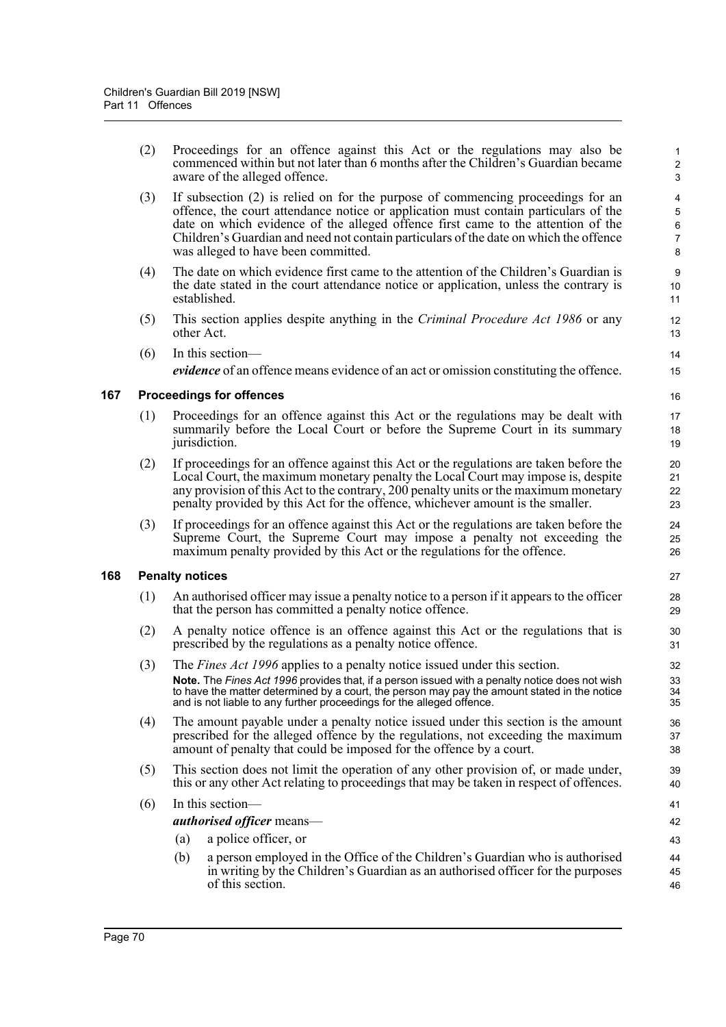(2) Proceedings for an offence against this Act or the regulations may also be commenced within but not later than 6 months after the Children's Guardian became aware of the alleged offence.

- (3) If subsection (2) is relied on for the purpose of commencing proceedings for an offence, the court attendance notice or application must contain particulars of the date on which evidence of the alleged offence first came to the attention of the Children's Guardian and need not contain particulars of the date on which the offence was alleged to have been committed.
- (4) The date on which evidence first came to the attention of the Children's Guardian is the date stated in the court attendance notice or application, unless the contrary is established.
- (5) This section applies despite anything in the *Criminal Procedure Act 1986* or any other Act.
- (6) In this section *evidence* of an offence means evidence of an act or omission constituting the offence.

### **167 Proceedings for offences**

- (1) Proceedings for an offence against this Act or the regulations may be dealt with summarily before the Local Court or before the Supreme Court in its summary jurisdiction.
- (2) If proceedings for an offence against this Act or the regulations are taken before the Local Court, the maximum monetary penalty the Local Court may impose is, despite any provision of this Act to the contrary, 200 penalty units or the maximum monetary penalty provided by this Act for the offence, whichever amount is the smaller.
- (3) If proceedings for an offence against this Act or the regulations are taken before the Supreme Court, the Supreme Court may impose a penalty not exceeding the maximum penalty provided by this Act or the regulations for the offence.

### **168 Penalty notices**

- (1) An authorised officer may issue a penalty notice to a person if it appears to the officer that the person has committed a penalty notice offence.
- (2) A penalty notice offence is an offence against this Act or the regulations that is prescribed by the regulations as a penalty notice offence.
- (3) The *Fines Act 1996* applies to a penalty notice issued under this section. **Note.** The *Fines Act 1996* provides that, if a person issued with a penalty notice does not wish to have the matter determined by a court, the person may pay the amount stated in the notice and is not liable to any further proceedings for the alleged offence.
- (4) The amount payable under a penalty notice issued under this section is the amount prescribed for the alleged offence by the regulations, not exceeding the maximum amount of penalty that could be imposed for the offence by a court.
- (5) This section does not limit the operation of any other provision of, or made under, this or any other Act relating to proceedings that may be taken in respect of offences.

### (6) In this section—

### *authorised officer* means—

- (a) a police officer, or
- (b) a person employed in the Office of the Children's Guardian who is authorised in writing by the Children's Guardian as an authorised officer for the purposes of this section.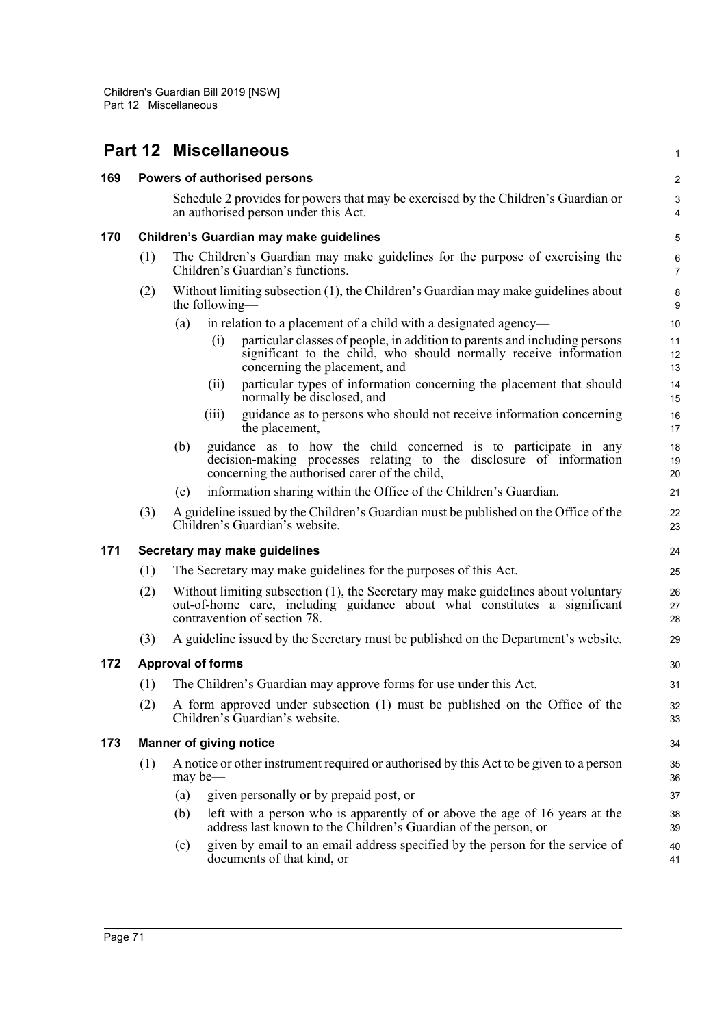| 169 |     | Powers of authorised persons                                                                                                                                                                    | $\boldsymbol{2}$                      |
|-----|-----|-------------------------------------------------------------------------------------------------------------------------------------------------------------------------------------------------|---------------------------------------|
|     |     | Schedule 2 provides for powers that may be exercised by the Children's Guardian or<br>an authorised person under this Act.                                                                      | $\sqrt{3}$<br>$\overline{\mathbf{4}}$ |
| 170 |     | Children's Guardian may make guidelines                                                                                                                                                         | 5                                     |
|     | (1) | The Children's Guardian may make guidelines for the purpose of exercising the<br>Children's Guardian's functions.                                                                               | 6<br>$\overline{7}$                   |
|     | (2) | Without limiting subsection (1), the Children's Guardian may make guidelines about<br>the following—                                                                                            | 8<br>9                                |
|     |     | in relation to a placement of a child with a designated agency—<br>(a)                                                                                                                          | 10                                    |
|     |     | particular classes of people, in addition to parents and including persons<br>(i)<br>significant to the child, who should normally receive information<br>concerning the placement, and         | 11<br>12<br>13                        |
|     |     | particular types of information concerning the placement that should<br>(ii)<br>normally be disclosed, and                                                                                      | 14<br>15                              |
|     |     | guidance as to persons who should not receive information concerning<br>(iii)<br>the placement,                                                                                                 | 16<br>17                              |
|     |     | guidance as to how the child concerned is to participate in any<br>(b)<br>decision-making processes relating to the disclosure of information<br>concerning the authorised carer of the child,  | 18<br>19<br>20                        |
|     |     | information sharing within the Office of the Children's Guardian.<br>(c)                                                                                                                        | 21                                    |
|     | (3) | A guideline issued by the Children's Guardian must be published on the Office of the<br>Children's Guardian's website.                                                                          | 22<br>23                              |
| 171 |     | Secretary may make guidelines                                                                                                                                                                   | 24                                    |
|     | (1) | The Secretary may make guidelines for the purposes of this Act.                                                                                                                                 | 25                                    |
|     | (2) | Without limiting subsection (1), the Secretary may make guidelines about voluntary<br>out-of-home care, including guidance about what constitutes a significant<br>contravention of section 78. | 26<br>27<br>28                        |
|     | (3) | A guideline issued by the Secretary must be published on the Department's website.                                                                                                              | 29                                    |
| 172 |     | <b>Approval of forms</b>                                                                                                                                                                        | 30                                    |
|     | (1) | The Children's Guardian may approve forms for use under this Act.                                                                                                                               | 31                                    |
|     | (2) | A form approved under subsection (1) must be published on the Office of the<br>Children's Guardian's website.                                                                                   | 32<br>33                              |
| 173 |     | <b>Manner of giving notice</b>                                                                                                                                                                  | 34                                    |
|     | (1) | A notice or other instrument required or authorised by this Act to be given to a person<br>may be-                                                                                              | 35<br>36                              |
|     |     | given personally or by prepaid post, or<br>(a)                                                                                                                                                  | 37                                    |
|     |     | left with a person who is apparently of or above the age of 16 years at the<br>(b)<br>address last known to the Children's Guardian of the person, or                                           | 38<br>39                              |
|     |     | given by email to an email address specified by the person for the service of<br>(c)<br>documents of that kind, or                                                                              | 40<br>41                              |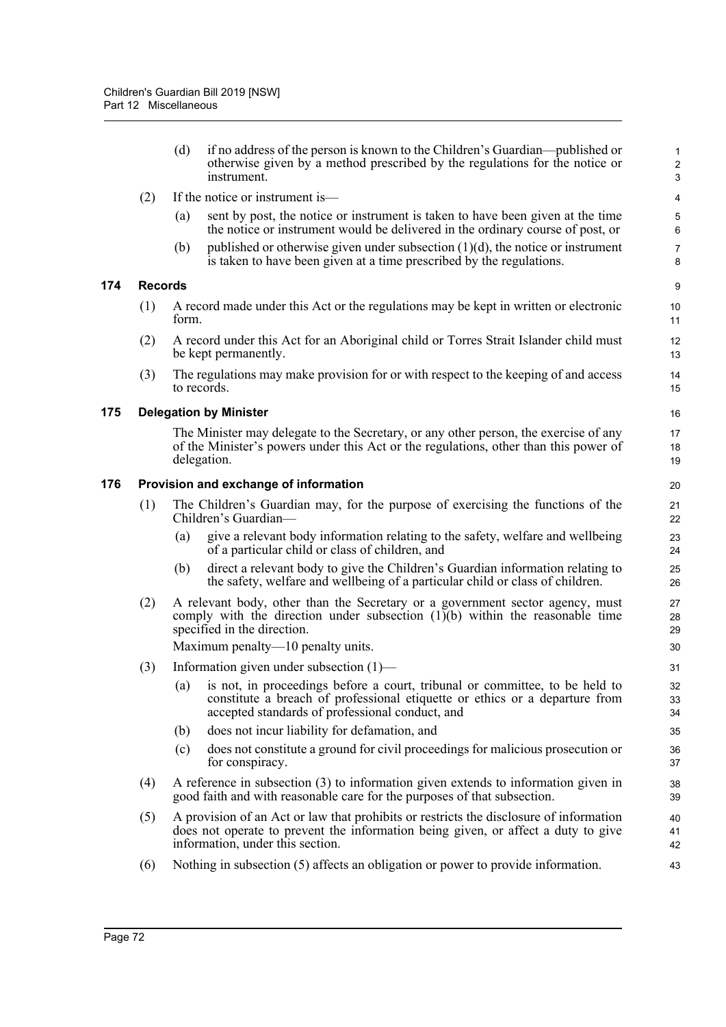**174 Records**

**175 Delegation by Minister**

|     |                | (d)   | if no address of the person is known to the Children's Guardian—published or<br>otherwise given by a method prescribed by the regulations for the notice or<br>instrument.                                        | $\mathbf{1}$<br>$\sqrt{2}$<br>3 |
|-----|----------------|-------|-------------------------------------------------------------------------------------------------------------------------------------------------------------------------------------------------------------------|---------------------------------|
|     | (2)            |       | If the notice or instrument is—                                                                                                                                                                                   | $\overline{4}$                  |
|     |                | (a)   | sent by post, the notice or instrument is taken to have been given at the time<br>the notice or instrument would be delivered in the ordinary course of post, or                                                  | 5<br>$\,6\,$                    |
|     |                | (b)   | published or otherwise given under subsection $(1)(d)$ , the notice or instrument<br>is taken to have been given at a time prescribed by the regulations.                                                         | $\boldsymbol{7}$<br>8           |
| 174 | <b>Records</b> |       |                                                                                                                                                                                                                   | $\boldsymbol{9}$                |
|     | (1)            | form. | A record made under this Act or the regulations may be kept in written or electronic                                                                                                                              | 10<br>11                        |
|     | (2)            |       | A record under this Act for an Aboriginal child or Torres Strait Islander child must<br>be kept permanently.                                                                                                      | 12<br>13                        |
|     | (3)            |       | The regulations may make provision for or with respect to the keeping of and access<br>to records.                                                                                                                | 14<br>15                        |
| 175 |                |       | <b>Delegation by Minister</b>                                                                                                                                                                                     | 16                              |
|     |                |       | The Minister may delegate to the Secretary, or any other person, the exercise of any<br>of the Minister's powers under this Act or the regulations, other than this power of<br>delegation.                       | 17<br>18<br>19                  |
| 176 |                |       | Provision and exchange of information                                                                                                                                                                             | 20                              |
|     | (1)            |       | The Children's Guardian may, for the purpose of exercising the functions of the<br>Children's Guardian-                                                                                                           | 21<br>22                        |
|     |                | (a)   | give a relevant body information relating to the safety, welfare and wellbeing<br>of a particular child or class of children, and                                                                                 | 23<br>24                        |
|     |                | (b)   | direct a relevant body to give the Children's Guardian information relating to<br>the safety, welfare and wellbeing of a particular child or class of children.                                                   | 25<br>26                        |
|     | (2)            |       | A relevant body, other than the Secretary or a government sector agency, must<br>comply with the direction under subsection $(1)(b)$ within the reasonable time<br>specified in the direction.                    | 27<br>28<br>29                  |
|     |                |       | Maximum penalty—10 penalty units.                                                                                                                                                                                 | 30                              |
|     | (3)            |       | Information given under subsection $(1)$ —                                                                                                                                                                        | 31                              |
|     |                |       | (a) is not, in proceedings before a court, tribunal or committee, to be held to<br>constitute a breach of professional etiquette or ethics or a departure from<br>accepted standards of professional conduct, and | 32<br>33<br>34                  |
|     |                | (b)   | does not incur liability for defamation, and                                                                                                                                                                      | 35                              |
|     |                | (c)   | does not constitute a ground for civil proceedings for malicious prosecution or<br>for conspiracy.                                                                                                                | 36<br>37                        |
|     | (4)            |       | A reference in subsection (3) to information given extends to information given in<br>good faith and with reasonable care for the purposes of that subsection.                                                    | 38<br>39                        |
|     | (5)            |       | A provision of an Act or law that prohibits or restricts the disclosure of information<br>does not operate to prevent the information being given, or affect a duty to give<br>information, under this section.   | 40<br>41<br>42                  |
|     | (6)            |       | Nothing in subsection (5) affects an obligation or power to provide information.                                                                                                                                  | 43                              |
|     |                |       |                                                                                                                                                                                                                   |                                 |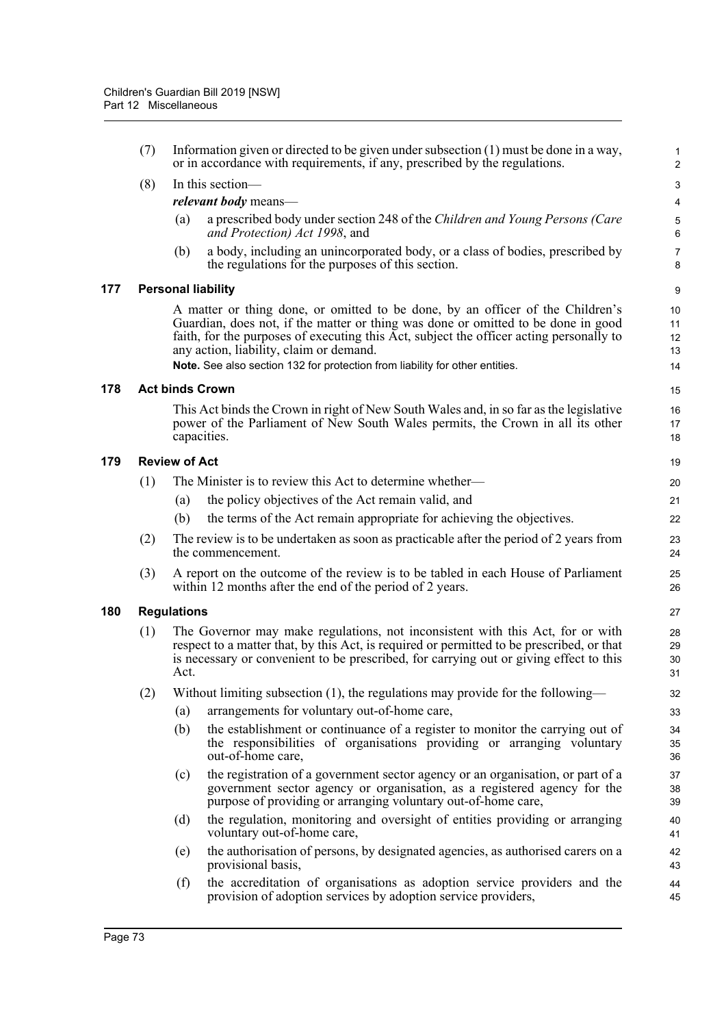|     | (7) | Information given or directed to be given under subsection $(1)$ must be done in a way,<br>or in accordance with requirements, if any, prescribed by the regulations. |                                                                                                                                                                                                                                                                                                                                                                                           |                            |  |
|-----|-----|-----------------------------------------------------------------------------------------------------------------------------------------------------------------------|-------------------------------------------------------------------------------------------------------------------------------------------------------------------------------------------------------------------------------------------------------------------------------------------------------------------------------------------------------------------------------------------|----------------------------|--|
|     | (8) |                                                                                                                                                                       | In this section-                                                                                                                                                                                                                                                                                                                                                                          | 3                          |  |
|     |     |                                                                                                                                                                       | <i>relevant body</i> means-                                                                                                                                                                                                                                                                                                                                                               | $\overline{\mathbf{4}}$    |  |
|     |     | (a)                                                                                                                                                                   | a prescribed body under section 248 of the Children and Young Persons (Care<br>and Protection) Act 1998, and                                                                                                                                                                                                                                                                              | $\mathbf 5$<br>6           |  |
|     |     | (b)                                                                                                                                                                   | a body, including an unincorporated body, or a class of bodies, prescribed by<br>the regulations for the purposes of this section.                                                                                                                                                                                                                                                        | $\boldsymbol{7}$<br>8      |  |
| 177 |     |                                                                                                                                                                       | <b>Personal liability</b>                                                                                                                                                                                                                                                                                                                                                                 | $\boldsymbol{9}$           |  |
|     |     |                                                                                                                                                                       | A matter or thing done, or omitted to be done, by an officer of the Children's<br>Guardian, does not, if the matter or thing was done or omitted to be done in good<br>faith, for the purposes of executing this Act, subject the officer acting personally to<br>any action, liability, claim or demand.<br>Note. See also section 132 for protection from liability for other entities. | 10<br>11<br>12<br>13<br>14 |  |
| 178 |     |                                                                                                                                                                       | <b>Act binds Crown</b>                                                                                                                                                                                                                                                                                                                                                                    | 15                         |  |
|     |     |                                                                                                                                                                       | This Act binds the Crown in right of New South Wales and, in so far as the legislative<br>power of the Parliament of New South Wales permits, the Crown in all its other<br>capacities.                                                                                                                                                                                                   | 16<br>17<br>18             |  |
| 179 |     | <b>Review of Act</b>                                                                                                                                                  |                                                                                                                                                                                                                                                                                                                                                                                           | 19                         |  |
|     | (1) |                                                                                                                                                                       | The Minister is to review this Act to determine whether—                                                                                                                                                                                                                                                                                                                                  | 20                         |  |
|     |     | (a)                                                                                                                                                                   | the policy objectives of the Act remain valid, and                                                                                                                                                                                                                                                                                                                                        | 21                         |  |
|     |     | (b)                                                                                                                                                                   | the terms of the Act remain appropriate for achieving the objectives.                                                                                                                                                                                                                                                                                                                     | 22                         |  |
|     | (2) |                                                                                                                                                                       | The review is to be undertaken as soon as practicable after the period of 2 years from<br>the commencement.                                                                                                                                                                                                                                                                               | 23<br>24                   |  |
|     | (3) |                                                                                                                                                                       | A report on the outcome of the review is to be tabled in each House of Parliament<br>within 12 months after the end of the period of 2 years.                                                                                                                                                                                                                                             | 25<br>26                   |  |
| 180 |     | <b>Regulations</b>                                                                                                                                                    |                                                                                                                                                                                                                                                                                                                                                                                           | 27                         |  |
|     | (1) | Act.                                                                                                                                                                  | The Governor may make regulations, not inconsistent with this Act, for or with<br>respect to a matter that, by this Act, is required or permitted to be prescribed, or that<br>is necessary or convenient to be prescribed, for carrying out or giving effect to this                                                                                                                     | 28<br>29<br>30<br>31       |  |
|     | (2) |                                                                                                                                                                       | Without limiting subsection (1), the regulations may provide for the following-                                                                                                                                                                                                                                                                                                           | 32                         |  |
|     |     | (a)                                                                                                                                                                   | arrangements for voluntary out-of-home care,                                                                                                                                                                                                                                                                                                                                              | 33                         |  |
|     |     | (b)                                                                                                                                                                   | the establishment or continuance of a register to monitor the carrying out of<br>the responsibilities of organisations providing or arranging voluntary<br>out-of-home care,                                                                                                                                                                                                              | 34<br>35<br>36             |  |
|     |     | (c)                                                                                                                                                                   | the registration of a government sector agency or an organisation, or part of a<br>government sector agency or organisation, as a registered agency for the<br>purpose of providing or arranging voluntary out-of-home care,                                                                                                                                                              | 37<br>38<br>39             |  |
|     |     | (d)                                                                                                                                                                   | the regulation, monitoring and oversight of entities providing or arranging<br>voluntary out-of-home care,                                                                                                                                                                                                                                                                                | 40<br>41                   |  |
|     |     | (e)                                                                                                                                                                   | the authorisation of persons, by designated agencies, as authorised carers on a<br>provisional basis,                                                                                                                                                                                                                                                                                     | 42<br>43                   |  |
|     |     | (f)                                                                                                                                                                   | the accreditation of organisations as adoption service providers and the<br>provision of adoption services by adoption service providers,                                                                                                                                                                                                                                                 | 44<br>45                   |  |
|     |     |                                                                                                                                                                       |                                                                                                                                                                                                                                                                                                                                                                                           |                            |  |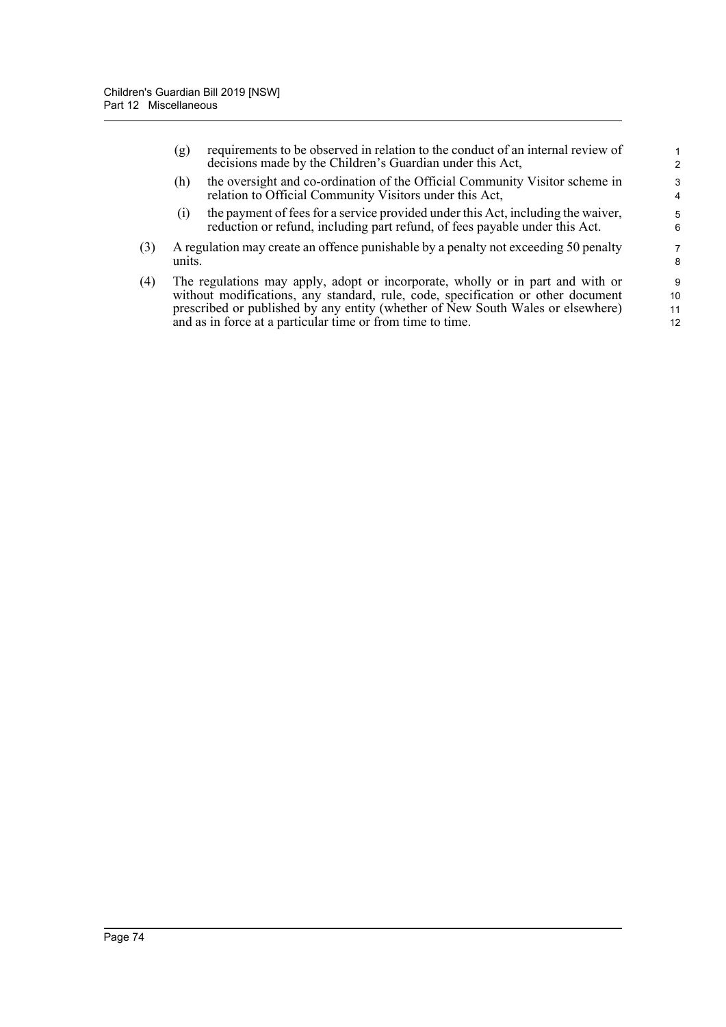|     | (g)    | requirements to be observed in relation to the conduct of an internal review of<br>decisions made by the Children's Guardian under this Act,                    | 2      |
|-----|--------|-----------------------------------------------------------------------------------------------------------------------------------------------------------------|--------|
|     | (h)    | the oversight and co-ordination of the Official Community Visitor scheme in<br>relation to Official Community Visitors under this Act,                          | 3<br>4 |
|     | (1)    | the payment of fees for a service provided under this Act, including the waiver,<br>reduction or refund, including part refund, of fees payable under this Act. | 5<br>6 |
| (3) | units. | A regulation may create an offence punishable by a penalty not exceeding 50 penalty                                                                             | 7<br>8 |
|     |        |                                                                                                                                                                 |        |

(4) The regulations may apply, adopt or incorporate, wholly or in part and with or without modifications, any standard, rule, code, specification or other document prescribed or published by any entity (whether of New South Wales or elsewhere) and as in force at a particular time or from time to time.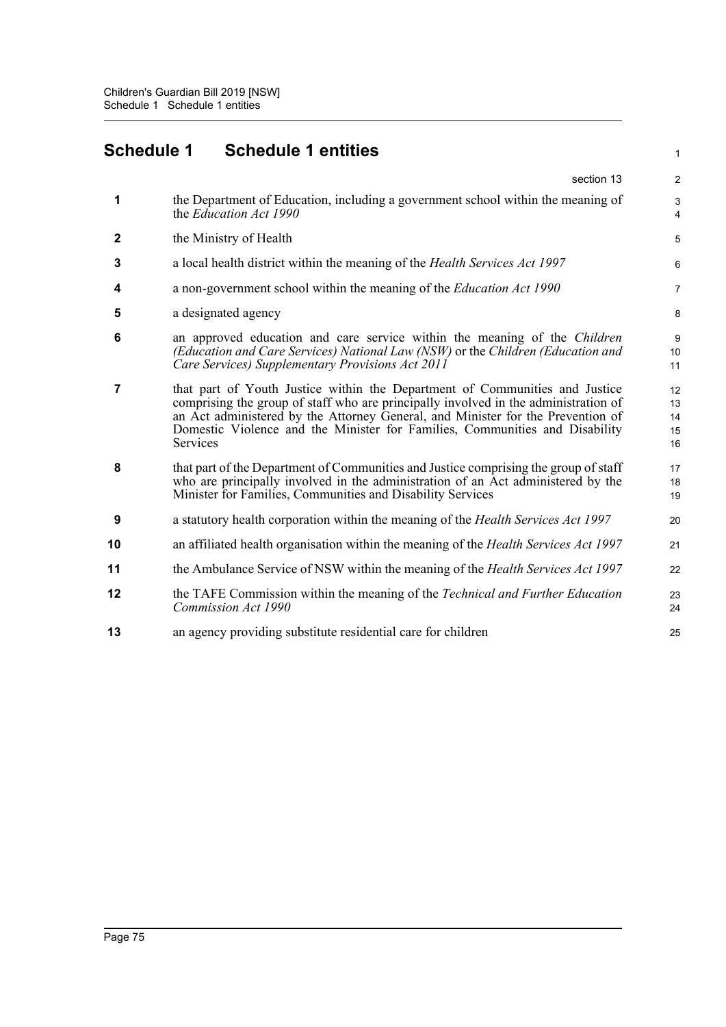## **Schedule 1 Schedule 1 entities**

|              | section 13                                                                                                                                                                                                                                                                                                                                              | $\overline{2}$             |
|--------------|---------------------------------------------------------------------------------------------------------------------------------------------------------------------------------------------------------------------------------------------------------------------------------------------------------------------------------------------------------|----------------------------|
| 1            | the Department of Education, including a government school within the meaning of<br>the Education Act 1990                                                                                                                                                                                                                                              | 3<br>4                     |
| $\mathbf{2}$ | the Ministry of Health                                                                                                                                                                                                                                                                                                                                  | 5                          |
| 3            | a local health district within the meaning of the <i>Health Services Act 1997</i>                                                                                                                                                                                                                                                                       | 6                          |
| 4            | a non-government school within the meaning of the Education Act 1990                                                                                                                                                                                                                                                                                    | 7                          |
| 5            | a designated agency                                                                                                                                                                                                                                                                                                                                     | 8                          |
| 6            | an approved education and care service within the meaning of the <i>Children</i><br>(Education and Care Services) National Law (NSW) or the Children (Education and<br>Care Services) Supplementary Provisions Act 2011                                                                                                                                 | 9<br>10<br>11              |
| 7            | that part of Youth Justice within the Department of Communities and Justice<br>comprising the group of staff who are principally involved in the administration of<br>an Act administered by the Attorney General, and Minister for the Prevention of<br>Domestic Violence and the Minister for Families, Communities and Disability<br><b>Services</b> | 12<br>13<br>14<br>15<br>16 |
| 8            | that part of the Department of Communities and Justice comprising the group of staff<br>who are principally involved in the administration of an Act administered by the<br>Minister for Families, Communities and Disability Services                                                                                                                  | 17<br>18<br>19             |
| 9            | a statutory health corporation within the meaning of the Health Services Act 1997                                                                                                                                                                                                                                                                       | 20                         |
| 10           | an affiliated health organisation within the meaning of the <i>Health Services Act 1997</i>                                                                                                                                                                                                                                                             | 21                         |
| 11           | the Ambulance Service of NSW within the meaning of the <i>Health Services Act 1997</i>                                                                                                                                                                                                                                                                  | 22                         |
| 12           | the TAFE Commission within the meaning of the Technical and Further Education<br>Commission Act 1990                                                                                                                                                                                                                                                    | 23<br>24                   |
| 13           | an agency providing substitute residential care for children                                                                                                                                                                                                                                                                                            | 25                         |
|              |                                                                                                                                                                                                                                                                                                                                                         |                            |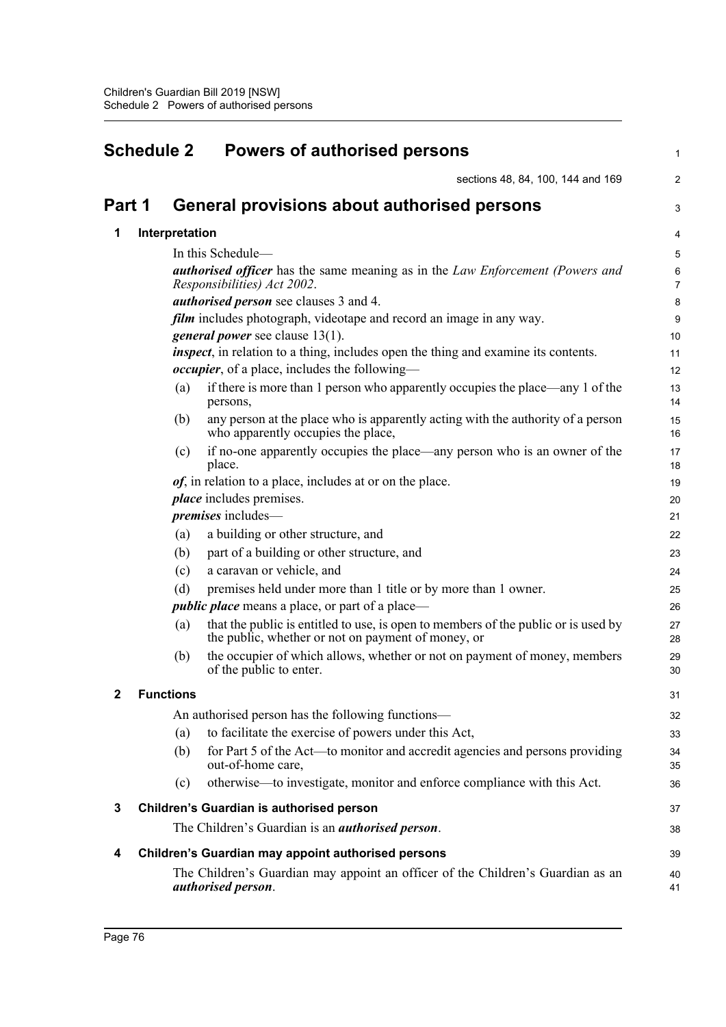| <b>Schedule 2</b> |                  |                | <b>Powers of authorised persons</b>                                                                                                      |                           |
|-------------------|------------------|----------------|------------------------------------------------------------------------------------------------------------------------------------------|---------------------------|
|                   |                  |                | sections 48, 84, 100, 144 and 169                                                                                                        | $\overline{2}$            |
| Part 1            |                  |                | General provisions about authorised persons                                                                                              | 3                         |
| 1                 |                  | Interpretation |                                                                                                                                          | 4                         |
|                   |                  |                | In this Schedule-                                                                                                                        | 5                         |
|                   |                  |                | <b>authorised officer</b> has the same meaning as in the Law Enforcement (Powers and<br>Responsibilities) Act 2002.                      | $\,6\,$<br>$\overline{7}$ |
|                   |                  |                | <i>authorised person</i> see clauses 3 and 4.                                                                                            | 8                         |
|                   |                  |                | film includes photograph, videotape and record an image in any way.                                                                      | $\boldsymbol{9}$          |
|                   |                  |                | <i>general power</i> see clause 13(1).                                                                                                   | 10                        |
|                   |                  |                | inspect, in relation to a thing, includes open the thing and examine its contents.                                                       | 11                        |
|                   |                  |                | <i>occupier</i> , of a place, includes the following—                                                                                    | 12                        |
|                   |                  | (a)            | if there is more than 1 person who apparently occupies the place—any 1 of the<br>persons,                                                | 13<br>14                  |
|                   |                  | (b)            | any person at the place who is apparently acting with the authority of a person<br>who apparently occupies the place,                    | 15<br>16                  |
|                   |                  | (c)            | if no-one apparently occupies the place—any person who is an owner of the<br>place.                                                      | 17<br>18                  |
|                   |                  |                | <i>of</i> , in relation to a place, includes at or on the place.                                                                         | 19                        |
|                   |                  |                | <i>place</i> includes premises.                                                                                                          | 20                        |
|                   |                  |                | <i>premises</i> includes—                                                                                                                | 21                        |
|                   |                  | (a)            | a building or other structure, and                                                                                                       | 22                        |
|                   |                  | (b)            | part of a building or other structure, and                                                                                               | 23                        |
|                   |                  | (c)            | a caravan or vehicle, and                                                                                                                | 24                        |
|                   |                  | (d)            | premises held under more than 1 title or by more than 1 owner.                                                                           | 25                        |
|                   |                  |                | <i>public place</i> means a place, or part of a place—                                                                                   | 26                        |
|                   |                  | (a)            | that the public is entitled to use, is open to members of the public or is used by<br>the public, whether or not on payment of money, or | 27<br>28                  |
|                   |                  | (b)            | the occupier of which allows, whether or not on payment of money, members<br>of the public to enter.                                     | 29<br>30                  |
| 2                 | <b>Functions</b> |                |                                                                                                                                          | 31                        |
|                   |                  |                | An authorised person has the following functions—                                                                                        | 32                        |
|                   |                  | (a)            | to facilitate the exercise of powers under this Act,                                                                                     | 33                        |
|                   |                  | (b)            | for Part 5 of the Act—to monitor and accredit agencies and persons providing<br>out-of-home care,                                        | 34<br>35                  |
|                   |                  | (c)            | otherwise—to investigate, monitor and enforce compliance with this Act.                                                                  | 36                        |
| 3                 |                  |                | Children's Guardian is authorised person                                                                                                 | 37                        |
|                   |                  |                | The Children's Guardian is an <i>authorised person</i> .                                                                                 | 38                        |
| 4                 |                  |                | Children's Guardian may appoint authorised persons                                                                                       | 39                        |
|                   |                  |                | The Children's Guardian may appoint an officer of the Children's Guardian as an<br>authorised person.                                    | 40<br>41                  |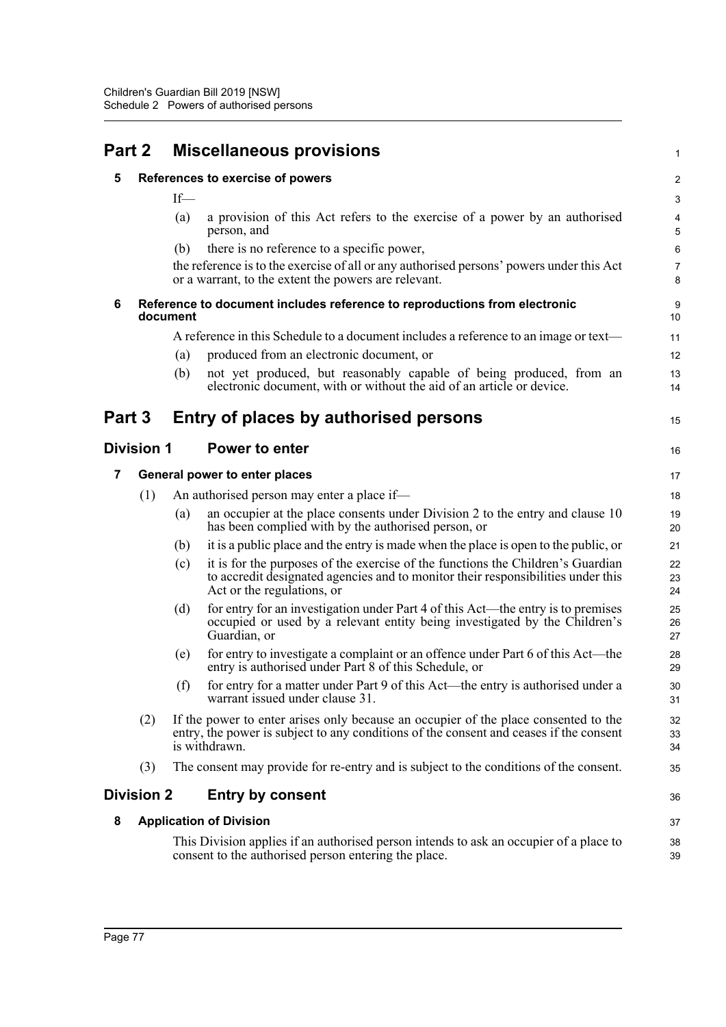| Part 2 |                   | <b>Miscellaneous provisions</b> |                                                                                                                                                                                                   |                         |  |  |
|--------|-------------------|---------------------------------|---------------------------------------------------------------------------------------------------------------------------------------------------------------------------------------------------|-------------------------|--|--|
| 5      |                   |                                 | References to exercise of powers                                                                                                                                                                  | $\overline{\mathbf{c}}$ |  |  |
|        |                   | $If$ —                          |                                                                                                                                                                                                   | 3                       |  |  |
|        |                   | (a)                             | a provision of this Act refers to the exercise of a power by an authorised<br>person, and                                                                                                         | 4<br>5                  |  |  |
|        |                   | (b)                             | there is no reference to a specific power,                                                                                                                                                        | 6                       |  |  |
|        |                   |                                 | the reference is to the exercise of all or any authorised persons' powers under this Act<br>or a warrant, to the extent the powers are relevant.                                                  | 7<br>8                  |  |  |
| 6      |                   | document                        | Reference to document includes reference to reproductions from electronic                                                                                                                         | 9<br>10                 |  |  |
|        |                   |                                 | A reference in this Schedule to a document includes a reference to an image or text—                                                                                                              | 11                      |  |  |
|        |                   | (a)                             | produced from an electronic document, or                                                                                                                                                          | 12                      |  |  |
|        |                   | (b)                             | not yet produced, but reasonably capable of being produced, from an<br>electronic document, with or without the aid of an article or device.                                                      | 13<br>14                |  |  |
| Part 3 |                   |                                 | Entry of places by authorised persons                                                                                                                                                             | 15                      |  |  |
|        | <b>Division 1</b> | <b>Power to enter</b>           |                                                                                                                                                                                                   |                         |  |  |
| 7      |                   |                                 | General power to enter places                                                                                                                                                                     | 17                      |  |  |
|        | (1)               |                                 | An authorised person may enter a place if-                                                                                                                                                        | 18                      |  |  |
|        |                   | (a)                             | an occupier at the place consents under Division 2 to the entry and clause 10<br>has been complied with by the authorised person, or                                                              | 19<br>20                |  |  |
|        |                   | (b)                             | it is a public place and the entry is made when the place is open to the public, or                                                                                                               | 21                      |  |  |
|        |                   | (c)                             | it is for the purposes of the exercise of the functions the Children's Guardian<br>to accredit designated agencies and to monitor their responsibilities under this<br>Act or the regulations, or | 22<br>23<br>24          |  |  |
|        |                   | (d)                             | for entry for an investigation under Part 4 of this Act—the entry is to premises<br>occupied or used by a relevant entity being investigated by the Children's<br>Guardian, or                    | 25<br>26<br>27          |  |  |
|        |                   | (e)                             | for entry to investigate a complaint or an offence under Part 6 of this Act—the<br>entry is authorised under Part 8 of this Schedule, or                                                          | 28<br>29                |  |  |
|        |                   | (f)                             | for entry for a matter under Part 9 of this Act—the entry is authorised under a<br>warrant issued under clause 31.                                                                                | 30<br>31                |  |  |
|        | (2)               |                                 | If the power to enter arises only because an occupier of the place consented to the<br>entry, the power is subject to any conditions of the consent and ceases if the consent<br>is withdrawn.    | 32<br>33<br>34          |  |  |
|        | (3)               |                                 | The consent may provide for re-entry and is subject to the conditions of the consent.                                                                                                             | 35                      |  |  |
|        | <b>Division 2</b> |                                 | <b>Entry by consent</b>                                                                                                                                                                           | 36                      |  |  |
| 8      |                   |                                 | <b>Application of Division</b>                                                                                                                                                                    | 37                      |  |  |
|        |                   |                                 | This Division applies if an authorised person intends to ask an occupier of a place to<br>consent to the authorised person entering the place.                                                    | 38<br>39                |  |  |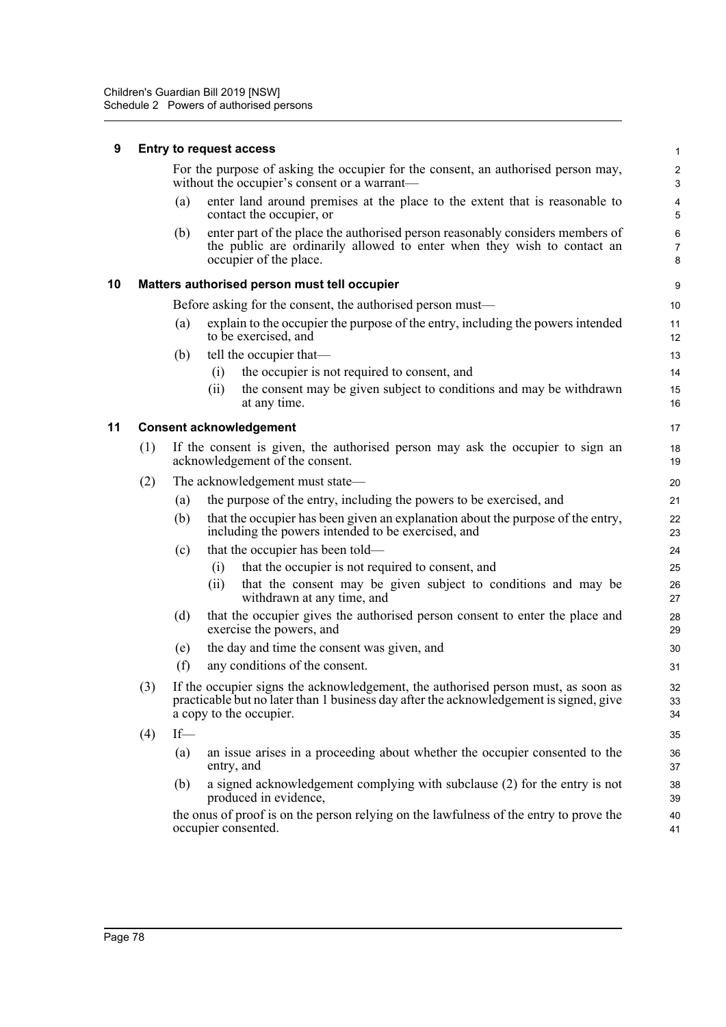| 9  | <b>Entry to request access</b>         |                                                                                                                   |            |                                                                                                                                                                                                        |                              |  |  |
|----|----------------------------------------|-------------------------------------------------------------------------------------------------------------------|------------|--------------------------------------------------------------------------------------------------------------------------------------------------------------------------------------------------------|------------------------------|--|--|
|    |                                        |                                                                                                                   |            | For the purpose of asking the occupier for the consent, an authorised person may,<br>without the occupier's consent or a warrant—                                                                      | $\overline{\mathbf{c}}$<br>3 |  |  |
|    |                                        | (a)                                                                                                               |            | enter land around premises at the place to the extent that is reasonable to<br>contact the occupier, or                                                                                                | 4<br>5                       |  |  |
|    |                                        | (b)                                                                                                               |            | enter part of the place the authorised person reasonably considers members of<br>the public are ordinarily allowed to enter when they wish to contact an<br>occupier of the place.                     | 6<br>$\overline{7}$<br>8     |  |  |
| 10 |                                        |                                                                                                                   |            | Matters authorised person must tell occupier                                                                                                                                                           | 9                            |  |  |
|    |                                        |                                                                                                                   |            | Before asking for the consent, the authorised person must—                                                                                                                                             | 10                           |  |  |
|    |                                        | (a)                                                                                                               |            | explain to the occupier the purpose of the entry, including the powers intended<br>to be exercised, and                                                                                                | 11<br>12                     |  |  |
|    |                                        | (b)                                                                                                               |            | tell the occupier that-                                                                                                                                                                                | 13                           |  |  |
|    |                                        |                                                                                                                   | (i)        | the occupier is not required to consent, and                                                                                                                                                           | 14                           |  |  |
|    |                                        |                                                                                                                   | (ii)       | the consent may be given subject to conditions and may be withdrawn<br>at any time.                                                                                                                    | 15<br>16                     |  |  |
| 11 |                                        |                                                                                                                   |            | <b>Consent acknowledgement</b>                                                                                                                                                                         | 17                           |  |  |
|    | (1)                                    | If the consent is given, the authorised person may ask the occupier to sign an<br>acknowledgement of the consent. |            |                                                                                                                                                                                                        |                              |  |  |
|    | (2)<br>The acknowledgement must state— |                                                                                                                   | 20         |                                                                                                                                                                                                        |                              |  |  |
|    |                                        | (a)                                                                                                               |            | the purpose of the entry, including the powers to be exercised, and                                                                                                                                    | 21                           |  |  |
|    |                                        | (b)                                                                                                               |            | that the occupier has been given an explanation about the purpose of the entry,<br>including the powers intended to be exercised, and                                                                  | 22<br>23                     |  |  |
|    |                                        | (c)                                                                                                               |            | that the occupier has been told—                                                                                                                                                                       | 24                           |  |  |
|    |                                        |                                                                                                                   | (i)        | that the occupier is not required to consent, and                                                                                                                                                      | 25                           |  |  |
|    |                                        |                                                                                                                   | (ii)       | that the consent may be given subject to conditions and may be<br>withdrawn at any time, and                                                                                                           | 26<br>27                     |  |  |
|    |                                        | (d)                                                                                                               |            | that the occupier gives the authorised person consent to enter the place and<br>exercise the powers, and                                                                                               | 28<br>29                     |  |  |
|    |                                        | (e)                                                                                                               |            | the day and time the consent was given, and                                                                                                                                                            | 30                           |  |  |
|    |                                        | (f)                                                                                                               |            | any conditions of the consent.                                                                                                                                                                         | 31                           |  |  |
|    | (3)                                    |                                                                                                                   |            | If the occupier signs the acknowledgement, the authorised person must, as soon as<br>practicable but no later than 1 business day after the acknowledgement is signed, give<br>a copy to the occupier. | 32<br>33<br>34               |  |  |
|    | (4)                                    | $If$ —                                                                                                            |            |                                                                                                                                                                                                        | 35                           |  |  |
|    |                                        | (a)                                                                                                               | entry, and | an issue arises in a proceeding about whether the occupier consented to the                                                                                                                            | 36<br>37                     |  |  |
|    |                                        | (b)                                                                                                               |            | a signed acknowledgement complying with subclause (2) for the entry is not<br>produced in evidence,                                                                                                    | 38<br>39                     |  |  |
|    |                                        |                                                                                                                   |            | the onus of proof is on the person relying on the lawfulness of the entry to prove the<br>occupier consented.                                                                                          | 40<br>41                     |  |  |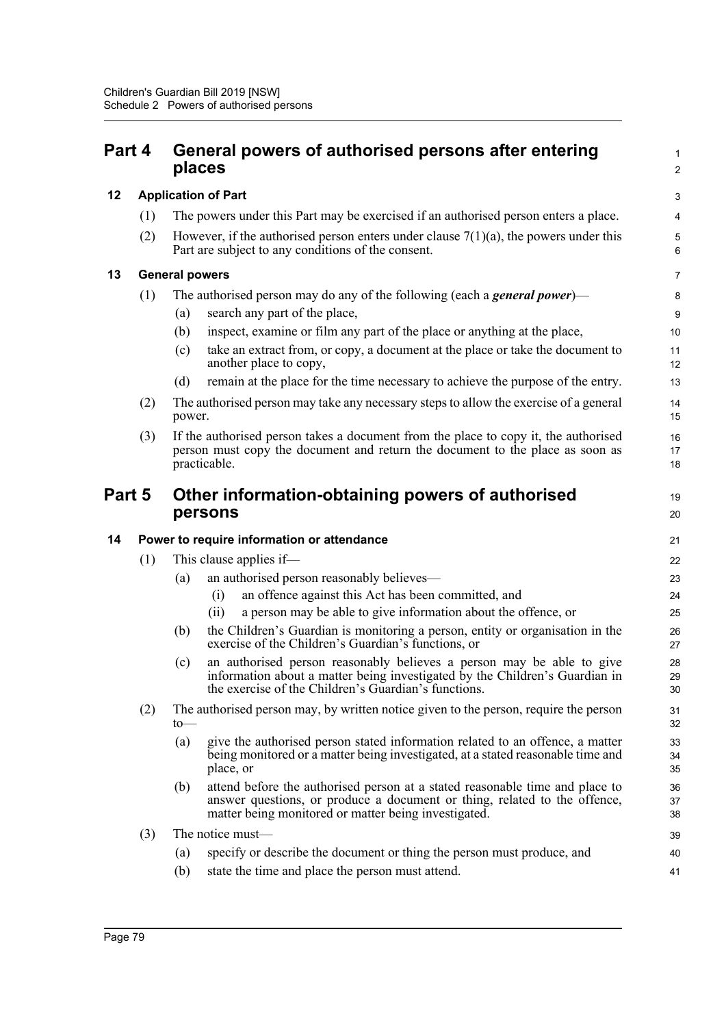## **Part 4 General powers of authorised persons after entering places**

### **12 Application of Part**

- (1) The powers under this Part may be exercised if an authorised person enters a place.
- (2) However, if the authorised person enters under clause  $7(1)(a)$ , the powers under this Part are subject to any conditions of the consent.

1  $\mathcal{L}$ 

19 20

### **13 General powers**

| (1) | The authorised person may do any of the following (each a <b>general power)</b> —                                                                                    |                                                                                                          |  |
|-----|----------------------------------------------------------------------------------------------------------------------------------------------------------------------|----------------------------------------------------------------------------------------------------------|--|
|     | (a)                                                                                                                                                                  | search any part of the place,                                                                            |  |
|     | (b)                                                                                                                                                                  | inspect, examine or film any part of the place or anything at the place,                                 |  |
|     | (c)                                                                                                                                                                  | take an extract from, or copy, a document at the place or take the document to<br>another place to copy, |  |
|     | (d)                                                                                                                                                                  | remain at the place for the time necessary to achieve the purpose of the entry.                          |  |
| (2) | The authorised person may take any necessary steps to allow the exercise of a general<br>power.                                                                      |                                                                                                          |  |
| (3) | If the authorised person takes a document from the place to copy it, the authorised<br>person must copy the document and return the document to the place as soon as |                                                                                                          |  |

## **Part 5 Other information-obtaining powers of authorised persons**

**14 Power to require information or attendance**

(1) This clause applies if—

practicable.

- (a) an authorised person reasonably believes—
	- (i) an offence against this Act has been committed, and
	- (ii) a person may be able to give information about the offence, or
- (b) the Children's Guardian is monitoring a person, entity or organisation in the exercise of the Children's Guardian's functions, or
- (c) an authorised person reasonably believes a person may be able to give information about a matter being investigated by the Children's Guardian in the exercise of the Children's Guardian's functions.
- (2) The authorised person may, by written notice given to the person, require the person to—
	- (a) give the authorised person stated information related to an offence, a matter being monitored or a matter being investigated, at a stated reasonable time and place, or
	- (b) attend before the authorised person at a stated reasonable time and place to answer questions, or produce a document or thing, related to the offence, matter being monitored or matter being investigated.
- (3) The notice must—
	- (a) specify or describe the document or thing the person must produce, and
	- (b) state the time and place the person must attend.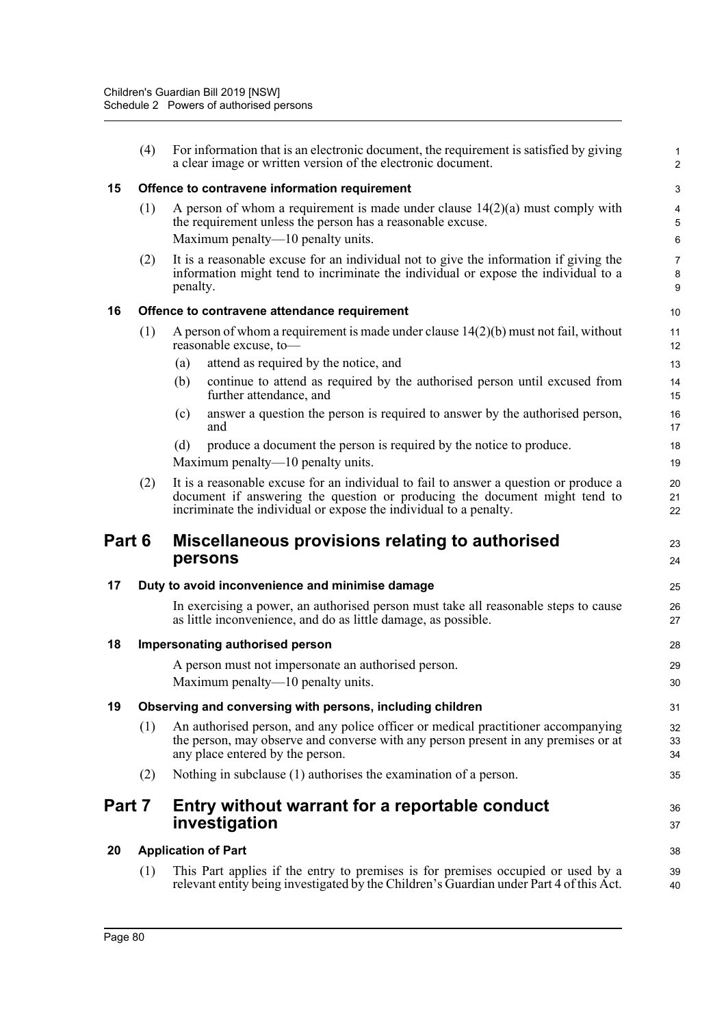|        | (4) | For information that is an electronic document, the requirement is satisfied by giving<br>a clear image or written version of the electronic document.                                                                                   | $\mathbf{1}$<br>$\overline{2}$ |  |  |  |  |
|--------|-----|------------------------------------------------------------------------------------------------------------------------------------------------------------------------------------------------------------------------------------------|--------------------------------|--|--|--|--|
| 15     |     | Offence to contravene information requirement                                                                                                                                                                                            |                                |  |  |  |  |
|        | (1) | A person of whom a requirement is made under clause $14(2)(a)$ must comply with<br>the requirement unless the person has a reasonable excuse.<br>Maximum penalty-10 penalty units.                                                       | 4<br>5<br>6                    |  |  |  |  |
|        | (2) | It is a reasonable excuse for an individual not to give the information if giving the<br>information might tend to incriminate the individual or expose the individual to a<br>penalty.                                                  | $\overline{7}$<br>8<br>9       |  |  |  |  |
| 16     |     | Offence to contravene attendance requirement                                                                                                                                                                                             | 10                             |  |  |  |  |
|        | (1) | A person of whom a requirement is made under clause $14(2)(b)$ must not fail, without<br>reasonable excuse, to-                                                                                                                          | 11<br>12                       |  |  |  |  |
|        |     | attend as required by the notice, and<br>(a)                                                                                                                                                                                             | 13                             |  |  |  |  |
|        |     | continue to attend as required by the authorised person until excused from<br>(b)<br>further attendance, and                                                                                                                             | 14<br>15                       |  |  |  |  |
|        |     | answer a question the person is required to answer by the authorised person,<br>(c)<br>and                                                                                                                                               | 16<br>17                       |  |  |  |  |
|        |     | produce a document the person is required by the notice to produce.<br>(d)<br>Maximum penalty—10 penalty units.                                                                                                                          | 18<br>19                       |  |  |  |  |
|        | (2) | It is a reasonable excuse for an individual to fail to answer a question or produce a<br>document if answering the question or producing the document might tend to<br>incriminate the individual or expose the individual to a penalty. | 20<br>21<br>22                 |  |  |  |  |
| Part 6 |     | Miscellaneous provisions relating to authorised<br>persons                                                                                                                                                                               | 23<br>24                       |  |  |  |  |
| 17     |     | Duty to avoid inconvenience and minimise damage                                                                                                                                                                                          | 25                             |  |  |  |  |
|        |     | In exercising a power, an authorised person must take all reasonable steps to cause<br>as little inconvenience, and do as little damage, as possible.                                                                                    | 26<br>27                       |  |  |  |  |
| 18     |     | Impersonating authorised person                                                                                                                                                                                                          | 28                             |  |  |  |  |
|        |     | A person must not impersonate an authorised person.<br>Maximum penalty—10 penalty units.                                                                                                                                                 | 29<br>$30\,$                   |  |  |  |  |
| 19     |     | Observing and conversing with persons, including children                                                                                                                                                                                | 31                             |  |  |  |  |
|        | (1) | An authorised person, and any police officer or medical practitioner accompanying<br>the person, may observe and converse with any person present in any premises or at<br>any place entered by the person.                              | 32<br>33<br>34                 |  |  |  |  |
|        | (2) | Nothing in subclause (1) authorises the examination of a person.                                                                                                                                                                         | 35                             |  |  |  |  |
| Part 7 |     | Entry without warrant for a reportable conduct<br>investigation                                                                                                                                                                          | 36<br>37                       |  |  |  |  |
| 20     |     | <b>Application of Part</b>                                                                                                                                                                                                               | 38                             |  |  |  |  |
|        |     |                                                                                                                                                                                                                                          |                                |  |  |  |  |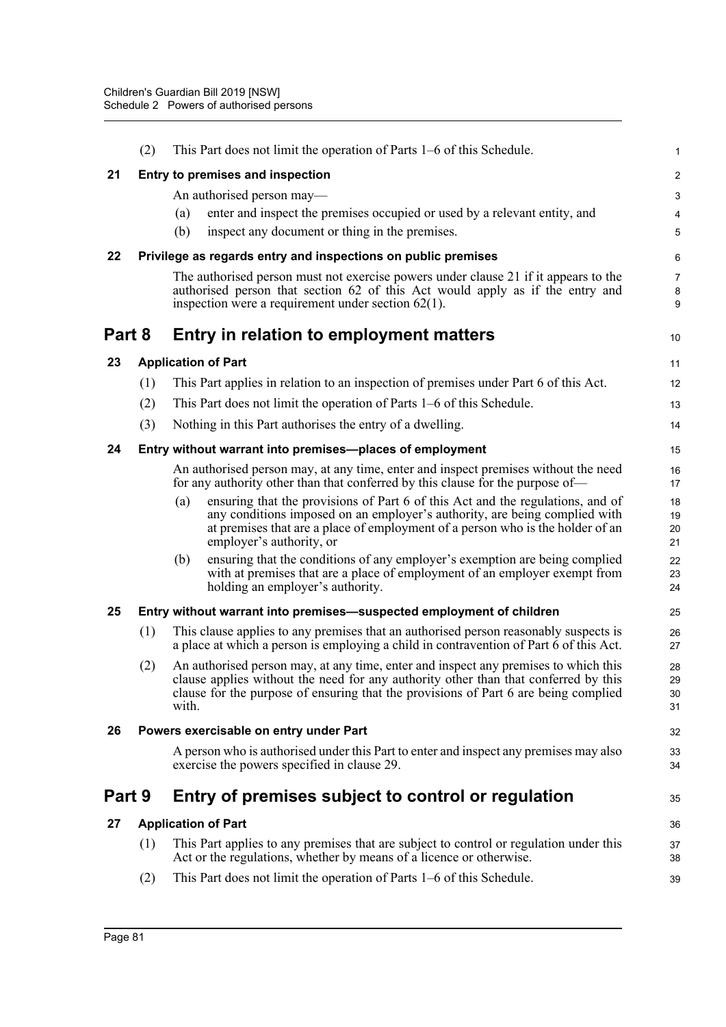|        | (2) | This Part does not limit the operation of Parts 1–6 of this Schedule.                                                                                                                                                                                                             | 1                    |
|--------|-----|-----------------------------------------------------------------------------------------------------------------------------------------------------------------------------------------------------------------------------------------------------------------------------------|----------------------|
| 21     |     | Entry to premises and inspection                                                                                                                                                                                                                                                  | 2                    |
|        |     | An authorised person may—                                                                                                                                                                                                                                                         | 3                    |
|        |     | enter and inspect the premises occupied or used by a relevant entity, and<br>(a)                                                                                                                                                                                                  | 4                    |
|        |     | (b)<br>inspect any document or thing in the premises.                                                                                                                                                                                                                             | 5                    |
| 22     |     | Privilege as regards entry and inspections on public premises                                                                                                                                                                                                                     | 6                    |
|        |     | The authorised person must not exercise powers under clause 21 if it appears to the<br>authorised person that section 62 of this Act would apply as if the entry and<br>inspection were a requirement under section $62(1)$ .                                                     | 7<br>8<br>9          |
| Part 8 |     | Entry in relation to employment matters                                                                                                                                                                                                                                           | 10                   |
| 23     |     | <b>Application of Part</b>                                                                                                                                                                                                                                                        | 11                   |
|        | (1) | This Part applies in relation to an inspection of premises under Part 6 of this Act.                                                                                                                                                                                              | 12                   |
|        | (2) | This Part does not limit the operation of Parts 1–6 of this Schedule.                                                                                                                                                                                                             | 13                   |
|        | (3) | Nothing in this Part authorises the entry of a dwelling.                                                                                                                                                                                                                          | 14                   |
| 24     |     | Entry without warrant into premises-places of employment                                                                                                                                                                                                                          | 15                   |
|        |     | An authorised person may, at any time, enter and inspect premises without the need<br>for any authority other than that conferred by this clause for the purpose of—                                                                                                              | 16<br>17             |
|        |     | ensuring that the provisions of Part 6 of this Act and the regulations, and of<br>(a)<br>any conditions imposed on an employer's authority, are being complied with<br>at premises that are a place of employment of a person who is the holder of an<br>employer's authority, or | 18<br>19<br>20<br>21 |
|        |     | ensuring that the conditions of any employer's exemption are being complied<br>(b)<br>with at premises that are a place of employment of an employer exempt from<br>holding an employer's authority.                                                                              | 22<br>23<br>24       |
| 25     |     | Entry without warrant into premises—suspected employment of children                                                                                                                                                                                                              | 25                   |
|        | (1) | This clause applies to any premises that an authorised person reasonably suspects is<br>a place at which a person is employing a child in contravention of Part 6 of this Act.                                                                                                    | 26<br>27             |
|        | (2) | An authorised person may, at any time, enter and inspect any premises to which this<br>clause applies without the need for any authority other than that conferred by this<br>clause for the purpose of ensuring that the provisions of Part 6 are being complied<br>with.        | 28<br>29<br>30<br>31 |
| 26     |     | Powers exercisable on entry under Part                                                                                                                                                                                                                                            | 32                   |
|        |     | A person who is authorised under this Part to enter and inspect any premises may also<br>exercise the powers specified in clause 29.                                                                                                                                              | 33<br>34             |
| Part 9 |     | Entry of premises subject to control or regulation                                                                                                                                                                                                                                | 35                   |
| 27     |     | <b>Application of Part</b>                                                                                                                                                                                                                                                        | 36                   |
|        | (1) | This Part applies to any premises that are subject to control or regulation under this<br>Act or the regulations, whether by means of a licence or otherwise.                                                                                                                     | 37<br>38             |
|        | (2) | This Part does not limit the operation of Parts 1–6 of this Schedule.                                                                                                                                                                                                             | 39                   |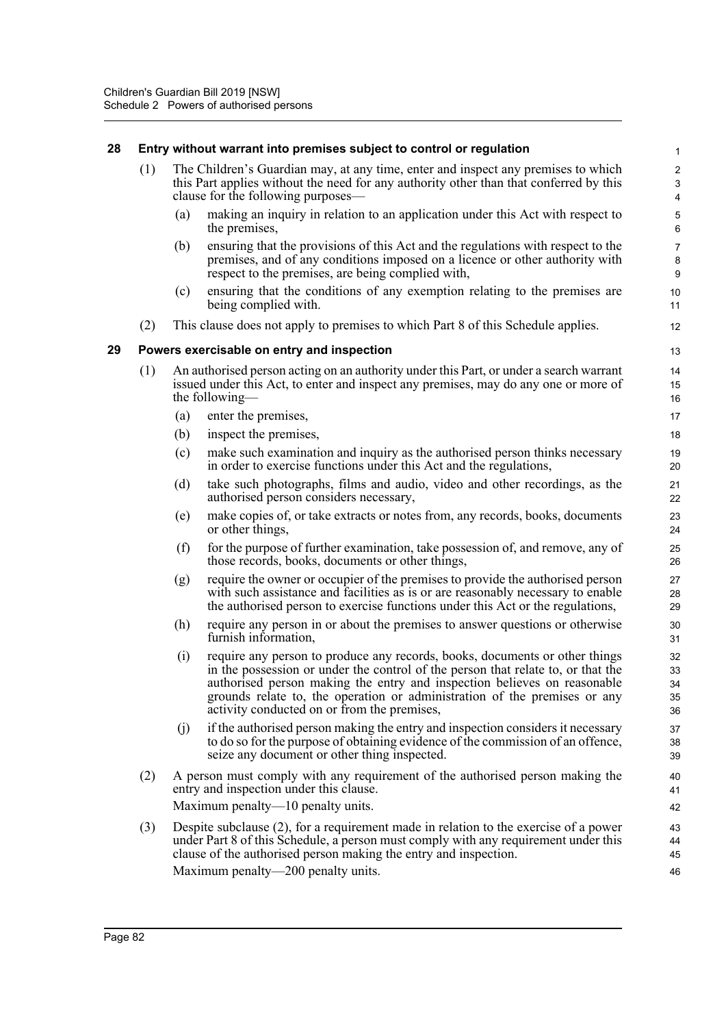### **28 Entry without warrant into premises subject to control or regulation**

- (1) The Children's Guardian may, at any time, enter and inspect any premises to which this Part applies without the need for any authority other than that conferred by this clause for the following purposes—
	- (a) making an inquiry in relation to an application under this Act with respect to the premises,

- (b) ensuring that the provisions of this Act and the regulations with respect to the premises, and of any conditions imposed on a licence or other authority with respect to the premises, are being complied with,
- (c) ensuring that the conditions of any exemption relating to the premises are being complied with.
- (2) This clause does not apply to premises to which Part 8 of this Schedule applies.

### **29 Powers exercisable on entry and inspection**

- (1) An authorised person acting on an authority under this Part, or under a search warrant issued under this Act, to enter and inspect any premises, may do any one or more of the following—
	- (a) enter the premises,
	- (b) inspect the premises,
	- (c) make such examination and inquiry as the authorised person thinks necessary in order to exercise functions under this Act and the regulations,
	- (d) take such photographs, films and audio, video and other recordings, as the authorised person considers necessary,
	- (e) make copies of, or take extracts or notes from, any records, books, documents or other things,
	- (f) for the purpose of further examination, take possession of, and remove, any of those records, books, documents or other things,
	- (g) require the owner or occupier of the premises to provide the authorised person with such assistance and facilities as is or are reasonably necessary to enable the authorised person to exercise functions under this Act or the regulations,
	- (h) require any person in or about the premises to answer questions or otherwise furnish information,
	- (i) require any person to produce any records, books, documents or other things in the possession or under the control of the person that relate to, or that the authorised person making the entry and inspection believes on reasonable grounds relate to, the operation or administration of the premises or any activity conducted on or from the premises,
	- (j) if the authorised person making the entry and inspection considers it necessary to do so for the purpose of obtaining evidence of the commission of an offence, seize any document or other thing inspected.
- (2) A person must comply with any requirement of the authorised person making the entry and inspection under this clause. Maximum penalty—10 penalty units.
- (3) Despite subclause (2), for a requirement made in relation to the exercise of a power under Part 8 of this Schedule, a person must comply with any requirement under this clause of the authorised person making the entry and inspection. Maximum penalty—200 penalty units.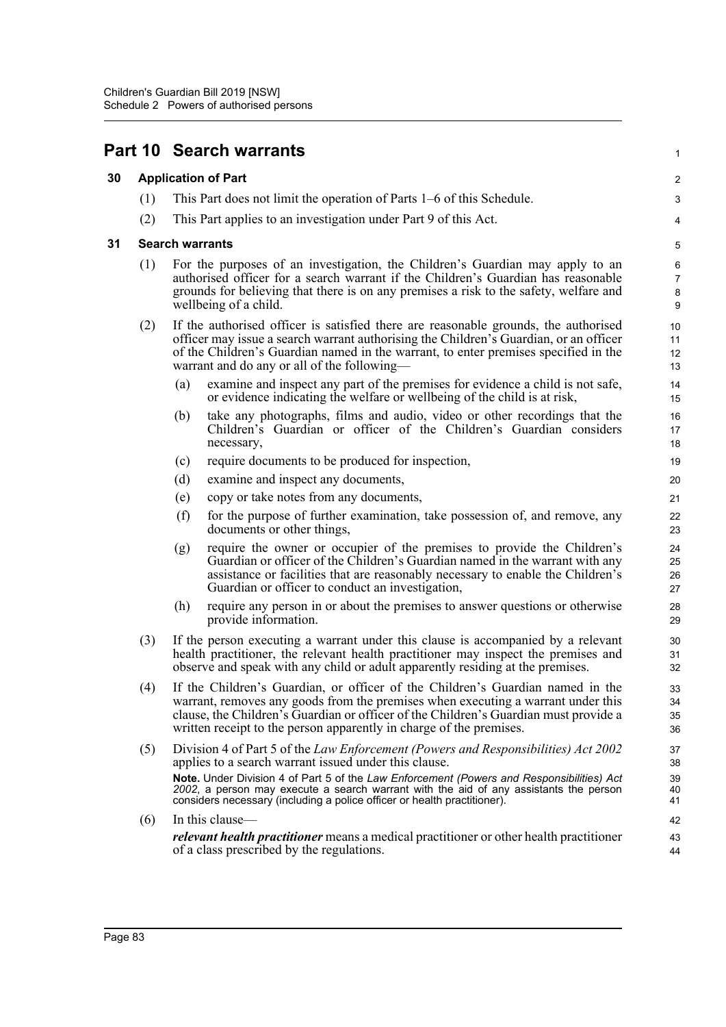|    |     | <b>Part 10 Search warrants</b>                                                                                                                                                                                                                                                                                                    | 1                                   |  |  |
|----|-----|-----------------------------------------------------------------------------------------------------------------------------------------------------------------------------------------------------------------------------------------------------------------------------------------------------------------------------------|-------------------------------------|--|--|
| 30 |     | <b>Application of Part</b>                                                                                                                                                                                                                                                                                                        |                                     |  |  |
|    | (1) | This Part does not limit the operation of Parts 1–6 of this Schedule.                                                                                                                                                                                                                                                             | 3                                   |  |  |
|    | (2) | This Part applies to an investigation under Part 9 of this Act.                                                                                                                                                                                                                                                                   | 4                                   |  |  |
| 31 |     | <b>Search warrants</b>                                                                                                                                                                                                                                                                                                            |                                     |  |  |
|    | (1) | For the purposes of an investigation, the Children's Guardian may apply to an<br>authorised officer for a search warrant if the Children's Guardian has reasonable<br>grounds for believing that there is on any premises a risk to the safety, welfare and<br>wellbeing of a child.                                              | 6<br>$\overline{7}$<br>$\bf 8$<br>9 |  |  |
|    | (2) | If the authorised officer is satisfied there are reasonable grounds, the authorised<br>officer may issue a search warrant authorising the Children's Guardian, or an officer<br>of the Children's Guardian named in the warrant, to enter premises specified in the<br>warrant and do any or all of the following—                | 10<br>11<br>12<br>13                |  |  |
|    |     | examine and inspect any part of the premises for evidence a child is not safe,<br>(a)<br>or evidence indicating the welfare or wellbeing of the child is at risk,                                                                                                                                                                 | 14<br>15                            |  |  |
|    |     | take any photographs, films and audio, video or other recordings that the<br>(b)<br>Children's Guardian or officer of the Children's Guardian considers<br>necessary,                                                                                                                                                             | 16<br>17<br>18                      |  |  |
|    |     | require documents to be produced for inspection,<br>(c)                                                                                                                                                                                                                                                                           | 19                                  |  |  |
|    |     | (d)<br>examine and inspect any documents,                                                                                                                                                                                                                                                                                         | 20                                  |  |  |
|    |     | copy or take notes from any documents,<br>(e)                                                                                                                                                                                                                                                                                     | 21                                  |  |  |
|    |     | (f)<br>for the purpose of further examination, take possession of, and remove, any<br>documents or other things,                                                                                                                                                                                                                  | 22<br>23                            |  |  |
|    |     | require the owner or occupier of the premises to provide the Children's<br>(g)<br>Guardian or officer of the Children's Guardian named in the warrant with any<br>assistance or facilities that are reasonably necessary to enable the Children's<br>Guardian or officer to conduct an investigation,                             | 24<br>25<br>26<br>27                |  |  |
|    |     | (h)<br>require any person in or about the premises to answer questions or otherwise<br>provide information.                                                                                                                                                                                                                       | 28<br>29                            |  |  |
|    | (3) | If the person executing a warrant under this clause is accompanied by a relevant<br>health practitioner, the relevant health practitioner may inspect the premises and<br>observe and speak with any child or adult apparently residing at the premises.                                                                          |                                     |  |  |
|    | (4) | If the Children's Guardian, or officer of the Children's Guardian named in the<br>warrant, removes any goods from the premises when executing a warrant under this<br>clause, the Children's Guardian or officer of the Children's Guardian must provide a<br>written receipt to the person apparently in charge of the premises. | 33<br>34<br>35<br>36                |  |  |
|    | (5) | Division 4 of Part 5 of the Law Enforcement (Powers and Responsibilities) Act 2002<br>applies to a search warrant issued under this clause.                                                                                                                                                                                       | 37<br>38                            |  |  |
|    |     | Note. Under Division 4 of Part 5 of the Law Enforcement (Powers and Responsibilities) Act<br>2002, a person may execute a search warrant with the aid of any assistants the person<br>considers necessary (including a police officer or health practitioner).                                                                    | 39<br>40<br>41                      |  |  |
|    | (6) | In this clause-                                                                                                                                                                                                                                                                                                                   | 42                                  |  |  |
|    |     | <i>relevant health practitioner</i> means a medical practitioner or other health practitioner<br>of a class prescribed by the regulations.                                                                                                                                                                                        | 43<br>44                            |  |  |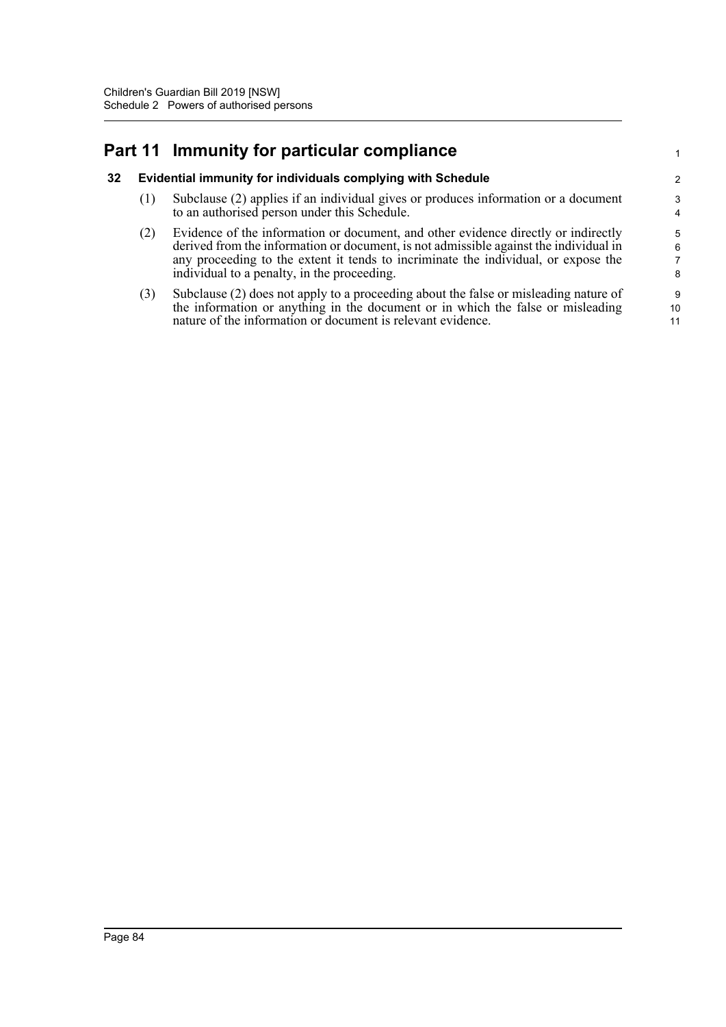## **Part 11 Immunity for particular compliance**

### **32 Evidential immunity for individuals complying with Schedule**

- (1) Subclause (2) applies if an individual gives or produces information or a document to an authorised person under this Schedule.
- (2) Evidence of the information or document, and other evidence directly or indirectly derived from the information or document, is not admissible against the individual in any proceeding to the extent it tends to incriminate the individual, or expose the individual to a penalty, in the proceeding.

1

(3) Subclause (2) does not apply to a proceeding about the false or misleading nature of the information or anything in the document or in which the false or misleading nature of the information or document is relevant evidence.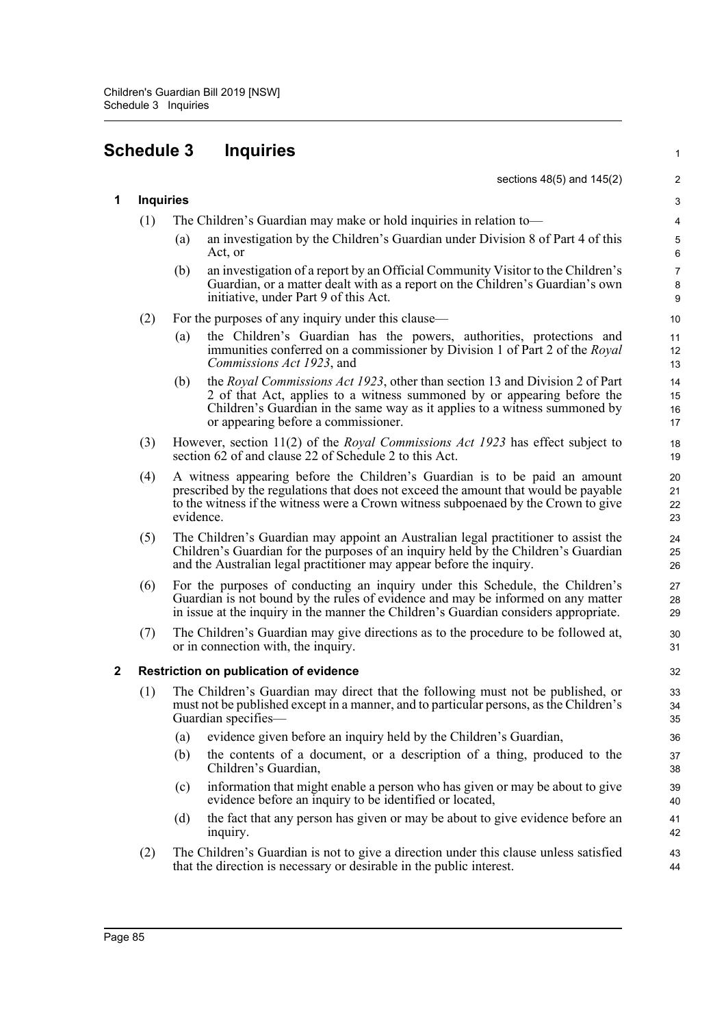# **Schedule 3 Inquiries**

|   |                  |                                                                                                                                                                                                                                                                      | sections 48(5) and 145(2)                                                                                                                                                                                                                                                    | $\sqrt{2}$                                      |  |  |  |
|---|------------------|----------------------------------------------------------------------------------------------------------------------------------------------------------------------------------------------------------------------------------------------------------------------|------------------------------------------------------------------------------------------------------------------------------------------------------------------------------------------------------------------------------------------------------------------------------|-------------------------------------------------|--|--|--|
| 1 | <b>Inquiries</b> |                                                                                                                                                                                                                                                                      |                                                                                                                                                                                                                                                                              | $\ensuremath{\mathsf{3}}$                       |  |  |  |
|   | (1)              | The Children's Guardian may make or hold inquiries in relation to—                                                                                                                                                                                                   |                                                                                                                                                                                                                                                                              |                                                 |  |  |  |
|   |                  | (a)                                                                                                                                                                                                                                                                  | an investigation by the Children's Guardian under Division 8 of Part 4 of this<br>Act, or                                                                                                                                                                                    | $\sqrt{5}$<br>$\,6\,$                           |  |  |  |
|   |                  | (b)                                                                                                                                                                                                                                                                  | an investigation of a report by an Official Community Visitor to the Children's<br>Guardian, or a matter dealt with as a report on the Children's Guardian's own<br>initiative, under Part 9 of this Act.                                                                    | $\boldsymbol{7}$<br>$\bf 8$<br>$\boldsymbol{9}$ |  |  |  |
|   | (2)              |                                                                                                                                                                                                                                                                      | For the purposes of any inquiry under this clause—                                                                                                                                                                                                                           | 10                                              |  |  |  |
|   |                  | (a)                                                                                                                                                                                                                                                                  | the Children's Guardian has the powers, authorities, protections and<br>immunities conferred on a commissioner by Division 1 of Part 2 of the Royal<br>Commissions Act 1923, and                                                                                             | 11<br>12<br>13                                  |  |  |  |
|   |                  | (b)                                                                                                                                                                                                                                                                  | the Royal Commissions Act 1923, other than section 13 and Division 2 of Part<br>2 of that Act, applies to a witness summoned by or appearing before the<br>Children's Guardian in the same way as it applies to a witness summoned by<br>or appearing before a commissioner. | 14<br>15<br>16<br>17                            |  |  |  |
|   | (3)              |                                                                                                                                                                                                                                                                      | However, section 11(2) of the <i>Royal Commissions Act 1923</i> has effect subject to<br>section 62 of and clause 22 of Schedule 2 to this Act.                                                                                                                              | 18<br>19                                        |  |  |  |
|   | (4)              | A witness appearing before the Children's Guardian is to be paid an amount<br>prescribed by the regulations that does not exceed the amount that would be payable<br>to the witness if the witness were a Crown witness subpoenaed by the Crown to give<br>evidence. |                                                                                                                                                                                                                                                                              |                                                 |  |  |  |
|   | (5)              |                                                                                                                                                                                                                                                                      | The Children's Guardian may appoint an Australian legal practitioner to assist the<br>Children's Guardian for the purposes of an inquiry held by the Children's Guardian<br>and the Australian legal practitioner may appear before the inquiry.                             | 24<br>25<br>26                                  |  |  |  |
|   | (6)              |                                                                                                                                                                                                                                                                      | For the purposes of conducting an inquiry under this Schedule, the Children's<br>Guardian is not bound by the rules of evidence and may be informed on any matter<br>in issue at the inquiry in the manner the Children's Guardian considers appropriate.                    | 27<br>28<br>29                                  |  |  |  |
|   | (7)              |                                                                                                                                                                                                                                                                      | The Children's Guardian may give directions as to the procedure to be followed at,<br>or in connection with, the inquiry.                                                                                                                                                    | 30<br>31                                        |  |  |  |
| 2 |                  |                                                                                                                                                                                                                                                                      | Restriction on publication of evidence                                                                                                                                                                                                                                       | 32                                              |  |  |  |
|   | (1)              |                                                                                                                                                                                                                                                                      | The Children's Guardian may direct that the following must not be published, or<br>must not be published except in a manner, and to particular persons, as the Children's<br>Guardian specifies-                                                                             | 33<br>34<br>35                                  |  |  |  |
|   |                  | (a)                                                                                                                                                                                                                                                                  | evidence given before an inquiry held by the Children's Guardian,                                                                                                                                                                                                            | 36                                              |  |  |  |
|   |                  | (b)                                                                                                                                                                                                                                                                  | the contents of a document, or a description of a thing, produced to the<br>Children's Guardian,                                                                                                                                                                             | 37<br>38                                        |  |  |  |
|   |                  | (c)                                                                                                                                                                                                                                                                  | information that might enable a person who has given or may be about to give<br>evidence before an inquiry to be identified or located,                                                                                                                                      | 39<br>40                                        |  |  |  |
|   |                  | (d)                                                                                                                                                                                                                                                                  | the fact that any person has given or may be about to give evidence before an<br>inquiry.                                                                                                                                                                                    | 41<br>42                                        |  |  |  |
|   | (2)              |                                                                                                                                                                                                                                                                      | The Children's Guardian is not to give a direction under this clause unless satisfied<br>that the direction is necessary or desirable in the public interest.                                                                                                                | 43<br>44                                        |  |  |  |
|   |                  |                                                                                                                                                                                                                                                                      |                                                                                                                                                                                                                                                                              |                                                 |  |  |  |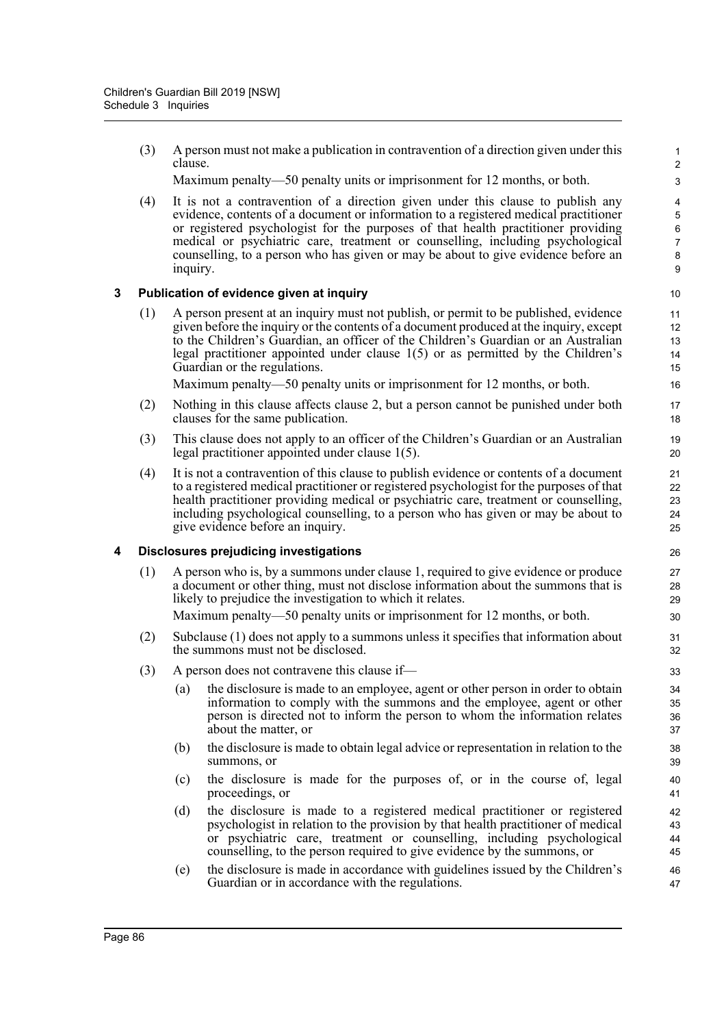(3) A person must not make a publication in contravention of a direction given under this clause.

Maximum penalty—50 penalty units or imprisonment for 12 months, or both.

(4) It is not a contravention of a direction given under this clause to publish any evidence, contents of a document or information to a registered medical practitioner or registered psychologist for the purposes of that health practitioner providing medical or psychiatric care, treatment or counselling, including psychological counselling, to a person who has given or may be about to give evidence before an inquiry.

### **3 Publication of evidence given at inquiry**

(1) A person present at an inquiry must not publish, or permit to be published, evidence given before the inquiry or the contents of a document produced at the inquiry, except to the Children's Guardian, an officer of the Children's Guardian or an Australian legal practitioner appointed under clause 1(5) or as permitted by the Children's Guardian or the regulations.

Maximum penalty—50 penalty units or imprisonment for 12 months, or both.

- (2) Nothing in this clause affects clause 2, but a person cannot be punished under both clauses for the same publication.
- (3) This clause does not apply to an officer of the Children's Guardian or an Australian legal practitioner appointed under clause 1(5).
- (4) It is not a contravention of this clause to publish evidence or contents of a document to a registered medical practitioner or registered psychologist for the purposes of that health practitioner providing medical or psychiatric care, treatment or counselling, including psychological counselling, to a person who has given or may be about to give evidence before an inquiry.

### **4 Disclosures prejudicing investigations**

(1) A person who is, by a summons under clause 1, required to give evidence or produce a document or other thing, must not disclose information about the summons that is likely to prejudice the investigation to which it relates.

Maximum penalty—50 penalty units or imprisonment for 12 months, or both.

- (2) Subclause (1) does not apply to a summons unless it specifies that information about the summons must not be disclosed.
- (3) A person does not contravene this clause if—
	- (a) the disclosure is made to an employee, agent or other person in order to obtain information to comply with the summons and the employee, agent or other person is directed not to inform the person to whom the information relates about the matter, or
	- (b) the disclosure is made to obtain legal advice or representation in relation to the summons, or
	- (c) the disclosure is made for the purposes of, or in the course of, legal proceedings, or
	- (d) the disclosure is made to a registered medical practitioner or registered psychologist in relation to the provision by that health practitioner of medical or psychiatric care, treatment or counselling, including psychological counselling, to the person required to give evidence by the summons, or
	- (e) the disclosure is made in accordance with guidelines issued by the Children's Guardian or in accordance with the regulations.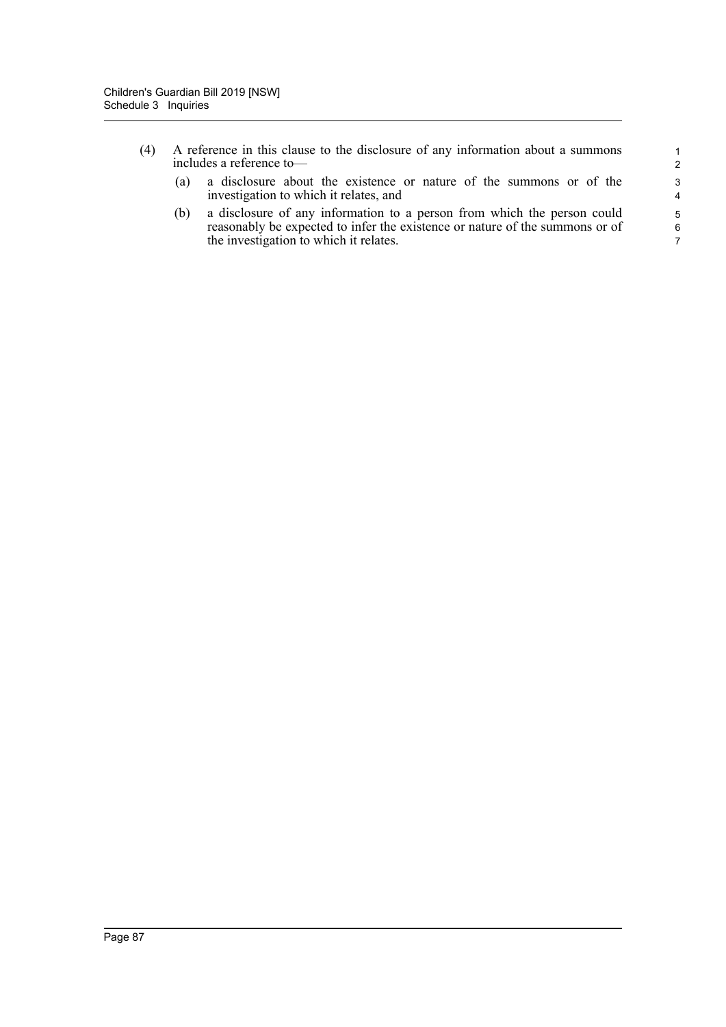- (4) A reference in this clause to the disclosure of any information about a summons includes a reference to—
	- (a) a disclosure about the existence or nature of the summons or of the investigation to which it relates, and

(b) a disclosure of any information to a person from which the person could reasonably be expected to infer the existence or nature of the summons or of the investigation to which it relates.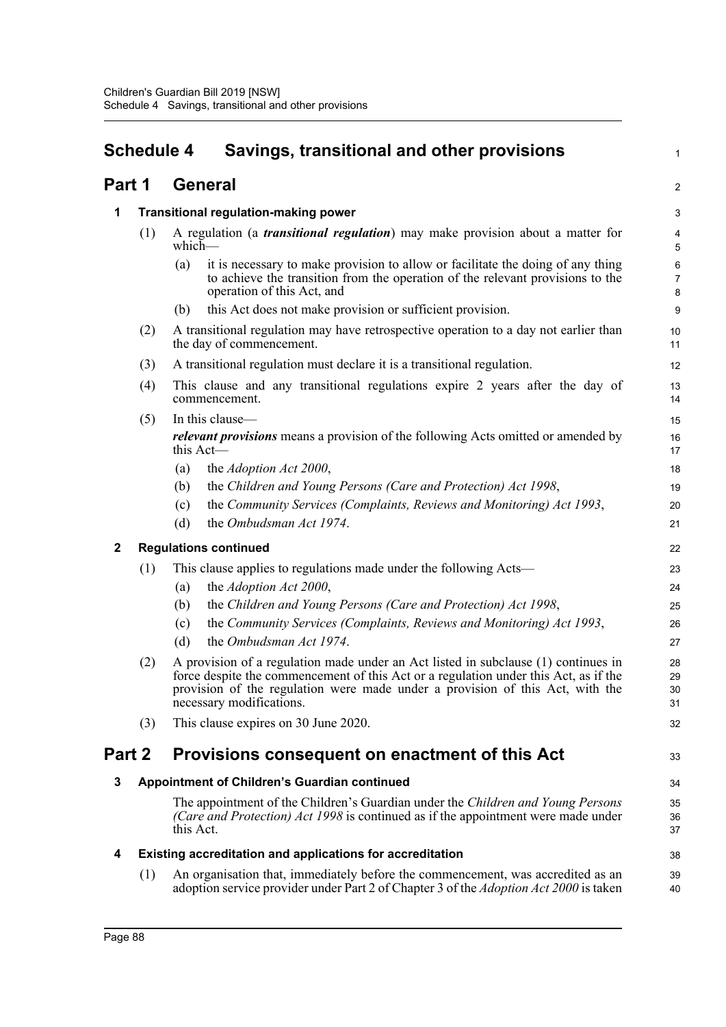#### **Schedule 4 Savings, transitional and other provisions Part 1 General 1 Transitional regulation-making power** (1) A regulation (a *transitional regulation*) may make provision about a matter for which— (a) it is necessary to make provision to allow or facilitate the doing of any thing to achieve the transition from the operation of the relevant provisions to the operation of this Act, and (b) this Act does not make provision or sufficient provision. (2) A transitional regulation may have retrospective operation to a day not earlier than the day of commencement. (3) A transitional regulation must declare it is a transitional regulation. (4) This clause and any transitional regulations expire 2 years after the day of commencement. (5) In this clause *relevant provisions* means a provision of the following Acts omitted or amended by this Act-(a) the *Adoption Act 2000*, (b) the *Children and Young Persons (Care and Protection) Act 1998*, (c) the *Community Services (Complaints, Reviews and Monitoring) Act 1993*, (d) the *Ombudsman Act 1974*. **2 Regulations continued** (1) This clause applies to regulations made under the following Acts— (a) the *Adoption Act 2000*, (b) the *Children and Young Persons (Care and Protection) Act 1998*, (c) the *Community Services (Complaints, Reviews and Monitoring) Act 1993*, (d) the *Ombudsman Act 1974*. (2) A provision of a regulation made under an Act listed in subclause (1) continues in force despite the commencement of this Act or a regulation under this Act, as if the provision of the regulation were made under a provision of this Act, with the necessary modifications. (3) This clause expires on 30 June 2020. **Part 2 Provisions consequent on enactment of this Act 3 Appointment of Children's Guardian continued** The appointment of the Children's Guardian under the *Children and Young Persons (Care and Protection) Act 1998* is continued as if the appointment were made under this Act. **4 Existing accreditation and applications for accreditation** 1  $\mathfrak{p}$ 3 4 5 6 7 8 9 10 11 12 13 14 15 16 17 18 19 20 21 22 23  $24$ 25 26  $27$ 28 29 30 31 32 33 34 35 36 37 38 39

(1) An organisation that, immediately before the commencement, was accredited as an adoption service provider under Part 2 of Chapter 3 of the *Adoption Act 2000* is taken 40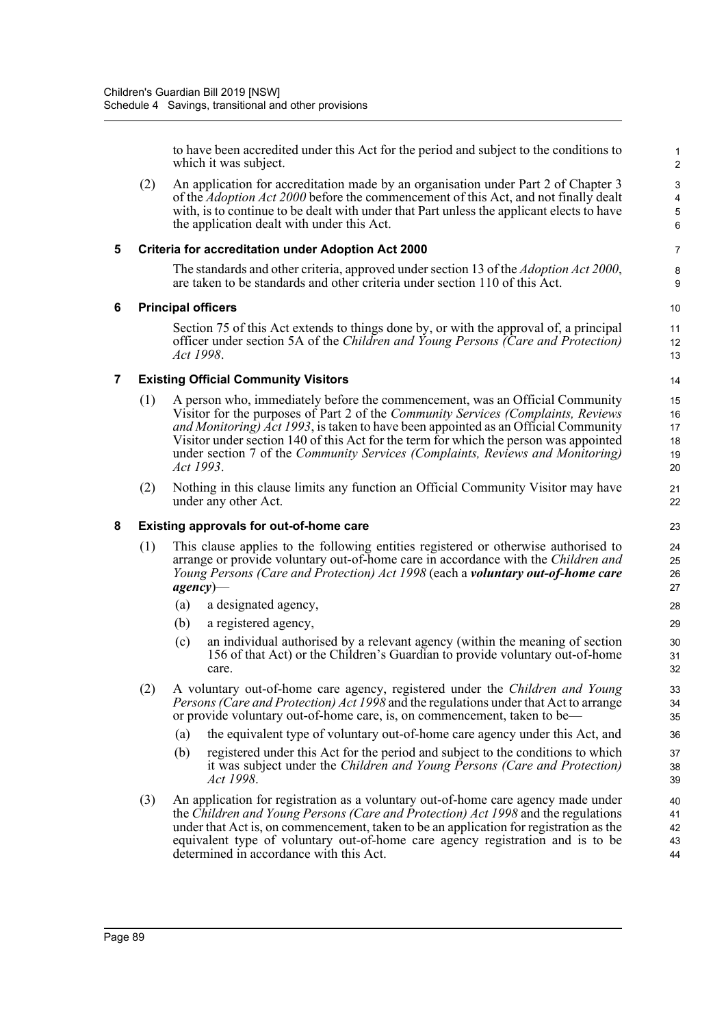to have been accredited under this Act for the period and subject to the conditions to which it was subject.

(2) An application for accreditation made by an organisation under Part 2 of Chapter 3 of the *Adoption Act 2000* before the commencement of this Act, and not finally dealt with, is to continue to be dealt with under that Part unless the applicant elects to have the application dealt with under this Act.

### **5 Criteria for accreditation under Adoption Act 2000**

The standards and other criteria, approved under section 13 of the *Adoption Act 2000*, are taken to be standards and other criteria under section 110 of this Act.

### **6 Principal officers**

Section 75 of this Act extends to things done by, or with the approval of, a principal officer under section 5A of the *Children and Young Persons (Care and Protection) Act 1998*.

### **7 Existing Official Community Visitors**

- (1) A person who, immediately before the commencement, was an Official Community Visitor for the purposes of Part 2 of the *Community Services (Complaints, Reviews and Monitoring) Act 1993*, is taken to have been appointed as an Official Community Visitor under section 140 of this Act for the term for which the person was appointed under section 7 of the *Community Services (Complaints, Reviews and Monitoring) Act 1993*.
- (2) Nothing in this clause limits any function an Official Community Visitor may have under any other Act.

### **8 Existing approvals for out-of-home care**

- (1) This clause applies to the following entities registered or otherwise authorised to arrange or provide voluntary out-of-home care in accordance with the *Children and Young Persons (Care and Protection) Act 1998* (each a *voluntary out-of-home care agency*)—
	- (a) a designated agency,
	- (b) a registered agency,
	- (c) an individual authorised by a relevant agency (within the meaning of section 156 of that Act) or the Children's Guardian to provide voluntary out-of-home care.
- (2) A voluntary out-of-home care agency, registered under the *Children and Young Persons (Care and Protection) Act 1998* and the regulations under that Act to arrange or provide voluntary out-of-home care, is, on commencement, taken to be—
	- (a) the equivalent type of voluntary out-of-home care agency under this Act, and
	- (b) registered under this Act for the period and subject to the conditions to which it was subject under the *Children and Young Persons (Care and Protection) Act 1998*.
- (3) An application for registration as a voluntary out-of-home care agency made under the *Children and Young Persons (Care and Protection) Act 1998* and the regulations under that Act is, on commencement, taken to be an application for registration as the equivalent type of voluntary out-of-home care agency registration and is to be determined in accordance with this Act. 40 41 42 43 44

11 12 13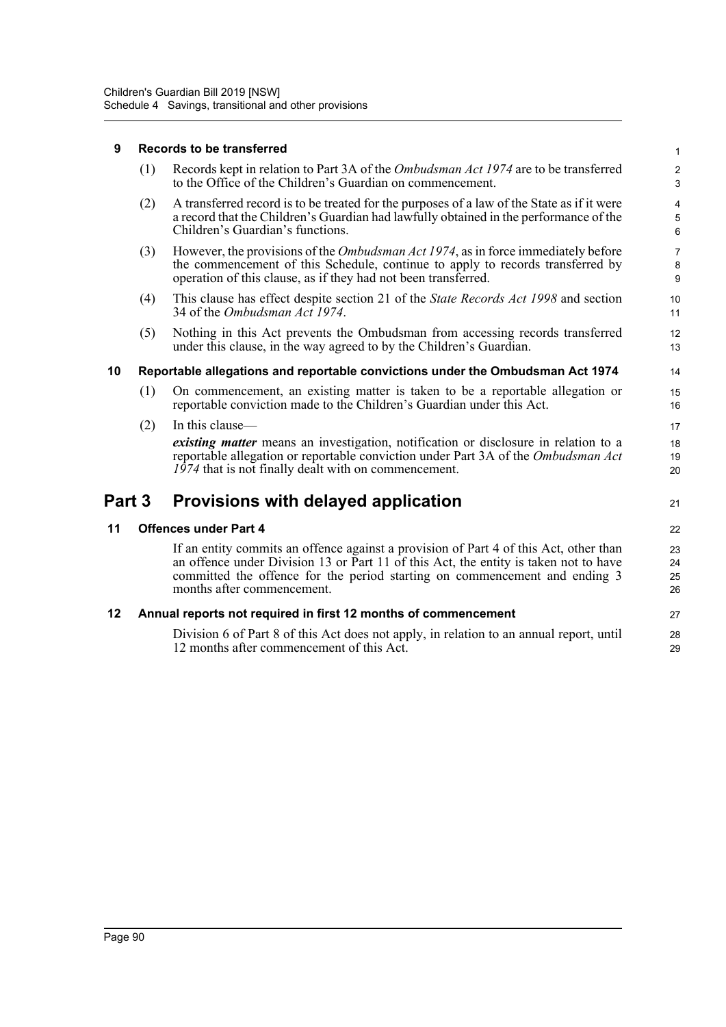### **9 Records to be transferred**

| (1) Records kept in relation to Part 3A of the <i>Ombudsman Act 1974</i> are to be transferred |
|------------------------------------------------------------------------------------------------|
| to the Office of the Children's Guardian on commencement.                                      |

21

27 28 29

- (2) A transferred record is to be treated for the purposes of a law of the State as if it were a record that the Children's Guardian had lawfully obtained in the performance of the Children's Guardian's functions.
- (3) However, the provisions of the *Ombudsman Act 1974*, as in force immediately before the commencement of this Schedule, continue to apply to records transferred by operation of this clause, as if they had not been transferred.
- (4) This clause has effect despite section 21 of the *State Records Act 1998* and section 34 of the *Ombudsman Act 1974*.
- (5) Nothing in this Act prevents the Ombudsman from accessing records transferred under this clause, in the way agreed to by the Children's Guardian.

### **10 Reportable allegations and reportable convictions under the Ombudsman Act 1974**

- (1) On commencement, an existing matter is taken to be a reportable allegation or reportable conviction made to the Children's Guardian under this Act.
- (2) In this clause—

*existing matter* means an investigation, notification or disclosure in relation to a reportable allegation or reportable conviction under Part 3A of the *Ombudsman Act 1974* that is not finally dealt with on commencement.

## **Part 3 Provisions with delayed application**

### **11 Offences under Part 4**

If an entity commits an offence against a provision of Part 4 of this Act, other than an offence under Division 13 or Part 11 of this Act, the entity is taken not to have committed the offence for the period starting on commencement and ending 3 months after commencement.

### **12 Annual reports not required in first 12 months of commencement**

Division 6 of Part 8 of this Act does not apply, in relation to an annual report, until 12 months after commencement of this Act.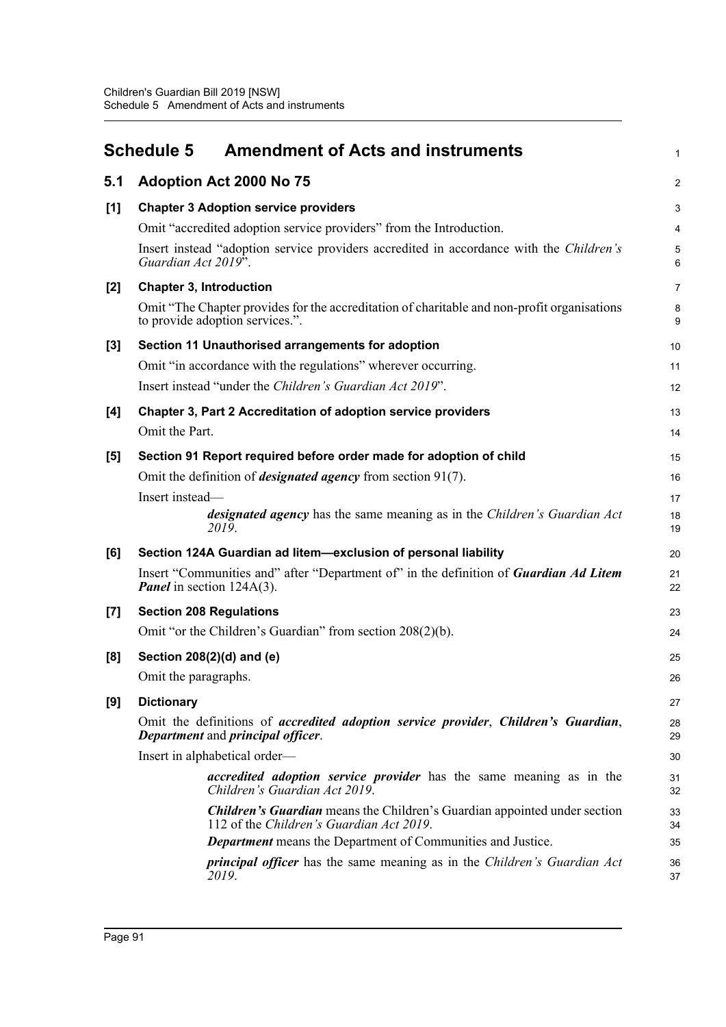|       | <b>Schedule 5</b><br><b>Amendment of Acts and instruments</b>                                                                  | 1               |
|-------|--------------------------------------------------------------------------------------------------------------------------------|-----------------|
| 5.1   | Adoption Act 2000 No 75                                                                                                        | $\overline{2}$  |
| [1]   | <b>Chapter 3 Adoption service providers</b>                                                                                    | 3               |
|       | Omit "accredited adoption service providers" from the Introduction.                                                            | 4               |
|       | Insert instead "adoption service providers accredited in accordance with the Children's<br>Guardian Act 2019 <sup>5</sup> .    | $\sqrt{5}$<br>6 |
| $[2]$ | <b>Chapter 3, Introduction</b>                                                                                                 | $\overline{7}$  |
|       | Omit "The Chapter provides for the accreditation of charitable and non-profit organisations<br>to provide adoption services.". | 8<br>9          |
| $[3]$ | Section 11 Unauthorised arrangements for adoption                                                                              | 10              |
|       | Omit "in accordance with the regulations" wherever occurring.                                                                  | 11              |
|       | Insert instead "under the Children's Guardian Act 2019".                                                                       | 12              |
| [4]   | <b>Chapter 3, Part 2 Accreditation of adoption service providers</b>                                                           | 13              |
|       | Omit the Part.                                                                                                                 | 14              |
| [5]   | Section 91 Report required before order made for adoption of child                                                             | 15              |
|       | Omit the definition of <i>designated agency</i> from section $91(7)$ .                                                         | 16              |
|       | Insert instead-                                                                                                                | 17              |
|       | <i>designated agency</i> has the same meaning as in the <i>Children's Guardian Act</i><br>2019.                                | 18<br>19        |
| [6]   | Section 124A Guardian ad litem-exclusion of personal liability                                                                 | 20              |
|       | Insert "Communities and" after "Department of" in the definition of Guardian Ad Litem<br><b>Panel</b> in section 124A(3).      | 21<br>22        |
| [7]   | <b>Section 208 Regulations</b>                                                                                                 | 23              |
|       | Omit "or the Children's Guardian" from section 208(2)(b).                                                                      | 24              |
| [8]   | Section 208(2)(d) and (e)                                                                                                      | 25              |
|       | Omit the paragraphs.                                                                                                           | 26              |
| [9]   | <b>Dictionary</b>                                                                                                              | 27              |
|       | Omit the definitions of accredited adoption service provider, Children's Guardian,<br>Department and principal officer.        | 28<br>29        |
|       | Insert in alphabetical order-                                                                                                  | 30              |
|       | accredited adoption service provider has the same meaning as in the<br>Children's Guardian Act 2019.                           | 31<br>32        |
|       | <b>Children's Guardian</b> means the Children's Guardian appointed under section<br>112 of the Children's Guardian Act 2019.   | 33<br>34        |
|       | <b>Department</b> means the Department of Communities and Justice.                                                             | 35              |
|       | <i>principal officer</i> has the same meaning as in the <i>Children's Guardian Act</i><br>2019.                                | 36<br>37        |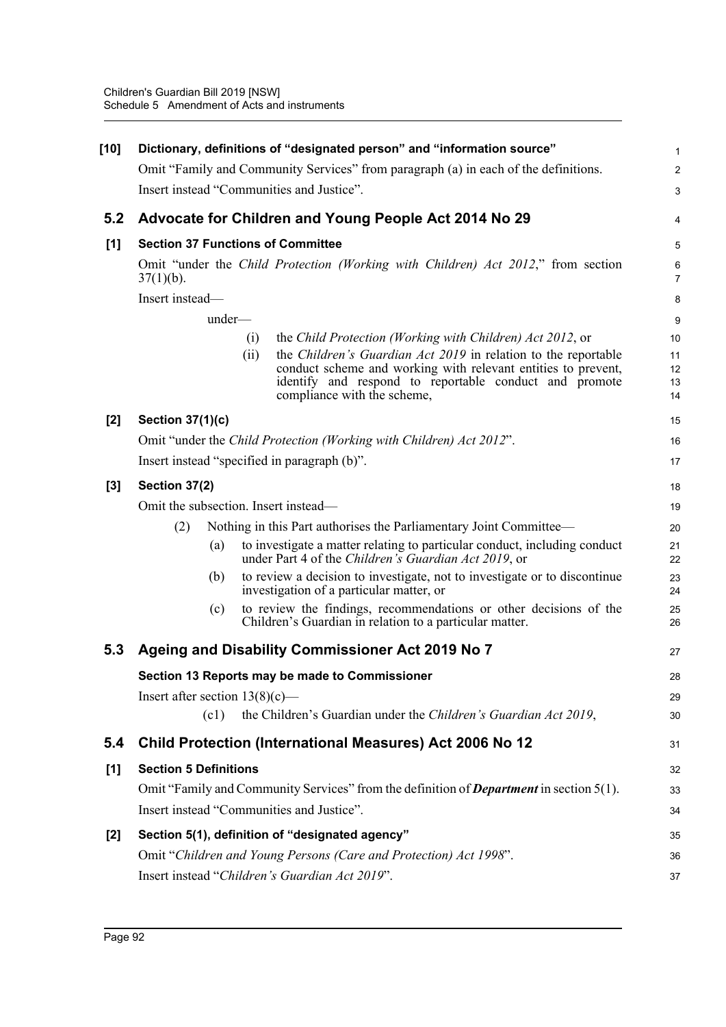| $[10]$ | Dictionary, definitions of "designated person" and "information source"                                                                                                                                                                                                                                            | $\mathbf{1}$               |
|--------|--------------------------------------------------------------------------------------------------------------------------------------------------------------------------------------------------------------------------------------------------------------------------------------------------------------------|----------------------------|
|        | Omit "Family and Community Services" from paragraph (a) in each of the definitions.                                                                                                                                                                                                                                | $\overline{2}$             |
|        | Insert instead "Communities and Justice".                                                                                                                                                                                                                                                                          | $\mathsf 3$                |
| 5.2    | Advocate for Children and Young People Act 2014 No 29                                                                                                                                                                                                                                                              | 4                          |
| [1]    | <b>Section 37 Functions of Committee</b>                                                                                                                                                                                                                                                                           | 5                          |
|        | Omit "under the Child Protection (Working with Children) Act 2012," from section<br>$37(1)(b)$ .                                                                                                                                                                                                                   | 6<br>$\overline{7}$        |
|        | Insert instead-                                                                                                                                                                                                                                                                                                    | 8                          |
|        | under-                                                                                                                                                                                                                                                                                                             | 9                          |
|        | the Child Protection (Working with Children) Act 2012, or<br>$\left( 1\right)$<br>the Children's Guardian Act 2019 in relation to the reportable<br>(ii)<br>conduct scheme and working with relevant entities to prevent,<br>identify and respond to reportable conduct and promote<br>compliance with the scheme, | 10<br>11<br>12<br>13<br>14 |
| $[2]$  | <b>Section 37(1)(c)</b>                                                                                                                                                                                                                                                                                            | 15                         |
|        | Omit "under the Child Protection (Working with Children) Act 2012".                                                                                                                                                                                                                                                | 16                         |
|        | Insert instead "specified in paragraph (b)".                                                                                                                                                                                                                                                                       | 17                         |
| $[3]$  | Section 37(2)                                                                                                                                                                                                                                                                                                      | 18                         |
|        | Omit the subsection. Insert instead—                                                                                                                                                                                                                                                                               | 19                         |
|        | Nothing in this Part authorises the Parliamentary Joint Committee—<br>(2)                                                                                                                                                                                                                                          | 20                         |
|        | to investigate a matter relating to particular conduct, including conduct<br>(a)<br>under Part 4 of the Children's Guardian Act 2019, or                                                                                                                                                                           | 21<br>22                   |
|        | to review a decision to investigate, not to investigate or to discontinue<br>(b)<br>investigation of a particular matter, or                                                                                                                                                                                       | 23<br>24                   |
|        | to review the findings, recommendations or other decisions of the<br>(c)<br>Children's Guardian in relation to a particular matter.                                                                                                                                                                                | 25<br>26                   |
| 5.3    | Ageing and Disability Commissioner Act 2019 No 7                                                                                                                                                                                                                                                                   | 27                         |
|        | Section 13 Reports may be made to Commissioner                                                                                                                                                                                                                                                                     | 28                         |
|        | Insert after section $13(8)(c)$ —                                                                                                                                                                                                                                                                                  | 29                         |
|        | the Children's Guardian under the Children's Guardian Act 2019,<br>(c1)                                                                                                                                                                                                                                            | 30                         |
| 5.4    | <b>Child Protection (International Measures) Act 2006 No 12</b>                                                                                                                                                                                                                                                    | 31                         |
| [1]    | <b>Section 5 Definitions</b>                                                                                                                                                                                                                                                                                       | 32                         |
|        | Omit "Family and Community Services" from the definition of <b>Department</b> in section 5(1).                                                                                                                                                                                                                     | 33                         |
|        | Insert instead "Communities and Justice".                                                                                                                                                                                                                                                                          | 34                         |
| $[2]$  | Section 5(1), definition of "designated agency"                                                                                                                                                                                                                                                                    | 35                         |
|        | Omit "Children and Young Persons (Care and Protection) Act 1998".                                                                                                                                                                                                                                                  | 36                         |
|        | Insert instead "Children's Guardian Act 2019".                                                                                                                                                                                                                                                                     | 37                         |
|        |                                                                                                                                                                                                                                                                                                                    |                            |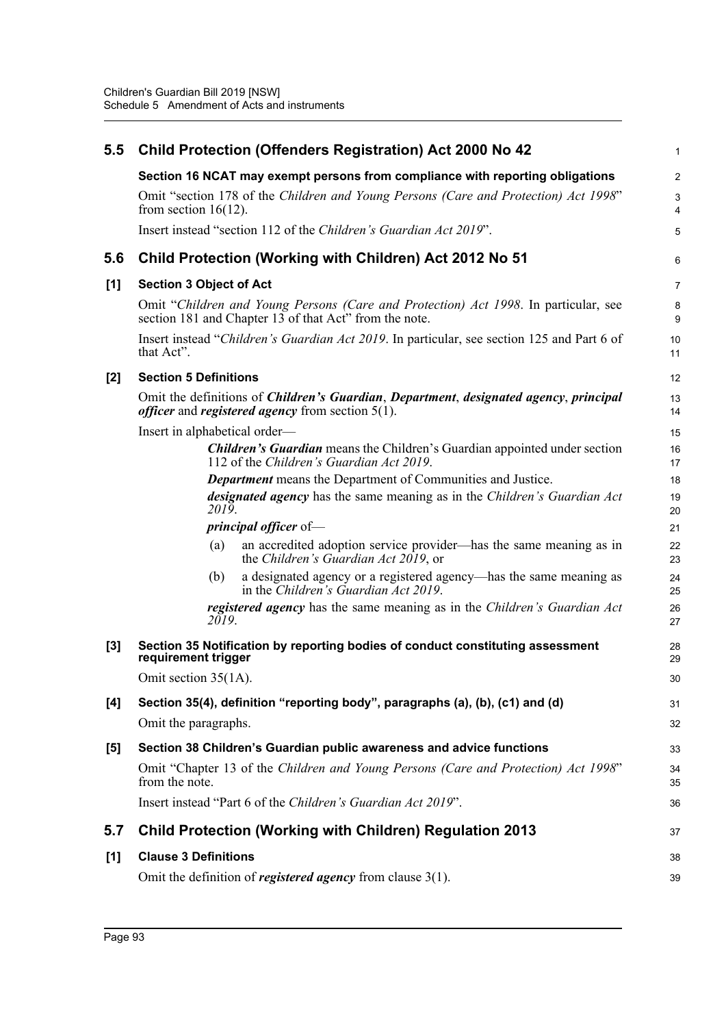| 5.5   |                                | <b>Child Protection (Offenders Registration) Act 2000 No 42</b>                                                                                                   | $\mathbf{1}$   |
|-------|--------------------------------|-------------------------------------------------------------------------------------------------------------------------------------------------------------------|----------------|
|       |                                | Section 16 NCAT may exempt persons from compliance with reporting obligations                                                                                     | $\overline{2}$ |
|       | from section $16(12)$ .        | Omit "section 178 of the Children and Young Persons (Care and Protection) Act 1998"                                                                               | 3<br>4         |
|       |                                | Insert instead "section 112 of the Children's Guardian Act 2019".                                                                                                 | 5              |
| 5.6   |                                | Child Protection (Working with Children) Act 2012 No 51                                                                                                           | 6              |
| [1]   | <b>Section 3 Object of Act</b> |                                                                                                                                                                   | 7              |
|       |                                | Omit "Children and Young Persons (Care and Protection) Act 1998. In particular, see<br>section 181 and Chapter 13 of that Act" from the note.                     | 8<br>9         |
|       | that Act".                     | Insert instead "Children's Guardian Act 2019. In particular, see section 125 and Part 6 of                                                                        | 10<br>11       |
| [2]   | <b>Section 5 Definitions</b>   |                                                                                                                                                                   | 12             |
|       |                                | Omit the definitions of <i>Children's Guardian, Department, designated agency, principal</i><br><i>officer</i> and <i>registered agency</i> from section $5(1)$ . | 13<br>14       |
|       | Insert in alphabetical order—  |                                                                                                                                                                   | 15             |
|       |                                | <b>Children's Guardian</b> means the Children's Guardian appointed under section<br>112 of the Children's Guardian Act 2019.                                      | 16<br>17       |
|       |                                | <b>Department</b> means the Department of Communities and Justice.                                                                                                | 18             |
|       | 2019.                          | <i>designated agency</i> has the same meaning as in the <i>Children's Guardian Act</i>                                                                            | 19<br>20       |
|       |                                | <i>principal officer</i> of-                                                                                                                                      | 21             |
|       | (a)                            | an accredited adoption service provider—has the same meaning as in<br>the Children's Guardian Act 2019, or                                                        | 22<br>23       |
|       | (b)                            | a designated agency or a registered agency—has the same meaning as<br>in the Children's Guardian Act 2019.                                                        | 24<br>25       |
|       | 2019.                          | registered agency has the same meaning as in the Children's Guardian Act                                                                                          | 26<br>27       |
| $[3]$ | requirement trigger            | Section 35 Notification by reporting bodies of conduct constituting assessment                                                                                    | 28<br>29       |
|       | Omit section 35(1A).           |                                                                                                                                                                   | 30             |
| [4]   |                                | Section 35(4), definition "reporting body", paragraphs (a), (b), (c1) and (d)                                                                                     | 31             |
|       | Omit the paragraphs.           |                                                                                                                                                                   | 32             |
| [5]   |                                | Section 38 Children's Guardian public awareness and advice functions                                                                                              | 33             |
|       | from the note.                 | Omit "Chapter 13 of the Children and Young Persons (Care and Protection) Act 1998"                                                                                | 34<br>35       |
|       |                                | Insert instead "Part 6 of the Children's Guardian Act 2019".                                                                                                      | 36             |
| 5.7   |                                | <b>Child Protection (Working with Children) Regulation 2013</b>                                                                                                   | 37             |
| [1]   | <b>Clause 3 Definitions</b>    |                                                                                                                                                                   | 38             |
|       |                                | Omit the definition of registered agency from clause $3(1)$ .                                                                                                     | 39             |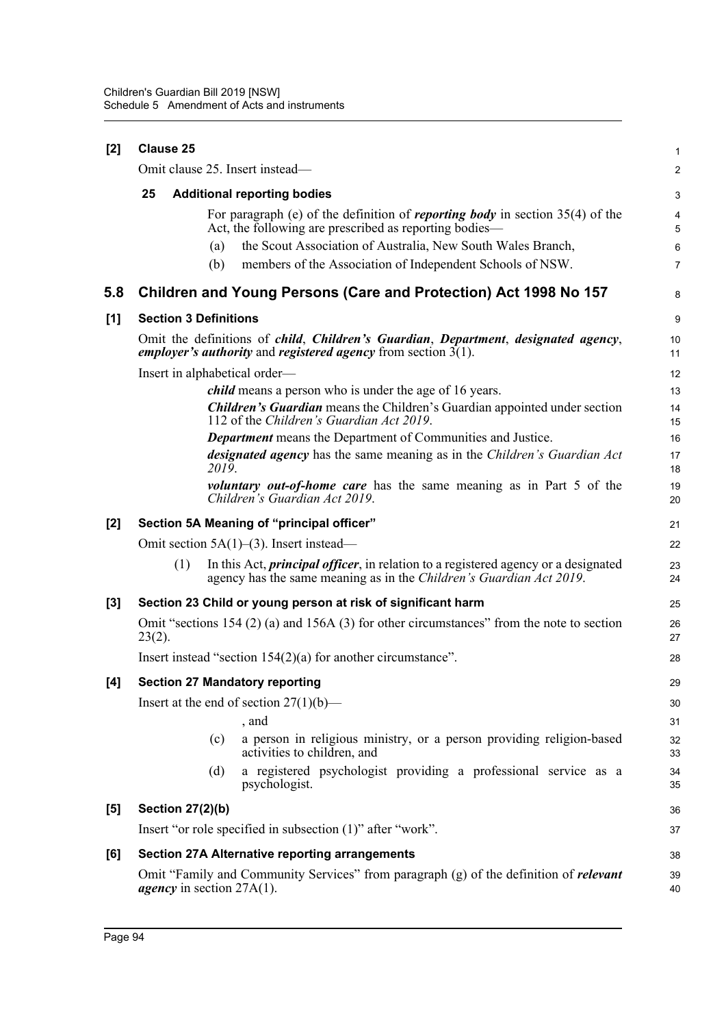| [2] | <b>Clause 25</b>                                                                                                                                                            | 1                         |
|-----|-----------------------------------------------------------------------------------------------------------------------------------------------------------------------------|---------------------------|
|     | Omit clause 25. Insert instead—                                                                                                                                             | $\overline{2}$            |
|     | 25<br><b>Additional reporting bodies</b>                                                                                                                                    | $\ensuremath{\mathsf{3}}$ |
|     | For paragraph (e) of the definition of <i>reporting body</i> in section $35(4)$ of the<br>Act, the following are prescribed as reporting bodies—                            | 4<br>$\overline{5}$       |
|     | the Scout Association of Australia, New South Wales Branch,<br>(a)                                                                                                          | 6                         |
|     | members of the Association of Independent Schools of NSW.<br>(b)                                                                                                            | $\overline{7}$            |
| 5.8 | Children and Young Persons (Care and Protection) Act 1998 No 157                                                                                                            | 8                         |
| [1] | <b>Section 3 Definitions</b>                                                                                                                                                | 9                         |
|     | Omit the definitions of <i>child, Children's Guardian, Department, designated agency,</i><br><i>employer's authority</i> and <i>registered agency</i> from section $3(1)$ . | 10<br>11                  |
|     | Insert in alphabetical order—                                                                                                                                               | 12                        |
|     | <i>child</i> means a person who is under the age of 16 years.                                                                                                               | 13                        |
|     | <b>Children's Guardian</b> means the Children's Guardian appointed under section<br>112 of the Children's Guardian Act 2019.                                                | 14<br>15                  |
|     | <b>Department</b> means the Department of Communities and Justice.                                                                                                          | 16                        |
|     | designated agency has the same meaning as in the Children's Guardian Act<br>2019.                                                                                           | 17<br>18                  |
|     | <i>voluntary out-of-home care</i> has the same meaning as in Part 5 of the<br>Children's Guardian Act 2019.                                                                 | 19<br>20                  |
| [2] | Section 5A Meaning of "principal officer"                                                                                                                                   | 21                        |
|     | Omit section $5A(1)$ –(3). Insert instead—                                                                                                                                  | 22                        |
|     | In this Act, <i>principal officer</i> , in relation to a registered agency or a designated<br>(1)<br>agency has the same meaning as in the Children's Guardian Act 2019.    | 23<br>24                  |
| [3] | Section 23 Child or young person at risk of significant harm                                                                                                                | 25                        |
|     | Omit "sections 154 (2) (a) and 156A (3) for other circumstances" from the note to section<br>$23(2)$ .                                                                      | 26<br>27                  |
|     | Insert instead "section $154(2)(a)$ for another circumstance".                                                                                                              | 28                        |
| [4] | <b>Section 27 Mandatory reporting</b>                                                                                                                                       | 29                        |
|     | Insert at the end of section $27(1)(b)$ —                                                                                                                                   | 30                        |
|     | , and                                                                                                                                                                       | 31                        |
|     | a person in religious ministry, or a person providing religion-based<br>(c)<br>activities to children, and                                                                  | 32<br>33                  |
|     | a registered psychologist providing a professional service as a<br>(d)<br>psychologist.                                                                                     | 34<br>35                  |
| [5] | <b>Section 27(2)(b)</b>                                                                                                                                                     | 36                        |
|     | Insert "or role specified in subsection (1)" after "work".                                                                                                                  | 37                        |
| [6] | <b>Section 27A Alternative reporting arrangements</b>                                                                                                                       | 38                        |
|     | Omit "Family and Community Services" from paragraph (g) of the definition of <b>relevant</b><br><i>agency</i> in section $27A(1)$ .                                         | 39<br>40                  |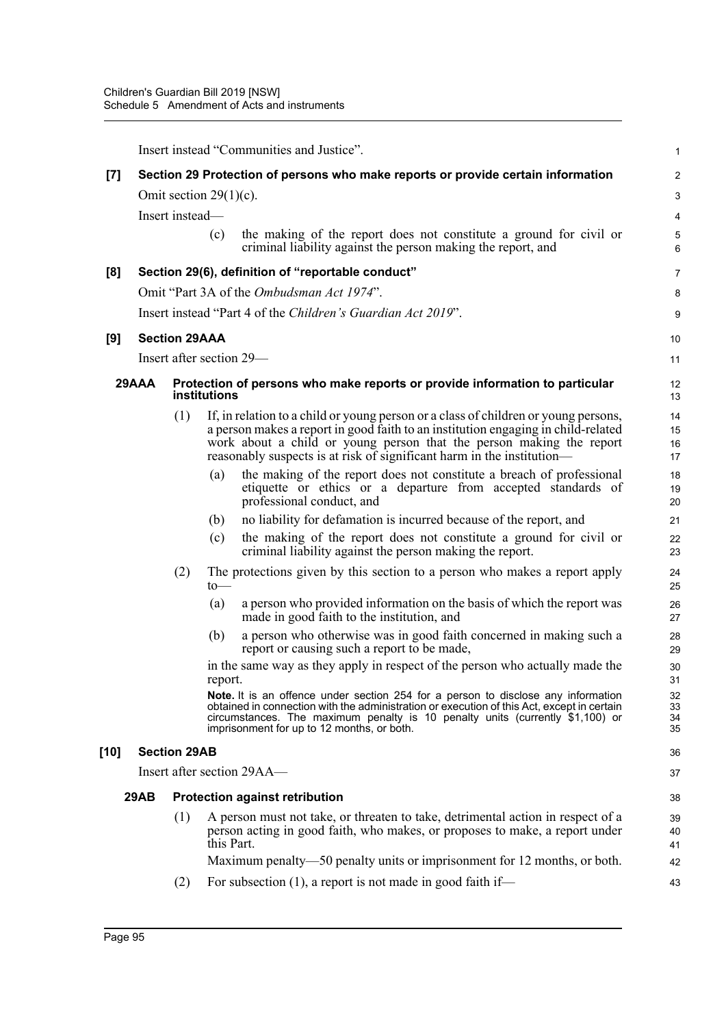|       | Insert instead "Communities and Justice".                                        |                           |              |                                                                                                                                                                                                                                                                                                                            |                            |
|-------|----------------------------------------------------------------------------------|---------------------------|--------------|----------------------------------------------------------------------------------------------------------------------------------------------------------------------------------------------------------------------------------------------------------------------------------------------------------------------------|----------------------------|
| $[7]$ | Section 29 Protection of persons who make reports or provide certain information |                           |              |                                                                                                                                                                                                                                                                                                                            |                            |
|       |                                                                                  | Omit section $29(1)(c)$ . |              |                                                                                                                                                                                                                                                                                                                            | G                          |
|       |                                                                                  | Insert instead-           |              |                                                                                                                                                                                                                                                                                                                            | 4                          |
|       |                                                                                  |                           | (c)          | the making of the report does not constitute a ground for civil or<br>criminal liability against the person making the report, and                                                                                                                                                                                         | ć<br>б                     |
| [8]   |                                                                                  |                           |              | Section 29(6), definition of "reportable conduct"                                                                                                                                                                                                                                                                          | 7                          |
|       |                                                                                  |                           |              | Omit "Part 3A of the Ombudsman Act 1974".                                                                                                                                                                                                                                                                                  | ε                          |
|       |                                                                                  |                           |              | Insert instead "Part 4 of the Children's Guardian Act 2019".                                                                                                                                                                                                                                                               | ς                          |
| [9]   |                                                                                  | <b>Section 29AAA</b>      |              |                                                                                                                                                                                                                                                                                                                            | 10                         |
|       |                                                                                  |                           |              | Insert after section 29—                                                                                                                                                                                                                                                                                                   | 11                         |
|       | 29AAA                                                                            |                           | institutions | Protection of persons who make reports or provide information to particular                                                                                                                                                                                                                                                | 12<br>13                   |
|       |                                                                                  | (1)                       |              | If, in relation to a child or young person or a class of children or young persons,<br>a person makes a report in good faith to an institution engaging in child-related<br>work about a child or young person that the person making the report<br>reasonably suspects is at risk of significant harm in the institution- | 14<br>15<br>16<br>17       |
|       |                                                                                  |                           | (a)          | the making of the report does not constitute a breach of professional<br>etiquette or ethics or a departure from accepted standards of<br>professional conduct, and                                                                                                                                                        | 18<br>1 <sup>c</sup><br>20 |
|       |                                                                                  |                           | (b)          | no liability for defamation is incurred because of the report, and                                                                                                                                                                                                                                                         | 21                         |
|       |                                                                                  |                           | (c)          | the making of the report does not constitute a ground for civil or<br>criminal liability against the person making the report.                                                                                                                                                                                             | 22<br>23                   |
|       |                                                                                  | (2)                       | to           | The protections given by this section to a person who makes a report apply                                                                                                                                                                                                                                                 | 24<br>25                   |
|       |                                                                                  |                           | (a)          | a person who provided information on the basis of which the report was<br>made in good faith to the institution, and                                                                                                                                                                                                       | 26<br>27                   |
|       |                                                                                  |                           | (b)          | a person who otherwise was in good faith concerned in making such a<br>report or causing such a report to be made,                                                                                                                                                                                                         | 28<br>29                   |
|       |                                                                                  |                           | report.      | in the same way as they apply in respect of the person who actually made the                                                                                                                                                                                                                                               | 3 <sub>C</sub><br>31       |
|       |                                                                                  |                           |              | Note. It is an offence under section 254 for a person to disclose any information<br>obtained in connection with the administration or execution of this Act, except in certain<br>circumstances. The maximum penalty is 10 penalty units (currently \$1,100) or<br>imprisonment for up to 12 months, or both.             | 32<br>33<br>34<br>35       |
| [10]  |                                                                                  | <b>Section 29AB</b>       |              |                                                                                                                                                                                                                                                                                                                            | 36                         |
|       |                                                                                  |                           |              | Insert after section 29AA-                                                                                                                                                                                                                                                                                                 | 37                         |
|       | 29AB                                                                             |                           |              | <b>Protection against retribution</b>                                                                                                                                                                                                                                                                                      | 38                         |
|       |                                                                                  | (1)                       | this Part.   | A person must not take, or threaten to take, detrimental action in respect of a<br>person acting in good faith, who makes, or proposes to make, a report under                                                                                                                                                             | 39<br>40<br>41             |
|       |                                                                                  |                           |              | Maximum penalty—50 penalty units or imprisonment for 12 months, or both.                                                                                                                                                                                                                                                   | 42                         |
|       |                                                                                  | (2)                       |              | For subsection $(1)$ , a report is not made in good faith if—                                                                                                                                                                                                                                                              | 43                         |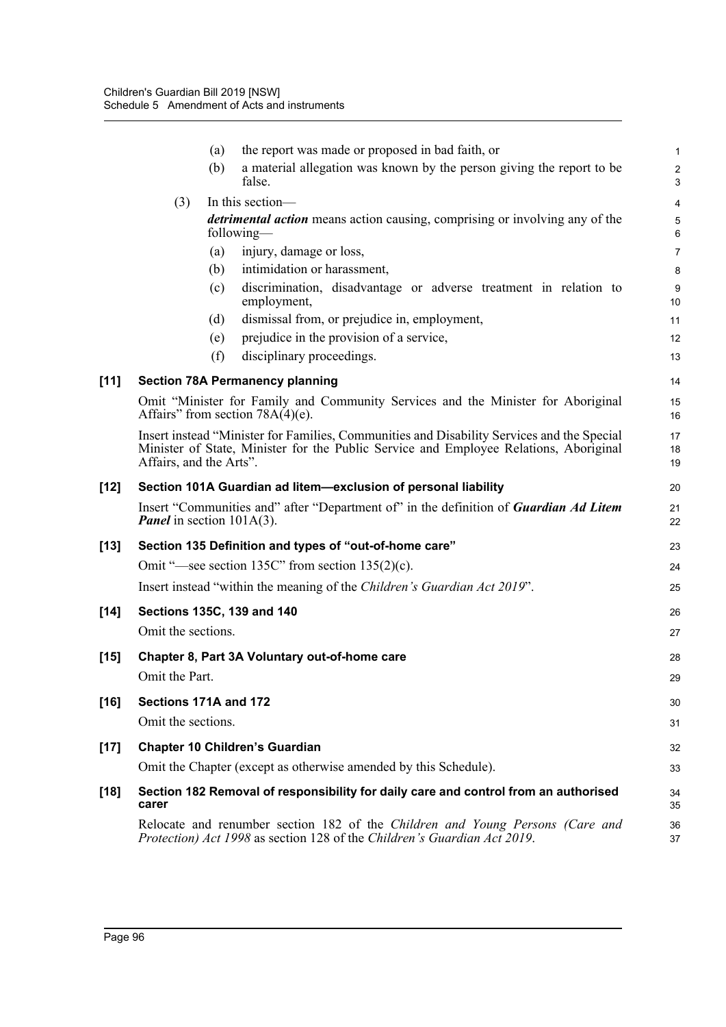|        |                                     | (a) | the report was made or proposed in bad faith, or                                                                                                                                    | $\mathbf{1}$                           |
|--------|-------------------------------------|-----|-------------------------------------------------------------------------------------------------------------------------------------------------------------------------------------|----------------------------------------|
|        |                                     | (b) | a material allegation was known by the person giving the report to be<br>false.                                                                                                     | $\overline{\mathbf{c}}$<br>$\mathsf 3$ |
|        | (3)                                 |     | In this section-                                                                                                                                                                    | 4                                      |
|        |                                     |     | <i>detrimental action</i> means action causing, comprising or involving any of the<br>following—                                                                                    | $\sqrt{5}$<br>6                        |
|        |                                     | (a) | injury, damage or loss,                                                                                                                                                             | $\overline{7}$                         |
|        |                                     | (b) | intimidation or harassment,                                                                                                                                                         | 8                                      |
|        |                                     | (c) | discrimination, disadvantage or adverse treatment in relation to<br>employment,                                                                                                     | $9\,$<br>10                            |
|        |                                     | (d) | dismissal from, or prejudice in, employment,                                                                                                                                        | 11                                     |
|        |                                     | (e) | prejudice in the provision of a service,                                                                                                                                            | 12                                     |
|        |                                     | (f) | disciplinary proceedings.                                                                                                                                                           | 13                                     |
| $[11]$ |                                     |     | <b>Section 78A Permanency planning</b>                                                                                                                                              | 14                                     |
|        |                                     |     | Omit "Minister for Family and Community Services and the Minister for Aboriginal<br>Affairs" from section $78A(4)(e)$ .                                                             | 15<br>16                               |
|        | Affairs, and the Arts".             |     | Insert instead "Minister for Families, Communities and Disability Services and the Special<br>Minister of State, Minister for the Public Service and Employee Relations, Aboriginal | 17<br>18<br>19                         |
| [12]   |                                     |     | Section 101A Guardian ad litem-exclusion of personal liability                                                                                                                      | 20                                     |
|        | <b>Panel</b> in section $101A(3)$ . |     | Insert "Communities and" after "Department of" in the definition of <b>Guardian Ad Litem</b>                                                                                        | 21<br>22                               |
| [13]   |                                     |     | Section 135 Definition and types of "out-of-home care"                                                                                                                              | 23                                     |
|        |                                     |     | Omit "—see section 135C" from section $135(2)(c)$ .                                                                                                                                 | 24                                     |
|        |                                     |     | Insert instead "within the meaning of the Children's Guardian Act 2019".                                                                                                            | 25                                     |
| $[14]$ |                                     |     | Sections 135C, 139 and 140                                                                                                                                                          | 26                                     |
|        | Omit the sections.                  |     |                                                                                                                                                                                     | 27                                     |
| $[15]$ |                                     |     | Chapter 8, Part 3A Voluntary out-of-home care                                                                                                                                       | 28                                     |
|        | Omit the Part.                      |     |                                                                                                                                                                                     | 29                                     |
| [16]   | Sections 171A and 172               |     |                                                                                                                                                                                     | 30                                     |
|        | Omit the sections.                  |     |                                                                                                                                                                                     | 31                                     |
| $[17]$ |                                     |     | <b>Chapter 10 Children's Guardian</b>                                                                                                                                               | 32                                     |
|        |                                     |     | Omit the Chapter (except as otherwise amended by this Schedule).                                                                                                                    | 33                                     |
| [18]   | carer                               |     | Section 182 Removal of responsibility for daily care and control from an authorised                                                                                                 | 34<br>35                               |
|        |                                     |     | Relocate and renumber section 182 of the Children and Young Persons (Care and<br>Protection) Act 1998 as section 128 of the Children's Guardian Act 2019.                           | 36<br>37                               |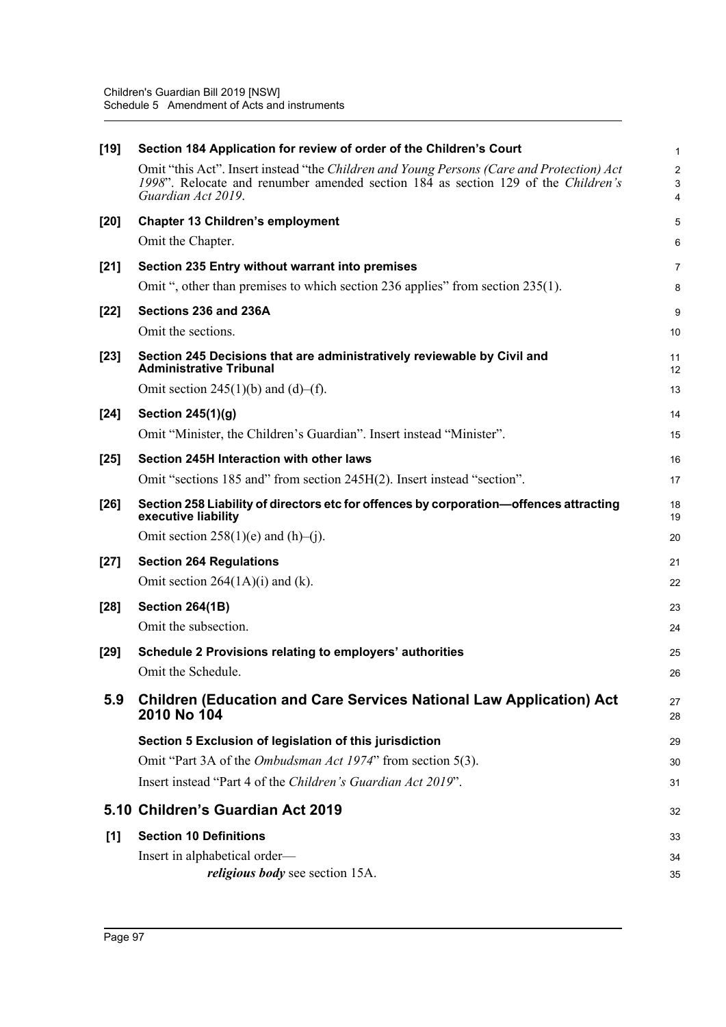| $[19]$ | Section 184 Application for review of order of the Children's Court                                                                                                                                  | $\mathbf{1}$                        |
|--------|------------------------------------------------------------------------------------------------------------------------------------------------------------------------------------------------------|-------------------------------------|
|        | Omit "this Act". Insert instead "the Children and Young Persons (Care and Protection) Act<br>1998". Relocate and renumber amended section 184 as section 129 of the Children's<br>Guardian Act 2019. | $\overline{2}$<br>$\mathbf{3}$<br>4 |
| $[20]$ | <b>Chapter 13 Children's employment</b>                                                                                                                                                              | 5                                   |
|        | Omit the Chapter.                                                                                                                                                                                    | 6                                   |
| $[21]$ | Section 235 Entry without warrant into premises                                                                                                                                                      | 7                                   |
|        | Omit ", other than premises to which section 236 applies" from section 235(1).                                                                                                                       | 8                                   |
| $[22]$ | Sections 236 and 236A                                                                                                                                                                                | 9                                   |
|        | Omit the sections.                                                                                                                                                                                   | 10                                  |
| $[23]$ | Section 245 Decisions that are administratively reviewable by Civil and<br><b>Administrative Tribunal</b>                                                                                            | 11<br>12                            |
|        | Omit section 245(1)(b) and (d)–(f).                                                                                                                                                                  | 13                                  |
| $[24]$ | Section 245(1)(g)                                                                                                                                                                                    | 14                                  |
|        | Omit "Minister, the Children's Guardian". Insert instead "Minister".                                                                                                                                 | 15                                  |
| $[25]$ | Section 245H Interaction with other laws                                                                                                                                                             | 16                                  |
|        | Omit "sections 185 and" from section 245H(2). Insert instead "section".                                                                                                                              | 17                                  |
| $[26]$ | Section 258 Liability of directors etc for offences by corporation-offences attracting<br>executive liability                                                                                        | 18<br>19                            |
|        | Omit section $258(1)(e)$ and $(h)$ –(j).                                                                                                                                                             | 20                                  |
| $[27]$ | <b>Section 264 Regulations</b>                                                                                                                                                                       | 21                                  |
|        | Omit section $264(1A)(i)$ and (k).                                                                                                                                                                   | 22                                  |
| $[28]$ | <b>Section 264(1B)</b>                                                                                                                                                                               | 23                                  |
|        | Omit the subsection.                                                                                                                                                                                 | 24                                  |
| $[29]$ | Schedule 2 Provisions relating to employers' authorities                                                                                                                                             | 25                                  |
|        | Omit the Schedule.                                                                                                                                                                                   | 26                                  |
| 5.9    | <b>Children (Education and Care Services National Law Application) Act</b><br>2010 No 104                                                                                                            | 27<br>28                            |
|        | Section 5 Exclusion of legislation of this jurisdiction                                                                                                                                              | 29                                  |
|        | Omit "Part 3A of the Ombudsman Act 1974" from section 5(3).                                                                                                                                          | 30                                  |
|        | Insert instead "Part 4 of the Children's Guardian Act 2019".                                                                                                                                         | 31                                  |
|        | 5.10 Children's Guardian Act 2019                                                                                                                                                                    | 32                                  |
| [1]    | <b>Section 10 Definitions</b>                                                                                                                                                                        | 33                                  |
|        | Insert in alphabetical order—                                                                                                                                                                        | 34                                  |
|        | <i>religious body</i> see section 15A.                                                                                                                                                               | 35                                  |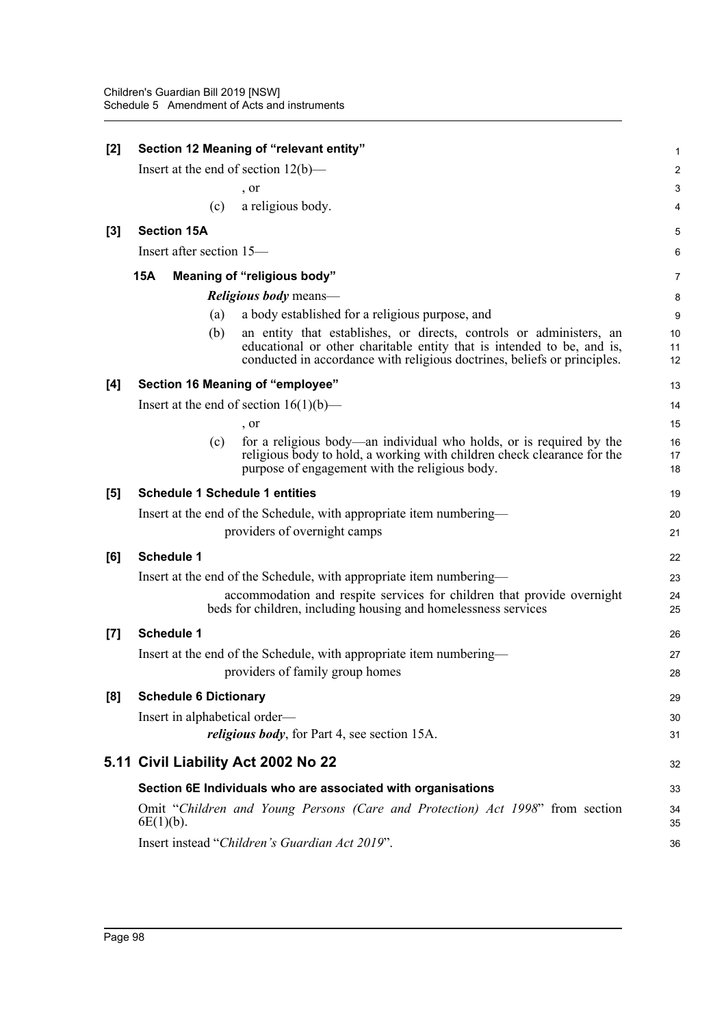| $[2]$ | Section 12 Meaning of "relevant entity" |                                                                                                                                                                                                                           |                |
|-------|-----------------------------------------|---------------------------------------------------------------------------------------------------------------------------------------------------------------------------------------------------------------------------|----------------|
|       |                                         | Insert at the end of section $12(b)$ —                                                                                                                                                                                    | $\overline{c}$ |
|       |                                         | , or                                                                                                                                                                                                                      | 3              |
|       | (c)                                     | a religious body.                                                                                                                                                                                                         | 4              |
| $[3]$ | <b>Section 15A</b>                      |                                                                                                                                                                                                                           | 5              |
|       | Insert after section 15—                |                                                                                                                                                                                                                           | 6              |
|       | <b>15A</b>                              | Meaning of "religious body"                                                                                                                                                                                               | 7              |
|       |                                         | <i>Religious body</i> means—                                                                                                                                                                                              | 8              |
|       | (a)                                     | a body established for a religious purpose, and                                                                                                                                                                           | 9              |
|       | (b)                                     | an entity that establishes, or directs, controls or administers, an<br>educational or other charitable entity that is intended to be, and is,<br>conducted in accordance with religious doctrines, beliefs or principles. | 10<br>11<br>12 |
| [4]   |                                         | Section 16 Meaning of "employee"                                                                                                                                                                                          | 13             |
|       |                                         | Insert at the end of section $16(1)(b)$ —                                                                                                                                                                                 | 14             |
|       |                                         | , or                                                                                                                                                                                                                      | 15             |
|       | (c)                                     | for a religious body—an individual who holds, or is required by the<br>religious body to hold, a working with children check clearance for the<br>purpose of engagement with the religious body.                          | 16<br>17<br>18 |
| [5]   | <b>Schedule 1 Schedule 1 entities</b>   |                                                                                                                                                                                                                           | 19             |
|       |                                         | Insert at the end of the Schedule, with appropriate item numbering—                                                                                                                                                       | 20             |
|       |                                         | providers of overnight camps                                                                                                                                                                                              | 21             |
| [6]   | <b>Schedule 1</b>                       |                                                                                                                                                                                                                           | 22             |
|       |                                         | Insert at the end of the Schedule, with appropriate item numbering—                                                                                                                                                       | 23             |
|       |                                         | accommodation and respite services for children that provide overnight<br>beds for children, including housing and homelessness services                                                                                  | 24<br>25       |
| $[7]$ | <b>Schedule 1</b>                       |                                                                                                                                                                                                                           | 26             |
|       |                                         | Insert at the end of the Schedule, with appropriate item numbering—                                                                                                                                                       | 27             |
|       |                                         | providers of family group homes                                                                                                                                                                                           | 28             |
| [8]   | <b>Schedule 6 Dictionary</b>            |                                                                                                                                                                                                                           | 29             |
|       | Insert in alphabetical order—           |                                                                                                                                                                                                                           | 30             |
|       |                                         | <i>religious body</i> , for Part 4, see section 15A.                                                                                                                                                                      | 31             |
|       |                                         | 5.11 Civil Liability Act 2002 No 22                                                                                                                                                                                       | 32             |
|       |                                         | Section 6E Individuals who are associated with organisations                                                                                                                                                              | 33             |
|       | $6E(1)(b)$ .                            | Omit "Children and Young Persons (Care and Protection) Act 1998" from section                                                                                                                                             | 34<br>35       |
|       |                                         | Insert instead "Children's Guardian Act 2019".                                                                                                                                                                            | 36             |
|       |                                         |                                                                                                                                                                                                                           |                |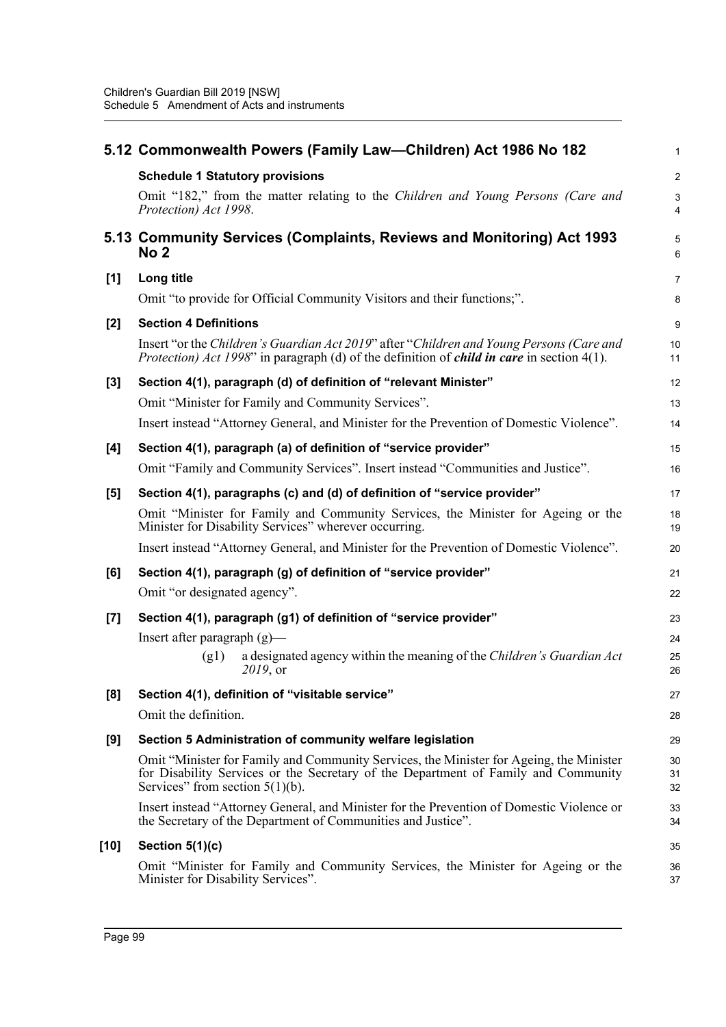|       | 5.12 Commonwealth Powers (Family Law-Children) Act 1986 No 182                                                                                                                                                      | $\mathbf{1}$   |
|-------|---------------------------------------------------------------------------------------------------------------------------------------------------------------------------------------------------------------------|----------------|
|       | <b>Schedule 1 Statutory provisions</b>                                                                                                                                                                              | $\overline{2}$ |
|       | Omit "182," from the matter relating to the Children and Young Persons (Care and<br>Protection) Act 1998.                                                                                                           | 3<br>4         |
|       | 5.13 Community Services (Complaints, Reviews and Monitoring) Act 1993<br>No 2                                                                                                                                       | 5<br>6         |
| [1]   | Long title                                                                                                                                                                                                          | $\overline{7}$ |
|       | Omit "to provide for Official Community Visitors and their functions;".                                                                                                                                             | 8              |
| $[2]$ | <b>Section 4 Definitions</b>                                                                                                                                                                                        | 9              |
|       | Insert "or the Children's Guardian Act 2019" after "Children and Young Persons (Care and<br><i>Protection) Act 1998</i> " in paragraph (d) of the definition of <i>child in care</i> in section $4(1)$ .            | 10<br>11       |
| $[3]$ | Section 4(1), paragraph (d) of definition of "relevant Minister"                                                                                                                                                    | 12             |
|       | Omit "Minister for Family and Community Services".                                                                                                                                                                  | 13             |
|       | Insert instead "Attorney General, and Minister for the Prevention of Domestic Violence".                                                                                                                            | 14             |
| [4]   | Section 4(1), paragraph (a) of definition of "service provider"                                                                                                                                                     | 15             |
|       | Omit "Family and Community Services". Insert instead "Communities and Justice".                                                                                                                                     | 16             |
| [5]   | Section 4(1), paragraphs (c) and (d) of definition of "service provider"                                                                                                                                            | 17             |
|       | Omit "Minister for Family and Community Services, the Minister for Ageing or the<br>Minister for Disability Services" wherever occurring.                                                                           | 18<br>19       |
|       | Insert instead "Attorney General, and Minister for the Prevention of Domestic Violence".                                                                                                                            | 20             |
| [6]   | Section 4(1), paragraph (g) of definition of "service provider"                                                                                                                                                     | 21             |
|       | Omit "or designated agency".                                                                                                                                                                                        | 22             |
| [7]   | Section 4(1), paragraph (g1) of definition of "service provider"                                                                                                                                                    | 23             |
|       | Insert after paragraph $(g)$ —                                                                                                                                                                                      | 24             |
|       | a designated agency within the meaning of the Children's Guardian Act<br>(g1)<br>2019, or                                                                                                                           | 25<br>26       |
| [8]   | Section 4(1), definition of "visitable service"                                                                                                                                                                     | 27             |
|       | Omit the definition.                                                                                                                                                                                                | 28             |
| [9]   | Section 5 Administration of community welfare legislation                                                                                                                                                           | 29             |
|       | Omit "Minister for Family and Community Services, the Minister for Ageing, the Minister<br>for Disability Services or the Secretary of the Department of Family and Community<br>Services" from section $5(1)(b)$ . | 30<br>31<br>32 |
|       | Insert instead "Attorney General, and Minister for the Prevention of Domestic Violence or<br>the Secretary of the Department of Communities and Justice".                                                           | 33<br>34       |
| [10]  | Section $5(1)(c)$                                                                                                                                                                                                   | 35             |
|       | Omit "Minister for Family and Community Services, the Minister for Ageing or the<br>Minister for Disability Services".                                                                                              | 36<br>37       |
|       |                                                                                                                                                                                                                     |                |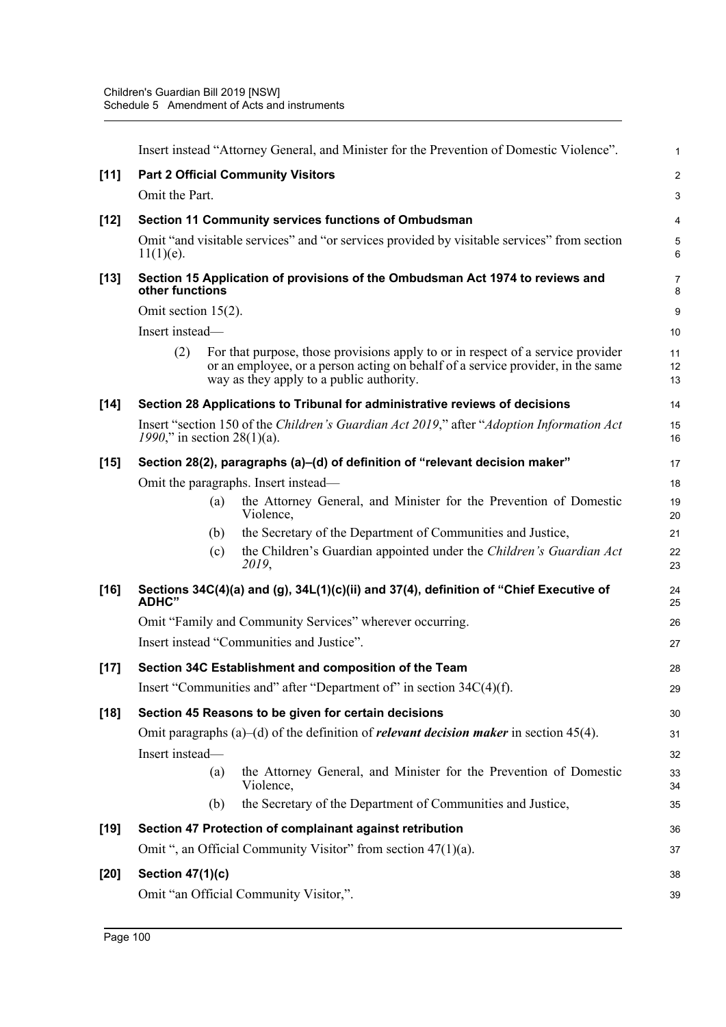| $[11]$<br><b>Part 2 Official Community Visitors</b><br>Omit the Part.                                                                                                                                                 | $\overline{c}$   |
|-----------------------------------------------------------------------------------------------------------------------------------------------------------------------------------------------------------------------|------------------|
|                                                                                                                                                                                                                       |                  |
|                                                                                                                                                                                                                       | $\mathbf{3}$     |
| Section 11 Community services functions of Ombudsman<br>$[12]$                                                                                                                                                        | 4                |
| Omit "and visitable services" and "or services provided by visitable services" from section<br>$11(1)(e)$ .                                                                                                           | $\,$ 5 $\,$<br>6 |
| Section 15 Application of provisions of the Ombudsman Act 1974 to reviews and<br>$[13]$<br>other functions                                                                                                            | 7<br>8           |
| Omit section 15(2).                                                                                                                                                                                                   | 9                |
| Insert instead—                                                                                                                                                                                                       | 10               |
| (2)<br>For that purpose, those provisions apply to or in respect of a service provider<br>or an employee, or a person acting on behalf of a service provider, in the same<br>way as they apply to a public authority. | 11<br>12<br>13   |
| $[14]$<br>Section 28 Applications to Tribunal for administrative reviews of decisions                                                                                                                                 | 14               |
| Insert "section 150 of the Children's Guardian Act 2019," after "Adoption Information Act"<br>1990," in section 28(1)(a).                                                                                             | 15<br>16         |
| Section 28(2), paragraphs (a)–(d) of definition of "relevant decision maker"<br>$[15]$                                                                                                                                | 17               |
| Omit the paragraphs. Insert instead—                                                                                                                                                                                  | 18               |
| the Attorney General, and Minister for the Prevention of Domestic<br>(a)<br>Violence,                                                                                                                                 | 19<br>20         |
| the Secretary of the Department of Communities and Justice,<br>(b)                                                                                                                                                    | 21               |
| the Children's Guardian appointed under the Children's Guardian Act<br>(c)<br>2019,                                                                                                                                   | 22<br>23         |
| $[16]$<br>Sections 34C(4)(a) and (g), 34L(1)(c)(ii) and 37(4), definition of "Chief Executive of<br><b>ADHC"</b>                                                                                                      | 24<br>25         |
| Omit "Family and Community Services" wherever occurring.                                                                                                                                                              | 26               |
| Insert instead "Communities and Justice".                                                                                                                                                                             | 27               |
| Section 34C Establishment and composition of the Team<br>$[17]$                                                                                                                                                       | 28               |
| Insert "Communities and" after "Department of" in section 34C(4)(f).                                                                                                                                                  | 29               |
| $[18]$<br>Section 45 Reasons to be given for certain decisions                                                                                                                                                        | 30               |
| Omit paragraphs (a)–(d) of the definition of <i>relevant decision maker</i> in section 45(4).                                                                                                                         | 31               |
| Insert instead-                                                                                                                                                                                                       | 32               |
| the Attorney General, and Minister for the Prevention of Domestic<br>(a)<br>Violence,                                                                                                                                 | 33<br>34         |
| the Secretary of the Department of Communities and Justice,<br>(b)                                                                                                                                                    | 35               |
| $[19]$<br>Section 47 Protection of complainant against retribution                                                                                                                                                    | 36               |
| Omit ", an Official Community Visitor" from section 47(1)(a).                                                                                                                                                         | 37               |
|                                                                                                                                                                                                                       | 38               |
| $[20]$<br><b>Section 47(1)(c)</b>                                                                                                                                                                                     |                  |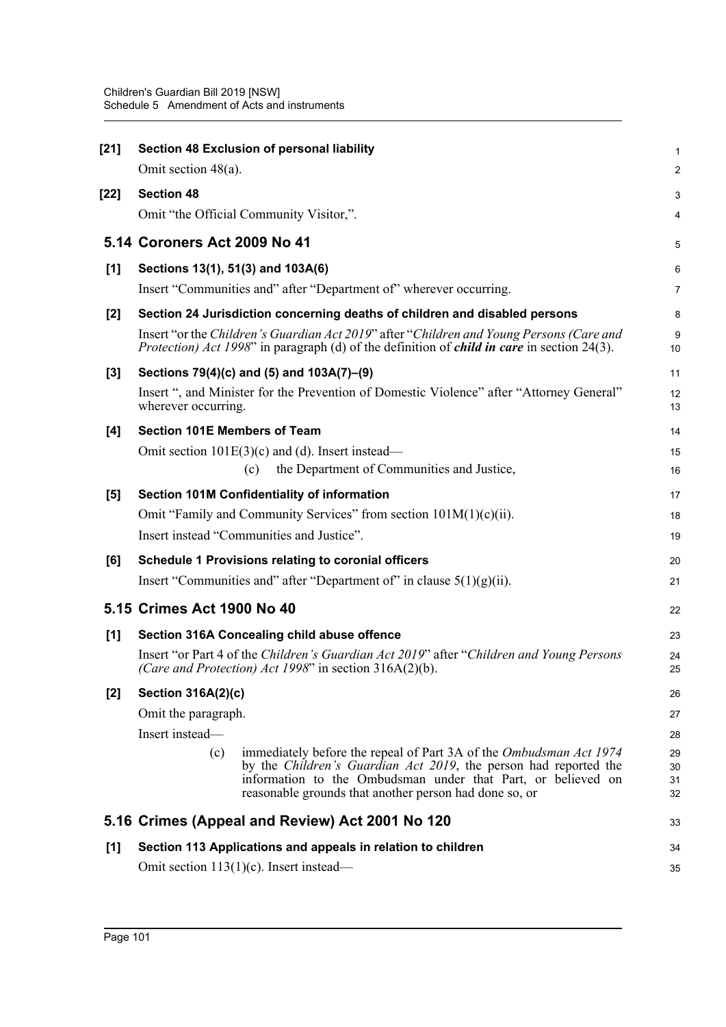| $[21]$ | Section 48 Exclusion of personal liability                                                                                                                                                                                                                                      | 1                    |
|--------|---------------------------------------------------------------------------------------------------------------------------------------------------------------------------------------------------------------------------------------------------------------------------------|----------------------|
|        | Omit section $48(a)$ .                                                                                                                                                                                                                                                          | $\overline{2}$       |
| $[22]$ | <b>Section 48</b><br>Omit "the Official Community Visitor,".                                                                                                                                                                                                                    | 3<br>4               |
|        |                                                                                                                                                                                                                                                                                 |                      |
|        | 5.14 Coroners Act 2009 No 41                                                                                                                                                                                                                                                    | 5                    |
| [1]    | Sections 13(1), 51(3) and 103A(6)                                                                                                                                                                                                                                               | 6                    |
|        | Insert "Communities and" after "Department of" wherever occurring.                                                                                                                                                                                                              | $\overline{7}$       |
| $[2]$  | Section 24 Jurisdiction concerning deaths of children and disabled persons                                                                                                                                                                                                      | 8                    |
|        | Insert "or the Children's Guardian Act 2019" after "Children and Young Persons (Care and<br><i>Protection) Act 1998</i> " in paragraph (d) of the definition of <i>child in care</i> in section 24(3).                                                                          | 9<br>10              |
| $[3]$  | Sections 79(4)(c) and (5) and 103A(7)-(9)                                                                                                                                                                                                                                       | 11                   |
|        | Insert ", and Minister for the Prevention of Domestic Violence" after "Attorney General"<br>wherever occurring.                                                                                                                                                                 | 12<br>13             |
| [4]    | <b>Section 101E Members of Team</b>                                                                                                                                                                                                                                             | 14                   |
|        | Omit section $101E(3)(c)$ and (d). Insert instead—                                                                                                                                                                                                                              | 15                   |
|        | the Department of Communities and Justice,<br>(c)                                                                                                                                                                                                                               | 16                   |
| [5]    | Section 101M Confidentiality of information                                                                                                                                                                                                                                     | 17                   |
|        | Omit "Family and Community Services" from section $101M(1)(c)(ii)$ .                                                                                                                                                                                                            | 18                   |
|        | Insert instead "Communities and Justice".                                                                                                                                                                                                                                       | 19                   |
| [6]    | <b>Schedule 1 Provisions relating to coronial officers</b>                                                                                                                                                                                                                      | 20                   |
|        | Insert "Communities and" after "Department of" in clause $5(1)(g)(ii)$ .                                                                                                                                                                                                        | 21                   |
|        | 5.15 Crimes Act 1900 No 40                                                                                                                                                                                                                                                      | 22                   |
| [1]    | Section 316A Concealing child abuse offence                                                                                                                                                                                                                                     | 23                   |
|        | Insert "or Part 4 of the Children's Guardian Act 2019" after "Children and Young Persons<br>(Care and Protection) Act 1998" in section 316A(2)(b).                                                                                                                              | 24<br>25             |
| $[2]$  | <b>Section 316A(2)(c)</b>                                                                                                                                                                                                                                                       |                      |
|        | Omit the paragraph.                                                                                                                                                                                                                                                             | 27                   |
|        | Insert instead-                                                                                                                                                                                                                                                                 | 28                   |
|        | immediately before the repeal of Part 3A of the Ombudsman Act 1974<br>(c)<br>by the <i>Children's Guardian Act 2019</i> , the person had reported the<br>information to the Ombudsman under that Part, or believed on<br>reasonable grounds that another person had done so, or | 29<br>30<br>31<br>32 |
|        | 5.16 Crimes (Appeal and Review) Act 2001 No 120                                                                                                                                                                                                                                 | 33                   |
| [1]    | Section 113 Applications and appeals in relation to children                                                                                                                                                                                                                    |                      |
|        | Omit section $113(1)(c)$ . Insert instead—                                                                                                                                                                                                                                      | 35                   |
|        |                                                                                                                                                                                                                                                                                 |                      |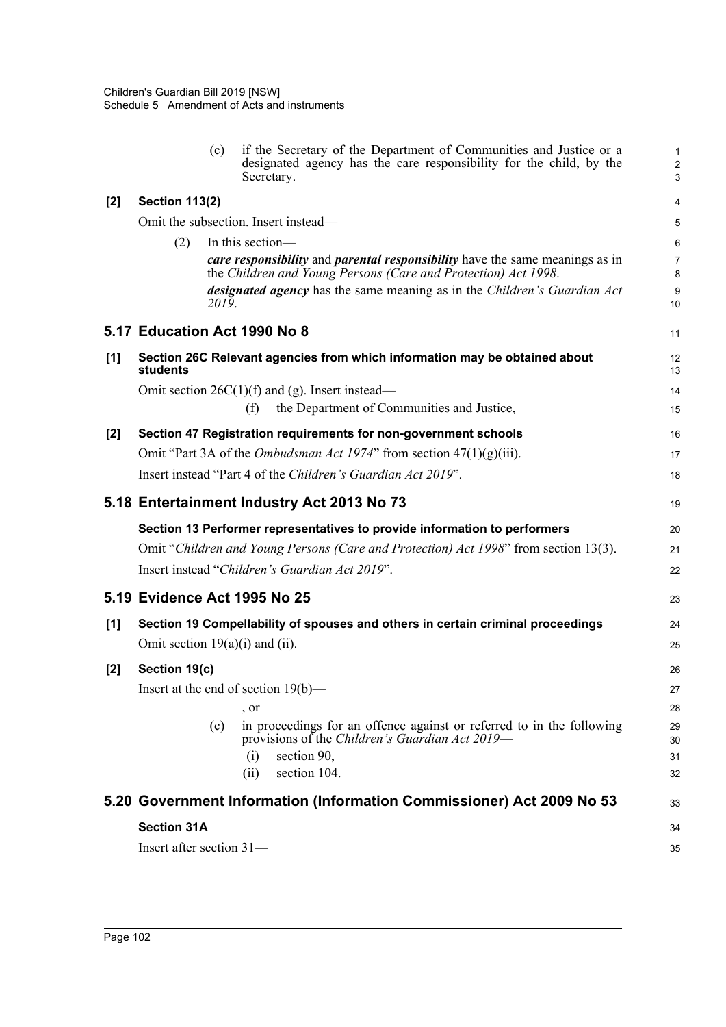|       |                                                                                 | if the Secretary of the Department of Communities and Justice or a<br>(c)<br>designated agency has the care responsibility for the child, by the<br>Secretary. | $\mathbf{1}$<br>$\overline{2}$<br>3 |
|-------|---------------------------------------------------------------------------------|----------------------------------------------------------------------------------------------------------------------------------------------------------------|-------------------------------------|
| [2]   | <b>Section 113(2)</b>                                                           |                                                                                                                                                                | 4                                   |
|       |                                                                                 | Omit the subsection. Insert instead—                                                                                                                           | 5                                   |
|       | (2)                                                                             | In this section-                                                                                                                                               | 6                                   |
|       |                                                                                 | <i>care responsibility</i> and <i>parental responsibility</i> have the same meanings as in<br>the Children and Young Persons (Care and Protection) Act 1998.   | $\overline{7}$                      |
|       |                                                                                 | designated agency has the same meaning as in the Children's Guardian Act                                                                                       | 8<br>9                              |
|       |                                                                                 | 2019.                                                                                                                                                          | 10                                  |
|       |                                                                                 | 5.17 Education Act 1990 No 8                                                                                                                                   | 11                                  |
| [1]   | students                                                                        | Section 26C Relevant agencies from which information may be obtained about                                                                                     | 12<br>13                            |
|       |                                                                                 | Omit section $26C(1)(f)$ and (g). Insert instead—                                                                                                              | 14                                  |
|       |                                                                                 | the Department of Communities and Justice,<br>(f)                                                                                                              | 15                                  |
| $[2]$ |                                                                                 | Section 47 Registration requirements for non-government schools                                                                                                | 16                                  |
|       |                                                                                 | Omit "Part 3A of the <i>Ombudsman Act 1974</i> " from section $47(1)(g)(iii)$ .                                                                                | 17                                  |
|       |                                                                                 | Insert instead "Part 4 of the Children's Guardian Act 2019".                                                                                                   | 18                                  |
|       |                                                                                 | 5.18 Entertainment Industry Act 2013 No 73                                                                                                                     | 19                                  |
|       |                                                                                 | Section 13 Performer representatives to provide information to performers                                                                                      | 20                                  |
|       |                                                                                 | Omit "Children and Young Persons (Care and Protection) Act 1998" from section 13(3).                                                                           | 21                                  |
|       |                                                                                 | Insert instead "Children's Guardian Act 2019".                                                                                                                 | 22                                  |
|       |                                                                                 | 5.19 Evidence Act 1995 No 25                                                                                                                                   | 23                                  |
| [1]   | Section 19 Compellability of spouses and others in certain criminal proceedings |                                                                                                                                                                | 24                                  |
|       |                                                                                 | Omit section $19(a)(i)$ and (ii).                                                                                                                              | 25                                  |
| [2]   | Section 19(c)                                                                   |                                                                                                                                                                | 26                                  |
|       |                                                                                 | Insert at the end of section 19(b)-                                                                                                                            | 27                                  |
|       |                                                                                 | , or                                                                                                                                                           | 28                                  |
|       |                                                                                 | in proceedings for an offence against or referred to in the following<br>(c)<br>provisions of the Children's Guardian Act 2019—                                | 29<br>30                            |
|       |                                                                                 | (i)<br>section 90,                                                                                                                                             | 31                                  |
|       |                                                                                 | section 104.<br>(ii)                                                                                                                                           | 32                                  |
|       |                                                                                 | 5.20 Government Information (Information Commissioner) Act 2009 No 53                                                                                          | 33                                  |
|       | <b>Section 31A</b>                                                              |                                                                                                                                                                | 34                                  |
|       |                                                                                 | Insert after section $31-$                                                                                                                                     | 35                                  |
|       |                                                                                 |                                                                                                                                                                |                                     |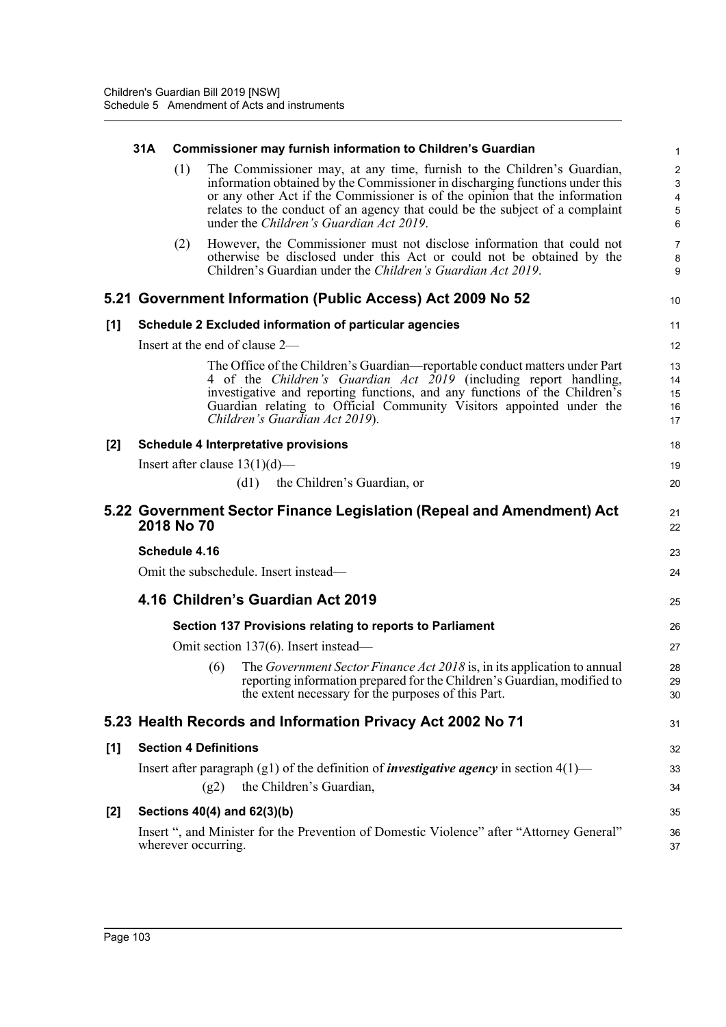|     | 31A                                         |               | <b>Commissioner may furnish information to Children's Guardian</b>                                                                                                                                                                                                                                                                                               | $\mathbf{1}$                                            |  |  |  |
|-----|---------------------------------------------|---------------|------------------------------------------------------------------------------------------------------------------------------------------------------------------------------------------------------------------------------------------------------------------------------------------------------------------------------------------------------------------|---------------------------------------------------------|--|--|--|
|     |                                             | (1)           | The Commissioner may, at any time, furnish to the Children's Guardian,<br>information obtained by the Commissioner in discharging functions under this<br>or any other Act if the Commissioner is of the opinion that the information<br>relates to the conduct of an agency that could be the subject of a complaint<br>under the Children's Guardian Act 2019. | 2<br>$\mathbf{3}$<br>$\overline{4}$<br>$\,$ 5 $\,$<br>6 |  |  |  |
|     |                                             | (2)           | However, the Commissioner must not disclose information that could not<br>otherwise be disclosed under this Act or could not be obtained by the<br>Children's Guardian under the Children's Guardian Act 2019.                                                                                                                                                   | $\overline{7}$<br>$\bf 8$<br>9                          |  |  |  |
|     |                                             |               | 5.21 Government Information (Public Access) Act 2009 No 52                                                                                                                                                                                                                                                                                                       | 10                                                      |  |  |  |
| [1] |                                             |               | Schedule 2 Excluded information of particular agencies                                                                                                                                                                                                                                                                                                           | 11                                                      |  |  |  |
|     |                                             |               | Insert at the end of clause 2—                                                                                                                                                                                                                                                                                                                                   | 12                                                      |  |  |  |
|     |                                             |               | The Office of the Children's Guardian—reportable conduct matters under Part<br>4 of the Children's Guardian Act 2019 (including report handling,<br>investigative and reporting functions, and any functions of the Children's<br>Guardian relating to Official Community Visitors appointed under the<br>Children's Guardian Act 2019).                         | 13<br>14<br>15<br>16<br>17                              |  |  |  |
| [2] | <b>Schedule 4 Interpretative provisions</b> |               |                                                                                                                                                                                                                                                                                                                                                                  |                                                         |  |  |  |
|     |                                             |               | Insert after clause $13(1)(d)$ —                                                                                                                                                                                                                                                                                                                                 | 19                                                      |  |  |  |
|     |                                             |               | $(d1)$ the Children's Guardian, or                                                                                                                                                                                                                                                                                                                               | 20                                                      |  |  |  |
|     |                                             | 2018 No 70    | 5.22 Government Sector Finance Legislation (Repeal and Amendment) Act                                                                                                                                                                                                                                                                                            | 21<br>22                                                |  |  |  |
|     |                                             | Schedule 4.16 |                                                                                                                                                                                                                                                                                                                                                                  | 23                                                      |  |  |  |
|     | Omit the subschedule. Insert instead—       |               |                                                                                                                                                                                                                                                                                                                                                                  |                                                         |  |  |  |
|     | 4.16 Children's Guardian Act 2019           |               |                                                                                                                                                                                                                                                                                                                                                                  |                                                         |  |  |  |
|     |                                             |               | Section 137 Provisions relating to reports to Parliament                                                                                                                                                                                                                                                                                                         | 26                                                      |  |  |  |
|     |                                             |               | Omit section 137(6). Insert instead—                                                                                                                                                                                                                                                                                                                             | 27                                                      |  |  |  |
|     |                                             |               | The Government Sector Finance Act 2018 is, in its application to annual<br>(6)<br>reporting information prepared for the Children's Guardian, modified to<br>the extent necessary for the purposes of this Part.                                                                                                                                                 | 28<br>29<br>30                                          |  |  |  |
|     |                                             |               | 5.23 Health Records and Information Privacy Act 2002 No 71                                                                                                                                                                                                                                                                                                       | 31                                                      |  |  |  |
| [1] |                                             |               | <b>Section 4 Definitions</b>                                                                                                                                                                                                                                                                                                                                     | 32                                                      |  |  |  |
|     |                                             |               | Insert after paragraph (g1) of the definition of <i>investigative agency</i> in section $4(1)$ —<br>the Children's Guardian,<br>(g2)                                                                                                                                                                                                                             | 33<br>34                                                |  |  |  |
| [2] |                                             |               | Sections 40(4) and 62(3)(b)                                                                                                                                                                                                                                                                                                                                      | 35                                                      |  |  |  |
|     |                                             |               | Insert ", and Minister for the Prevention of Domestic Violence" after "Attorney General"<br>wherever occurring.                                                                                                                                                                                                                                                  | 36<br>37                                                |  |  |  |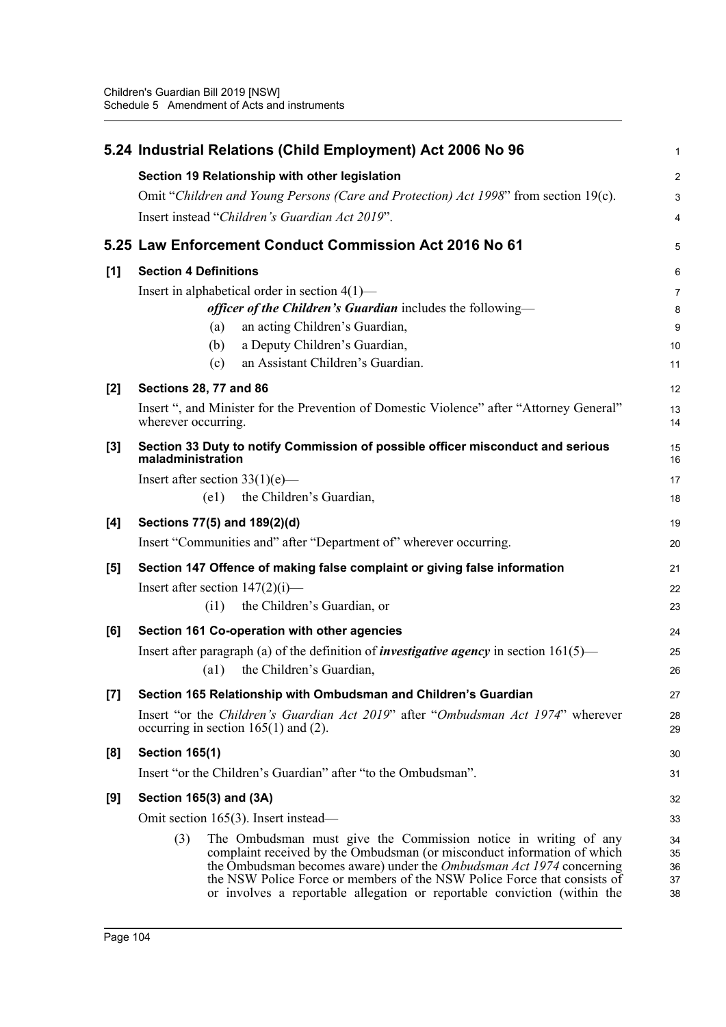|       | 5.24 Industrial Relations (Child Employment) Act 2006 No 96                                                                                            | $\mathbf{1}$   |  |  |  |
|-------|--------------------------------------------------------------------------------------------------------------------------------------------------------|----------------|--|--|--|
|       | Section 19 Relationship with other legislation                                                                                                         | $\overline{2}$ |  |  |  |
|       | Omit "Children and Young Persons (Care and Protection) Act 1998" from section 19(c).                                                                   | 3              |  |  |  |
|       | Insert instead "Children's Guardian Act 2019".                                                                                                         | 4              |  |  |  |
|       | 5.25 Law Enforcement Conduct Commission Act 2016 No 61                                                                                                 | 5              |  |  |  |
| [1]   | <b>Section 4 Definitions</b>                                                                                                                           | 6              |  |  |  |
|       | Insert in alphabetical order in section $4(1)$ —                                                                                                       | $\overline{7}$ |  |  |  |
|       | officer of the Children's Guardian includes the following-                                                                                             | 8              |  |  |  |
|       | an acting Children's Guardian,<br>(a)                                                                                                                  | 9              |  |  |  |
|       | a Deputy Children's Guardian,<br>(b)                                                                                                                   | 10             |  |  |  |
|       | an Assistant Children's Guardian.<br>(c)                                                                                                               | 11             |  |  |  |
| $[2]$ | <b>Sections 28, 77 and 86</b>                                                                                                                          | 12             |  |  |  |
|       | Insert ", and Minister for the Prevention of Domestic Violence" after "Attorney General"<br>wherever occurring.                                        | 13<br>14       |  |  |  |
| $[3]$ | Section 33 Duty to notify Commission of possible officer misconduct and serious<br>maladministration                                                   | 15<br>16       |  |  |  |
|       | Insert after section $33(1)(e)$ —                                                                                                                      | 17             |  |  |  |
|       | the Children's Guardian,<br>(e1)                                                                                                                       | 18             |  |  |  |
| [4]   | Sections 77(5) and 189(2)(d)                                                                                                                           | 19             |  |  |  |
|       | Insert "Communities and" after "Department of" wherever occurring.                                                                                     | 20             |  |  |  |
| [5]   | Section 147 Offence of making false complaint or giving false information                                                                              | 21             |  |  |  |
|       | Insert after section $147(2)(i)$ —                                                                                                                     | 22             |  |  |  |
|       | the Children's Guardian, or<br>(i1)                                                                                                                    | 23             |  |  |  |
| [6]   | Section 161 Co-operation with other agencies                                                                                                           | 24             |  |  |  |
|       | Insert after paragraph (a) of the definition of <i>investigative agency</i> in section $161(5)$ —                                                      | 25             |  |  |  |
|       | the Children's Guardian,<br>$\left( a1\right)$                                                                                                         |                |  |  |  |
| $[7]$ | Section 165 Relationship with Ombudsman and Children's Guardian                                                                                        | 27             |  |  |  |
|       | Insert "or the Children's Guardian Act 2019" after "Ombudsman Act 1974" wherever<br>occurring in section $165(1)$ and (2).                             | 28<br>29       |  |  |  |
| [8]   | <b>Section 165(1)</b>                                                                                                                                  | 30             |  |  |  |
|       | Insert "or the Children's Guardian" after "to the Ombudsman".                                                                                          | 31             |  |  |  |
| [9]   | Section 165(3) and (3A)                                                                                                                                | 32             |  |  |  |
|       | Omit section 165(3). Insert instead—                                                                                                                   | 33             |  |  |  |
|       | The Ombudsman must give the Commission notice in writing of any<br>(3)                                                                                 | 34             |  |  |  |
|       | complaint received by the Ombudsman (or misconduct information of which<br>the Ombudsman becomes aware) under the <i>Ombudsman Act 1974</i> concerning | 35             |  |  |  |
|       | the NSW Police Force or members of the NSW Police Force that consists of                                                                               | 36<br>37       |  |  |  |
|       | or involves a reportable allegation or reportable conviction (within the                                                                               | 38             |  |  |  |
|       |                                                                                                                                                        |                |  |  |  |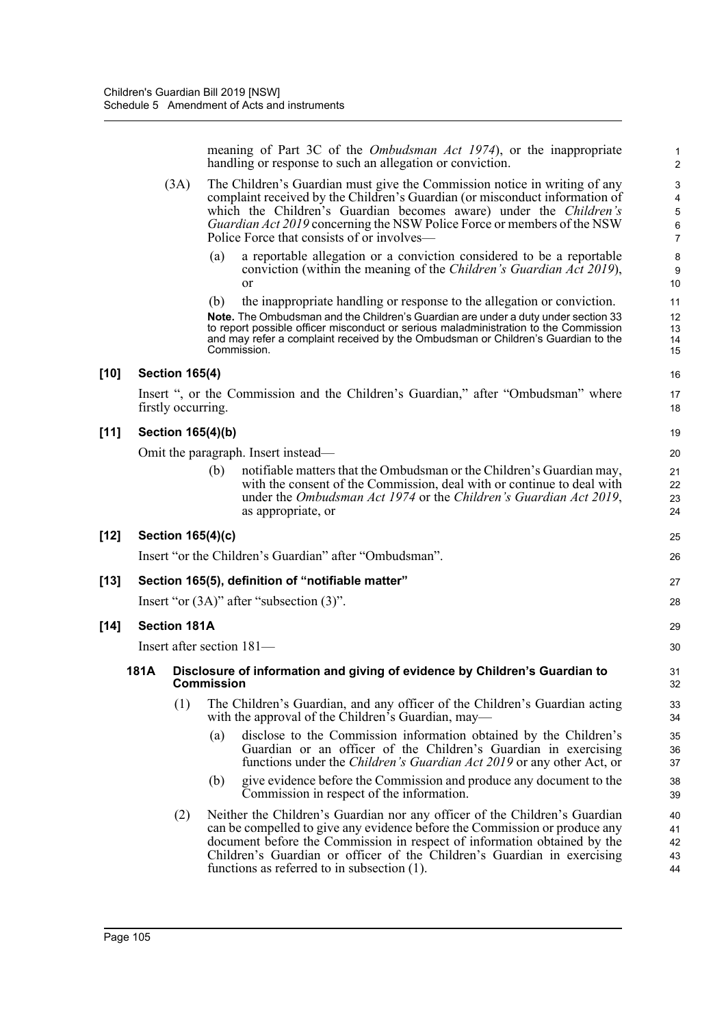meaning of Part 3C of the *Ombudsman Act 1974*), or the inappropriate handling or response to such an allegation or conviction.

- (3A) The Children's Guardian must give the Commission notice in writing of any complaint received by the Children's Guardian (or misconduct information of which the Children's Guardian becomes aware) under the *Children's Guardian Act 2019* concerning the NSW Police Force or members of the NSW Police Force that consists of or involves
	- a reportable allegation or a conviction considered to be a reportable conviction (within the meaning of the *Children's Guardian Act 2019*), or
	- (b) the inappropriate handling or response to the allegation or conviction.

**Note.** The Ombudsman and the Children's Guardian are under a duty under section 33 to report possible officer misconduct or serious maladministration to the Commission and may refer a complaint received by the Ombudsman or Children's Guardian to the Commission.

# **[10] Section 165(4)**

Insert ", or the Commission and the Children's Guardian," after "Ombudsman" where firstly occurring.

# **[11] Section 165(4)(b)**

Omit the paragraph. Insert instead—

(b) notifiable matters that the Ombudsman or the Children's Guardian may, with the consent of the Commission, deal with or continue to deal with under the *Ombudsman Act 1974* or the *Children's Guardian Act 2019*, as appropriate, or

## **[12] Section 165(4)(c)**

Insert "or the Children's Guardian" after "Ombudsman".

# **[13] Section 165(5), definition of "notifiable matter"**

Insert "or (3A)" after "subsection (3)".

## **[14] Section 181A**

Insert after section 181—

## **181A Disclosure of information and giving of evidence by Children's Guardian to Commission**

- (1) The Children's Guardian, and any officer of the Children's Guardian acting with the approval of the Children's Guardian, may—
	- (a) disclose to the Commission information obtained by the Children's Guardian or an officer of the Children's Guardian in exercising functions under the *Children's Guardian Act 2019* or any other Act, or
	- (b) give evidence before the Commission and produce any document to the Commission in respect of the information.
- (2) Neither the Children's Guardian nor any officer of the Children's Guardian can be compelled to give any evidence before the Commission or produce any document before the Commission in respect of information obtained by the Children's Guardian or officer of the Children's Guardian in exercising functions as referred to in subsection (1). 40 41 42 43 44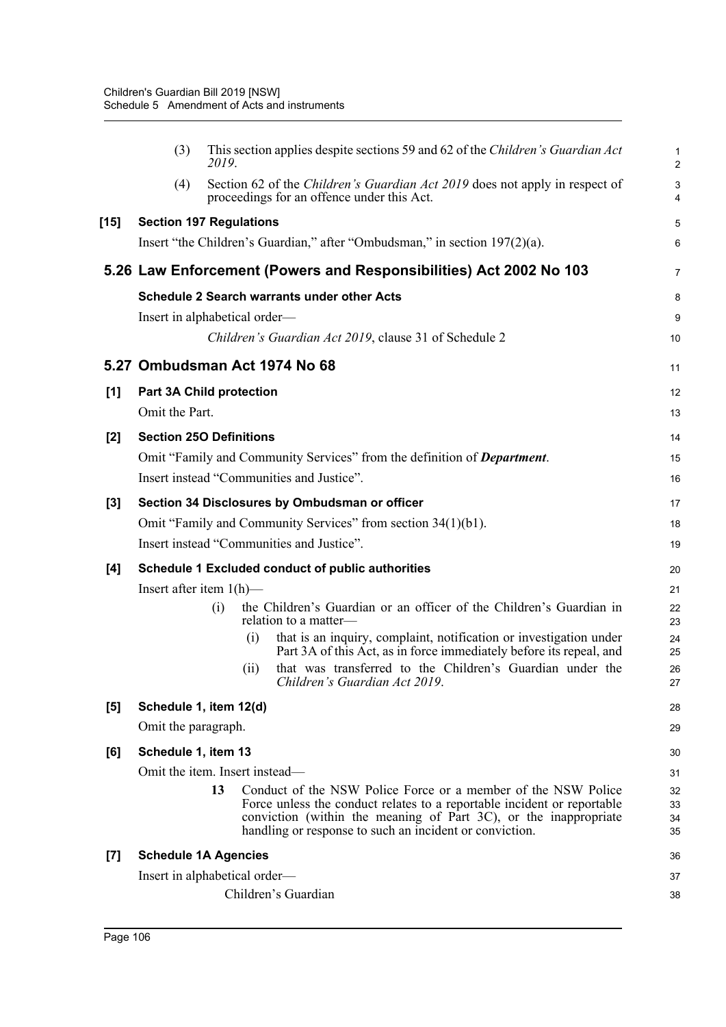|       | (3)                             | 2019. |     | This section applies despite sections 59 and 62 of the Children's Guardian Act                                                                                                                                                                                          | 1<br>$\overline{2}$  |
|-------|---------------------------------|-------|-----|-------------------------------------------------------------------------------------------------------------------------------------------------------------------------------------------------------------------------------------------------------------------------|----------------------|
|       | (4)                             |       |     | Section 62 of the Children's Guardian Act 2019 does not apply in respect of<br>proceedings for an offence under this Act.                                                                                                                                               | 3<br>4               |
| [15]  | <b>Section 197 Regulations</b>  |       |     |                                                                                                                                                                                                                                                                         | 5                    |
|       |                                 |       |     | Insert "the Children's Guardian," after "Ombudsman," in section 197(2)(a).                                                                                                                                                                                              | 6                    |
|       |                                 |       |     | 5.26 Law Enforcement (Powers and Responsibilities) Act 2002 No 103                                                                                                                                                                                                      | $\overline{7}$       |
|       |                                 |       |     | <b>Schedule 2 Search warrants under other Acts</b>                                                                                                                                                                                                                      | 8                    |
|       | Insert in alphabetical order—   |       |     |                                                                                                                                                                                                                                                                         | 9                    |
|       |                                 |       |     | Children's Guardian Act 2019, clause 31 of Schedule 2                                                                                                                                                                                                                   | 10                   |
|       | 5.27 Ombudsman Act 1974 No 68   |       |     |                                                                                                                                                                                                                                                                         | 11                   |
| [1]   | <b>Part 3A Child protection</b> |       |     |                                                                                                                                                                                                                                                                         | 12                   |
|       | Omit the Part.                  |       |     |                                                                                                                                                                                                                                                                         | 13                   |
| $[2]$ | <b>Section 250 Definitions</b>  |       |     |                                                                                                                                                                                                                                                                         | 14                   |
|       |                                 |       |     | Omit "Family and Community Services" from the definition of <b>Department</b> .                                                                                                                                                                                         | 15                   |
|       |                                 |       |     | Insert instead "Communities and Justice".                                                                                                                                                                                                                               | 16                   |
| $[3]$ |                                 |       |     | Section 34 Disclosures by Ombudsman or officer                                                                                                                                                                                                                          | 17                   |
|       |                                 |       |     | Omit "Family and Community Services" from section 34(1)(b1).                                                                                                                                                                                                            | 18                   |
|       |                                 |       |     | Insert instead "Communities and Justice".                                                                                                                                                                                                                               | 19                   |
| [4]   |                                 |       |     | Schedule 1 Excluded conduct of public authorities                                                                                                                                                                                                                       | 20                   |
|       | Insert after item $1(h)$ —      |       |     |                                                                                                                                                                                                                                                                         | 21                   |
|       |                                 | (i)   |     | the Children's Guardian or an officer of the Children's Guardian in<br>relation to a matter-                                                                                                                                                                            | 22<br>23             |
|       |                                 |       | (i) | that is an inquiry, complaint, notification or investigation under<br>Part 3A of this Act, as in force immediately before its repeal, and                                                                                                                               | 24<br>25             |
|       |                                 |       | (i) | that was transferred to the Children's Guardian under the<br>Children's Guardian Act 2019.                                                                                                                                                                              | 26<br>27             |
| [5]   | Schedule 1, item 12(d)          |       |     |                                                                                                                                                                                                                                                                         | 28                   |
|       | Omit the paragraph.             |       |     |                                                                                                                                                                                                                                                                         | 29                   |
| [6]   | Schedule 1, item 13             |       |     |                                                                                                                                                                                                                                                                         | 30                   |
|       | Omit the item. Insert instead—  |       |     |                                                                                                                                                                                                                                                                         | 31                   |
|       |                                 | 13    |     | Conduct of the NSW Police Force or a member of the NSW Police<br>Force unless the conduct relates to a reportable incident or reportable<br>conviction (within the meaning of Part 3C), or the inappropriate<br>handling or response to such an incident or conviction. | 32<br>33<br>34<br>35 |
| $[7]$ | <b>Schedule 1A Agencies</b>     |       |     |                                                                                                                                                                                                                                                                         | 36                   |
|       | Insert in alphabetical order—   |       |     |                                                                                                                                                                                                                                                                         | 37                   |
|       |                                 |       |     | Children's Guardian                                                                                                                                                                                                                                                     | 38                   |
|       |                                 |       |     |                                                                                                                                                                                                                                                                         |                      |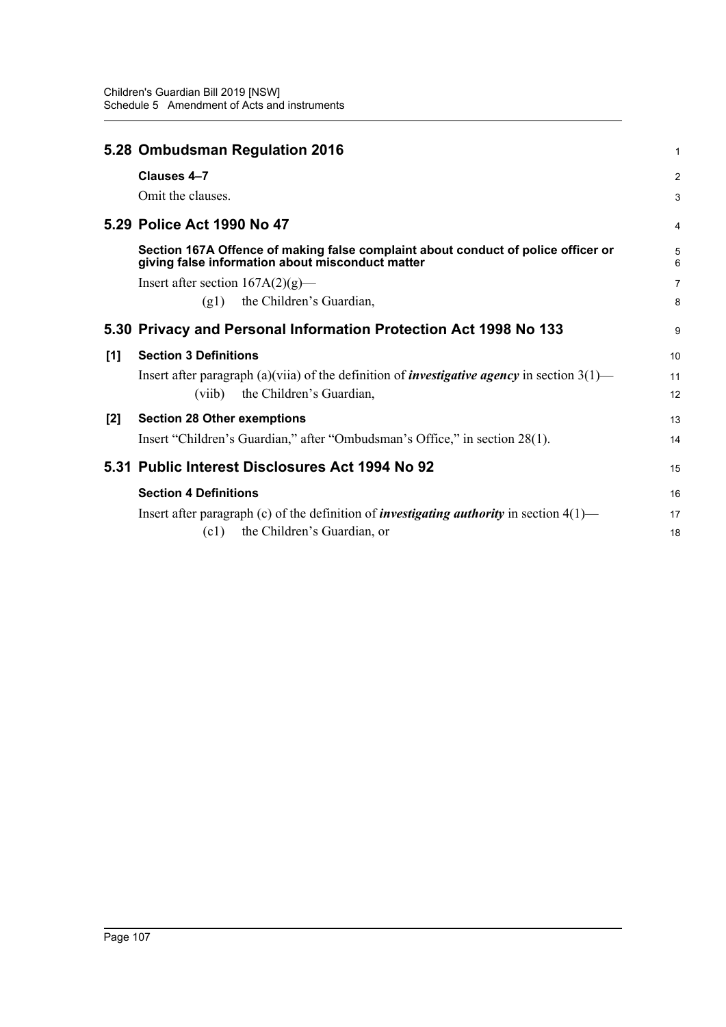|     | 5.28 Ombudsman Regulation 2016                                                                                                        | 1              |
|-----|---------------------------------------------------------------------------------------------------------------------------------------|----------------|
|     | Clauses 4-7                                                                                                                           | 2              |
|     | Omit the clauses.                                                                                                                     | 3              |
|     | 5.29 Police Act 1990 No 47                                                                                                            | 4              |
|     | Section 167A Offence of making false complaint about conduct of police officer or<br>giving false information about misconduct matter | 5<br>6         |
|     | Insert after section $167A(2)(g)$ —                                                                                                   | $\overline{7}$ |
|     | the Children's Guardian,<br>(g1)                                                                                                      | 8              |
|     | 5.30 Privacy and Personal Information Protection Act 1998 No 133                                                                      | 9              |
| [1] | <b>Section 3 Definitions</b>                                                                                                          | 10             |
|     | Insert after paragraph (a)(viia) of the definition of <i>investigative agency</i> in section $3(1)$ —                                 | 11             |
|     | the Children's Guardian,<br>(viib)                                                                                                    | 12             |
| [2] | <b>Section 28 Other exemptions</b>                                                                                                    | 13             |
|     | Insert "Children's Guardian," after "Ombudsman's Office," in section 28(1).                                                           | 14             |
|     | 5.31 Public Interest Disclosures Act 1994 No 92                                                                                       | 15             |
|     | <b>Section 4 Definitions</b>                                                                                                          | 16             |
|     | Insert after paragraph (c) of the definition of <i>investigating authority</i> in section $4(1)$ —                                    | 17             |
|     | the Children's Guardian, or<br>(c1)                                                                                                   | 18             |
|     |                                                                                                                                       |                |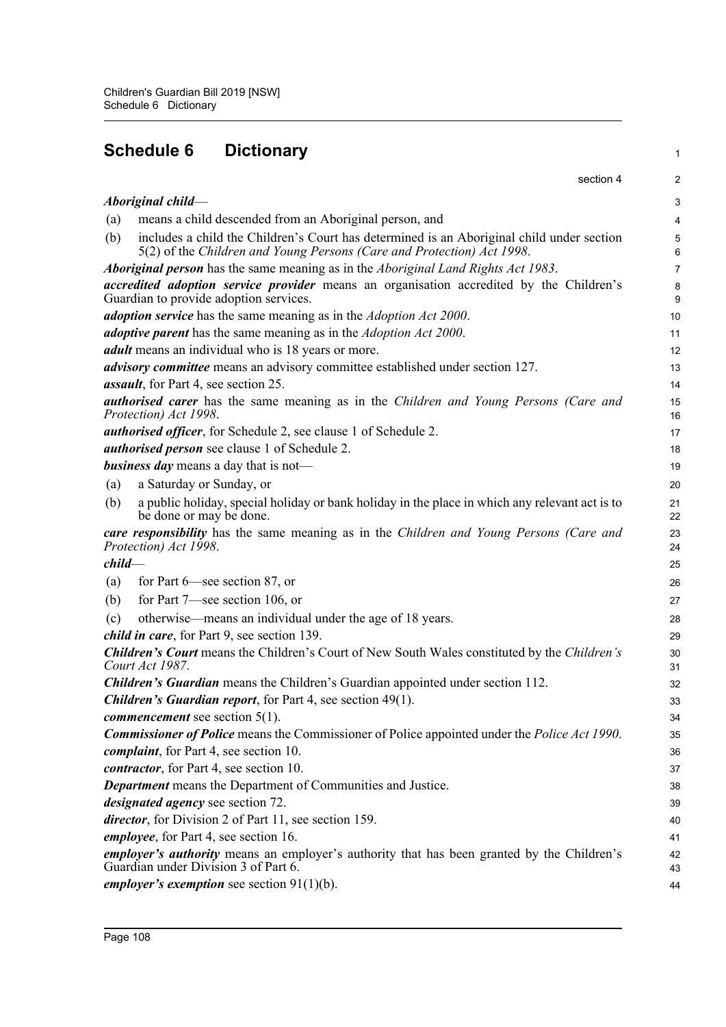| <b>Schedule 6</b><br><b>Dictionary</b>                                                                                                                                     | 1                    |
|----------------------------------------------------------------------------------------------------------------------------------------------------------------------------|----------------------|
| section 4                                                                                                                                                                  | 2                    |
| Aboriginal child-                                                                                                                                                          | З                    |
| means a child descended from an Aboriginal person, and<br>(a)                                                                                                              | 4                    |
| includes a child the Children's Court has determined is an Aboriginal child under section<br>(b)<br>5(2) of the Children and Young Persons (Care and Protection) Act 1998. | Е                    |
| Aboriginal person has the same meaning as in the Aboriginal Land Rights Act 1983.                                                                                          | 7                    |
| <i>accredited adoption service provider</i> means an organisation accredited by the Children's<br>Guardian to provide adoption services.                                   | ε<br>ς               |
| adoption service has the same meaning as in the Adoption Act 2000.                                                                                                         | 10                   |
| <i>adoptive parent</i> has the same meaning as in the <i>Adoption Act 2000</i> .                                                                                           | 11                   |
| <i>adult</i> means an individual who is 18 years or more.                                                                                                                  | 12                   |
| <i>advisory committee</i> means an advisory committee established under section 127.                                                                                       | 13                   |
| <i>assault</i> , for Part 4, see section 25.                                                                                                                               | 14                   |
| authorised carer has the same meaning as in the Children and Young Persons (Care and<br>Protection) Act 1998.                                                              | 15<br>16             |
| <i>authorised officer</i> , for Schedule 2, see clause 1 of Schedule 2.                                                                                                    | 17                   |
| authorised person see clause 1 of Schedule 2.                                                                                                                              | 18                   |
| <b>business day</b> means a day that is not—                                                                                                                               | 19                   |
| a Saturday or Sunday, or<br>(a)                                                                                                                                            | 20                   |
| a public holiday, special holiday or bank holiday in the place in which any relevant act is to<br>(b)<br>be done or may be done.                                           | 21<br>22             |
| care responsibility has the same meaning as in the Children and Young Persons (Care and<br>Protection) Act 1998.                                                           | 23<br>24             |
| $child-$                                                                                                                                                                   | 25                   |
| for Part $6$ —see section 87, or<br>(a)                                                                                                                                    | 26                   |
| for Part $7$ —see section 106, or<br>(b)                                                                                                                                   | 27                   |
| otherwise—means an individual under the age of 18 years.<br>(c)<br><i>child in care</i> , for Part 9, see section 139.                                                     | 28<br>29             |
| <b>Children's Court</b> means the Children's Court of New South Wales constituted by the Children's<br>Court Act 1987.                                                     | 3 <sub>C</sub><br>31 |
| <b>Children's Guardian</b> means the Children's Guardian appointed under section 112.                                                                                      | 32                   |
| Children's Guardian report, for Part 4, see section 49(1).                                                                                                                 | 33                   |
| commencement see section 5(1).                                                                                                                                             | 34                   |
| <b>Commissioner of Police</b> means the Commissioner of Police appointed under the <i>Police Act 1990</i> .                                                                | 35                   |
| <i>complaint</i> , for Part 4, see section 10.                                                                                                                             | 36                   |
| contractor, for Part 4, see section 10.                                                                                                                                    | 37                   |
| <b>Department</b> means the Department of Communities and Justice.                                                                                                         | 38                   |
| <i>designated agency</i> see section 72.                                                                                                                                   | 39                   |
| director, for Division 2 of Part 11, see section 159.                                                                                                                      | 40                   |
| <i>employee</i> , for Part 4, see section 16.                                                                                                                              | 41                   |
| employer's authority means an employer's authority that has been granted by the Children's<br>Guardian under Division 3 of Part 6.                                         | 42<br>43             |
| employer's exemption see section $91(1)(b)$ .                                                                                                                              | 44                   |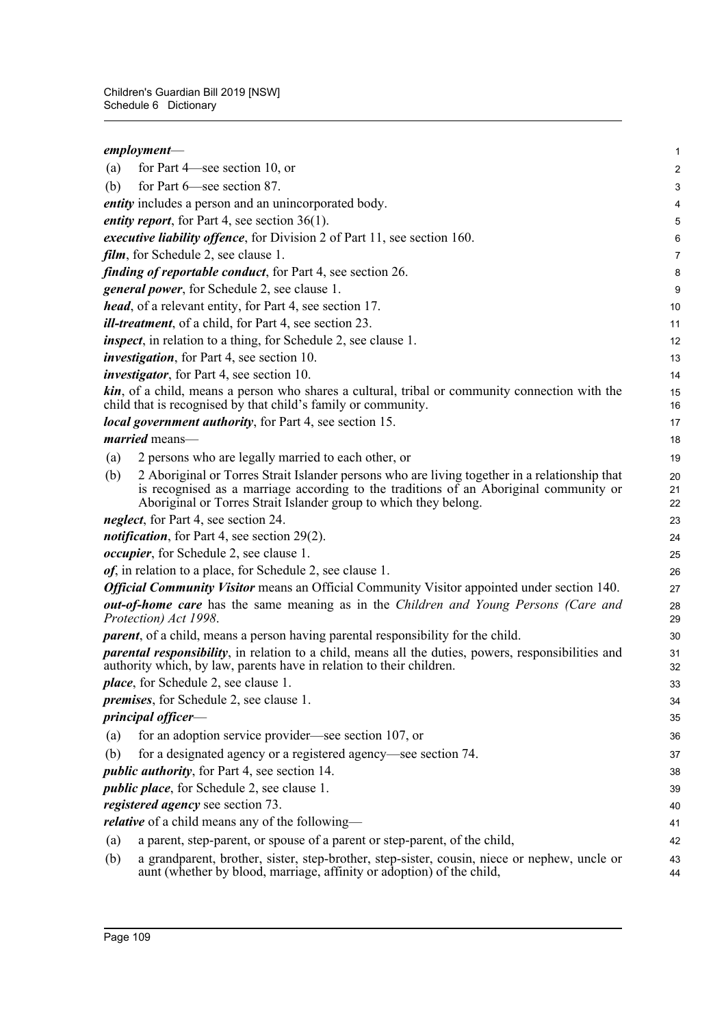|     | $employment$ —                                                                                                                                                                                                                                             | $\mathbf{1}$   |
|-----|------------------------------------------------------------------------------------------------------------------------------------------------------------------------------------------------------------------------------------------------------------|----------------|
| (a) | for Part 4—see section 10, or                                                                                                                                                                                                                              | $\overline{c}$ |
| (b) | for Part $6$ see section 87.                                                                                                                                                                                                                               | 3              |
|     | entity includes a person and an unincorporated body.                                                                                                                                                                                                       | 4              |
|     | <i>entity report</i> , for Part 4, see section $36(1)$ .                                                                                                                                                                                                   | 5              |
|     | executive liability offence, for Division 2 of Part 11, see section 160.                                                                                                                                                                                   | 6              |
|     | <i>film</i> , for Schedule 2, see clause 1.                                                                                                                                                                                                                | $\overline{7}$ |
|     | <i>finding of reportable conduct, for Part 4, see section 26.</i>                                                                                                                                                                                          | 8              |
|     | general power, for Schedule 2, see clause 1.                                                                                                                                                                                                               | 9              |
|     | <i>head</i> , of a relevant entity, for Part 4, see section 17.                                                                                                                                                                                            | 10             |
|     | <i>ill-treatment</i> , of a child, for Part 4, see section 23.                                                                                                                                                                                             | 11             |
|     | <i>inspect</i> , in relation to a thing, for Schedule 2, see clause 1.                                                                                                                                                                                     | 12             |
|     | <i>investigation</i> , for Part 4, see section 10.                                                                                                                                                                                                         | 13             |
|     | <i>investigator</i> , for Part 4, see section 10.                                                                                                                                                                                                          | 14             |
|     | <b>kin</b> , of a child, means a person who shares a cultural, tribal or community connection with the<br>child that is recognised by that child's family or community.                                                                                    | 15<br>16       |
|     | <i>local government authority</i> , for Part 4, see section 15.                                                                                                                                                                                            | 17             |
|     | married means-                                                                                                                                                                                                                                             | 18             |
| (a) | 2 persons who are legally married to each other, or                                                                                                                                                                                                        | 19             |
| (b) | 2 Aboriginal or Torres Strait Islander persons who are living together in a relationship that<br>is recognised as a marriage according to the traditions of an Aboriginal community or<br>Aboriginal or Torres Strait Islander group to which they belong. | 20<br>21<br>22 |
|     | neglect, for Part 4, see section 24.                                                                                                                                                                                                                       | 23             |
|     | <i>notification</i> , for Part 4, see section 29(2).                                                                                                                                                                                                       | 24             |
|     | <i>occupier</i> , for Schedule 2, see clause 1.                                                                                                                                                                                                            | 25             |
|     | <i>of</i> , in relation to a place, for Schedule 2, see clause 1.                                                                                                                                                                                          | 26             |
|     | <b>Official Community Visitor</b> means an Official Community Visitor appointed under section 140.                                                                                                                                                         | 27             |
|     | <b><i>out-of-home care</i></b> has the same meaning as in the Children and Young Persons (Care and<br>Protection) Act 1998.                                                                                                                                | 28<br>29       |
|     | <i>parent</i> , of a child, means a person having parental responsibility for the child.                                                                                                                                                                   | 30             |
|     | <i>parental responsibility</i> , in relation to a child, means all the duties, powers, responsibilities and<br>authority which, by law, parents have in relation to their children.                                                                        | 31<br>32       |
|     | <i>place</i> , for Schedule 2, see clause 1.                                                                                                                                                                                                               | 33             |
|     | <i>premises</i> , for Schedule 2, see clause 1.                                                                                                                                                                                                            | 34             |
|     | principal officer-                                                                                                                                                                                                                                         | 35             |
| (a) | for an adoption service provider—see section 107, or                                                                                                                                                                                                       | 36             |
| (b) | for a designated agency or a registered agency—see section 74.                                                                                                                                                                                             | 37             |
|     | <i>public authority</i> , for Part 4, see section 14.                                                                                                                                                                                                      | 38             |
|     | <i>public place</i> , for Schedule 2, see clause 1.                                                                                                                                                                                                        | 39             |
|     | <i>registered agency</i> see section 73.                                                                                                                                                                                                                   | 40             |
|     | <i>relative</i> of a child means any of the following—                                                                                                                                                                                                     | 41             |
| (a) | a parent, step-parent, or spouse of a parent or step-parent, of the child,                                                                                                                                                                                 | 42             |
| (b) | a grandparent, brother, sister, step-brother, step-sister, cousin, niece or nephew, uncle or<br>aunt (whether by blood, marriage, affinity or adoption) of the child,                                                                                      | 43<br>44       |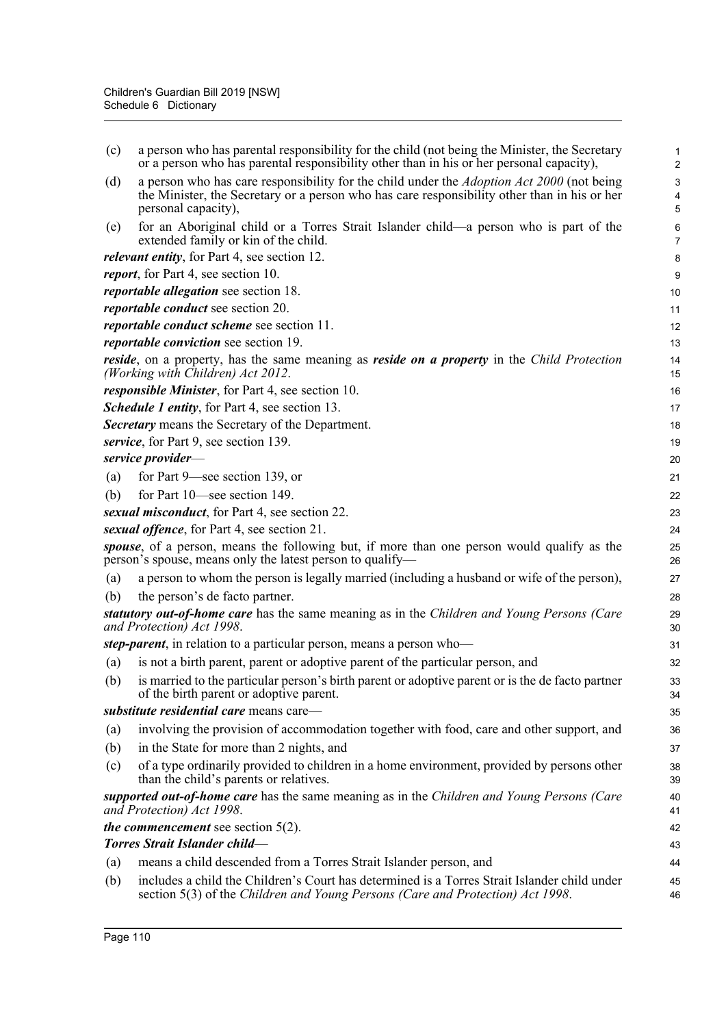| (c) | a person who has parental responsibility for the child (not being the Minister, the Secretary<br>or a person who has parental responsibility other than in his or her personal capacity),                               | 1<br>$\overline{a}$ |
|-----|-------------------------------------------------------------------------------------------------------------------------------------------------------------------------------------------------------------------------|---------------------|
| (d) | a person who has care responsibility for the child under the <i>Adoption Act 2000</i> (not being<br>the Minister, the Secretary or a person who has care responsibility other than in his or her<br>personal capacity), | 3<br>4<br>5         |
| (e) | for an Aboriginal child or a Torres Strait Islander child—a person who is part of the<br>extended family or kin of the child.                                                                                           | 6<br>$\overline{7}$ |
|     | <i>relevant entity</i> , for Part 4, see section 12.                                                                                                                                                                    | 8                   |
|     | <i>report</i> , for Part 4, see section 10.                                                                                                                                                                             | 9                   |
|     | <i>reportable allegation</i> see section 18.                                                                                                                                                                            | 10                  |
|     | <i>reportable conduct</i> see section 20.                                                                                                                                                                               | 11                  |
|     | <i>reportable conduct scheme see section 11.</i>                                                                                                                                                                        | 12                  |
|     | <i>reportable conviction</i> see section 19.                                                                                                                                                                            | 13                  |
|     | <i>reside</i> , on a property, has the same meaning as <i>reside on a property</i> in the <i>Child Protection</i><br>(Working with Children) Act 2012.                                                                  | 14<br>15            |
|     | <i>responsible Minister</i> , for Part 4, see section 10.                                                                                                                                                               | 16                  |
|     | <b>Schedule 1 entity, for Part 4, see section 13.</b>                                                                                                                                                                   | 17                  |
|     | <b>Secretary</b> means the Secretary of the Department.                                                                                                                                                                 | 18                  |
|     | service, for Part 9, see section 139.                                                                                                                                                                                   | 19                  |
|     | service provider—                                                                                                                                                                                                       | 20                  |
| (a) | for Part 9—see section 139, or                                                                                                                                                                                          | 21                  |
| (b) | for Part 10—see section 149.                                                                                                                                                                                            | 22                  |
|     | sexual misconduct, for Part 4, see section 22.                                                                                                                                                                          | 23                  |
|     | sexual offence, for Part 4, see section 21.                                                                                                                                                                             | 24                  |
|     | spouse, of a person, means the following but, if more than one person would qualify as the<br>person's spouse, means only the latest person to qualify—                                                                 | 25<br>26            |
| (a) | a person to whom the person is legally married (including a husband or wife of the person),                                                                                                                             | 27                  |
| (b) | the person's de facto partner.                                                                                                                                                                                          | 28                  |
|     | <b>statutory out-of-home care</b> has the same meaning as in the <i>Children and Young Persons (Care</i><br>and Protection) Act 1998.                                                                                   | 29<br>30            |
|     | step-parent, in relation to a particular person, means a person who-                                                                                                                                                    | 31                  |
| (a) | is not a birth parent, parent or adoptive parent of the particular person, and                                                                                                                                          | 32                  |
| (b) | is married to the particular person's birth parent or adoptive parent or is the de facto partner<br>of the birth parent or adoptive parent.                                                                             | 33<br>34            |
|     | substitute residential care means care-                                                                                                                                                                                 | 35                  |
| (a) | involving the provision of accommodation together with food, care and other support, and                                                                                                                                | 36                  |
| (b) | in the State for more than 2 nights, and                                                                                                                                                                                | 37                  |
| (c) | of a type ordinarily provided to children in a home environment, provided by persons other<br>than the child's parents or relatives.                                                                                    | 38<br>39            |
|     | supported out-of-home care has the same meaning as in the Children and Young Persons (Care<br>and Protection) Act 1998.                                                                                                 | 40<br>41            |
|     | <i>the commencement</i> see section $5(2)$ .                                                                                                                                                                            | 42                  |
|     | <b>Torres Strait Islander child-</b>                                                                                                                                                                                    | 43                  |
| (a) | means a child descended from a Torres Strait Islander person, and                                                                                                                                                       | 44                  |
| (b) | includes a child the Children's Court has determined is a Torres Strait Islander child under<br>section 5(3) of the Children and Young Persons (Care and Protection) Act 1998.                                          | 45<br>46            |
|     |                                                                                                                                                                                                                         |                     |